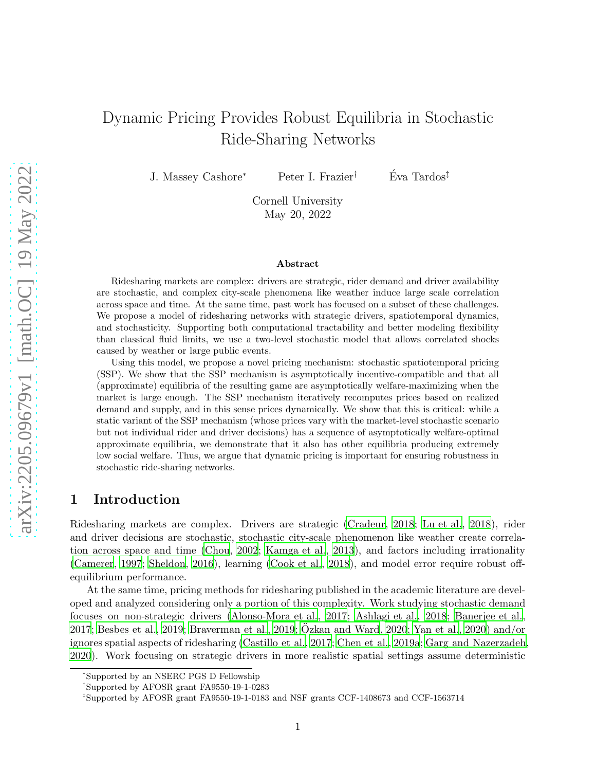# Dynamic Pricing Provides Robust Equilibria in Stochastic Ride-Sharing Networks

J. Massey Cashore<sup>∗</sup> Peter I. Frazier<sup>†</sup> Éva Tardos<sup>‡</sup>

Cornell University May 20, 2022

#### Abstract

Ridesharing markets are complex: drivers are strategic, rider demand and driver availability are stochastic, and complex city-scale phenomena like weather induce large scale correlation across space and time. At the same time, past work has focused on a subset of these challenges. We propose a model of ridesharing networks with strategic drivers, spatiotemporal dynamics, and stochasticity. Supporting both computational tractability and better modeling flexibility than classical fluid limits, we use a two-level stochastic model that allows correlated shocks caused by weather or large public events.

Using this model, we propose a novel pricing mechanism: stochastic spatiotemporal pricing (SSP). We show that the SSP mechanism is asymptotically incentive-compatible and that all (approximate) equilibria of the resulting game are asymptotically welfare-maximizing when the market is large enough. The SSP mechanism iteratively recomputes prices based on realized demand and supply, and in this sense prices dynamically. We show that this is critical: while a static variant of the SSP mechanism (whose prices vary with the market-level stochastic scenario but not individual rider and driver decisions) has a sequence of asymptotically welfare-optimal approximate equilibria, we demonstrate that it also has other equilibria producing extremely low social welfare. Thus, we argue that dynamic pricing is important for ensuring robustness in stochastic ride-sharing networks.

# 1 Introduction

Ridesharing markets are complex. Drivers are strategic [\(Cradeur, 2018;](#page-25-0) [Lu et al., 2018](#page-25-1)), rider and driver decisions are stochastic, stochastic city-scale phenomenon like weather create correlation across space and time [\(Chou](#page-24-0), [2002](#page-24-0); [Kamga et al., 2013](#page-25-2)), and factors including irrationality [\(Camerer, 1997;](#page-24-1) [Sheldon, 2016](#page-25-3)), learning [\(Cook et al.](#page-24-2), [2018](#page-24-2)), and model error require robust offequilibrium performance.

At the same time, pricing methods for ridesharing published in the academic literature are developed and analyzed considering only a portion of this complexity. Work studying stochastic demand focuses on non-strategic drivers [\(Alonso-Mora et al., 2017;](#page-23-0) [Ashlagi et al., 2018](#page-23-1); [Banerjee et al.,](#page-23-2) [2017;](#page-23-2) [Besbes et al.](#page-24-3), [2019](#page-24-3); [Braverman et al.](#page-24-4), [2019](#page-24-4); [Ozkan and Ward](#page-25-4), [2020](#page-25-4); [Yan et al., 2020](#page-25-5)) and/or ¨ ignores spatial aspects of ridesharing [\(Castillo et al., 2017;](#page-24-5) [Chen et al.](#page-24-6), [2019a;](#page-24-6) [Garg and Nazerzadeh,](#page-25-6) [2020\)](#page-25-6). Work focusing on strategic drivers in more realistic spatial settings assume deterministic

<sup>∗</sup> Supported by an NSERC PGS D Fellowship

<sup>†</sup>Supported by AFOSR grant FA9550-19-1-0283

<sup>‡</sup> Supported by AFOSR grant FA9550-19-1-0183 and NSF grants CCF-1408673 and CCF-1563714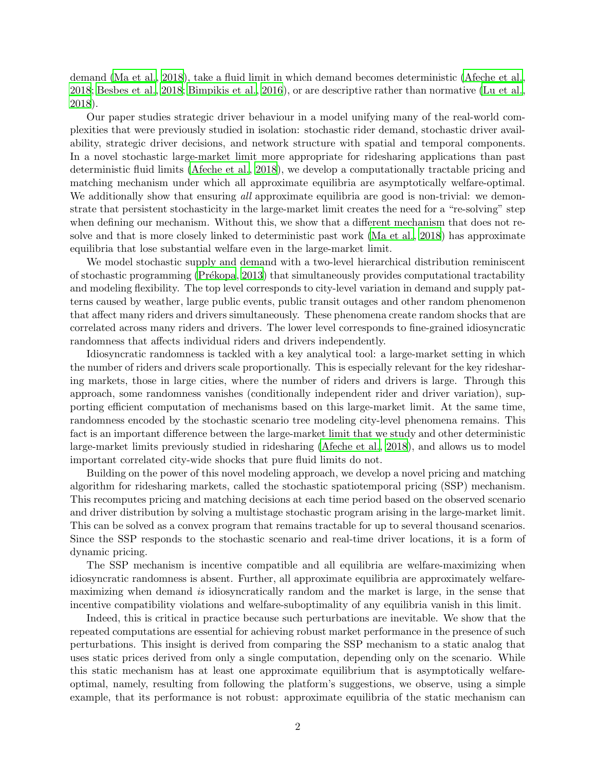demand [\(Ma et al.](#page-25-7), [2018](#page-25-7)), take a fluid limit in which demand becomes deterministic [\(Afeche et al.,](#page-23-3) [2018;](#page-23-3) [Besbes et al., 2018](#page-24-7); [Bimpikis et al.](#page-24-8), [2016\)](#page-24-8), or are descriptive rather than normative [\(Lu et al.](#page-25-1), [2018\)](#page-25-1).

Our paper studies strategic driver behaviour in a model unifying many of the real-world complexities that were previously studied in isolation: stochastic rider demand, stochastic driver availability, strategic driver decisions, and network structure with spatial and temporal components. In a novel stochastic large-market limit more appropriate for ridesharing applications than past deterministic fluid limits [\(Afeche et al.](#page-23-3), [2018](#page-23-3)), we develop a computationally tractable pricing and matching mechanism under which all approximate equilibria are asymptotically welfare-optimal. We additionally show that ensuring all approximate equilibria are good is non-trivial: we demonstrate that persistent stochasticity in the large-market limit creates the need for a "re-solving" step when defining our mechanism. Without this, we show that a different mechanism that does not resolve and that is more closely linked to deterministic past work [\(Ma et al., 2018](#page-25-7)) has approximate equilibria that lose substantial welfare even in the large-market limit.

We model stochastic supply and demand with a two-level hierarchical distribution reminiscent of stochastic programming (Prékopa, [2013](#page-25-8)) that simultaneously provides computational tractability and modeling flexibility. The top level corresponds to city-level variation in demand and supply patterns caused by weather, large public events, public transit outages and other random phenomenon that affect many riders and drivers simultaneously. These phenomena create random shocks that are correlated across many riders and drivers. The lower level corresponds to fine-grained idiosyncratic randomness that affects individual riders and drivers independently.

Idiosyncratic randomness is tackled with a key analytical tool: a large-market setting in which the number of riders and drivers scale proportionally. This is especially relevant for the key ridesharing markets, those in large cities, where the number of riders and drivers is large. Through this approach, some randomness vanishes (conditionally independent rider and driver variation), supporting efficient computation of mechanisms based on this large-market limit. At the same time, randomness encoded by the stochastic scenario tree modeling city-level phenomena remains. This fact is an important difference between the large-market limit that we study and other deterministic large-market limits previously studied in ridesharing [\(Afeche et al.](#page-23-3), [2018\)](#page-23-3), and allows us to model important correlated city-wide shocks that pure fluid limits do not.

Building on the power of this novel modeling approach, we develop a novel pricing and matching algorithm for ridesharing markets, called the stochastic spatiotemporal pricing (SSP) mechanism. This recomputes pricing and matching decisions at each time period based on the observed scenario and driver distribution by solving a multistage stochastic program arising in the large-market limit. This can be solved as a convex program that remains tractable for up to several thousand scenarios. Since the SSP responds to the stochastic scenario and real-time driver locations, it is a form of dynamic pricing.

The SSP mechanism is incentive compatible and all equilibria are welfare-maximizing when idiosyncratic randomness is absent. Further, all approximate equilibria are approximately welfaremaximizing when demand is idiosyncratically random and the market is large, in the sense that incentive compatibility violations and welfare-suboptimality of any equilibria vanish in this limit.

Indeed, this is critical in practice because such perturbations are inevitable. We show that the repeated computations are essential for achieving robust market performance in the presence of such perturbations. This insight is derived from comparing the SSP mechanism to a static analog that uses static prices derived from only a single computation, depending only on the scenario. While this static mechanism has at least one approximate equilibrium that is asymptotically welfareoptimal, namely, resulting from following the platform's suggestions, we observe, using a simple example, that its performance is not robust: approximate equilibria of the static mechanism can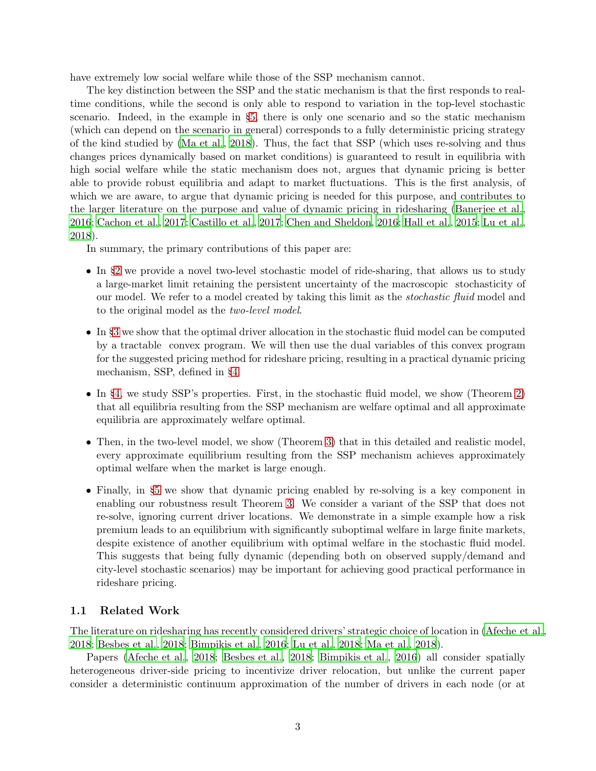have extremely low social welfare while those of the SSP mechanism cannot.

The key distinction between the SSP and the static mechanism is that the first responds to realtime conditions, while the second is only able to respond to variation in the top-level stochastic scenario. Indeed, in the example in §[5,](#page-22-0) there is only one scenario and so the static mechanism (which can depend on the scenario in general) corresponds to a fully deterministic pricing strategy of the kind studied by [\(Ma et al., 2018](#page-25-7)). Thus, the fact that SSP (which uses re-solving and thus changes prices dynamically based on market conditions) is guaranteed to result in equilibria with high social welfare while the static mechanism does not, argues that dynamic pricing is better able to provide robust equilibria and adapt to market fluctuations. This is the first analysis, of which we are aware, to argue that dynamic pricing is needed for this purpose, and contributes to the larger literature on the purpose and value of dynamic pricing in ridesharing [\(Banerjee et al.](#page-24-9), [2016;](#page-24-9) [Cachon et al., 2017](#page-24-10); [Castillo et al., 2017](#page-24-5); [Chen and Sheldon, 2016](#page-24-11); [Hall et al., 2015](#page-25-9); [Lu et al.](#page-25-1), [2018\)](#page-25-1).

In summary, the primary contributions of this paper are:

- In §[2](#page-3-0) we provide a novel two-level stochastic model of ride-sharing, that allows us to study a large-market limit retaining the persistent uncertainty of the macroscopic stochasticity of our model. We refer to a model created by taking this limit as the *stochastic fluid* model and to the original model as the two-level model.
- In §[3](#page-10-0) we show that the optimal driver allocation in the stochastic fluid model can be computed by a tractable convex program. We will then use the dual variables of this convex program for the suggested pricing method for rideshare pricing, resulting in a practical dynamic pricing mechanism, SSP, defined in §[4.](#page-14-0)
- In §[4,](#page-14-0) we study SSP's properties. First, in the stochastic fluid model, we show (Theorem [2\)](#page-18-0) that all equilibria resulting from the SSP mechanism are welfare optimal and all approximate equilibria are approximately welfare optimal.
- Then, in the two-level model, we show (Theorem [3\)](#page-19-0) that in this detailed and realistic model, every approximate equilibrium resulting from the SSP mechanism achieves approximately optimal welfare when the market is large enough.
- Finally, in §[5](#page-22-0) we show that dynamic pricing enabled by re-solving is a key component in enabling our robustness result Theorem [3.](#page-19-0) We consider a variant of the SSP that does not re-solve, ignoring current driver locations. We demonstrate in a simple example how a risk premium leads to an equilibrium with significantly suboptimal welfare in large finite markets, despite existence of another equilibrium with optimal welfare in the stochastic fluid model. This suggests that being fully dynamic (depending both on observed supply/demand and city-level stochastic scenarios) may be important for achieving good practical performance in rideshare pricing.

#### 1.1 Related Work

The literature on ridesharing has recently considered drivers' strategic choice of location in [\(Afeche et al.,](#page-23-3) [2018;](#page-23-3) [Besbes et al., 2018](#page-24-7); [Bimpikis et al., 2016](#page-24-8); [Lu et al., 2018](#page-25-1); [Ma et al.](#page-25-7), [2018](#page-25-7)).

Papers [\(Afeche et al., 2018;](#page-23-3) [Besbes et al., 2018](#page-24-7); [Bimpikis et](#page-24-8) al., [2016](#page-24-8)) all consider spatially heterogeneous driver-side pricing to incentivize driver relocation, but unlike the current paper consider a deterministic continuum approximation of the number of drivers in each node (or at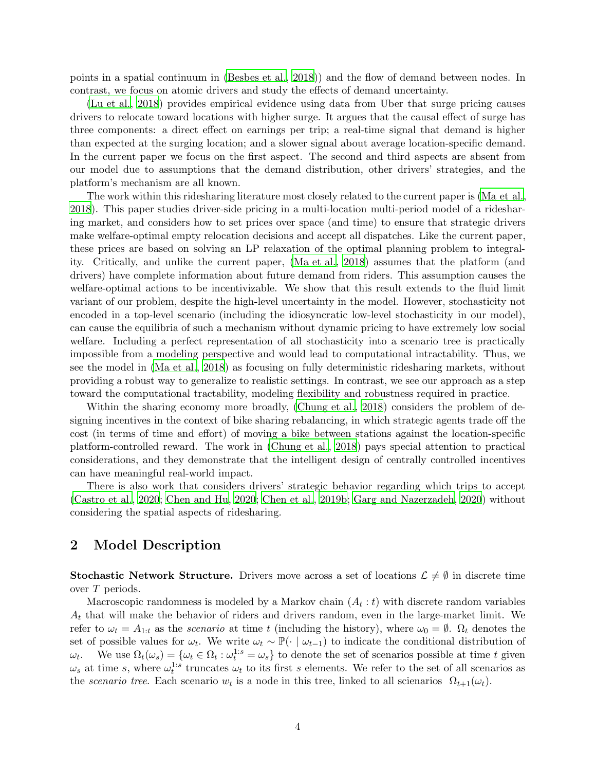points in a spatial continuum in [\(Besbes et al.](#page-24-7), [2018\)](#page-24-7)) and the flow of demand between nodes. In contrast, we focus on atomic drivers and study the effects of demand uncertainty.

[\(Lu et al., 2018](#page-25-1)) provides empirical evidence using data from Uber that surge pricing causes drivers to relocate toward locations with higher surge. It argues that the causal effect of surge has three components: a direct effect on earnings per trip; a real-time signal that demand is higher than expected at the surging location; and a slower signal about average location-specific demand. In the current paper we focus on the first aspect. The second and third aspects are absent from our model due to assumptions that the demand distribution, other drivers' strategies, and the platform's mechanism are all known.

The work within this ridesharing literature most closely related to the current paper is [\(Ma et al.,](#page-25-7) [2018\)](#page-25-7). This paper studies driver-side pricing in a multi-location multi-period model of a ridesharing market, and considers how to set prices over space (and time) to ensure that strategic drivers make welfare-optimal empty relocation decisions and accept all dispatches. Like the current paper, these prices are based on solving an LP relaxation of the optimal planning problem to integrality. Critically, and unlike the current paper, [\(Ma et al.](#page-25-7), [2018\)](#page-25-7) assumes that the platform (and drivers) have complete information about future demand from riders. This assumption causes the welfare-optimal actions to be incentivizable. We show that this result extends to the fluid limit variant of our problem, despite the high-level uncertainty in the model. However, stochasticity not encoded in a top-level scenario (including the idiosyncratic low-level stochasticity in our model), can cause the equilibria of such a mechanism without dynamic pricing to have extremely low social welfare. Including a perfect representation of all stochasticity into a scenario tree is practically impossible from a modeling perspective and would lead to computational intractability. Thus, we see the model in [\(Ma et al.](#page-25-7), [2018\)](#page-25-7) as focusing on fully deterministic ridesharing markets, without providing a robust way to generalize to realistic settings. In contrast, we see our approach as a step toward the computational tractability, modeling flexibility and robustness required in practice.

Within the sharing economy more broadly, [\(Chung et al., 2018\)](#page-24-12) considers the problem of designing incentives in the context of bike sharing rebalancing, in which strategic agents trade off the cost (in terms of time and effort) of moving a bike between stations against the location-specific platform-controlled reward. The work in [\(Chung et al., 2018](#page-24-12)) pays special attention to practical considerations, and they demonstrate that the intelligent design of centrally controlled incentives can have meaningful real-world impact.

There is also work that considers drivers' strategic behavior regarding which trips to accept [\(Castro et al., 2020](#page-24-13); [Chen and Hu, 2020](#page-24-14); [Chen et al.](#page-24-15), [2019b;](#page-24-15) [Garg and Nazerzadeh, 2020](#page-25-6)) without considering the spatial aspects of ridesharing.

# <span id="page-3-0"></span>2 Model Description

**Stochastic Network Structure.** Drivers move across a set of locations  $\mathcal{L} \neq \emptyset$  in discrete time over T periods.

Macroscopic randomness is modeled by a Markov chain  $(A_t : t)$  with discrete random variables  $A_t$  that will make the behavior of riders and drivers random, even in the large-market limit. We refer to  $\omega_t = A_{1:t}$  as the *scenario* at time t (including the history), where  $\omega_0 = \emptyset$ .  $\Omega_t$  denotes the set of possible values for  $\omega_t$ . We write  $\omega_t \sim \mathbb{P}(\cdot \mid \omega_{t-1})$  to indicate the conditional distribution of  $\omega_t$ . We use  $\Omega_t(\omega_s) = {\omega_t \in \Omega_t : \omega_t^{1:s} = \omega_s}$  to denote the set of scenarios possible at time t given  $\omega_s$  at time s, where  $\omega_t^{1:s}$  truncates  $\omega_t$  to its first s elements. We refer to the set of all scenarios as the scenario tree. Each scenario  $w_t$  is a node in this tree, linked to all scienarios  $\Omega_{t+1}(\omega_t)$ .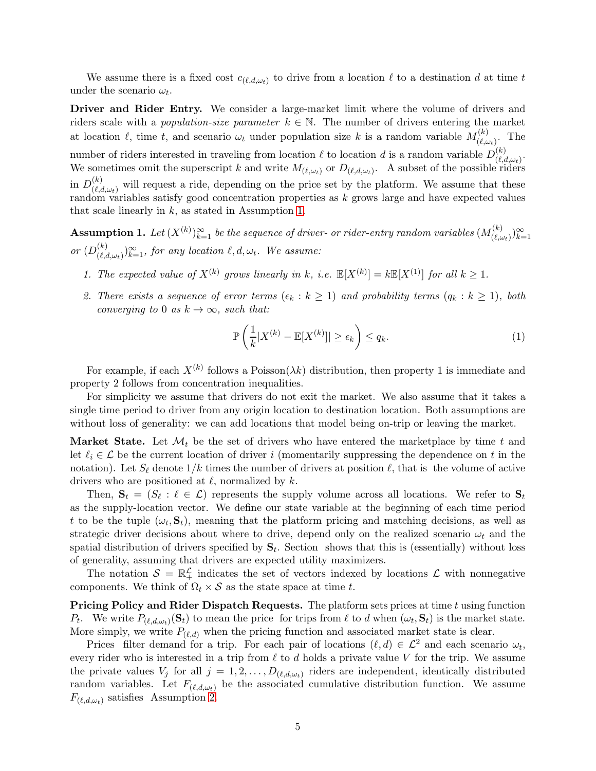We assume there is a fixed cost  $c_{(\ell,d,\omega_t)}$  to drive from a location  $\ell$  to a destination d at time t under the scenario  $\omega_t$ .

Driver and Rider Entry. We consider a large-market limit where the volume of drivers and riders scale with a *population-size parameter*  $k \in \mathbb{N}$ . The number of drivers entering the market at location  $\ell$ , time t, and scenario  $\omega_t$  under population size k is a random variable  $M_{(\ell,\omega)}^{(k)}$  $\frac{(\kappa)}{(\ell,\omega_t)}$ . The number of riders interested in traveling from location  $\ell$  to location d is a random variable  $D_{(\ell)}^{(k)}$  $\frac{(\kappa)}{(\ell,d,\omega_t)}$ . We sometimes omit the superscript k and write  $M_{(\ell,\omega_t)}$  or  $D_{(\ell,d,\omega_t)}$ . A subset of the possible riders in  $D_{(\ell,\epsilon)}^{(k)}$  $\binom{k}{(\ell,d,\omega_t)}$  will request a ride, depending on the price set by the platform. We assume that these random variables satisfy good concentration properties as k grows large and have expected values that scale linearly in  $k$ , as stated in Assumption [1.](#page-4-0)

<span id="page-4-0"></span>**Assumption 1.** Let  $(X^{(k)})_{k=1}^{\infty}$  be the sequence of driver- or rider-entry random variables  $(M_{(\ell,\omega)}^{(k)})_{k=1}^{\infty}$  $(\binom{k}{\ell,\omega_t})_{k=1}^{\infty}$ or  $(D_{(\ell,\epsilon)}^{(k)}$  $(\mathcal{C}_{(\ell,d,\omega_t)})_{k=1}^{\infty}$ , for any location  $\ell,d,\omega_t$ . We assume:

- 1. The expected value of  $X^{(k)}$  grows linearly in k, i.e.  $\mathbb{E}[X^{(k)}] = k \mathbb{E}[X^{(1)}]$  for all  $k \geq 1$ .
- 2. There exists a sequence of error terms  $(\epsilon_k : k \ge 1)$  and probability terms  $(q_k : k \ge 1)$ , both converging to 0 as  $k \to \infty$ , such that:

$$
\mathbb{P}\left(\frac{1}{k}|X^{(k)} - \mathbb{E}[X^{(k)}]| \ge \epsilon_k\right) \le q_k. \tag{1}
$$

For example, if each  $X^{(k)}$  follows a Poisson $(\lambda k)$  distribution, then property 1 is immediate and property 2 follows from concentration inequalities.

For simplicity we assume that drivers do not exit the market. We also assume that it takes a single time period to driver from any origin location to destination location. Both assumptions are without loss of generality: we can add locations that model being on-trip or leaving the market.

**Market State.** Let  $\mathcal{M}_t$  be the set of drivers who have entered the marketplace by time t and let  $\ell_i \in \mathcal{L}$  be the current location of driver i (momentarily suppressing the dependence on t in the notation). Let  $S_{\ell}$  denote  $1/k$  times the number of drivers at position  $\ell$ , that is the volume of active drivers who are positioned at  $\ell$ , normalized by  $k$ .

Then,  $S_t = (S_\ell : \ell \in \mathcal{L})$  represents the supply volume across all locations. We refer to  $S_t$ as the supply-location vector. We define our state variable at the beginning of each time period t to be the tuple  $(\omega_t, \mathbf{S}_t)$ , meaning that the platform pricing and matching decisions, as well as strategic driver decisions about where to drive, depend only on the realized scenario  $\omega_t$  and the spatial distribution of drivers specified by  $S_t$ . Section shows that this is (essentially) without loss of generality, assuming that drivers are expected utility maximizers.

The notation  $S = \mathbb{R}_+^{\mathcal{L}}$  indicates the set of vectors indexed by locations  $\mathcal{L}$  with nonnegative components. We think of  $\Omega_t \times S$  as the state space at time t.

**Pricing Policy and Rider Dispatch Requests.** The platform sets prices at time t using function  $P_t$ . We write  $P_{(\ell,d,\omega_t)}(\mathbf{S}_t)$  to mean the price for trips from  $\ell$  to d when  $(\omega_t, \mathbf{S}_t)$  is the market state. More simply, we write  $P_{(\ell,d)}$  when the pricing function and associated market state is clear.

Prices filter demand for a trip. For each pair of locations  $(\ell, d) \in \mathcal{L}^2$  and each scenario  $\omega_t$ , every rider who is interested in a trip from  $\ell$  to d holds a private value V for the trip. We assume the private values  $V_j$  for all  $j = 1, 2, \ldots, D_{(\ell,d,\omega_t)}$  riders are independent, identically distributed random variables. Let  $F_{(\ell,d,\omega_t)}$  be the associated cumulative distribution function. We assume  $F_{(\ell,d,\omega_t)}$  satisfies Assumption [2.](#page-5-0)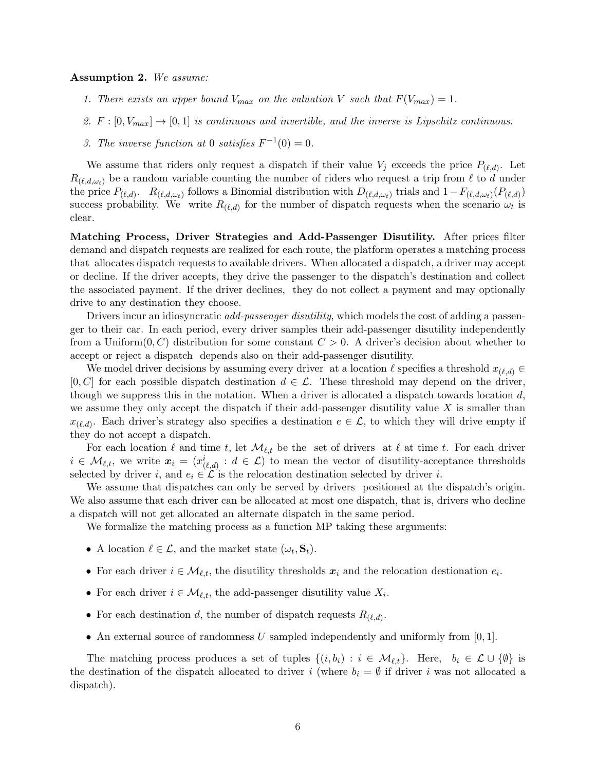#### <span id="page-5-0"></span>Assumption 2. We assume:

- 1. There exists an upper bound  $V_{max}$  on the valuation V such that  $F(V_{max}) = 1$ .
- 2.  $F : [0, V_{max}] \rightarrow [0, 1]$  is continuous and invertible, and the inverse is Lipschitz continuous.
- 3. The inverse function at 0 satisfies  $F^{-1}(0) = 0$ .

We assume that riders only request a dispatch if their value  $V_j$  exceeds the price  $P_{(\ell,d)}$ . Let  $R_{(\ell,d,\omega_t)}$  be a random variable counting the number of riders who request a trip from  $\ell$  to d under the price  $P_{(\ell,d)}$ .  $R_{(\ell,d,\omega_t)}$  follows a Binomial distribution with  $D_{(\ell,d,\omega_t)}$  trials and  $1-F_{(\ell,d,\omega_t)}(P_{(\ell,d)})$ success probability. We write  $R_{(\ell,d)}$  for the number of dispatch requests when the scenario  $\omega_t$  is clear.

Matching Process, Driver Strategies and Add-Passenger Disutility. After prices filter demand and dispatch requests are realized for each route, the platform operates a matching process that allocates dispatch requests to available drivers. When allocated a dispatch, a driver may accept or decline. If the driver accepts, they drive the passenger to the dispatch's destination and collect the associated payment. If the driver declines, they do not collect a payment and may optionally drive to any destination they choose.

Drivers incur an idiosyncratic *add-passenger disutility*, which models the cost of adding a passenger to their car. In each period, every driver samples their add-passenger disutility independently from a Uniform $(0, C)$  distribution for some constant  $C > 0$ . A driver's decision about whether to accept or reject a dispatch depends also on their add-passenger disutility.

We model driver decisions by assuming every driver at a location  $\ell$  specifies a threshold  $x_{(\ell,d)} \in$  $[0, C]$  for each possible dispatch destination  $d \in \mathcal{L}$ . These threshold may depend on the driver, though we suppress this in the notation. When a driver is allocated a dispatch towards location  $d$ , we assume they only accept the dispatch if their add-passenger disutility value  $X$  is smaller than  $x_{(\ell,d)}$ . Each driver's strategy also specifies a destination  $e \in \mathcal{L}$ , to which they will drive empty if they do not accept a dispatch.

For each location  $\ell$  and time t, let  $\mathcal{M}_{\ell,t}$  be the set of drivers at  $\ell$  at time t. For each driver  $i \in \mathcal{M}_{\ell,t}$ , we write  $x_i = (x_{(\ell,d)}^i : d \in \mathcal{L})$  to mean the vector of disutility-acceptance thresholds selected by driver i, and  $e_i \in \mathcal{L}$  is the relocation destination selected by driver i.

We assume that dispatches can only be served by drivers positioned at the dispatch's origin. We also assume that each driver can be allocated at most one dispatch, that is, drivers who decline a dispatch will not get allocated an alternate dispatch in the same period.

We formalize the matching process as a function MP taking these arguments:

- A location  $\ell \in \mathcal{L}$ , and the market state  $(\omega_t, \mathbf{S}_t)$ .
- For each driver  $i \in \mathcal{M}_{\ell,t}$ , the disutility thresholds  $x_i$  and the relocation destionation  $e_i$ .
- For each driver  $i \in \mathcal{M}_{\ell,t}$ , the add-passenger disutility value  $X_i$ .
- For each destination d, the number of dispatch requests  $R_{(\ell,d)}$ .
- An external source of randomness U sampled independently and uniformly from  $[0, 1]$ .

The matching process produces a set of tuples  $\{(i, b_i) : i \in \mathcal{M}_{\ell,t}\}\)$ . Here,  $b_i \in \mathcal{L} \cup \{\emptyset\}$  is the destination of the dispatch allocated to driver i (where  $b_i = \emptyset$  if driver i was not allocated a dispatch).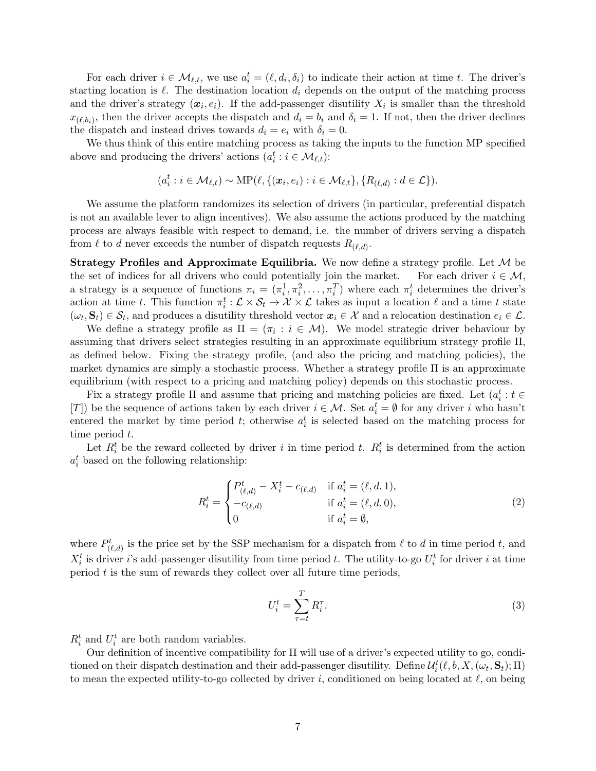For each driver  $i \in \mathcal{M}_{\ell,t}$ , we use  $a_i^t = (\ell, d_i, \delta_i)$  to indicate their action at time t. The driver's starting location is  $\ell$ . The destination location  $d_i$  depends on the output of the matching process and the driver's strategy  $(x_i, e_i)$ . If the add-passenger disutility  $X_i$  is smaller than the threshold  $x_{(\ell,b_i)}$ , then the driver accepts the dispatch and  $d_i = b_i$  and  $\delta_i = 1$ . If not, then the driver declines the dispatch and instead drives towards  $d_i = e_i$  with  $\delta_i = 0$ .

We thus think of this entire matching process as taking the inputs to the function MP specified above and producing the drivers' actions  $(a_i^t : i \in \mathcal{M}_{\ell,t})$ :

$$
(a_i^t : i \in \mathcal{M}_{\ell,t}) \sim \text{MP}(\ell, \{(\boldsymbol{x}_i, e_i) : i \in \mathcal{M}_{\ell,t}\}, \{R_{(\ell,d)} : d \in \mathcal{L}\}).
$$

We assume the platform randomizes its selection of drivers (in particular, preferential dispatch is not an available lever to align incentives). We also assume the actions produced by the matching process are always feasible with respect to demand, i.e. the number of drivers serving a dispatch from  $\ell$  to d never exceeds the number of dispatch requests  $R_{(\ell,d)}$ .

**Strategy Profiles and Approximate Equilibria.** We now define a strategy profile. Let  $M$  be the set of indices for all drivers who could potentially join the market. For each driver  $i \in M$ , the set of indices for all drivers who could potentially join the market. a strategy is a sequence of functions  $\pi_i = (\pi_i^1, \pi_i^2, \dots, \pi_i^T)$  where each  $\pi_i^t$  determines the driver's action at time t. This function  $\pi_i^t : \mathcal{L} \times \mathcal{S}_t \to \mathcal{X} \times \mathcal{L}$  takes as input a location  $\ell$  and a time t state  $(\omega_t, \mathbf{S}_t) \in \mathcal{S}_t$ , and produces a disutility threshold vector  $\mathbf{x}_i \in \mathcal{X}$  and a relocation destination  $e_i \in \mathcal{L}$ .

We define a strategy profile as  $\Pi = (\pi_i : i \in \mathcal{M})$ . We model strategic driver behaviour by assuming that drivers select strategies resulting in an approximate equilibrium strategy profile Π, as defined below. Fixing the strategy profile, (and also the pricing and matching policies), the market dynamics are simply a stochastic process. Whether a strategy profile Π is an approximate equilibrium (with respect to a pricing and matching policy) depends on this stochastic process.

Fix a strategy profile  $\Pi$  and assume that pricing and matching policies are fixed. Let  $(a_i^t : t \in$ [T]) be the sequence of actions taken by each driver  $i \in \mathcal{M}$ . Set  $a_i^t = \emptyset$  for any driver i who hasn't entered the market by time period t; otherwise  $a_i^t$  is selected based on the matching process for time period t.

Let  $R_i^t$  be the reward collected by driver i in time period t.  $R_i^t$  is determined from the action  $a_i^t$  based on the following relationship:

$$
R_{i}^{t} = \begin{cases} P_{(\ell,d)}^{t} - X_{i}^{t} - c_{(\ell,d)} & \text{if } a_{i}^{t} = (\ell, d, 1), \\ -c_{(\ell,d)} & \text{if } a_{i}^{t} = (\ell, d, 0), \\ 0 & \text{if } a_{i}^{t} = \emptyset, \end{cases}
$$
(2)

where  $P_{(\ell,d)}^t$  is the price set by the SSP mechanism for a dispatch from  $\ell$  to  $d$  in time period  $t$ , and  $X_i^t$  is driver i's add-passenger disutility from time period t. The utility-to-go  $U_i^t$  for driver i at time period  $t$  is the sum of rewards they collect over all future time periods,

$$
U_i^t = \sum_{\tau=t}^T R_i^{\tau}.
$$
\n(3)

 $R_i^t$  and  $U_i^t$  are both random variables.

Our definition of incentive compatibility for Π will use of a driver's expected utility to go, conditioned on their dispatch destination and their add-passenger disutility. Define  $\mathcal{U}_i^t(\ell, b, X, (\omega_t, \mathbf{S}_t); \Pi)$ to mean the expected utility-to-go collected by driver i, conditioned on being located at  $\ell$ , on being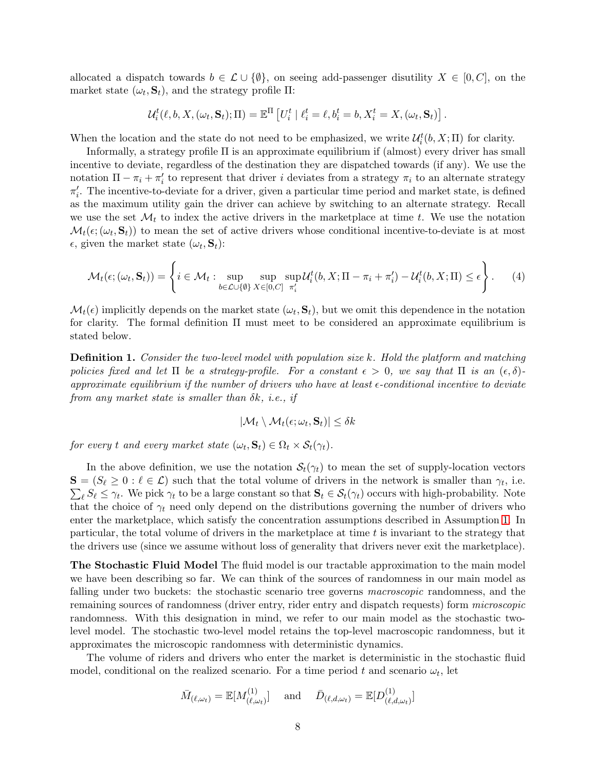allocated a dispatch towards  $b \in \mathcal{L} \cup \{\emptyset\}$ , on seeing add-passenger disutility  $X \in [0, C]$ , on the market state  $(\omega_t, \mathbf{S}_t)$ , and the strategy profile  $\Pi$ :

$$
\mathcal{U}_i^t(\ell, b, X, (\omega_t, \mathbf{S}_t); \Pi) = \mathbb{E}^{\Pi} \left[ U_i^t \mid \ell_i^t = \ell, b_i^t = b, X_i^t = X, (\omega_t, \mathbf{S}_t) \right].
$$

When the location and the state do not need to be emphasized, we write  $\mathcal{U}_i^t(b, X; \Pi)$  for clarity.

Informally, a strategy profile Π is an approximate equilibrium if (almost) every driver has small incentive to deviate, regardless of the destination they are dispatched towards (if any). We use the notation  $\Pi - \pi_i + \pi'_i$  to represent that driver i deviates from a strategy  $\pi_i$  to an alternate strategy  $\pi'_i$ . The incentive-to-deviate for a driver, given a particular time period and market state, is defined as the maximum utility gain the driver can achieve by switching to an alternate strategy. Recall we use the set  $\mathcal{M}_t$  to index the active drivers in the marketplace at time t. We use the notation  $\mathcal{M}_t(\epsilon; (\omega_t, \mathbf{S}_t))$  to mean the set of active drivers whose conditional incentive-to-deviate is at most  $\epsilon$ , given the market state  $(\omega_t, \mathbf{S}_t)$ :

$$
\mathcal{M}_t(\epsilon; (\omega_t, \mathbf{S}_t)) = \left\{ i \in \mathcal{M}_t : \sup_{b \in \mathcal{L} \cup \{ \emptyset \}} \sup_{X \in [0, C]} \sup_{\pi'_i} \mathcal{U}_i^t(b, X; \Pi - \pi_i + \pi'_i) - \mathcal{U}_i^t(b, X; \Pi) \le \epsilon \right\}.
$$
 (4)

 $\mathcal{M}_t(\epsilon)$  implicitly depends on the market state  $(\omega_t, \mathbf{S}_t)$ , but we omit this dependence in the notation for clarity. The formal definition Π must meet to be considered an approximate equilibrium is stated below.

**Definition 1.** Consider the two-level model with population size k. Hold the platform and matching policies fixed and let  $\Pi$  be a strategy-profile. For a constant  $\epsilon > 0$ , we say that  $\Pi$  is an  $(\epsilon, \delta)$ approximate equilibrium if the number of drivers who have at least  $\epsilon$ -conditional incentive to deviate from any market state is smaller than  $\delta k$ , *i.e.*, *if* 

$$
|\mathcal{M}_t \setminus \mathcal{M}_t(\epsilon; \omega_t, \mathbf{S}_t)| \leq \delta k
$$

for every t and every market state  $(\omega_t, \mathbf{S}_t) \in \Omega_t \times \mathcal{S}_t(\gamma_t)$ .

In the above definition, we use the notation  $S_t(\gamma_t)$  to mean the set of supply-location vectors  $S = (S_\ell \geq 0 : \ell \in \mathcal{L})$  such that the total volume of drivers in the network is smaller than  $\gamma_t$ , i.e.  $\sum_{\ell} S_{\ell} \leq \gamma_t$ . We pick  $\gamma_t$  to be a large constant so that  $S_t \in S_t(\gamma_t)$  occurs with high-probability. Note that the choice of  $\gamma_t$  need only depend on the distributions governing the number of drivers who enter the marketplace, which satisfy the concentration assumptions described in Assumption [1.](#page-4-0) In particular, the total volume of drivers in the marketplace at time  $t$  is invariant to the strategy that the drivers use (since we assume without loss of generality that drivers never exit the marketplace).

The Stochastic Fluid Model The fluid model is our tractable approximation to the main model we have been describing so far. We can think of the sources of randomness in our main model as falling under two buckets: the stochastic scenario tree governs *macroscopic* randomness, and the remaining sources of randomness (driver entry, rider entry and dispatch requests) form microscopic randomness. With this designation in mind, we refer to our main model as the stochastic twolevel model. The stochastic two-level model retains the top-level macroscopic randomness, but it approximates the microscopic randomness with deterministic dynamics.

The volume of riders and drivers who enter the market is deterministic in the stochastic fluid model, conditional on the realized scenario. For a time period t and scenario  $\omega_t$ , let

$$
\bar{M}_{(\ell,\omega_t)} = \mathbb{E}[M_{(\ell,\omega_t)}^{(1)}] \quad \text{ and } \quad \bar{D}_{(\ell,d,\omega_t)} = \mathbb{E}[D_{(\ell,d,\omega_t)}^{(1)}]
$$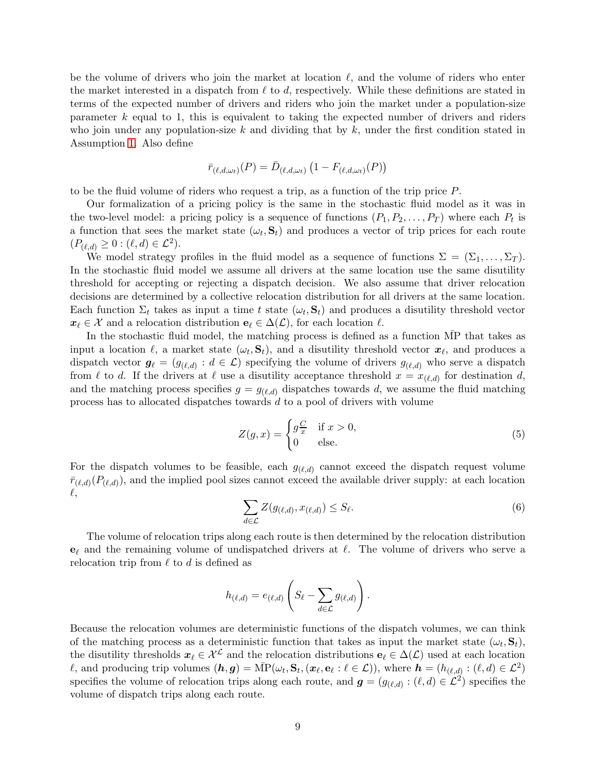be the volume of drivers who join the market at location  $\ell$ , and the volume of riders who enter the market interested in a dispatch from  $\ell$  to  $d$ , respectively. While these definitions are stated in terms of the expected number of drivers and riders who join the market under a population-size parameter  $k$  equal to 1, this is equivalent to taking the expected number of drivers and riders who join under any population-size  $k$  and dividing that by  $k$ , under the first condition stated in Assumption [1.](#page-4-0) Also define

$$
\bar{r}_{(\ell,d,\omega_t)}(P)=\bar{D}_{(\ell,d,\omega_t)}\left(1-F_{(\ell,d,\omega_t)}(P)\right)
$$

to be the fluid volume of riders who request a trip, as a function of the trip price P.

Our formalization of a pricing policy is the same in the stochastic fluid model as it was in the two-level model: a pricing policy is a sequence of functions  $(P_1, P_2, \ldots, P_T)$  where each  $P_t$  is a function that sees the market state  $(\omega_t, \mathbf{S}_t)$  and produces a vector of trip prices for each route  $(P_{(\ell,d)} \geq 0 : (\ell, d) \in \mathcal{L}^2).$ 

We model strategy profiles in the fluid model as a sequence of functions  $\Sigma = (\Sigma_1, \ldots, \Sigma_T)$ . In the stochastic fluid model we assume all drivers at the same location use the same disutility threshold for accepting or rejecting a dispatch decision. We also assume that driver relocation decisions are determined by a collective relocation distribution for all drivers at the same location. Each function  $\Sigma_t$  takes as input a time t state  $(\omega_t, \mathbf{S}_t)$  and produces a disutility threshold vector  $x_{\ell} \in \mathcal{X}$  and a relocation distribution  $e_{\ell} \in \Delta(\mathcal{L})$ , for each location  $\ell$ .

In the stochastic fluid model, the matching process is defined as a function  $\overline{MP}$  that takes as input a location  $\ell$ , a market state  $(\omega_t, \mathbf{S}_t)$ , and a disutility threshold vector  $\mathbf{x}_{\ell}$ , and produces a dispatch vector  $g_{\ell} = (g_{(\ell,d)} : d \in \mathcal{L})$  specifying the volume of drivers  $g_{(\ell,d)}$  who serve a dispatch from  $\ell$  to d. If the drivers at  $\ell$  use a disutility acceptance threshold  $x = x_{(\ell,d)}$  for destination d, and the matching process specifies  $g = g_{(\ell,d)}$  dispatches towards d, we assume the fluid matching process has to allocated dispatches towards d to a pool of drivers with volume

$$
Z(g,x) = \begin{cases} g\frac{C}{x} & \text{if } x > 0, \\ 0 & \text{else.} \end{cases}
$$
 (5)

For the dispatch volumes to be feasible, each  $g_{(\ell,d)}$  cannot exceed the dispatch request volume  $\bar{r}_{(\ell,d)}(P_{(\ell,d)})$ , and the implied pool sizes cannot exceed the available driver supply: at each location  $\ell,$ 

$$
\sum_{d \in \mathcal{L}} Z(g_{(\ell,d)}, x_{(\ell,d)}) \le S_{\ell}.\tag{6}
$$

The volume of relocation trips along each route is then determined by the relocation distribution  $e_\ell$  and the remaining volume of undispatched drivers at  $\ell$ . The volume of drivers who serve a relocation trip from  $\ell$  to  $d$  is defined as

$$
h_{(\ell,d)} = e_{(\ell,d)} \left( S_{\ell} - \sum_{d \in \mathcal{L}} g_{(\ell,d)} \right).
$$

Because the relocation volumes are deterministic functions of the dispatch volumes, we can think of the matching process as a deterministic function that takes as input the market state  $(\omega_t, \mathbf{S}_t)$ , the disutility thresholds  $x_{\ell} \in \mathcal{X}^{\mathcal{L}}$  and the relocation distributions  $e_{\ell} \in \Delta(\mathcal{L})$  used at each location  $\ell$ , and producing trip volumes  $(h, g) = \overline{\text{MP}}(\omega_t, \mathbf{S}_t, (\boldsymbol{x}_\ell, \mathbf{e}_\ell : \ell \in \mathcal{L}))$ , where  $h = (h_{(\ell, d)} : (\ell, d) \in \mathcal{L}^2)$ specifies the volume of relocation trips along each route, and  $g = (g_{(\ell,d)} : (\ell, d) \in \mathcal{L}^2)$  specifies the volume of dispatch trips along each route.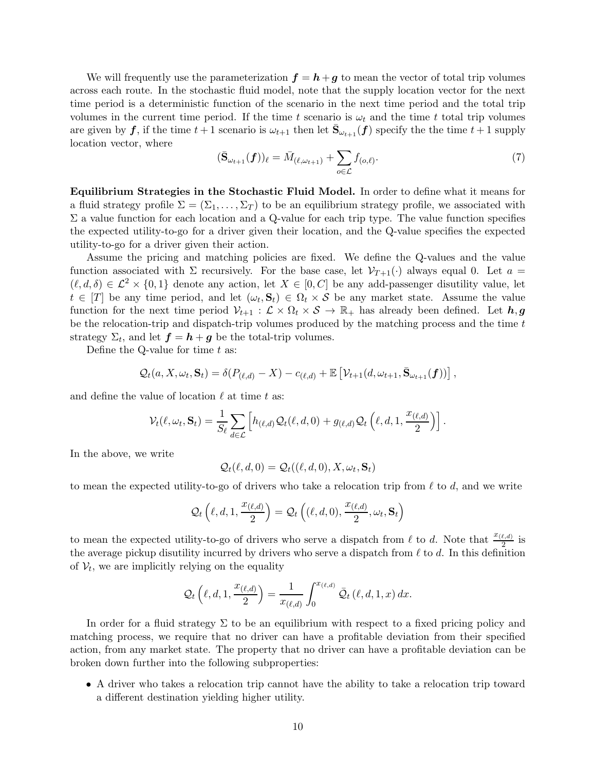We will frequently use the parameterization  $f = h + g$  to mean the vector of total trip volumes across each route. In the stochastic fluid model, note that the supply location vector for the next time period is a deterministic function of the scenario in the next time period and the total trip volumes in the current time period. If the time t scenario is  $\omega_t$  and the time t total trip volumes are given by  $f$ , if the time  $t+1$  scenario is  $\omega_{t+1}$  then let  $\bar{S}_{\omega_{t+1}}(f)$  specify the the time  $t+1$  supply location vector, where

<span id="page-9-0"></span>
$$
(\bar{\mathbf{S}}_{\omega_{t+1}}(\boldsymbol{f}))_{\ell} = \bar{M}_{(\ell,\omega_{t+1})} + \sum_{o \in \mathcal{L}} f_{(o,\ell)}.
$$
\n(7)

Equilibrium Strategies in the Stochastic Fluid Model. In order to define what it means for a fluid strategy profile  $\Sigma = (\Sigma_1, \ldots, \Sigma_T)$  to be an equilibrium strategy profile, we associated with  $\Sigma$  a value function for each location and a Q-value for each trip type. The value function specifies the expected utility-to-go for a driver given their location, and the Q-value specifies the expected utility-to-go for a driver given their action.

Assume the pricing and matching policies are fixed. We define the Q-values and the value function associated with  $\Sigma$  recursively. For the base case, let  $\mathcal{V}_{T+1}(\cdot)$  always equal 0. Let  $a =$  $(\ell, d, \delta) \in \mathcal{L}^2 \times \{0, 1\}$  denote any action, let  $X \in [0, C]$  be any add-passenger disutility value, let  $t \in [T]$  be any time period, and let  $(\omega_t, \mathbf{S}_t) \in \Omega_t \times S$  be any market state. Assume the value function for the next time period  $V_{t+1} : \mathcal{L} \times \Omega_t \times \mathcal{S} \to \mathbb{R}_+$  has already been defined. Let  $h, g$ be the relocation-trip and dispatch-trip volumes produced by the matching process and the time t strategy  $\Sigma_t$ , and let  $\boldsymbol{f} = \boldsymbol{h} + \boldsymbol{g}$  be the total-trip volumes.

Define the Q-value for time  $t$  as:

$$
Q_t(a, X, \omega_t, \mathbf{S}_t) = \delta(P_{(\ell, d)} - X) - c_{(\ell, d)} + \mathbb{E}\left[\mathcal{V}_{t+1}(d, \omega_{t+1}, \bar{\mathbf{S}}_{\omega_{t+1}}(\boldsymbol{f}))\right],
$$

and define the value of location  $\ell$  at time t as:

$$
\mathcal{V}_t(\ell,\omega_t,\mathbf{S}_t) = \frac{1}{S_{\ell}} \sum_{d \in \mathcal{L}} \left[ h_{(\ell,d)} \mathcal{Q}_t(\ell,d,0) + g_{(\ell,d)} \mathcal{Q}_t\left(\ell,d,1,\frac{x_{(\ell,d)}}{2}\right) \right].
$$

In the above, we write

$$
\mathcal{Q}_t(\ell, d, 0) = \mathcal{Q}_t((\ell, d, 0), X, \omega_t, \mathbf{S}_t)
$$

to mean the expected utility-to-go of drivers who take a relocation trip from  $\ell$  to d, and we write

$$
\mathcal{Q}_t\left(\ell,d,1,\frac{x_{(\ell,d)}}{2}\right)=\mathcal{Q}_t\left((\ell,d,0),\frac{x_{(\ell,d)}}{2},\omega_t,\mathbf{S}_t\right)
$$

to mean the expected utility-to-go of drivers who serve a dispatch from  $\ell$  to d. Note that  $\frac{x_{(\ell,d)}}{2}$  is the average pickup disutility incurred by drivers who serve a dispatch from  $\ell$  to  $d$ . In this definition of  $V_t$ , we are implicitly relying on the equality

$$
\mathcal{Q}_t\left(\ell,d,1,\frac{x_{(\ell,d)}}{2}\right)=\frac{1}{x_{(\ell,d)}}\int_0^{x_{(\ell,d)}}\bar{\mathcal{Q}}_t\left(\ell,d,1,x\right)dx.
$$

In order for a fluid strategy  $\Sigma$  to be an equilibrium with respect to a fixed pricing policy and matching process, we require that no driver can have a profitable deviation from their specified action, from any market state. The property that no driver can have a profitable deviation can be broken down further into the following subproperties:

• A driver who takes a relocation trip cannot have the ability to take a relocation trip toward a different destination yielding higher utility.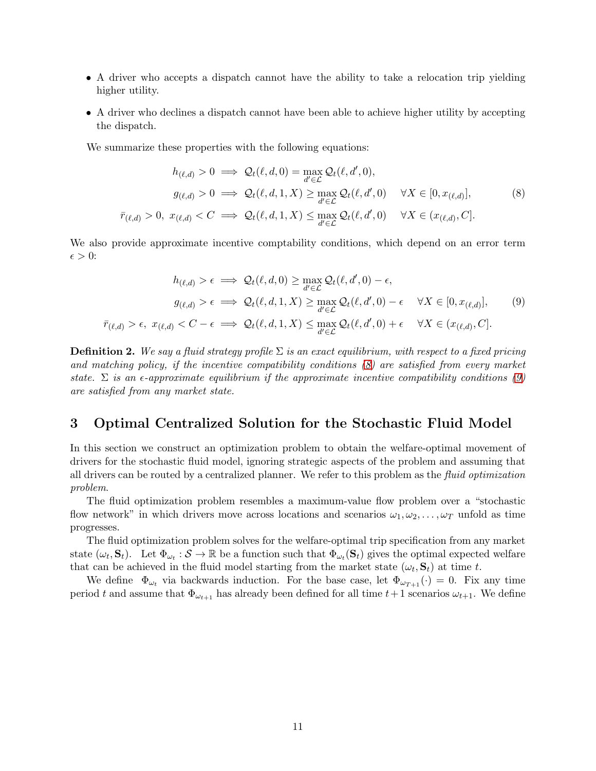- A driver who accepts a dispatch cannot have the ability to take a relocation trip yielding higher utility.
- A driver who declines a dispatch cannot have been able to achieve higher utility by accepting the dispatch.

We summarize these properties with the following equations:

<span id="page-10-1"></span>
$$
h_{(\ell,d)} > 0 \implies \mathcal{Q}_t(\ell,d,0) = \max_{d' \in \mathcal{L}} \mathcal{Q}_t(\ell,d',0),
$$
  
\n
$$
g_{(\ell,d)} > 0 \implies \mathcal{Q}_t(\ell,d,1,X) \ge \max_{d' \in \mathcal{L}} \mathcal{Q}_t(\ell,d',0) \quad \forall X \in [0,x_{(\ell,d)}],
$$
  
\n
$$
\bar{r}_{(\ell,d)} > 0, \ x_{(\ell,d)} < C \implies \mathcal{Q}_t(\ell,d,1,X) \le \max_{d' \in \mathcal{L}} \mathcal{Q}_t(\ell,d',0) \quad \forall X \in (x_{(\ell,d)},C].
$$
 (8)

We also provide approximate incentive comptability conditions, which depend on an error term  $\epsilon > 0$ :

<span id="page-10-2"></span>
$$
h_{(\ell,d)} > \epsilon \implies \mathcal{Q}_t(\ell,d,0) \ge \max_{d' \in \mathcal{L}} \mathcal{Q}_t(\ell,d',0) - \epsilon,
$$
  
\n
$$
g_{(\ell,d)} > \epsilon \implies \mathcal{Q}_t(\ell,d,1,X) \ge \max_{d' \in \mathcal{L}} \mathcal{Q}_t(\ell,d',0) - \epsilon \quad \forall X \in [0,x_{(\ell,d)}],
$$
  
\n
$$
\bar{r}_{(\ell,d)} > \epsilon, \ x_{(\ell,d)} < C - \epsilon \implies \mathcal{Q}_t(\ell,d,1,X) \le \max_{d' \in \mathcal{L}} \mathcal{Q}_t(\ell,d',0) + \epsilon \quad \forall X \in (x_{(\ell,d)},C].
$$
  
\n(9)

**Definition 2.** We say a fluid strategy profile  $\Sigma$  is an exact equilibrium, with respect to a fixed pricing and matching policy, if the incentive compatibility conditions [\(8\)](#page-10-1) are satisfied from every market state.  $\Sigma$  is an  $\epsilon$ -approximate equilibrium if the approximate incentive compatibility conditions [\(9\)](#page-10-2) are satisfied from any market state.

# <span id="page-10-0"></span>3 Optimal Centralized Solution for the Stochastic Fluid Model

In this section we construct an optimization problem to obtain the welfare-optimal movement of drivers for the stochastic fluid model, ignoring strategic aspects of the problem and assuming that all drivers can be routed by a centralized planner. We refer to this problem as the fluid optimization problem.

The fluid optimization problem resembles a maximum-value flow problem over a "stochastic flow network" in which drivers move across locations and scenarios  $\omega_1, \omega_2, \ldots, \omega_T$  unfold as time progresses.

The fluid optimization problem solves for the welfare-optimal trip specification from any market state  $(\omega_t, \mathbf{S}_t)$ . Let  $\Phi_{\omega_t} : \mathcal{S} \to \mathbb{R}$  be a function such that  $\Phi_{\omega_t}(\mathbf{S}_t)$  gives the optimal expected welfare that can be achieved in the fluid model starting from the market state  $(\omega_t, \mathbf{S}_t)$  at time t.

We define  $\Phi_{\omega_t}$  via backwards induction. For the base case, let  $\Phi_{\omega_{T+1}}(\cdot) = 0$ . Fix any time period t and assume that  $\Phi_{\omega_{t+1}}$  has already been defined for all time  $t+1$  scenarios  $\omega_{t+1}$ . We define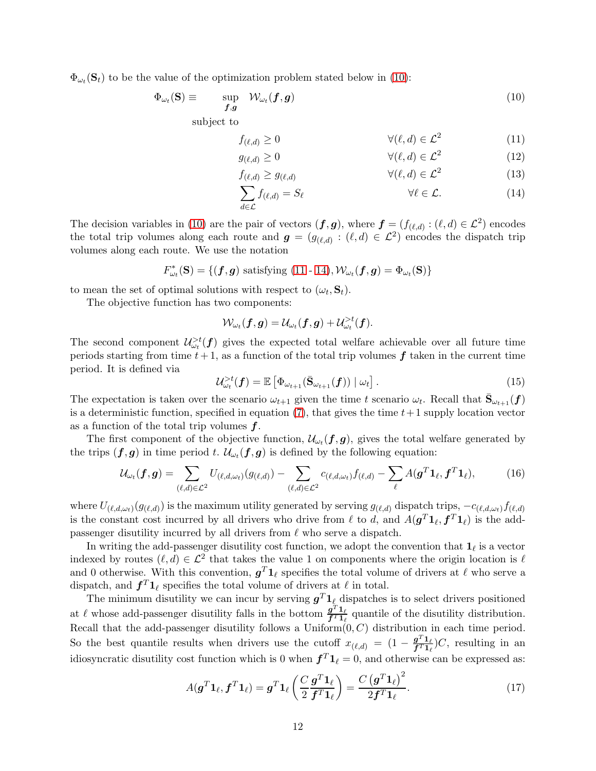$\Phi_{\omega_t}(\mathbf{S}_t)$  to be the value of the optimization problem stated below in [\(10\)](#page-11-0):

$$
\Phi_{\omega_t}(\mathbf{S}) \equiv \qquad \sup_{\boldsymbol{f},\boldsymbol{g}} \quad \mathcal{W}_{\omega_t}(\boldsymbol{f},\boldsymbol{g}) \tag{10}
$$

subject to

<span id="page-11-1"></span><span id="page-11-0"></span>
$$
f_{(\ell,d)} \ge 0 \qquad \qquad \forall (\ell,d) \in \mathcal{L}^2 \qquad (11)
$$

$$
g_{(\ell,d)} \ge 0 \qquad \qquad \forall (\ell,d) \in \mathcal{L}^2 \qquad (12)
$$

$$
f_{(\ell,d)} \ge g_{(\ell,d)} \qquad \qquad \forall (\ell,d) \in \mathcal{L}^2 \tag{13}
$$

<span id="page-11-2"></span>
$$
\sum_{d \in \mathcal{L}} f_{(\ell,d)} = S_{\ell} \qquad \forall \ell \in \mathcal{L}.
$$
 (14)

The decision variables in [\(10\)](#page-11-0) are the pair of vectors  $(f, g)$ , where  $f = (f_{(\ell,d)} : (\ell, d) \in \mathcal{L}^2)$  encodes the total trip volumes along each route and  $g = (g_{(\ell,d)} : (\ell,d) \in \mathcal{L}^2)$  encodes the dispatch trip volumes along each route. We use the notation

$$
F_{\omega_t}^*(\mathbf{S}) = \{(\mathbf{f}, \mathbf{g}) \text{ satisfying (11 - 14)}, \mathcal{W}_{\omega_t}(\mathbf{f}, \mathbf{g}) = \Phi_{\omega_t}(\mathbf{S})\}
$$

to mean the set of optimal solutions with respect to  $(\omega_t, \mathbf{S}_t)$ .

The objective function has two components:

$$
\mathcal{W}_{\omega_t}(\boldsymbol{f}, \boldsymbol{g}) = \mathcal{U}_{\omega_t}(\boldsymbol{f}, \boldsymbol{g}) + \mathcal{U}^{>t}_{\omega_t}(\boldsymbol{f}).
$$

The second component  $\mathcal{U}^{>t}_{\omega_t}(\boldsymbol{f})$  gives the expected total welfare achievable over all future time periods starting from time  $t + 1$ , as a function of the total trip volumes f taken in the current time period. It is defined via

<span id="page-11-3"></span>
$$
\mathcal{U}_{\omega_t}^{>t}(\boldsymbol{f}) = \mathbb{E}\left[\Phi_{\omega_{t+1}}(\bar{\mathbf{S}}_{\omega_{t+1}}(\boldsymbol{f})) \mid \omega_t\right]. \tag{15}
$$

The expectation is taken over the scenario  $\omega_{t+1}$  given the time t scenario  $\omega_t$ . Recall that  $\bar{S}_{\omega_{t+1}}(f)$ is a deterministic function, specified in equation [\(7\)](#page-9-0), that gives the time  $t+1$  supply location vector as a function of the total trip volumes  $f$ .

The first component of the objective function,  $\mathcal{U}_{\omega_t}(\boldsymbol{f}, \boldsymbol{g})$ , gives the total welfare generated by the trips  $(f, g)$  in time period t.  $\mathcal{U}_{\omega_t}(f, g)$  is defined by the following equation:

$$
\mathcal{U}_{\omega_t}(\boldsymbol{f}, \boldsymbol{g}) = \sum_{(\ell, d) \in \mathcal{L}^2} U_{(\ell, d, \omega_t)}(g_{(\ell, d)}) - \sum_{(\ell, d) \in \mathcal{L}^2} c_{(\ell, d, \omega_t)} f_{(\ell, d)} - \sum_{\ell} A(\boldsymbol{g}^T \boldsymbol{1}_{\ell}, \boldsymbol{f}^T \boldsymbol{1}_{\ell}),
$$
(16)

where  $U_{(\ell,d,\omega_t)}(g_{(\ell,d)})$  is the maximum utility generated by serving  $g_{(\ell,d)}$  dispatch trips,  $-c_{(\ell,d,\omega_t)}f_{(\ell,d)}$ is the constant cost incurred by all drivers who drive from  $\ell$  to d, and  $A(g^T 1_\ell, f^T 1_\ell)$  is the addpassenger disutility incurred by all drivers from  $\ell$  who serve a dispatch.

In writing the add-passenger disutility cost function, we adopt the convention that  $\mathbf{1}_{\ell}$  is a vector indexed by routes  $(\ell, d) \in \mathcal{L}^2$  that takes the value 1 on components where the origin location is  $\ell$ and 0 otherwise. With this convention,  $g^T 1_\ell$  specifies the total volume of drivers at  $\ell$  who serve a dispatch, and  $f^T 1_\ell$  specifies the total volume of drivers at  $\ell$  in total.

The minimum disutility we can incur by serving  $\boldsymbol{g}^T \boldsymbol{1}_\ell$  dispatches is to select drivers positioned at  $\ell$  whose add-passenger disutility falls in the bottom  $\frac{g^{T}1_{\ell}}{f^{T}1_{\ell}}$  $\frac{g^2 \cdot 1}{f^T 1}$  quantile of the disutility distribution. Recall that the add-passenger disutility follows a Uniform $(0, C)$  distribution in each time period. So the best quantile results when drivers use the cutoff  $x_{(\ell,d)} = (1 - \frac{g^{T} 1_{\ell}}{f^{T} 1_{\ell}})$  $\frac{g^- \mathbf{1}_\ell}{f^T \mathbf{1}_\ell}$  C, resulting in an idiosyncratic disutility cost function which is 0 when  $f^T 1_\ell = 0$ , and otherwise can be expressed as:

$$
A(\boldsymbol{g}^T \boldsymbol{1}_{\ell}, \boldsymbol{f}^T \boldsymbol{1}_{\ell}) = \boldsymbol{g}^T \boldsymbol{1}_{\ell} \left( \frac{C}{2} \frac{\boldsymbol{g}^T \boldsymbol{1}_{\ell}}{\boldsymbol{f}^T \boldsymbol{1}_{\ell}} \right) = \frac{C(\boldsymbol{g}^T \boldsymbol{1}_{\ell})^2}{2 \boldsymbol{f}^T \boldsymbol{1}_{\ell}}.
$$
 (17)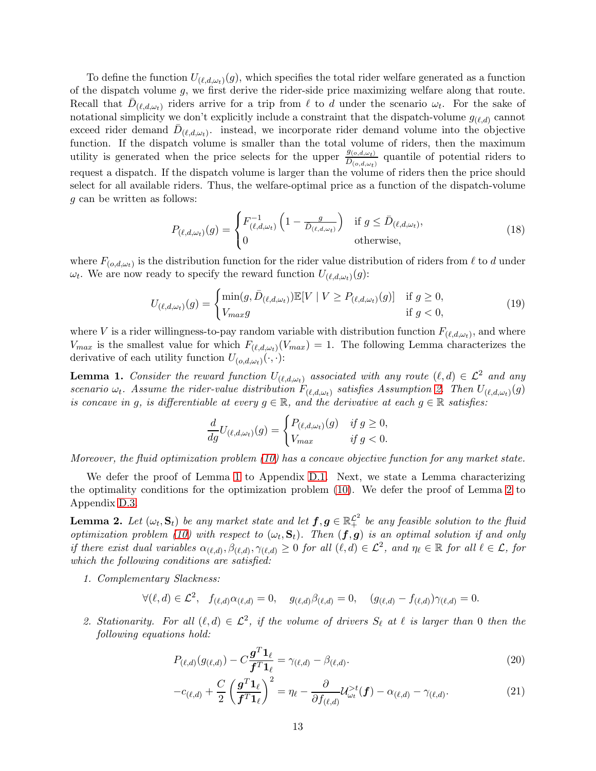To define the function  $U_{(\ell,d,\omega_t)}(g)$ , which specifies the total rider welfare generated as a function of the dispatch volume  $g$ , we first derive the rider-side price maximizing welfare along that route. Recall that  $\bar{D}_{(\ell,d,\omega_t)}$  riders arrive for a trip from  $\ell$  to d under the scenario  $\omega_t$ . For the sake of notational simplicity we don't explicitly include a constraint that the dispatch-volume  $g_{(\ell,d)}$  cannot exceed rider demand  $\bar{D}_{(\ell,d,\omega_t)}$ . instead, we incorporate rider demand volume into the objective function. If the dispatch volume is smaller than the total volume of riders, then the maximum utility is generated when the price selects for the upper  $\frac{g_{(o,d,\omega_t)}}{D_{(o,d,\omega_t)}}$  quantile of potential riders to request a dispatch. If the dispatch volume is larger than the volume of riders then the price should select for all available riders. Thus, the welfare-optimal price as a function of the dispatch-volume g can be written as follows:

$$
P_{(\ell,d,\omega_t)}(g) = \begin{cases} F_{(\ell,d,\omega_t)}^{-1} \left(1 - \frac{g}{D_{(\ell,d,\omega_t)}}\right) & \text{if } g \le \bar{D}_{(\ell,d,\omega_t)},\\ 0 & \text{otherwise}, \end{cases}
$$
(18)

where  $F_{(o,d,\omega_t)}$  is the distribution function for the rider value distribution of riders from  $\ell$  to d under  $\omega_t$ . We are now ready to specify the reward function  $U_{(\ell,d,\omega_t)}(g)$ :

$$
U_{(\ell,d,\omega_t)}(g) = \begin{cases} \min(g,\bar{D}_{(\ell,d,\omega_t)}) \mathbb{E}[V \mid V \ge P_{(\ell,d,\omega_t)}(g)] & \text{if } g \ge 0, \\ V_{max}g & \text{if } g < 0, \end{cases}
$$
(19)

where V is a rider willingness-to-pay random variable with distribution function  $F_{(\ell,d,\omega_t)}$ , and where  $V_{max}$  is the smallest value for which  $F_{(\ell,d,\omega_t)}(V_{max}) = 1$ . The following Lemma characterizes the derivative of each utility function  $U_{(o,d,\omega_t)}(\cdot,\cdot)$ :

<span id="page-12-0"></span>**Lemma 1.** Consider the reward function  $U_{(\ell,d,\omega_t)}$  associated with any route  $(\ell,d) \in \mathcal{L}^2$  and any scenario  $\omega_t$ . Assume the rider-value distribution  $F_{(\ell,d,\omega_t)}$  satisfies Assumption [2.](#page-5-0) Then  $U_{(\ell,d,\omega_t)}(g)$ is concave in g, is differentiable at every  $g \in \mathbb{R}$ , and the derivative at each  $g \in \mathbb{R}$  satisfies:

$$
\frac{d}{dg}U_{(\ell,d,\omega_t)}(g) = \begin{cases} P_{(\ell,d,\omega_t)}(g) & \text{if } g \ge 0, \\ V_{max} & \text{if } g < 0. \end{cases}
$$

Moreover, the fluid optimization problem [\(10\)](#page-11-0) has a concave objective function for any market state.

We defer the proof of Lemma [1](#page-12-0) to Appendix [D.1.](#page-42-0) Next, we state a Lemma characterizing the optimality conditions for the optimization problem [\(10\)](#page-11-0). We defer the proof of Lemma [2](#page-12-1) to Appendix [D.3.](#page-45-0)

<span id="page-12-1"></span>**Lemma 2.** Let  $(\omega_t, \mathbf{S}_t)$  be any market state and let  $\mathbf{f}, \mathbf{g} \in \mathbb{R}_+^{\mathcal{L}^2}$  be any feasible solution to the fluid optimization problem [\(10\)](#page-11-0) with respect to  $(\omega_t, \mathbf{S}_t)$ . Then  $(\mathbf{f}, \mathbf{g})$  is an optimal solution if and only if there exist dual variables  $\alpha_{(\ell,d)}, \beta_{(\ell,d)}, \gamma_{(\ell,d)} \geq 0$  for all  $(\ell,d) \in \mathcal{L}^2$ , and  $\eta_{\ell} \in \mathbb{R}$  for all  $\ell \in \mathcal{L}$ , for which the following conditions are satisfied:

1. Complementary Slackness:

$$
\forall (\ell, d) \in \mathcal{L}^2, \quad f_{(\ell,d)} \alpha_{(\ell,d)} = 0, \quad g_{(\ell,d)} \beta_{(\ell,d)} = 0, \quad (g_{(\ell,d)} - f_{(\ell,d)}) \gamma_{(\ell,d)} = 0.
$$

2. Stationarity. For all  $(\ell, d) \in \mathcal{L}^2$ , if the volume of drivers  $S_{\ell}$  at  $\ell$  is larger than 0 then the following equations hold:

<span id="page-12-3"></span>
$$
P_{(\ell,d)}(g_{(\ell,d)}) - C \frac{\mathbf{g}^T \mathbf{1}_{\ell}}{\mathbf{f}^T \mathbf{1}_{\ell}} = \gamma_{(\ell,d)} - \beta_{(\ell,d)}.
$$
\n(20)

<span id="page-12-2"></span>
$$
-c_{(\ell,d)} + \frac{C}{2} \left(\frac{\boldsymbol{g}^T \boldsymbol{1}_{\ell}}{\boldsymbol{f}^T \boldsymbol{1}_{\ell}}\right)^2 = \eta_{\ell} - \frac{\partial}{\partial f_{(\ell,d)}} \mathcal{U}_{\omega_t}^{>t}(\boldsymbol{f}) - \alpha_{(\ell,d)} - \gamma_{(\ell,d)}.
$$
 (21)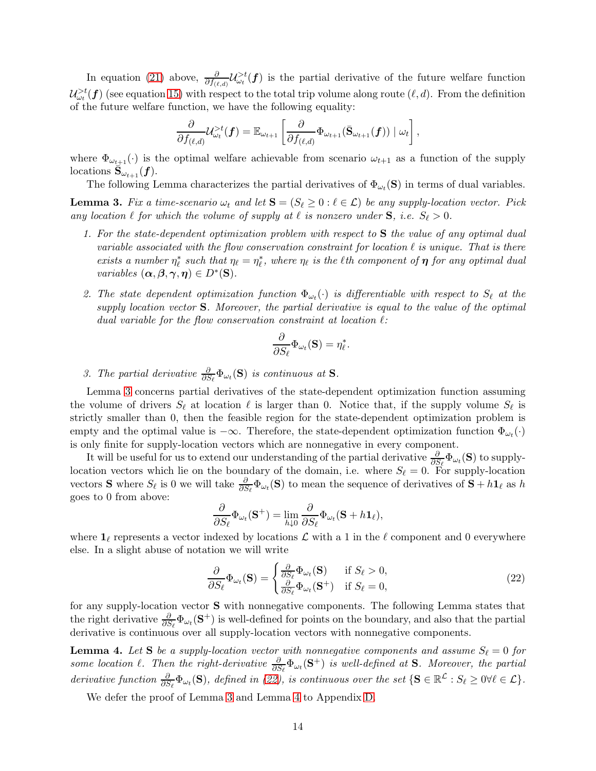In equation [\(21\)](#page-12-2) above,  $\frac{\partial}{\partial f_{(\ell,d)}}\mathcal{U}_{\omega_t}^{>t}(\mathbf{f})$  is the partial derivative of the future welfare function  $\mathcal{U}^{>t}_{\omega_t}(\bm{f})$  (see equation [15\)](#page-11-3) with respect to the total trip volume along route  $(\ell, d)$ . From the definition of the future welfare function, we have the following equality:

$$
\frac{\partial}{\partial f_{(\ell,d)}}\mathcal{U}^{>t}_{\omega_t}(\boldsymbol{f})=\mathbb{E}_{\omega_{t+1}}\left[\frac{\partial}{\partial f_{(\ell,d)}}\Phi_{\omega_{t+1}}(\bar{\mathbf{S}}_{\omega_{t+1}}(\boldsymbol{f}))\mid \omega_t\right],
$$

where  $\Phi_{\omega_{t+1}}(\cdot)$  is the optimal welfare achievable from scenario  $\omega_{t+1}$  as a function of the supply locations  $\bar{\mathbf{S}}_{\omega_{t+1}}(f)$ .

<span id="page-13-0"></span>The following Lemma characterizes the partial derivatives of  $\Phi_{\omega_t}(\mathbf{S})$  in terms of dual variables. **Lemma 3.** Fix a time-scenario  $\omega_t$  and let  $\mathbf{S} = (S_\ell \geq 0 : \ell \in \mathcal{L})$  be any supply-location vector. Pick

any location  $\ell$  for which the volume of supply at  $\ell$  is nonzero under  $S$ , i.e.  $S_{\ell} > 0$ .

- 1. For the state-dependent optimization problem with respect to S the value of any optimal dual variable associated with the flow conservation constraint for location  $\ell$  is unique. That is there exists a number  $\eta_{\ell}^*$  such that  $\eta_{\ell} = \eta_{\ell}^*$ , where  $\eta_{\ell}$  is the  $\ell$ th component of  $\eta$  for any optimal dual variables  $(\boldsymbol{\alpha}, \boldsymbol{\beta}, \boldsymbol{\gamma}, \boldsymbol{\eta}) \in D^*(\mathbf{S})$ .
- 2. The state dependent optimization function  $\Phi_{\omega_t}(\cdot)$  is differentiable with respect to  $S_{\ell}$  at the supply location vector  $S$ . Moreover, the partial derivative is equal to the value of the optimal dual variable for the flow conservation constraint at location  $\ell$ :

$$
\frac{\partial}{\partial S_{\ell}}\Phi_{\omega_t}(\mathbf{S}) = \eta_{\ell}^*
$$

.

3. The partial derivative  $\frac{\partial}{\partial S_{\ell}}\Phi_{\omega_t}(\mathbf{S})$  is continuous at **S**.

Lemma [3](#page-13-0) concerns partial derivatives of the state-dependent optimization function assuming the volume of drivers  $S_{\ell}$  at location  $\ell$  is larger than 0. Notice that, if the supply volume  $S_{\ell}$  is strictly smaller than 0, then the feasible region for the state-dependent optimization problem is empty and the optimal value is  $-\infty$ . Therefore, the state-dependent optimization function  $\Phi_{\omega_t}(\cdot)$ is only finite for supply-location vectors which are nonnegative in every component.

It will be useful for us to extend our understanding of the partial derivative  $\frac{\partial}{\partial S_{\ell}}\Phi_{\omega_i}(\mathbf{S})$  to supplylocation vectors which lie on the boundary of the domain, i.e. where  $S_{\ell} = 0$ . For supply-location vectors **S** where  $S_\ell$  is 0 we will take  $\frac{\partial}{\partial S_\ell} \Phi_{\omega_t}(\mathbf{S})$  to mean the sequence of derivatives of  $\mathbf{S} + h \mathbf{1}_\ell$  as h goes to 0 from above:

$$
\frac{\partial}{\partial S_{\ell}} \Phi_{\omega_t}(\mathbf{S}^+) = \lim_{h \downarrow 0} \frac{\partial}{\partial S_{\ell}} \Phi_{\omega_t}(\mathbf{S} + h \mathbf{1}_{\ell}),
$$

where  $\mathbf{1}_{\ell}$  represents a vector indexed by locations  $\mathcal{L}$  with a 1 in the  $\ell$  component and 0 everywhere else. In a slight abuse of notation we will write

<span id="page-13-1"></span>
$$
\frac{\partial}{\partial S_{\ell}} \Phi_{\omega_t}(\mathbf{S}) = \begin{cases} \frac{\partial}{\partial S_{\ell}} \Phi_{\omega_t}(\mathbf{S}) & \text{if } S_{\ell} > 0, \\ \frac{\partial}{\partial S_{\ell}} \Phi_{\omega_t}(\mathbf{S}^+) & \text{if } S_{\ell} = 0, \end{cases}
$$
(22)

for any supply-location vector S with nonnegative components. The following Lemma states that the right derivative  $\frac{\partial}{\partial S_{\ell}}\Phi_{\omega_i}(\mathbf{S}^+)$  is well-defined for points on the boundary, and also that the partial derivative is continuous over all supply-location vectors with nonnegative components.

<span id="page-13-2"></span>**Lemma 4.** Let S be a supply-location vector with nonnegative components and assume  $S_{\ell} = 0$  for some location  $\ell$ . Then the right-derivative  $\frac{\partial}{\partial S_{\ell}}\Phi_{\omega_t}(\mathbf{S}^+)$  is well-defined at **S**. Moreover, the partial derivative function  $\frac{\partial}{\partial S_{\ell}}\Phi_{\omega_t}(\mathbf{S})$ , defined in [\(22\)](#page-13-1), is continuous over the set  $\{\mathbf{S} \in \mathbb{R}^{\mathcal{L}} : S_{\ell} \geq 0 \forall \ell \in \mathcal{L}\}\.$ 

We defer the proof of Lemma [3](#page-13-0) and Lemma [4](#page-13-2) to Appendix [D.](#page-42-1)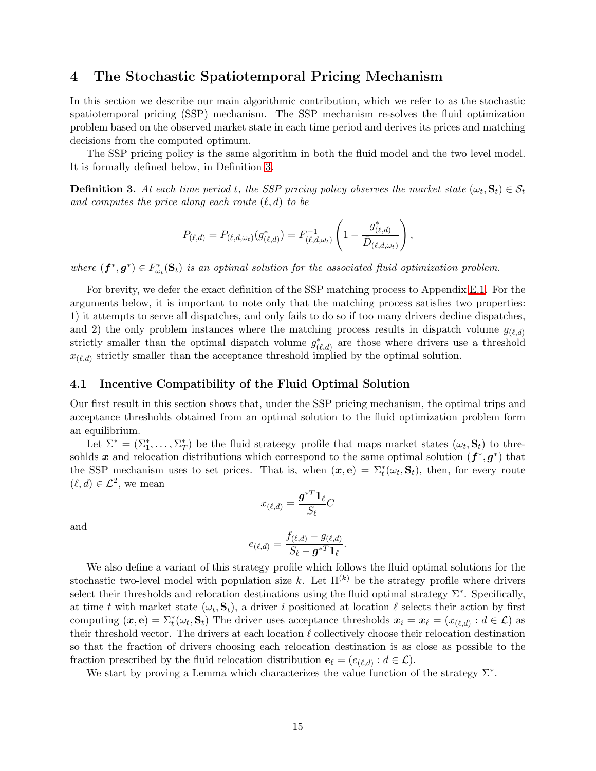# <span id="page-14-0"></span>4 The Stochastic Spatiotemporal Pricing Mechanism

In this section we describe our main algorithmic contribution, which we refer to as the stochastic spatiotemporal pricing (SSP) mechanism. The SSP mechanism re-solves the fluid optimization problem based on the observed market state in each time period and derives its prices and matching decisions from the computed optimum.

The SSP pricing policy is the same algorithm in both the fluid model and the two level model. It is formally defined below, in Definition [3.](#page-14-1)

<span id="page-14-1"></span>**Definition 3.** At each time period t, the SSP pricing policy observes the market state  $(\omega_t, \mathbf{S}_t) \in \mathcal{S}_t$ and computes the price along each route  $(\ell, d)$  to be

$$
P_{(\ell,d)} = P_{(\ell,d,\omega_t)}(g_{(\ell,d)}^*) = F_{(\ell,d,\omega_t)}^{-1} \left(1 - \frac{g_{(\ell,d)}^*}{\bar{D}_{(\ell,d,\omega_t)}}\right),
$$

where  $(f^*, g^*) \in F_{\omega_t}^*(\mathbf{S}_t)$  is an optimal solution for the associated fluid optimization problem.

For brevity, we defer the exact definition of the SSP matching process to Appendix [E.1.](#page-56-0) For the arguments below, it is important to note only that the matching process satisfies two properties: 1) it attempts to serve all dispatches, and only fails to do so if too many drivers decline dispatches, and 2) the only problem instances where the matching process results in dispatch volume  $g_{(\ell,d)}$ strictly smaller than the optimal dispatch volume  $g^*_{(\ell,d)}$  are those where drivers use a threshold  $x_{(\ell,d)}$  strictly smaller than the acceptance threshold implied by the optimal solution.

#### 4.1 Incentive Compatibility of the Fluid Optimal Solution

Our first result in this section shows that, under the SSP pricing mechanism, the optimal trips and acceptance thresholds obtained from an optimal solution to the fluid optimization problem form an equilibrium.

Let  $\Sigma^* = (\Sigma_1^*, \ldots, \Sigma_T^*)$  be the fluid strategy profile that maps market states  $(\omega_t, \mathbf{S}_t)$  to thresohlds x and relocation distributions which correspond to the same optimal solution  $(f^*, g^*)$  that the SSP mechanism uses to set prices. That is, when  $(x, e) = \sum_{t}^{*} (\omega_t, S_t)$ , then, for every route  $(\ell, d) \in \mathcal{L}^2$ , we mean

$$
x_{(\ell,d)} = \frac{\boldsymbol{g}^{*T} \boldsymbol{1}_{\ell}}{S_{\ell}} C
$$

and

$$
e_{(\ell,d)}=\frac{f_{(\ell,d)}-g_{(\ell,d)}}{S_{\ell}-\boldsymbol{g}^{*T}\boldsymbol{1}_{\ell}}.
$$

We also define a variant of this strategy profile which follows the fluid optimal solutions for the stochastic two-level model with population size k. Let  $\Pi^{(k)}$  be the strategy profile where drivers select their thresholds and relocation destinations using the fluid optimal strategy  $\Sigma^*$ . Specifically, at time t with market state  $(\omega_t, \mathbf{S}_t)$ , a driver i positioned at location  $\ell$  selects their action by first computing  $(\bm{x}, \mathbf{e}) = \sum_{t}^{*} (\omega_t, \mathbf{S}_t)$  The driver uses acceptance thresholds  $\bm{x}_i = \bm{x}_{\ell} = (x_{(\ell, d)} : d \in \mathcal{L})$  as their threshold vector. The drivers at each location  $\ell$  collectively choose their relocation destination so that the fraction of drivers choosing each relocation destination is as close as possible to the fraction prescribed by the fluid relocation distribution  $\mathbf{e}_{\ell} = (e_{(\ell,d)} : d \in \mathcal{L})$ .

We start by proving a Lemma which characterizes the value function of the strategy  $\Sigma^*$ .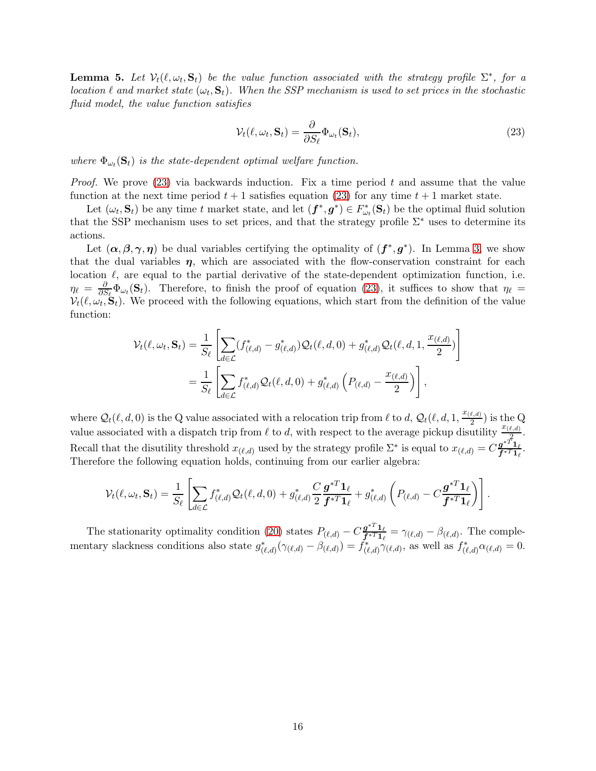**Lemma 5.** Let  $V_t(\ell, \omega_t, \mathbf{S}_t)$  be the value function associated with the strategy profile  $\Sigma^*$ , for a location  $\ell$  and market state  $(\omega_t, \mathbf{S}_t)$ . When the SSP mechanism is used to set prices in the stochastic fluid model, the value function satisfies

<span id="page-15-0"></span>
$$
\mathcal{V}_t(\ell, \omega_t, \mathbf{S}_t) = \frac{\partial}{\partial S_\ell} \Phi_{\omega_t}(\mathbf{S}_t),
$$
\n(23)

where  $\Phi_{\omega_t}(\mathbf{S}_t)$  is the state-dependent optimal welfare function.

*Proof.* We prove  $(23)$  via backwards induction. Fix a time period t and assume that the value function at the next time period  $t + 1$  satisfies equation [\(23\)](#page-15-0) for any time  $t + 1$  market state.

Let  $(\omega_t, \mathbf{S}_t)$  be any time t market state, and let  $(\mathbf{f}^*, \mathbf{g}^*) \in F_{\omega_t}^*(\mathbf{S}_t)$  be the optimal fluid solution that the SSP mechanism uses to set prices, and that the strategy profile  $\Sigma^*$  uses to determine its actions.

Let  $(\alpha, \beta, \gamma, \eta)$  be dual variables certifying the optimality of  $(f^*, g^*)$ . In Lemma [3,](#page-13-0) we show that the dual variables  $\eta$ , which are associated with the flow-conservation constraint for each location  $\ell$ , are equal to the partial derivative of the state-dependent optimization function, i.e.  $\eta_\ell \, = \, \frac{\partial}{\partial S}$  $\frac{\partial}{\partial S_{\ell}}\Phi_{\omega_{t}}(\mathbf{S}_{t})$ . Therefore, to finish the proof of equation [\(23\)](#page-15-0), it suffices to show that  $\eta_{\ell}$  $V_t(\ell, \omega_t, \mathbf{S}_t)$ . We proceed with the following equations, which start from the definition of the value function:

$$
\mathcal{V}_t(\ell, \omega_t, \mathbf{S}_t) = \frac{1}{S_{\ell}} \left[ \sum_{d \in \mathcal{L}} (f^*_{(\ell, d)} - g^*_{(\ell, d)}) \mathcal{Q}_t(\ell, d, 0) + g^*_{(\ell, d)} \mathcal{Q}_t(\ell, d, 1, \frac{x_{(\ell, d)}}{2}) \right]
$$
  
= 
$$
\frac{1}{S_{\ell}} \left[ \sum_{d \in \mathcal{L}} f^*_{(\ell, d)} \mathcal{Q}_t(\ell, d, 0) + g^*_{(\ell, d)} \left( P_{(\ell, d)} - \frac{x_{(\ell, d)}}{2} \right) \right],
$$

where  $\mathcal{Q}_t(\ell, d, 0)$  is the Q value associated with a relocation trip from  $\ell$  to  $d$ ,  $\mathcal{Q}_t(\ell, d, 1, \frac{x_{(\ell,d)}}{2})$  $(\frac{\ell,d)}{2})$  is the Q value associated with a dispatch trip from  $\ell$  to d, with respect to the average pickup disutility  $\frac{x_{(\ell,d)}}{2}$ . Recall that the disutility threshold  $x_{(\ell,d)}$  used by the strategy profile  $\Sigma^*$  is equal to  $x_{(\ell,d)} = C \frac{\mathfrak{g}^{*T} \mathfrak{1}_\ell}{\mathfrak{f}^{*T} \mathfrak{1}_\ell}$  $\frac{g-1_\ell}{f^{*T}1_\ell}.$ Therefore the following equation holds, continuing from our earlier algebra:

$$
\mathcal{V}_t(\ell,\omega_t,\mathbf{S}_t)=\frac{1}{S_{\ell}}\left[\sum_{d\in\mathcal{L}}f^*_{(\ell,d)}\mathcal{Q}_t(\ell,d,0)+g^*_{(\ell,d)}\frac{C}{2}\frac{\boldsymbol{g}^{*T}\boldsymbol{1}_{\ell}}{\boldsymbol{f}^{*T}\boldsymbol{1}_{\ell}}+g^*_{(\ell,d)}\left(P_{(\ell,d)}-C\frac{\boldsymbol{g}^{*T}\boldsymbol{1}_{\ell}}{\boldsymbol{f}^{*T}\boldsymbol{1}_{\ell}}\right)\right].
$$

The stationarity optimality condition [\(20\)](#page-12-3) states  $P_{(\ell,d)} - C \frac{\mathbf{g}^{*T} \mathbf{1}_{\ell}}{\mathbf{f}^{*T} \mathbf{1}_{\ell}}$  $\frac{\mathbf{g} - \mathbf{1}_{\ell}}{\mathbf{f}^* \mathbf{T} \mathbf{1}_{\ell}} = \gamma_{(\ell,d)} - \beta_{(\ell,d)}$ . The complementary slackness conditions also state  $g^*_{(\ell,d)}(\gamma_{(\ell,d)} - \beta_{(\ell,d)}) = \dot{f}^*_{(\ell,d)}\gamma_{(\ell,d)}$ , as well as  $f^*_{(\ell,d)}\alpha_{(\ell,d)} = 0$ .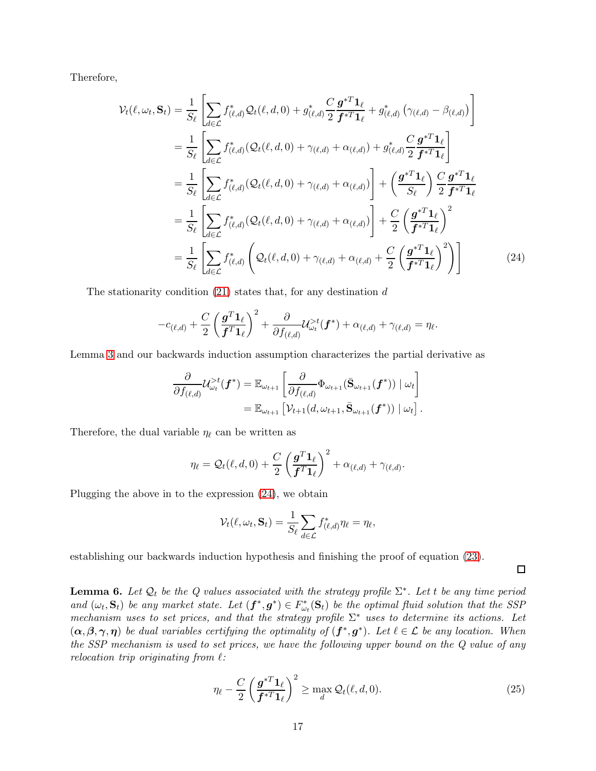Therefore,

$$
\mathcal{V}_{t}(\ell,\omega_{t},\mathbf{S}_{t}) = \frac{1}{S_{\ell}} \left[ \sum_{d \in \mathcal{L}} f_{(\ell,d)}^{*} \mathcal{Q}_{t}(\ell,d,0) + g_{(\ell,d)}^{*} \frac{C}{2} \frac{\mathbf{g}^{*T} \mathbf{1}_{\ell}}{\mathbf{f}^{*T} \mathbf{1}_{\ell}} + g_{(\ell,d)}^{*} \left( \gamma_{(\ell,d)} - \beta_{(\ell,d)} \right) \right]
$$
  
\n
$$
= \frac{1}{S_{\ell}} \left[ \sum_{d \in \mathcal{L}} f_{(\ell,d)}^{*} (\mathcal{Q}_{t}(\ell,d,0) + \gamma_{(\ell,d)} + \alpha_{(\ell,d)}) + g_{(\ell,d)}^{*} \frac{C}{2} \frac{\mathbf{g}^{*T} \mathbf{1}_{\ell}}{\mathbf{f}^{*T} \mathbf{1}_{\ell}} \right]
$$
  
\n
$$
= \frac{1}{S_{\ell}} \left[ \sum_{d \in \mathcal{L}} f_{(\ell,d)}^{*} (\mathcal{Q}_{t}(\ell,d,0) + \gamma_{(\ell,d)} + \alpha_{(\ell,d)}) \right] + \left( \frac{\mathbf{g}^{*T} \mathbf{1}_{\ell}}{S_{\ell}} \right) \frac{C}{2} \frac{\mathbf{g}^{*T} \mathbf{1}_{\ell}}{\mathbf{f}^{*T} \mathbf{1}_{\ell}}
$$
  
\n
$$
= \frac{1}{S_{\ell}} \left[ \sum_{d \in \mathcal{L}} f_{(\ell,d)}^{*} (\mathcal{Q}_{t}(\ell,d,0) + \gamma_{(\ell,d)} + \alpha_{(\ell,d)}) \right] + \frac{C}{2} \left( \frac{\mathbf{g}^{*T} \mathbf{1}_{\ell}}{\mathbf{f}^{*T} \mathbf{1}_{\ell}} \right)^{2}
$$
  
\n
$$
= \frac{1}{S_{\ell}} \left[ \sum_{d \in \mathcal{L}} f_{(\ell,d)}^{*} \left( \mathcal{Q}_{t}(\ell,d,0) + \gamma_{(\ell,d)} + \alpha_{(\ell,d)} + \frac{C}{2} \left( \frac{\mathbf{g}^{*T} \mathbf{1}_{\ell}}{\mathbf{f}^{*T} \mathbf{1}_{\ell}} \right)^{2} \right) \right]
$$
(24)

The stationarity condition  $(21)$  states that, for any destination d

$$
-c_{(\ell,d)} + \frac{C}{2} \left(\frac{\boldsymbol{g}^T \boldsymbol{1}_{\ell}}{\boldsymbol{f}^T \boldsymbol{1}_{\ell}}\right)^2 + \frac{\partial}{\partial f_{(\ell,d)}} \mathcal{U}_{\omega_t}^{>t}(\boldsymbol{f}^*) + \alpha_{(\ell,d)} + \gamma_{(\ell,d)} = \eta_{\ell}.
$$

Lemma [3](#page-13-0) and our backwards induction assumption characterizes the partial derivative as

$$
\frac{\partial}{\partial f_{(\ell,d)}} \mathcal{U}_{\omega_t}^{>t}(\boldsymbol{f}^*) = \mathbb{E}_{\omega_{t+1}} \left[ \frac{\partial}{\partial f_{(\ell,d)}} \Phi_{\omega_{t+1}}(\bar{\mathbf{S}}_{\omega_{t+1}}(\boldsymbol{f}^*)) \mid \omega_t \right] \n= \mathbb{E}_{\omega_{t+1}} \left[ \mathcal{V}_{t+1}(d, \omega_{t+1}, \bar{\mathbf{S}}_{\omega_{t+1}}(\boldsymbol{f}^*)) \mid \omega_t \right].
$$

Therefore, the dual variable  $\eta_{\ell}$  can be written as

$$
\eta_{\ell} = \mathcal{Q}_{t}(\ell, d, 0) + \frac{C}{2} \left( \frac{\mathbf{g}^{T} \mathbf{1}_{\ell}}{\mathbf{f}^{T} \mathbf{1}_{\ell}} \right)^{2} + \alpha_{(\ell, d)} + \gamma_{(\ell, d)}.
$$

Plugging the above in to the expression [\(24\)](#page-16-0), we obtain

$$
\mathcal{V}_t(\ell,\omega_t,\mathbf{S}_t) = \frac{1}{S_{\ell}} \sum_{d \in \mathcal{L}} f^*_{(\ell,d)} \eta_{\ell} = \eta_{\ell},
$$

establishing our backwards induction hypothesis and finishing the proof of equation [\(23\)](#page-15-0).

<span id="page-16-0"></span> $\Box$ 

<span id="page-16-2"></span>**Lemma 6.** Let  $\mathcal{Q}_t$  be the Q values associated with the strategy profile  $\Sigma^*$ . Let t be any time period and  $(\omega_t, \mathbf{S}_t)$  be any market state. Let  $(\mathbf{f}^*, \mathbf{g}^*) \in F_{\omega_t}^*(\mathbf{S}_t)$  be the optimal fluid solution that the SSP mechanism uses to set prices, and that the strategy profile  $\Sigma^*$  uses to determine its actions. Let  $(\alpha, \beta, \gamma, \eta)$  be dual variables certifying the optimality of  $(f^*, g^*)$ . Let  $\ell \in \mathcal{L}$  be any location. When the SSP mechanism is used to set prices, we have the following upper bound on the Q value of any relocation trip originating from  $\ell$ :

<span id="page-16-1"></span>
$$
\eta_{\ell} - \frac{C}{2} \left( \frac{\boldsymbol{g}^{*T} \boldsymbol{1}_{\ell}}{\boldsymbol{f}^{*T} \boldsymbol{1}_{\ell}} \right)^2 \ge \max_{d} \mathcal{Q}_{t}(\ell, d, 0). \tag{25}
$$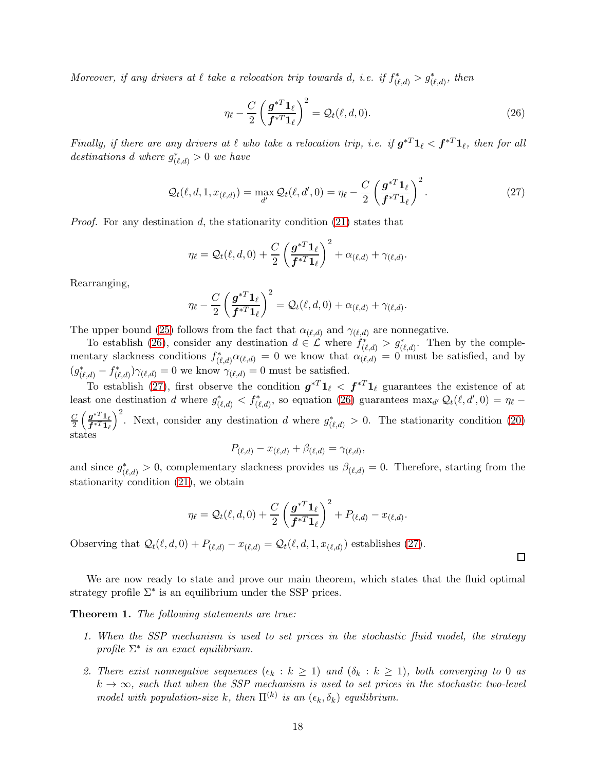Moreover, if any drivers at  $\ell$  take a relocation trip towards d, i.e. if  $f^*_{(\ell,d)} > g^*_{(\ell,d)}$ , then

<span id="page-17-0"></span>
$$
\eta_{\ell} - \frac{C}{2} \left( \frac{\boldsymbol{g}^{*T} \boldsymbol{1}_{\ell}}{\boldsymbol{f}^{*T} \boldsymbol{1}_{\ell}} \right)^2 = \mathcal{Q}_{t}(\ell, d, 0). \tag{26}
$$

Finally, if there are any drivers at  $\ell$  who take a relocation trip, i.e. if  $g^{*T}\mathbf{1}_\ell < f^{*T}\mathbf{1}_\ell$ , then for all destinations d where  $g^*_{(\ell,d)}>0$  we have

<span id="page-17-1"></span>
$$
\mathcal{Q}_t(\ell, d, 1, x_{(\ell,d)}) = \max_{d'} \mathcal{Q}_t(\ell, d', 0) = \eta_\ell - \frac{C}{2} \left( \frac{\boldsymbol{g}^{*T} \boldsymbol{1}_\ell}{\boldsymbol{f}^{*T} \boldsymbol{1}_\ell} \right)^2.
$$
 (27)

*Proof.* For any destination d, the stationarity condition  $(21)$  states that

$$
\eta_{\ell} = \mathcal{Q}_{t}(\ell, d, 0) + \frac{C}{2} \left( \frac{\boldsymbol{g}^{*T} \boldsymbol{1}_{\ell}}{\boldsymbol{f}^{*T} \boldsymbol{1}_{\ell}} \right)^2 + \alpha_{(\ell, d)} + \gamma_{(\ell, d)}.
$$

Rearranging,

$$
\eta_{\ell} - \frac{C}{2} \left( \frac{\boldsymbol{g}^{*T} \boldsymbol{1}_{\ell}}{\boldsymbol{f}^{*T} \boldsymbol{1}_{\ell}} \right)^2 = \mathcal{Q}_{t}(\ell, d, 0) + \alpha_{(\ell, d)} + \gamma_{(\ell, d)}.
$$

The upper bound [\(25\)](#page-16-1) follows from the fact that  $\alpha_{(\ell,d)}$  and  $\gamma_{(\ell,d)}$  are nonnegative.

To establish [\(26\)](#page-17-0), consider any destination  $d \in \mathcal{L}$  where  $f^*_{(\ell,d)} > g^*_{(\ell,d)}$ . Then by the complementary slackness conditions  $f^*_{(\ell,d)} \alpha_{(\ell,d)} = 0$  we know that  $\alpha_{(\ell,d)}^{(\ell,\ell)} = 0$  must be satisfied, and by  $(g^*_{(\ell,d)} - f^*_{(\ell,d)})\gamma_{(\ell,d)} = 0$  we know  $\gamma_{(\ell,d)} = 0$  must be satisfied.

To establish [\(27\)](#page-17-1), first observe the condition  $g^{*T}1_{\ell} < f^{*T}1_{\ell}$  guarantees the existence of at least one destination d where  $g^*_{(\ell,d)} < f^*_{(\ell,d)}$ , so equation [\(26\)](#page-17-0) guarantees  $\max_{d'} Q_t(\ell, d', 0) = \eta_\ell -$ C  $\frac{C}{2}\left(\frac{{\boldsymbol g}^{*T}{\boldsymbol 1}_\ell}{{\boldsymbol f}^{*T}{\boldsymbol 1}_\ell}\right)$  $\overline{{\bm f}^*{}^T\bm 1}_\ell$  $\int^2$ . Next, consider any destination d where  $g^*_{(\ell,d)} > 0$ . The stationarity condition [\(20\)](#page-12-3) states

$$
P_{(\ell,d)} - x_{(\ell,d)} + \beta_{(\ell,d)} = \gamma_{(\ell,d)},
$$

and since  $g^*_{(\ell,d)} > 0$ , complementary slackness provides us  $\beta_{(\ell,d)} = 0$ . Therefore, starting from the stationarity condition [\(21\)](#page-12-2), we obtain

$$
\eta_\ell = \mathcal{Q}_t(\ell,d,0) + \frac{C}{2}\left(\frac{{\boldsymbol g}^{*T}\boldsymbol{1}_\ell}{{\boldsymbol f}^{*T}\boldsymbol{1}_\ell}\right)^2 + P_{(\ell,d)} - x_{(\ell,d)}
$$

.

Observing that  $Q_t(\ell, d, 0) + P_{(\ell, d)} - x_{(\ell, d)} = Q_t(\ell, d, 1, x_{(\ell, d)})$  establishes [\(27\)](#page-17-1).

We are now ready to state and prove our main theorem, which states that the fluid optimal strategy profile  $\Sigma^*$  is an equilibrium under the SSP prices.

<span id="page-17-3"></span><span id="page-17-2"></span>Theorem 1. The following statements are true:

- 1. When the SSP mechanism is used to set prices in the stochastic fluid model, the strategy profile  $\Sigma^*$  is an exact equilibrium.
- <span id="page-17-4"></span>2. There exist nonnegative sequences  $(\epsilon_k : k \geq 1)$  and  $(\delta_k : k \geq 1)$ , both converging to 0 as  $k \to \infty$ , such that when the SSP mechanism is used to set prices in the stochastic two-level model with population-size k, then  $\Pi^{(k)}$  is an  $(\epsilon_k, \delta_k)$  equilibrium.

 $\Box$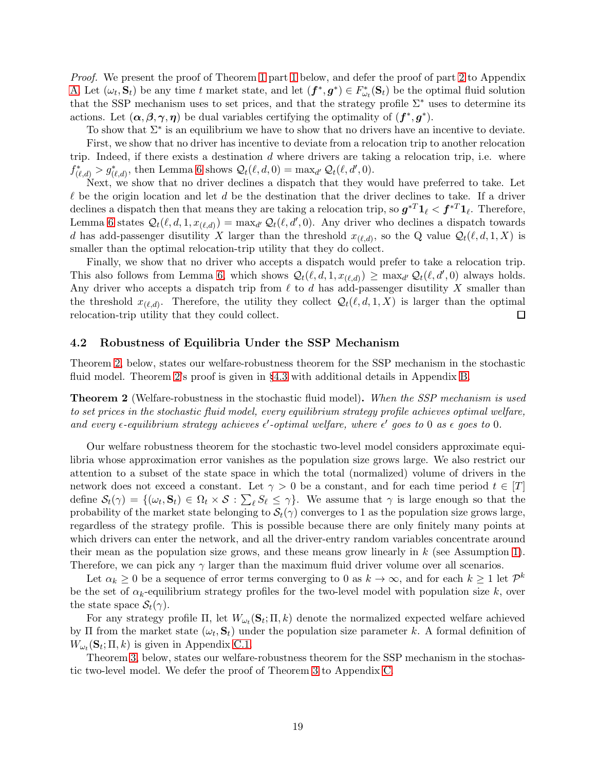Proof. We present the proof of Theorem [1](#page-17-3) part 1 below, and defer the proof of part [2](#page-17-4) to Appendix [A.](#page-25-10) Let  $(\omega_t, \mathbf{S}_t)$  be any time t market state, and let  $(\mathbf{f}^*, \mathbf{g}^*) \in F_{\omega_t}^*(\mathbf{S}_t)$  be the optimal fluid solution that the SSP mechanism uses to set prices, and that the strategy profile  $\Sigma^*$  uses to determine its actions. Let  $(\alpha, \beta, \gamma, \eta)$  be dual variables certifying the optimality of  $(f^*, g^*)$ .

To show that  $\Sigma^*$  is an equilibrium we have to show that no drivers have an incentive to deviate.

First, we show that no driver has incentive to deviate from a relocation trip to another relocation trip. Indeed, if there exists a destination  $d$  where drivers are taking a relocation trip, i.e. where  $f^*_{(\ell,d)} > g^*_{(\ell,d)}$ , then Lemma [6](#page-16-2) shows  $\mathcal{Q}_t(\ell,d,0) = \max_{d'} \mathcal{Q}_t(\ell,d',0)$ .

Next, we show that no driver declines a dispatch that they would have preferred to take. Let  $\ell$  be the origin location and let d be the destination that the driver declines to take. If a driver declines a dispatch then that means they are taking a relocation trip, so  $g^{*T} \mathbf{1}_{\ell} < f^{*T} \mathbf{1}_{\ell}$ . Therefore, Lemma [6](#page-16-2) states  $Q_t(\ell, d, 1, x_{(\ell, d)}) = \max_{d'} Q_t(\ell, d', 0)$ . Any driver who declines a dispatch towards d has add-passenger disutility X larger than the threshold  $x_{(\ell,d)}$ , so the Q value  $\mathcal{Q}_t(\ell,d,1,X)$  is smaller than the optimal relocation-trip utility that they do collect.

Finally, we show that no driver who accepts a dispatch would prefer to take a relocation trip. This also follows from Lemma [6,](#page-16-2) which shows  $Q_t(\ell, d, 1, x_{(\ell,d)}) \ge \max_{d'} Q_t(\ell, d', 0)$  always holds. Any driver who accepts a dispatch trip from  $\ell$  to  $d$  has add-passenger disutility X smaller than the threshold  $x_{(\ell,d)}$ . Therefore, the utility they collect  $\mathcal{Q}_t(\ell,d,1,X)$  is larger than the optimal relocation-trip utility that they could collect.

#### 4.2 Robustness of Equilibria Under the SSP Mechanism

Theorem [2,](#page-18-0) below, states our welfare-robustness theorem for the SSP mechanism in the stochastic fluid model. Theorem [2'](#page-18-0)s proof is given in §[4.3](#page-19-1) with additional details in Appendix [B.](#page-29-0)

<span id="page-18-0"></span>**Theorem 2** (Welfare-robustness in the stochastic fluid model). When the SSP mechanism is used to set prices in the stochastic fluid model, every equilibrium strategy profile achieves optimal welfare, and every  $\epsilon$ -equilibrium strategy achieves  $\epsilon'$ -optimal welfare, where  $\epsilon'$  goes to 0 as  $\epsilon$  goes to 0.

Our welfare robustness theorem for the stochastic two-level model considers approximate equilibria whose approximation error vanishes as the population size grows large. We also restrict our attention to a subset of the state space in which the total (normalized) volume of drivers in the network does not exceed a constant. Let  $\gamma > 0$  be a constant, and for each time period  $t \in [T]$ define  $\mathcal{S}_t(\gamma) = \{(\omega_t, \mathbf{S}_t) \in \Omega_t \times \mathcal{S} : \sum_{\ell} S_{\ell} \leq \gamma\}$ . We assume that  $\gamma$  is large enough so that the probability of the market state belonging to  $S_t(\gamma)$  converges to 1 as the population size grows large, regardless of the strategy profile. This is possible because there are only finitely many points at which drivers can enter the network, and all the driver-entry random variables concentrate around their mean as the population size grows, and these means grow linearly in  $k$  (see Assumption [1\)](#page-4-0). Therefore, we can pick any  $\gamma$  larger than the maximum fluid driver volume over all scenarios.

Let  $\alpha_k \geq 0$  be a sequence of error terms converging to 0 as  $k \to \infty$ , and for each  $k \geq 1$  let  $\mathcal{P}^k$ be the set of  $\alpha_k$ -equilibrium strategy profiles for the two-level model with population size k, over the state space  $\mathcal{S}_t(\gamma)$ .

For any strategy profile  $\Pi$ , let  $W_{\omega_t}(\mathbf{S}_t; \Pi, k)$  denote the normalized expected welfare achieved by  $\Pi$  from the market state  $(\omega_t, \mathbf{S}_t)$  under the population size parameter k. A formal definition of  $W_{\omega_t}(\mathbf{s}_t; \Pi, k)$  is given in Appendix [C.1.](#page-35-0)

Theorem [3,](#page-19-0) below, states our welfare-robustness theorem for the SSP mechanism in the stochastic two-level model. We defer the proof of Theorem [3](#page-19-0) to Appendix [C.](#page-35-1)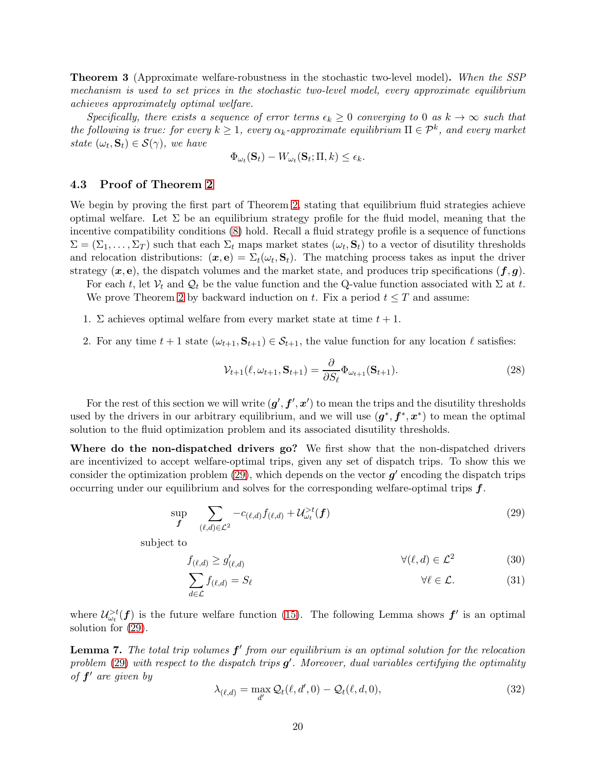<span id="page-19-0"></span>**Theorem 3** (Approximate welfare-robustness in the stochastic two-level model). When the SSP mechanism is used to set prices in the stochastic two-level model, every approximate equilibrium achieves approximately optimal welfare.

Specifically, there exists a sequence of error terms  $\epsilon_k \geq 0$  converging to 0 as  $k \to \infty$  such that the following is true: for every  $k \geq 1$ , every  $\alpha_k$ -approximate equilibrium  $\Pi \in \mathcal{P}^k$ , and every market state  $(\omega_t, \mathbf{S}_t) \in \mathcal{S}(\gamma)$ , we have

$$
\Phi_{\omega_t}(\mathbf{S}_t) - W_{\omega_t}(\mathbf{S}_t; \Pi, k) \le \epsilon_k.
$$

#### <span id="page-19-1"></span>4.3 Proof of Theorem [2](#page-18-0)

We begin by proving the first part of Theorem [2,](#page-18-0) stating that equilibrium fluid strategies achieve optimal welfare. Let  $\Sigma$  be an equilibrium strategy profile for the fluid model, meaning that the incentive compatibility conditions [\(8\)](#page-10-1) hold. Recall a fluid strategy profile is a sequence of functions  $\Sigma = (\Sigma_1, \ldots, \Sigma_T)$  such that each  $\Sigma_t$  maps market states  $(\omega_t, \mathbf{S}_t)$  to a vector of disutility thresholds and relocation distributions:  $(x, e) = \Sigma_t(\omega_t, S_t)$ . The matching process takes as input the driver strategy  $(x, e)$ , the dispatch volumes and the market state, and produces trip specifications  $(f, g)$ .

For each t, let  $V_t$  and  $Q_t$  be the value function and the Q-value function associated with  $\Sigma$  at t. We prove Theorem [2](#page-18-0) by backward induction on t. Fix a period  $t \leq T$  and assume:

- 1. Σ achieves optimal welfare from every market state at time  $t + 1$ .
- 2. For any time  $t + 1$  state  $(\omega_{t+1}, \mathbf{S}_{t+1}) \in \mathcal{S}_{t+1}$ , the value function for any location  $\ell$  satisfies:

<span id="page-19-5"></span><span id="page-19-2"></span>
$$
\mathcal{V}_{t+1}(\ell, \omega_{t+1}, \mathbf{S}_{t+1}) = \frac{\partial}{\partial S_{\ell}} \Phi_{\omega_{t+1}}(\mathbf{S}_{t+1}).
$$
\n(28)

For the rest of this section we will write  $(g', f', x')$  to mean the trips and the disutility thresholds used by the drivers in our arbitrary equilibrium, and we will use  $(g^*, f^*, x^*)$  to mean the optimal solution to the fluid optimization problem and its associated disutility thresholds.

Where do the non-dispatched drivers go? We first show that the non-dispatched drivers are incentivized to accept welfare-optimal trips, given any set of dispatch trips. To show this we consider the optimization problem  $(29)$ , which depends on the vector  $g'$  encoding the dispatch trips occurring under our equilibrium and solves for the corresponding welfare-optimal trips  $f$ .

$$
\sup_{\boldsymbol{f}} \quad \sum_{(\ell,d)\in\mathcal{L}^2} -c_{(\ell,d)} f_{(\ell,d)} + \mathcal{U}_{\omega_t}^{>t}(\boldsymbol{f}) \tag{29}
$$

subject to

$$
f_{(\ell,d)} \ge g'_{(\ell,d)} \qquad \qquad \forall (\ell,d) \in \mathcal{L}^2 \tag{30}
$$

<span id="page-19-3"></span>
$$
\sum_{d \in \mathcal{L}} f_{(\ell,d)} = S_{\ell} \qquad \forall \ell \in \mathcal{L}.
$$
 (31)

where  $\mathcal{U}^{>t}_{\omega_t}(\boldsymbol{f})$  is the future welfare function [\(15\)](#page-11-3). The following Lemma shows  $\boldsymbol{f}'$  is an optimal solution for [\(29\)](#page-19-2).

<span id="page-19-6"></span>**Lemma 7.** The total trip volumes  $f'$  from our equilibrium is an optimal solution for the relocation problem [\(29\)](#page-19-2) with respect to the dispatch trips  $g'$ . Moreover, dual variables certifying the optimality of f ′ are given by

<span id="page-19-7"></span><span id="page-19-4"></span>
$$
\lambda_{(\ell,d)} = \max_{d'} \mathcal{Q}_t(\ell,d',0) - \mathcal{Q}_t(\ell,d,0),\tag{32}
$$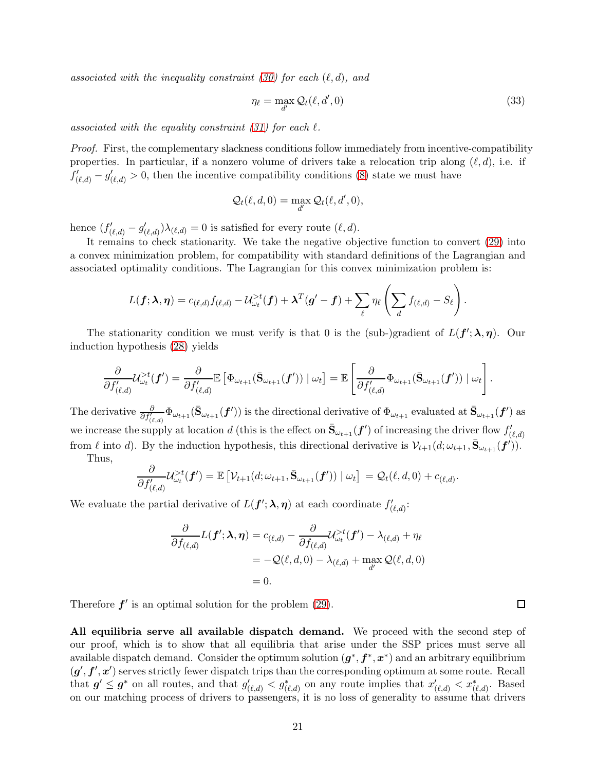associated with the inequality constraint [\(30\)](#page-19-3) for each  $(\ell, d)$ , and

<span id="page-20-0"></span>
$$
\eta_{\ell} = \max_{d'} \mathcal{Q}_{t}(\ell, d', 0) \tag{33}
$$

associated with the equality constraint  $(31)$  for each  $\ell$ .

Proof. First, the complementary slackness conditions follow immediately from incentive-compatibility properties. In particular, if a nonzero volume of drivers take a relocation trip along  $(\ell, d)$ , i.e. if  $f'_{(\ell,d)} - g'_{(\ell,d)} > 0$ , then the incentive compatibility conditions [\(8\)](#page-10-1) state we must have

$$
\mathcal{Q}_t(\ell,d,0)=\max_{d'}\mathcal{Q}_t(\ell,d',0),
$$

hence  $(f'_{(\ell,d)} - g'_{(\ell,d)})\lambda_{(\ell,d)} = 0$  is satisfied for every route  $(\ell, d)$ .

It remains to check stationarity. We take the negative objective function to convert [\(29\)](#page-19-2) into a convex minimization problem, for compatibility with standard definitions of the Lagrangian and associated optimality conditions. The Lagrangian for this convex minimization problem is:

$$
L(\boldsymbol{f};\boldsymbol{\lambda},\boldsymbol{\eta})=c_{(\ell,d)}f_{(\ell,d)}-\mathcal{U}^{>t}_{\omega_t}(\boldsymbol{f})+\boldsymbol{\lambda}^T(\boldsymbol{g}'-\boldsymbol{f})+\sum_{\ell}\eta_{\ell}\left(\sum_{d}f_{(\ell,d)}-S_{\ell}\right).
$$

The stationarity condition we must verify is that 0 is the (sub-)gradient of  $L(f'; \lambda, \eta)$ . Our induction hypothesis [\(28\)](#page-19-5) yields

$$
\frac{\partial}{\partial f'_{(\ell,d)}}\mathcal{U}_{\omega_t}^{>t}(\boldsymbol{f}')=\frac{\partial}{\partial f'_{(\ell,d)}}\mathbb{E}\left[\Phi_{\omega_{t+1}}(\bar{\mathbf{S}}_{\omega_{t+1}}(\boldsymbol{f}'))\mid \omega_t\right]=\mathbb{E}\left[\frac{\partial}{\partial f'_{(\ell,d)}}\Phi_{\omega_{t+1}}(\bar{\mathbf{S}}_{\omega_{t+1}}(\boldsymbol{f}'))\mid \omega_t\right].
$$

The derivative  $\frac{\partial}{\partial f'_{(\ell,d)}} \Phi_{\omega_{t+1}}(\bar{S}_{\omega_{t+1}}(f'))$  is the directional derivative of  $\Phi_{\omega_{t+1}}$  evaluated at  $\bar{S}_{\omega_{t+1}}(f')$  as we increase the supply at location d (this is the effect on  $\bar{S}_{\omega_{t+1}}(f')$  of increasing the driver flow  $f'_{(\ell,d)}$ from  $\ell$  into d). By the induction hypothesis, this directional derivative is  $\mathcal{V}_{t+1}(d; \omega_{t+1}, \bar{\mathbf{S}}_{\omega_{t+1}}(\boldsymbol{f}'))$ . Thus,

$$
\frac{\partial}{\partial f'_{(\ell,d)}}\mathcal{U}_{\omega_t}^{>t}(\boldsymbol{f}') = \mathbb{E}\left[\mathcal{V}_{t+1}(d;\omega_{t+1},\bar{\mathbf{S}}_{\omega_{t+1}}(\boldsymbol{f}')) \mid \omega_t\right] = \mathcal{Q}_t(\ell,d,0) + c_{(\ell,d)}.
$$

We evaluate the partial derivative of  $L(f'; \lambda, \eta)$  at each coordinate  $f'_{(\ell,d)}$ :

$$
\frac{\partial}{\partial f_{(\ell,d)}} L(\boldsymbol{f}'; \boldsymbol{\lambda}, \boldsymbol{\eta}) = c_{(\ell,d)} - \frac{\partial}{\partial f_{(\ell,d)}} \mathcal{U}_{\omega_t}^{>t}(\boldsymbol{f}') - \lambda_{(\ell,d)} + \eta_{\ell}
$$
\n
$$
= -Q(\ell, d, 0) - \lambda_{(\ell,d)} + \max_{d'} Q(\ell, d, 0)
$$
\n
$$
= 0.
$$

Therefore  $f'$  is an optimal solution for the problem  $(29)$ .

All equilibria serve all available dispatch demand. We proceed with the second step of our proof, which is to show that all equilibria that arise under the SSP prices must serve all available dispatch demand. Consider the optimum solution  $(g^*, f^*, x^*)$  and an arbitrary equilibrium  $(g', f', x')$  serves strictly fewer dispatch trips than the corresponding optimum at some route. Recall that  $g' \leq g^*$  on all routes, and that  $g'_{(\ell,d)} < g^*_{(\ell,d)}$  on any route implies that  $x'_{(\ell,d)} < x^*_{(\ell,d)}$ . Based on our matching process of drivers to passengers, it is no loss of generality to assume that drivers

 $\Box$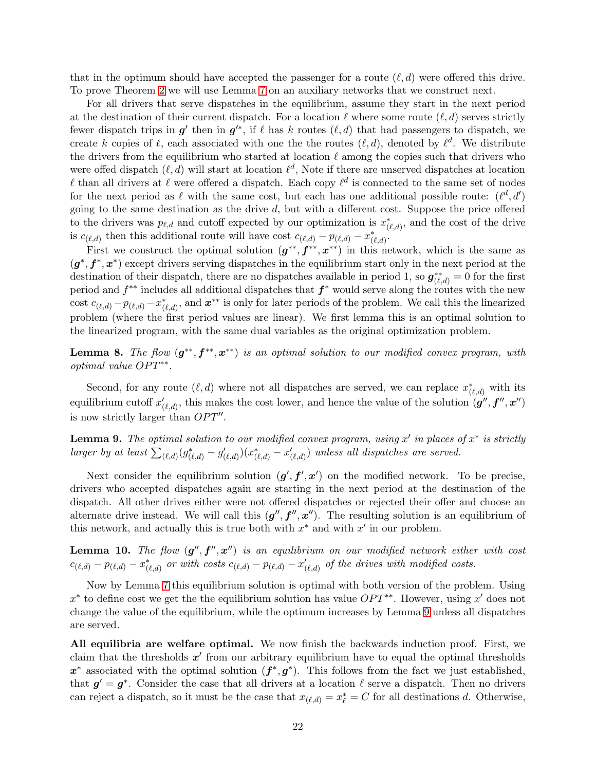that in the optimum should have accepted the passenger for a route  $(\ell, d)$  were offered this drive. To prove Theorem [2](#page-18-0) we will use Lemma [7](#page-19-6) on an auxiliary networks that we construct next.

For all drivers that serve dispatches in the equilibrium, assume they start in the next period at the destination of their current dispatch. For a location  $\ell$  where some route  $(\ell, d)$  serves strictly fewer dispatch trips in  $g'$  then in  $g'^*$ , if  $\ell$  has k routes  $(\ell, d)$  that had passengers to dispatch, we create k copies of  $\ell$ , each associated with one the the routes  $(\ell, d)$ , denoted by  $\ell^d$ . We distribute the drivers from the equilibrium who started at location  $\ell$  among the copies such that drivers who were offed dispatch  $(\ell, d)$  will start at location  $\ell^d$ , Note if there are unserved dispatches at location  $\ell$  than all drivers at  $\ell$  were offered a dispatch. Each copy  $\ell^d$  is connected to the same set of nodes for the next period as  $\ell$  with the same cost, but each has one additional possible route:  $(\ell^d, d')$ going to the same destination as the drive  $d$ , but with a different cost. Suppose the price offered to the drivers was  $p_{\ell,d}$  and cutoff expected by our optimization is  $x^*_{(\ell,d)}$ , and the cost of the drive is  $c_{(\ell,d)}$  then this additional route will have cost  $c_{(\ell,d)} - p_{(\ell,d)} - x^*_{(\ell,d)}$ .

First we construct the optimal solution  $(g^{**}, f^{**}, x^{**})$  in this network, which is the same as  $(g^*, f^*, x^*)$  except drivers serving dispatches in the equilibrium start only in the next period at the destination of their dispatch, there are no dispatches available in period 1, so  $g^{**}_{(\ell,d)} = 0$  for the first period and  $f^{**}$  includes all additional dispatches that  $f^*$  would serve along the routes with the new cost  $c_{(\ell,d)} - p_{(\ell,d)} - x^*_{(\ell,d)}$ , and  $x^{**}$  is only for later periods of the problem. We call this the linearized problem (where the first period values are linear). We first lemma this is an optimal solution to the linearized program, with the same dual variables as the original optimization problem.

<span id="page-21-1"></span>**Lemma 8.** The flow  $(g^{**}, f^{**}, x^{**})$  is an optimal solution to our modified convex program, with optimal value OPT<sup>\*\*</sup>.

Second, for any route  $(\ell, d)$  where not all dispatches are served, we can replace  $x^*_{(\ell,d)}$  with its equilibrium cutoff  $x'_{(\ell,d)}$ , this makes the cost lower, and hence the value of the solution  $(g'', f'', x'')$ is now strictly larger than  $OPT''$ .

<span id="page-21-0"></span>**Lemma 9.** The optimal solution to our modified convex program, using  $x'$  in places of  $x^*$  is strictly larger by at least  $\sum_{(\ell,d)} (g_{(\ell,d)}^* - g_{(\ell,d)}') (x_{(\ell,d)}^* - x_{(\ell,d)}')$  unless all dispatches are served.

Next consider the equilibrium solution  $(g', f', x')$  on the modified network. To be precise, drivers who accepted dispatches again are starting in the next period at the destination of the dispatch. All other drives either were not offered dispatches or rejected their offer and choose an alternate drive instead. We will call this  $(g'', f'', x'')$ . The resulting solution is an equilibrium of this network, and actually this is true both with  $x^*$  and with  $x'$  in our problem.

**Lemma 10.** The flow  $(g'', f'', x'')$  is an equilibrium on our modified network either with cost  $c_{(\ell,d)} - p_{(\ell,d)} - x^*_{(\ell,d)}$  or with costs  $c_{(\ell,d)} - p_{(\ell,d)} - x'_{(\ell,d)}$  of the drives with modified costs.

Now by Lemma [7](#page-19-6) this equilibrium solution is optimal with both version of the problem. Using  $x^*$  to define cost we get the the equilibrium solution has value  $OPT^{**}$ . However, using x' does not change the value of the equilibrium, while the optimum increases by Lemma [9](#page-21-0) unless all dispatches are served.

All equilibria are welfare optimal. We now finish the backwards induction proof. First, we claim that the thresholds  $x'$  from our arbitrary equilibrium have to equal the optimal thresholds  $x^*$  associated with the optimal solution  $(f^*, g^*)$ . This follows from the fact we just established, that  $g' = g^*$ . Consider the case that all drivers at a location  $\ell$  serve a dispatch. Then no drivers can reject a dispatch, so it must be the case that  $x_{(\ell,d)} = x_{\ell}^* = C$  for all destinations d. Otherwise,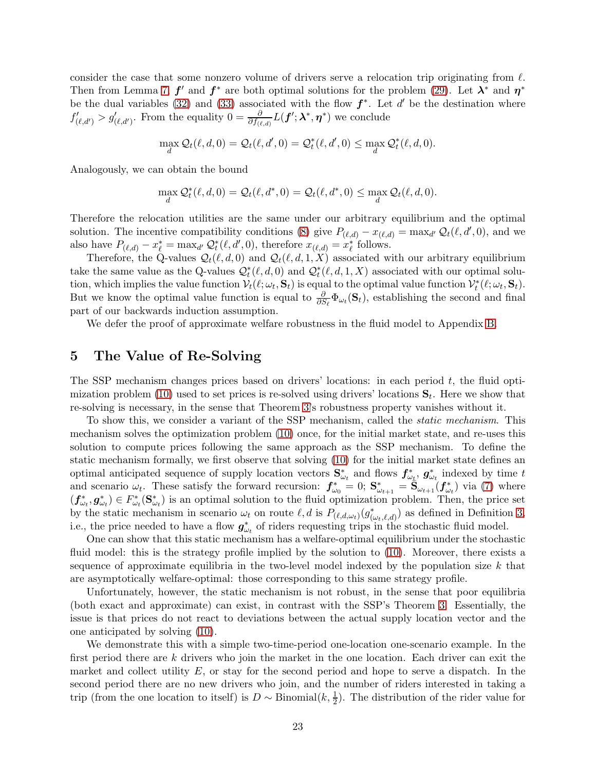consider the case that some nonzero volume of drivers serve a relocation trip originating from  $\ell$ . Then from Lemma [7,](#page-19-6)  $f'$  and  $f^*$  are both optimal solutions for the problem [\(29\)](#page-19-2). Let  $\lambda^*$  and  $\eta^*$ be the dual variables [\(32\)](#page-19-7) and [\(33\)](#page-20-0) associated with the flow  $f^*$ . Let d' be the destination where  $f'_{(\ell, d')} > g'_{(\ell, d')}$ . From the equality  $0 = \frac{\partial}{\partial f_{(\ell, d)}} L(f'; \lambda^*, \eta^*)$  we conclude

$$
\max_{d} \mathcal{Q}_t(\ell, d, 0) = \mathcal{Q}_t(\ell, d', 0) = \mathcal{Q}_t^*(\ell, d', 0) \le \max_{d} \mathcal{Q}_t^*(\ell, d, 0).
$$

Analogously, we can obtain the bound

$$
\max_{d} \mathcal{Q}_t^*(\ell, d, 0) = \mathcal{Q}_t(\ell, d^*, 0) = \mathcal{Q}_t(\ell, d^*, 0) \le \max_{d} \mathcal{Q}_t(\ell, d, 0).
$$

Therefore the relocation utilities are the same under our arbitrary equilibrium and the optimal solution. The incentive compatibility conditions [\(8\)](#page-10-1) give  $P_{(\ell,d)} - x_{(\ell,d)} = \max_{d'} Q_t(\ell, d', 0)$ , and we also have  $P_{(\ell,d)} - x_{\ell}^* = \max_{d'} Q_t^*(\ell, d', 0)$ , therefore  $x_{(\ell,d)} = x_{\ell}^*$  follows.

Therefore, the Q-values  $\mathcal{Q}_t(\ell, d, 0)$  and  $\mathcal{Q}_t(\ell, d, 1, X)$  associated with our arbitrary equilibrium take the same value as the Q-values  $\mathcal{Q}_t^*(\ell, d, 0)$  and  $\mathcal{Q}_t^*(\ell, d, 1, X)$  associated with our optimal solution, which implies the value function  $V_t(\ell; \omega_t, \mathbf{S}_t)$  is equal to the optimal value function  $V_t^*(\ell; \omega_t, \mathbf{S}_t)$ . But we know the optimal value function is equal to  $\frac{\partial}{\partial S_{\ell}}\Phi_{\omega_t}(\mathbf{S}_t)$ , establishing the second and final part of our backwards induction assumption.

We defer the proof of approximate welfare robustness in the fluid model to Appendix [B.](#page-29-0)

# <span id="page-22-0"></span>5 The Value of Re-Solving

The SSP mechanism changes prices based on drivers' locations: in each period  $t$ , the fluid opti-mization problem [\(10\)](#page-11-0) used to set prices is re-solved using drivers' locations  $S_t$ . Here we show that re-solving is necessary, in the sense that Theorem [3'](#page-19-0)s robustness property vanishes without it.

To show this, we consider a variant of the SSP mechanism, called the static mechanism. This mechanism solves the optimization problem [\(10\)](#page-11-0) once, for the initial market state, and re-uses this solution to compute prices following the same approach as the SSP mechanism. To define the static mechanism formally, we first observe that solving [\(10\)](#page-11-0) for the initial market state defines an optimal anticipated sequence of supply location vectors  $S^*_{\omega_t}$  and flows  $f^*_{\omega_t}$ ,  $g^*_{\omega_t}$  indexed by time t and scenario  $\omega_t$ . These satisfy the forward recursion:  $f_{\omega_0}^* = 0$ ;  $S_{\omega_{t+1}}^* = \tilde{S}_{\omega_{t+1}}(f_{\omega_t}^*)$  via [\(7\)](#page-9-0) where  $(f_{\omega_t}^*, g_{\omega_t}^*) \in F_{\omega_t}^*(\mathbf{S}_{\omega_t}^*)$  is an optimal solution to the fluid optimization problem. Then, the price set by the static mechanism in scenario  $\omega_t$  on route  $\ell, d$  is  $P_{(\ell,d,\omega_t)}(g_{(\omega_t,\ell,d)}^*)$  as defined in Definition [3,](#page-14-1) i.e., the price needed to have a flow  $g^*_{\omega_t}$  of riders requesting trips in the stochastic fluid model.

One can show that this static mechanism has a welfare-optimal equilibrium under the stochastic fluid model: this is the strategy profile implied by the solution to [\(10\)](#page-11-0). Moreover, there exists a sequence of approximate equilibria in the two-level model indexed by the population size  $k$  that are asymptotically welfare-optimal: those corresponding to this same strategy profile.

Unfortunately, however, the static mechanism is not robust, in the sense that poor equilibria (both exact and approximate) can exist, in contrast with the SSP's Theorem [3.](#page-19-0) Essentially, the issue is that prices do not react to deviations between the actual supply location vector and the one anticipated by solving [\(10\)](#page-11-0).

We demonstrate this with a simple two-time-period one-location one-scenario example. In the first period there are  $k$  drivers who join the market in the one location. Each driver can exit the market and collect utility  $E$ , or stay for the second period and hope to serve a dispatch. In the second period there are no new drivers who join, and the number of riders interested in taking a trip (from the one location to itself) is  $D \sim \text{Binomial}(k, \frac{1}{2})$ . The distribution of the rider value for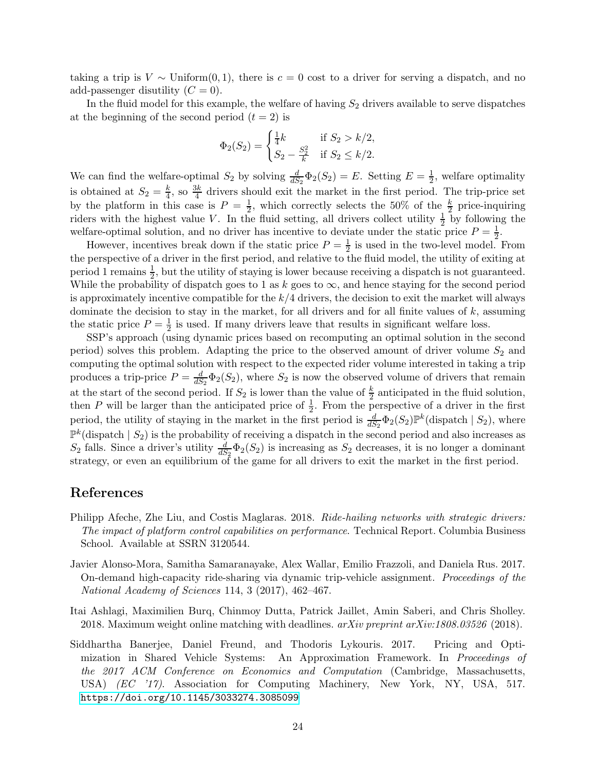taking a trip is  $V \sim$  Uniform $(0, 1)$ , there is  $c = 0$  cost to a driver for serving a dispatch, and no add-passenger disutility  $(C = 0)$ .

In the fluid model for this example, the welfare of having  $S_2$  drivers available to serve dispatches at the beginning of the second period  $(t = 2)$  is

$$
\Phi_2(S_2) = \begin{cases} \frac{1}{4}k & \text{if } S_2 > k/2, \\ S_2 - \frac{S_2^2}{k} & \text{if } S_2 \le k/2. \end{cases}
$$

We can find the welfare-optimal  $S_2$  by solving  $\frac{d}{dS_2}\Phi_2(S_2) = E$ . Setting  $E = \frac{1}{2}$  $\frac{1}{2}$ , welfare optimality is obtained at  $S_2 = \frac{k}{4}$  $\frac{k}{4}$ , so  $\frac{3k}{4}$  drivers should exit the market in the first period. The trip-price set by the platform in this case is  $P = \frac{1}{2}$ , which correctly selects the 50% of the  $\frac{k}{2}$  price-inquiring riders with the highest value V. In the fluid setting, all drivers collect utility  $\frac{1}{2}$  by following the welfare-optimal solution, and no driver has incentive to deviate under the static price  $P = \frac{1}{2}$  $\frac{1}{2}$ .

However, incentives break down if the static price  $P = \frac{1}{2}$  $\frac{1}{2}$  is used in the two-level model. From the perspective of a driver in the first period, and relative to the fluid model, the utility of exiting at period 1 remains  $\frac{1}{2}$ , but the utility of staying is lower because receiving a dispatch is not guaranteed. While the probability of dispatch goes to 1 as k goes to  $\infty$ , and hence staying for the second period is approximately incentive compatible for the  $k/4$  drivers, the decision to exit the market will always dominate the decision to stay in the market, for all drivers and for all finite values of  $k$ , assuming the static price  $P=\frac{1}{2}$  $\frac{1}{2}$  is used. If many drivers leave that results in significant welfare loss.

SSP's approach (using dynamic prices based on recomputing an optimal solution in the second period) solves this problem. Adapting the price to the observed amount of driver volume  $S_2$  and computing the optimal solution with respect to the expected rider volume interested in taking a trip produces a trip-price  $P = \frac{d}{dS}$  $\frac{d}{dS_2} \Phi_2(S_2)$ , where  $S_2$  is now the observed volume of drivers that remain at the start of the second period. If  $S_2$  is lower than the value of  $\frac{k}{2}$  anticipated in the fluid solution, then P will be larger than the anticipated price of  $\frac{1}{2}$ . From the perspective of a driver in the first period, the utility of staying in the market in the first period is  $\frac{d}{dS_2}\Phi_2(S_2)\mathbb{P}^k$  (dispatch  $|S_2|$ ), where  $\mathbb{P}^k$ (dispatch |  $S_2$ ) is the probability of receiving a dispatch in the second period and also increases as  $S_2$  falls. Since a driver's utility  $\frac{d}{dS_2}\Phi_2(S_2)$  is increasing as  $S_2$  decreases, it is no longer a dominant strategy, or even an equilibrium of the game for all drivers to exit the market in the first period.

### References

- <span id="page-23-3"></span>Philipp Afeche, Zhe Liu, and Costis Maglaras. 2018. Ride-hailing networks with strategic drivers: The impact of platform control capabilities on performance. Technical Report. Columbia Business School. Available at SSRN 3120544.
- <span id="page-23-0"></span>Javier Alonso-Mora, Samitha Samaranayake, Alex Wallar, Emilio Frazzoli, and Daniela Rus. 2017. On-demand high-capacity ride-sharing via dynamic trip-vehicle assignment. Proceedings of the National Academy of Sciences 114, 3 (2017), 462–467.
- <span id="page-23-1"></span>Itai Ashlagi, Maximilien Burq, Chinmoy Dutta, Patrick Jaillet, Amin Saberi, and Chris Sholley. 2018. Maximum weight online matching with deadlines.  $arXiv$  preprint  $arXiv:1808.03526$  (2018).
- <span id="page-23-2"></span>Siddhartha Banerjee, Daniel Freund, and Thodoris Lykouris. 2017. Pricing and Optimization in Shared Vehicle Systems: An Approximation Framework. In Proceedings of the 2017 ACM Conference on Economics and Computation (Cambridge, Massachusetts, USA) (EC '17). Association for Computing Machinery, New York, NY, USA, 517. <https://doi.org/10.1145/3033274.3085099>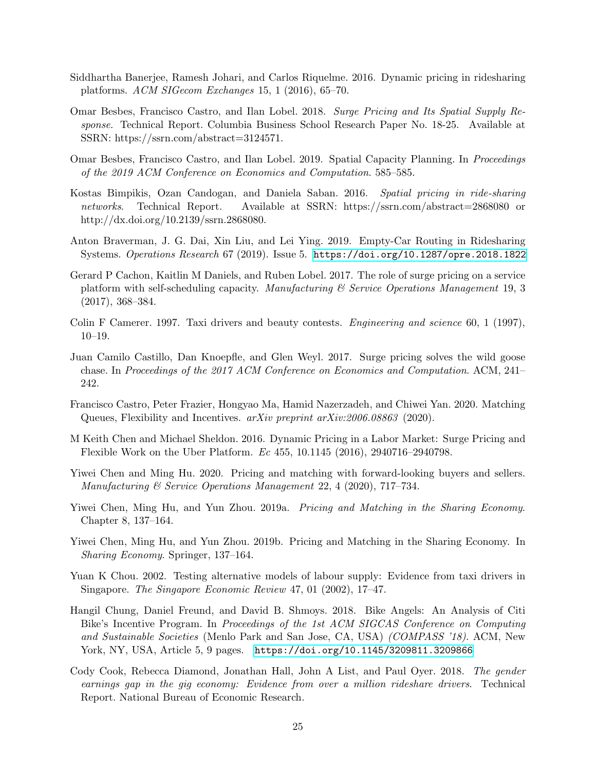- <span id="page-24-9"></span>Siddhartha Banerjee, Ramesh Johari, and Carlos Riquelme. 2016. Dynamic pricing in ridesharing platforms. ACM SIGecom Exchanges 15, 1 (2016), 65–70.
- <span id="page-24-7"></span>Omar Besbes, Francisco Castro, and Ilan Lobel. 2018. Surge Pricing and Its Spatial Supply Response. Technical Report. Columbia Business School Research Paper No. 18-25. Available at SSRN: https://ssrn.com/abstract=3124571.
- <span id="page-24-3"></span>Omar Besbes, Francisco Castro, and Ilan Lobel. 2019. Spatial Capacity Planning. In Proceedings of the 2019 ACM Conference on Economics and Computation. 585–585.
- <span id="page-24-8"></span>Kostas Bimpikis, Ozan Candogan, and Daniela Saban. 2016. Spatial pricing in ride-sharing networks. Technical Report. Available at SSRN: https://ssrn.com/abstract=2868080 or http://dx.doi.org/10.2139/ssrn.2868080.
- <span id="page-24-4"></span>Anton Braverman, J. G. Dai, Xin Liu, and Lei Ying. 2019. Empty-Car Routing in Ridesharing Systems. Operations Research 67 (2019). Issue 5. <https://doi.org/10.1287/opre.2018.1822>
- <span id="page-24-10"></span>Gerard P Cachon, Kaitlin M Daniels, and Ruben Lobel. 2017. The role of surge pricing on a service platform with self-scheduling capacity. Manufacturing  $\mathcal C$  Service Operations Manugement 19, 3 (2017), 368–384.
- <span id="page-24-1"></span>Colin F Camerer. 1997. Taxi drivers and beauty contests. *Engineering and science* 60, 1 (1997), 10–19.
- <span id="page-24-5"></span>Juan Camilo Castillo, Dan Knoepfle, and Glen Weyl. 2017. Surge pricing solves the wild goose chase. In Proceedings of the 2017 ACM Conference on Economics and Computation. ACM, 241– 242.
- <span id="page-24-13"></span>Francisco Castro, Peter Frazier, Hongyao Ma, Hamid Nazerzadeh, and Chiwei Yan. 2020. Matching Queues, Flexibility and Incentives.  $arXiv$  preprint  $arXiv:2006.08863$  (2020).
- <span id="page-24-11"></span>M Keith Chen and Michael Sheldon. 2016. Dynamic Pricing in a Labor Market: Surge Pricing and Flexible Work on the Uber Platform. Ec 455, 10.1145 (2016), 2940716–2940798.
- <span id="page-24-14"></span>Yiwei Chen and Ming Hu. 2020. Pricing and matching with forward-looking buyers and sellers. Manufacturing & Service Operations Management 22, 4 (2020), 717–734.
- <span id="page-24-6"></span>Yiwei Chen, Ming Hu, and Yun Zhou. 2019a. *Pricing and Matching in the Sharing Economy*. Chapter 8, 137–164.
- <span id="page-24-15"></span>Yiwei Chen, Ming Hu, and Yun Zhou. 2019b. Pricing and Matching in the Sharing Economy. In Sharing Economy. Springer, 137–164.
- <span id="page-24-0"></span>Yuan K Chou. 2002. Testing alternative models of labour supply: Evidence from taxi drivers in Singapore. The Singapore Economic Review 47, 01 (2002), 17–47.
- <span id="page-24-12"></span>Hangil Chung, Daniel Freund, and David B. Shmoys. 2018. Bike Angels: An Analysis of Citi Bike's Incentive Program. In Proceedings of the 1st ACM SIGCAS Conference on Computing and Sustainable Societies (Menlo Park and San Jose, CA, USA) (COMPASS '18). ACM, New York, NY, USA, Article 5, 9 pages. <https://doi.org/10.1145/3209811.3209866>
- <span id="page-24-2"></span>Cody Cook, Rebecca Diamond, Jonathan Hall, John A List, and Paul Oyer. 2018. The gender earnings gap in the gig economy: Evidence from over a million rideshare drivers. Technical Report. National Bureau of Economic Research.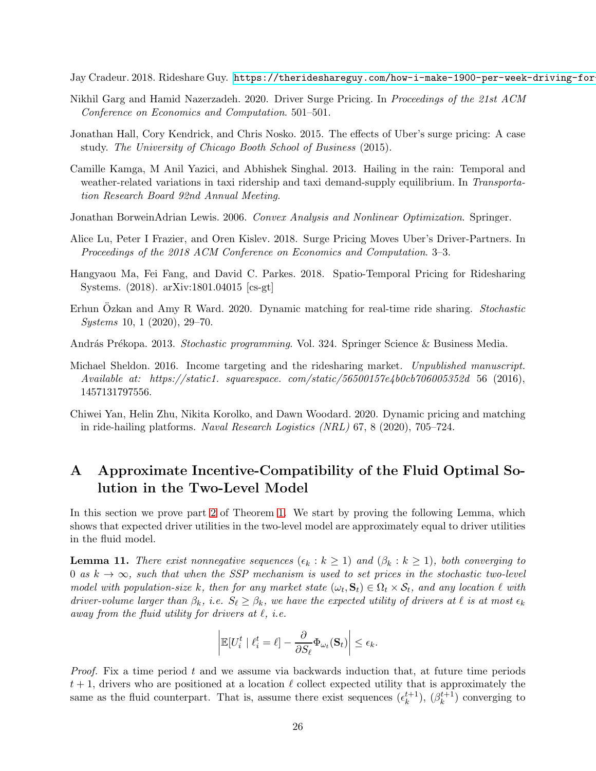<span id="page-25-0"></span>Jay Cradeur. 2018. Rideshare Guy. https://therideshareguy.com/how-i-make-1900-per-week-driving-for

- <span id="page-25-6"></span>Nikhil Garg and Hamid Nazerzadeh. 2020. Driver Surge Pricing. In Proceedings of the 21st ACM Conference on Economics and Computation. 501–501.
- <span id="page-25-9"></span>Jonathan Hall, Cory Kendrick, and Chris Nosko. 2015. The effects of Uber's surge pricing: A case study. The University of Chicago Booth School of Business (2015).
- <span id="page-25-2"></span>Camille Kamga, M Anil Yazici, and Abhishek Singhal. 2013. Hailing in the rain: Temporal and weather-related variations in taxi ridership and taxi demand-supply equilibrium. In Transportation Research Board 92nd Annual Meeting.
- Jonathan BorweinAdrian Lewis. 2006. Convex Analysis and Nonlinear Optimization. Springer.
- <span id="page-25-1"></span>Alice Lu, Peter I Frazier, and Oren Kislev. 2018. Surge Pricing Moves Uber's Driver-Partners. In Proceedings of the 2018 ACM Conference on Economics and Computation. 3–3.
- <span id="page-25-7"></span>Hangyaou Ma, Fei Fang, and David C. Parkes. 2018. Spatio-Temporal Pricing for Ridesharing Systems. (2018). arXiv:1801.04015 [cs-gt]
- <span id="page-25-4"></span>Erhun Ozkan and Amy R Ward. 2020. Dynamic matching for real-time ride sharing. Stochastic Systems 10, 1 (2020), 29–70.
- <span id="page-25-8"></span>András Prékopa. 2013. *Stochastic programming.* Vol. 324. Springer Science & Business Media.
- <span id="page-25-3"></span>Michael Sheldon. 2016. Income targeting and the ridesharing market. Unpublished manuscript. Available at: https://static1. squarespace. com/static/56500157e4b0cb706005352d 56 (2016), 1457131797556.
- <span id="page-25-5"></span>Chiwei Yan, Helin Zhu, Nikita Korolko, and Dawn Woodard. 2020. Dynamic pricing and matching in ride-hailing platforms. Naval Research Logistics (NRL) 67, 8 (2020), 705–724.

# <span id="page-25-10"></span>A Approximate Incentive-Compatibility of the Fluid Optimal Solution in the Two-Level Model

In this section we prove part [2](#page-17-4) of Theorem [1.](#page-17-2) We start by proving the following Lemma, which shows that expected driver utilities in the two-level model are approximately equal to driver utilities in the fluid model.

<span id="page-25-11"></span>**Lemma 11.** There exist nonnegative sequences  $(\epsilon_k : k \geq 1)$  and  $(\beta_k : k \geq 1)$ , both converging to 0 as  $k \to \infty$ , such that when the SSP mechanism is used to set prices in the stochastic two-level model with population-size k, then for any market state  $(\omega_t, \mathbf{S}_t) \in \Omega_t \times \mathcal{S}_t$ , and any location  $\ell$  with driver-volume larger than  $\beta_k$ , i.e.  $S_\ell \geq \beta_k$ , we have the expected utility of drivers at  $\ell$  is at most  $\epsilon_k$ away from the fluid utility for drivers at  $\ell$ , i.e.

$$
\left| \mathbb{E}[U_i^t \mid \ell_i^t = \ell] - \frac{\partial}{\partial S_{\ell}} \Phi_{\omega_t}(\mathbf{S}_t) \right| \leq \epsilon_k.
$$

*Proof.* Fix a time period t and we assume via backwards induction that, at future time periods  $t + 1$ , drivers who are positioned at a location  $\ell$  collect expected utility that is approximately the same as the fluid counterpart. That is, assume there exist sequences  $(\epsilon_k^{t+1}), (\beta_k^{t+1})$  converging to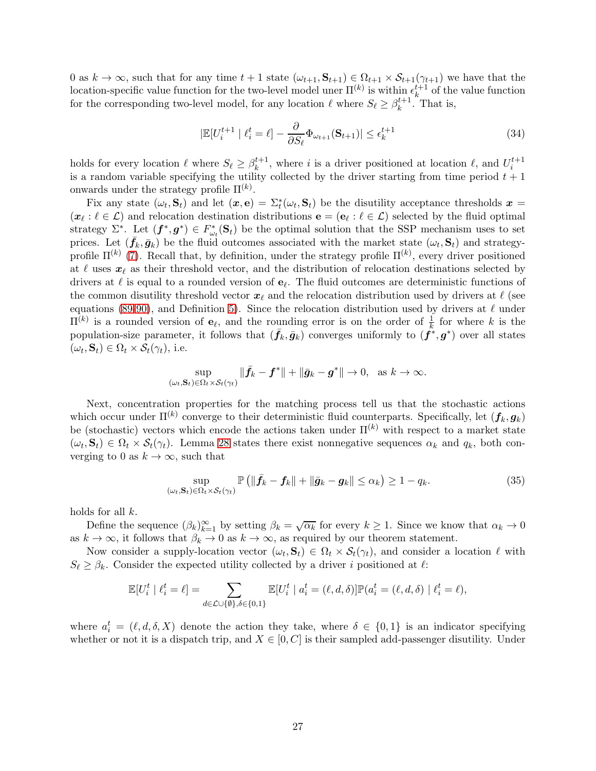0 as  $k \to \infty$ , such that for any time  $t + 1$  state  $(\omega_{t+1}, \mathbf{S}_{t+1}) \in \Omega_{t+1} \times \mathcal{S}_{t+1}(\gamma_{t+1})$  we have that the location-specific value function for the two-level model uner  $\Pi^{(k)}$  is within  $\epsilon_k^{t+1}$  $k^{t+1}$  of the value function for the corresponding two-level model, for any location  $\ell$  where  $S_{\ell} \geq \beta_k^{t+1}$ . That is,

<span id="page-26-0"></span>
$$
|\mathbb{E}[U_i^{t+1} | \ell_i^t = \ell] - \frac{\partial}{\partial S_\ell} \Phi_{\omega_{t+1}}(\mathbf{S}_{t+1})| \le \epsilon_k^{t+1}
$$
\n(34)

holds for every location  $\ell$  where  $S_{\ell} \geq \beta_k^{t+1}$  $k^{t+1}$ , where *i* is a driver positioned at location  $\ell$ , and  $U_i^{t+1}$ is a random variable specifying the utility collected by the driver starting from time period  $t + 1$ onwards under the strategy profile  $\Pi^{(k)}$ .

Fix any state  $(\omega_t, \mathbf{S}_t)$  and let  $(\mathbf{x}, \mathbf{e}) = \sum_t^* (\omega_t, \mathbf{S}_t)$  be the disutility acceptance thresholds  $\mathbf{x} =$  $(\bm{x}_{\ell} : \ell \in \mathcal{L})$  and relocation destination distributions  $\mathbf{e} = (\mathbf{e}_{\ell} : \ell \in \mathcal{L})$  selected by the fluid optimal strategy  $\Sigma^*$ . Let  $(f^*, g^*) \in F_{\omega_t}^*(\mathbf{S}_t)$  be the optimal solution that the SSP mechanism uses to set prices. Let  $(\bar{f}_k, \bar{g}_k)$  be the fluid outcomes associated with the market state  $(\omega_t, S_t)$  and strategyprofile  $\Pi^{(k)}$  [\(7\)](#page-61-0). Recall that, by definition, under the strategy profile  $\Pi^{(k)}$ , every driver positioned at  $\ell$  uses  $x_{\ell}$  as their threshold vector, and the distribution of relocation destinations selected by drivers at  $\ell$  is equal to a rounded version of  $\mathbf{e}_{\ell}$ . The fluid outcomes are deterministic functions of the common disutility threshold vector  $x_\ell$  and the relocation distribution used by drivers at  $\ell$  (see equations [\(89](#page-56-1)[-90\)](#page-56-2), and Definition [5\)](#page-57-0). Since the relocation distribution used by drivers at  $\ell$  under  $\Pi^{(k)}$  is a rounded version of  $e_{\ell}$ , and the rounding error is on the order of  $\frac{1}{k}$  for where k is the population-size parameter, it follows that  $(\bar{f}_k, \bar{g}_k)$  converges uniformly to  $(f^*, g^*)$  over all states  $(\omega_t, \mathbf{S}_t) \in \Omega_t \times \mathcal{S}_t(\gamma_t)$ , i.e.

$$
\sup_{(\omega_t,\mathbf{S}_t)\in\Omega_t\times\mathcal{S}_t(\gamma_t)}\|\bar{\mathbf{f}}_k-\mathbf{f}^*\|+\|\bar{\mathbf{g}}_k-\mathbf{g}^*\|\to 0, \text{ as } k\to\infty.
$$

Next, concentration properties for the matching process tell us that the stochastic actions which occur under  $\Pi^{(k)}$  converge to their deterministic fluid counterparts. Specifically, let  $(\bm{f}_k, \bm{g}_k)$ be (stochastic) vectors which encode the actions taken under  $\Pi^{(k)}$  with respect to a market state  $(\omega_t, \mathbf{S}_t) \in \Omega_t \times \mathcal{S}_t(\gamma_t)$ . Lemma [28](#page-61-1) states there exist nonnegative sequences  $\alpha_k$  and  $q_k$ , both converging to 0 as  $k \to \infty$ , such that

<span id="page-26-1"></span>
$$
\sup_{(\omega_t, \mathbf{S}_t) \in \Omega_t \times \mathcal{S}_t(\gamma_t)} \mathbb{P}\left(\|\bar{\mathbf{f}}_k - \mathbf{f}_k\| + \|\bar{\mathbf{g}}_k - \mathbf{g}_k\| \le \alpha_k\right) \ge 1 - q_k. \tag{35}
$$

holds for all k.

Define the sequence  $(\beta_k)_{k=1}^{\infty}$  by setting  $\beta_k = \sqrt{\alpha_k}$  for every  $k \geq 1$ . Since we know that  $\alpha_k \to 0$ as  $k \to \infty$ , it follows that  $\beta_k \to 0$  as  $k \to \infty$ , as required by our theorem statement.

Now consider a supply-location vector  $(\omega_t, \mathbf{S}_t) \in \Omega_t \times \mathcal{S}_t(\gamma_t)$ , and consider a location  $\ell$  with  $S_{\ell} \geq \beta_k$ . Consider the expected utility collected by a driver i positioned at  $\ell$ :

$$
\mathbb{E}[U_i^t \mid \ell_i^t = \ell] = \sum_{d \in \mathcal{L} \cup \{\emptyset\}, \delta \in \{0,1\}} \mathbb{E}[U_i^t \mid a_i^t = (\ell, d, \delta)] \mathbb{P}(a_i^t = (\ell, d, \delta) \mid \ell_i^t = \ell),
$$

where  $a_i^t = (\ell, d, \delta, X)$  denote the action they take, where  $\delta \in \{0, 1\}$  is an indicator specifying whether or not it is a dispatch trip, and  $X \in [0, C]$  is their sampled add-passenger disutility. Under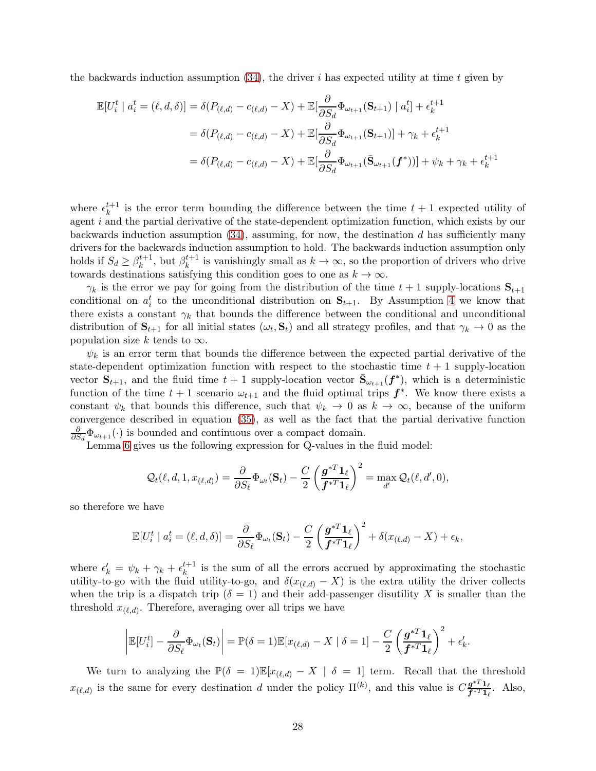the backwards induction assumption  $(34)$ , the driver i has expected utility at time t given by

$$
\mathbb{E}[U_i^t \mid a_i^t = (\ell, d, \delta)] = \delta(P_{(\ell, d)} - c_{(\ell, d)} - X) + \mathbb{E}[\frac{\partial}{\partial S_d} \Phi_{\omega_{t+1}}(\mathbf{S}_{t+1}) \mid a_i^t] + \epsilon_k^{t+1}
$$
  

$$
= \delta(P_{(\ell, d)} - c_{(\ell, d)} - X) + \mathbb{E}[\frac{\partial}{\partial S_d} \Phi_{\omega_{t+1}}(\mathbf{S}_{t+1})] + \gamma_k + \epsilon_k^{t+1}
$$
  

$$
= \delta(P_{(\ell, d)} - c_{(\ell, d)} - X) + \mathbb{E}[\frac{\partial}{\partial S_d} \Phi_{\omega_{t+1}}(\bar{\mathbf{S}}_{\omega_{t+1}}(\mathbf{f}^*))] + \psi_k + \gamma_k + \epsilon_k^{t+1}
$$

where  $\epsilon_k^{t+1}$  $\kappa^{t+1}$  is the error term bounding the difference between the time  $t+1$  expected utility of agent i and the partial derivative of the state-dependent optimization function, which exists by our backwards induction assumption  $(34)$ , assuming, for now, the destination d has sufficiently many drivers for the backwards induction assumption to hold. The backwards induction assumption only holds if  $S_d \geq \beta_k^{t+1}$ , but  $\beta_k^{t+1}$  is vanishingly small as  $k \to \infty$ , so the proportion of drivers who drive towards destinations satisfying this condition goes to one as  $k \to \infty$ .

 $\gamma_k$  is the error we pay for going from the distribution of the time  $t + 1$  supply-locations  $S_{t+1}$ conditional on  $a_i^t$  to the unconditional distribution on  $S_{t+1}$ . By Assumption 4 we know that there exists a constant  $\gamma_k$  that bounds the difference between the conditional and unconditional distribution of  $S_{t+1}$  for all initial states  $(\omega_t, S_t)$  and all strategy profiles, and that  $\gamma_k \to 0$  as the population size k tends to  $\infty$ .

 $\psi_k$  is an error term that bounds the difference between the expected partial derivative of the state-dependent optimization function with respect to the stochastic time  $t + 1$  supply-location vector  $S_{t+1}$ , and the fluid time  $t+1$  supply-location vector  $\bar{S}_{\omega_{t+1}}(f^*)$ , which is a deterministic function of the time  $t + 1$  scenario  $\omega_{t+1}$  and the fluid optimal trips  $f^*$ . We know there exists a constant  $\psi_k$  that bounds this difference, such that  $\psi_k \to 0$  as  $k \to \infty$ , because of the uniform convergence described in equation [\(35\)](#page-26-1), as well as the fact that the partial derivative function ∂  $\frac{\partial}{\partial S_d} \Phi_{\omega_{t+1}}(\cdot)$  is bounded and continuous over a compact domain.

Lemma [6](#page-16-2) gives us the following expression for Q-values in the fluid model:

$$
\mathcal{Q}_t(\ell, d, 1, x_{(\ell,d)}) = \frac{\partial}{\partial S_{\ell}} \Phi_{\omega_t}(\mathbf{S}_t) - \frac{C}{2} \left( \frac{\mathbf{g}^{*T} \mathbf{1}_{\ell}}{\mathbf{f}^{*T} \mathbf{1}_{\ell}} \right)^2 = \max_{d'} \mathcal{Q}_t(\ell, d', 0),
$$

so therefore we have

$$
\mathbb{E}[U_i^t \mid a_i^t = (\ell, d, \delta)] = \frac{\partial}{\partial S_{\ell}} \Phi_{\omega_t}(\mathbf{S}_t) - \frac{C}{2} \left(\frac{\mathbf{g}^{*T} \mathbf{1}_{\ell}}{\mathbf{f}^{*T} \mathbf{1}_{\ell}}\right)^2 + \delta(x_{(\ell, d)} - X) + \epsilon_k,
$$

where  $\epsilon'_{k} = \psi_{k} + \gamma_{k} + \epsilon_{k}^{t+1}$  $\kappa^{t+1}$  is the sum of all the errors accrued by approximating the stochastic utility-to-go with the fluid utility-to-go, and  $\delta(x_{(\ell,d)}-X)$  is the extra utility the driver collects when the trip is a dispatch trip ( $\delta = 1$ ) and their add-passenger disutility X is smaller than the threshold  $x_{(\ell,d)}$ . Therefore, averaging over all trips we have

$$
\left| \mathbb{E}[U_i^t] - \frac{\partial}{\partial S_{\ell}} \Phi_{\omega_t}(\mathbf{S}_t) \right| = \mathbb{P}(\delta = 1) \mathbb{E}[x_{(\ell,d)} - X \mid \delta = 1] - \frac{C}{2} \left( \frac{\mathbf{g}^{*T} \mathbf{1}_{\ell}}{\mathbf{f}^{*T} \mathbf{1}_{\ell}} \right)^2 + \epsilon'_k.
$$

We turn to analyzing the  $\mathbb{P}(\delta = 1)\mathbb{E}[x_{(\ell,d)} - X \mid \delta = 1]$  term. Recall that the threshold  $x_{(\ell,d)}$  is the same for every destination d under the policy  $\Pi^{(k)}$ , and this value is  $C\frac{\mathfrak{g}^{*T}\mathbf{1}_{\ell}}{\mathfrak{f}^{*T}\mathbf{1}_{\ell}}$  $\frac{g^{T} \cdot 1_{\ell}}{f^{*} T_{1_{\ell}}}$ . Also,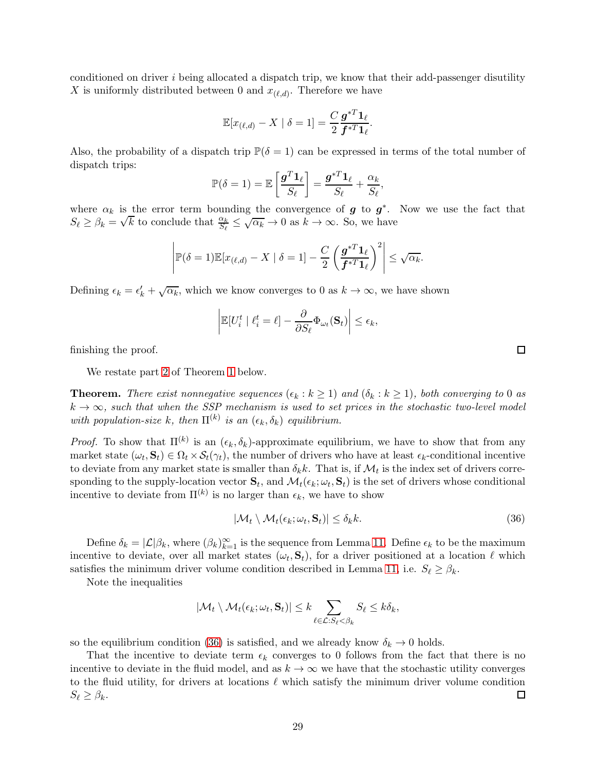conditioned on driver i being allocated a dispatch trip, we know that their add-passenger disutility X is uniformly distributed between 0 and  $x_{(\ell,d)}$ . Therefore we have

$$
\mathbb{E}[x_{(\ell,d)} - X \mid \delta = 1] = \frac{C}{2} \frac{\mathbf{g}^{*T} \mathbf{1}_{\ell}}{\mathbf{f}^{*T} \mathbf{1}_{\ell}}.
$$

Also, the probability of a dispatch trip  $\mathbb{P}(\delta = 1)$  can be expressed in terms of the total number of dispatch trips:

$$
\mathbb{P}(\delta=1) = \mathbb{E}\left[\frac{\boldsymbol{g}^T\boldsymbol{1}_{\ell}}{S_{\ell}}\right] = \frac{\boldsymbol{g}^{*T}\boldsymbol{1}_{\ell}}{S_{\ell}} + \frac{\alpha_k}{S_{\ell}},
$$

where  $\alpha_k$  is the error term bounding the convergence of **g** to **g**<sup>\*</sup>. Now we use the fact that  $S_{\ell} \geq \beta_k = \sqrt{k}$  to conclude that  $\frac{\alpha_k}{S_{\ell}} \leq \sqrt{\alpha_k} \to 0$  as  $k \to \infty$ . So, we have

$$
\left|\mathbb{P}(\delta=1)\mathbb{E}[x_{(\ell,d)}-X \mid \delta=1] - \frac{C}{2}\left(\frac{\boldsymbol{g}^{*T}\boldsymbol{1}_{\ell}}{\boldsymbol{f}^{*T}\boldsymbol{1}_{\ell}}\right)^2\right| \leq \sqrt{\alpha_k}.
$$

Defining  $\epsilon_k = \epsilon'_k + \sqrt{\alpha_k}$ , which we know converges to 0 as  $k \to \infty$ , we have shown

$$
\left| \mathbb{E}[U_i^t \mid \ell_i^t = \ell] - \frac{\partial}{\partial S_{\ell}} \Phi_{\omega_t}(\mathbf{S}_t) \right| \leq \epsilon_k,
$$

finishing the proof.

We restate part [2](#page-17-4) of Theorem [1](#page-17-2) below.

**Theorem.** There exist nonnegative sequences  $(\epsilon_k : k \ge 1)$  and  $(\delta_k : k \ge 1)$ , both converging to 0 as  $k \to \infty$ , such that when the SSP mechanism is used to set prices in the stochastic two-level model with population-size k, then  $\Pi^{(k)}$  is an  $(\epsilon_k, \delta_k)$  equilibrium.

*Proof.* To show that  $\Pi^{(k)}$  is an  $(\epsilon_k, \delta_k)$ -approximate equilibrium, we have to show that from any market state  $(\omega_t, \mathbf{S}_t) \in \Omega_t \times \mathcal{S}_t(\gamma_t)$ , the number of drivers who have at least  $\epsilon_k$ -conditional incentive to deviate from any market state is smaller than  $\delta_k k$ . That is, if  $\mathcal{M}_t$  is the index set of drivers corresponding to the supply-location vector  $\mathbf{S}_t$ , and  $\mathcal{M}_t(\epsilon_k; \omega_t, \mathbf{S}_t)$  is the set of drivers whose conditional incentive to deviate from  $\Pi^{(k)}$  is no larger than  $\epsilon_k$ , we have to show

<span id="page-28-0"></span>
$$
|\mathcal{M}_t \setminus \mathcal{M}_t(\epsilon_k; \omega_t, \mathbf{S}_t)| \le \delta_k k. \tag{36}
$$

Define  $\delta_k = |\mathcal{L}|\beta_k$ , where  $(\beta_k)_{k=1}^{\infty}$  is the sequence from Lemma [11.](#page-25-11) Define  $\epsilon_k$  to be the maximum incentive to deviate, over all market states  $(\omega_t, \mathbf{S}_t)$ , for a driver positioned at a location  $\ell$  which satisfies the minimum driver volume condition described in Lemma [11,](#page-25-11) i.e.  $S_{\ell} \geq \beta_k$ .

Note the inequalities

$$
|\mathcal{M}_t \setminus \mathcal{M}_t(\epsilon_k; \omega_t, \mathbf{S}_t)| \leq k \sum_{\ell \in \mathcal{L}: S_{\ell} < \beta_k} S_{\ell} \leq k \delta_k,
$$

so the equilibrium condition [\(36\)](#page-28-0) is satisfied, and we already know  $\delta_k \to 0$  holds.

That the incentive to deviate term  $\epsilon_k$  converges to 0 follows from the fact that there is no incentive to deviate in the fluid model, and as  $k \to \infty$  we have that the stochastic utility converges to the fluid utility, for drivers at locations  $\ell$  which satisfy the minimum driver volume condition  $\Box$  $S_{\ell} \geq \beta_k$ .

 $\Box$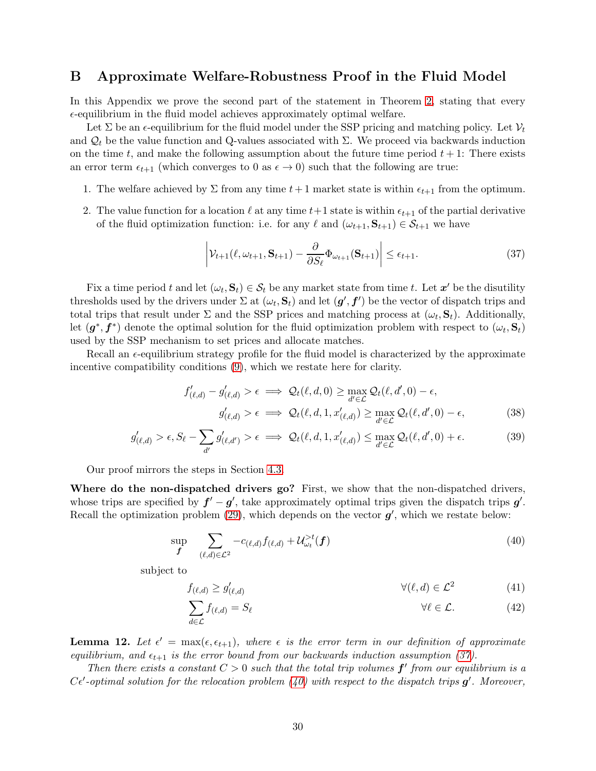# <span id="page-29-0"></span>B Approximate Welfare-Robustness Proof in the Fluid Model

In this Appendix we prove the second part of the statement in Theorem [2,](#page-18-0) stating that every  $\epsilon$ -equilibrium in the fluid model achieves approximately optimal welfare.

Let  $\Sigma$  be an  $\epsilon$ -equilibrium for the fluid model under the SSP pricing and matching policy. Let  $\mathcal{V}_t$ and  $\mathcal{Q}_t$  be the value function and Q-values associated with  $\Sigma$ . We proceed via backwards induction on the time t, and make the following assumption about the future time period  $t + 1$ : There exists an error term  $\epsilon_{t+1}$  (which converges to 0 as  $\epsilon \to 0$ ) such that the following are true:

- 1. The welfare achieved by  $\Sigma$  from any time  $t+1$  market state is within  $\epsilon_{t+1}$  from the optimum.
- 2. The value function for a location  $\ell$  at any time  $t+1$  state is within  $\epsilon_{t+1}$  of the partial derivative of the fluid optimization function: i.e. for any  $\ell$  and  $(\omega_{t+1}, \mathbf{S}_{t+1}) \in \mathcal{S}_{t+1}$  we have

<span id="page-29-1"></span>
$$
\left| \mathcal{V}_{t+1}(\ell, \omega_{t+1}, \mathbf{S}_{t+1}) - \frac{\partial}{\partial S_{\ell}} \Phi_{\omega_{t+1}}(\mathbf{S}_{t+1}) \right| \le \epsilon_{t+1}.
$$
\n(37)

Fix a time period t and let  $(\omega_t, \mathbf{S}_t) \in \mathcal{S}_t$  be any market state from time t. Let  $\mathbf{x}'$  be the disutility thresholds used by the drivers under  $\Sigma$  at  $(\omega_t, \mathbf{S}_t)$  and let  $(\mathbf{g}', \mathbf{f}')$  be the vector of dispatch trips and total trips that result under  $\Sigma$  and the SSP prices and matching process at  $(\omega_t, \mathbf{S}_t)$ . Additionally, let  $(g^*, f^*)$  denote the optimal solution for the fluid optimization problem with respect to  $(\omega_t, \mathbf{S}_t)$ used by the SSP mechanism to set prices and allocate matches.

Recall an  $\epsilon$ -equilibrium strategy profile for the fluid model is characterized by the approximate incentive compatibility conditions [\(9\)](#page-10-2), which we restate here for clarity.

<span id="page-29-3"></span>
$$
f'_{(\ell,d)} - g'_{(\ell,d)} > \epsilon \implies \mathcal{Q}_t(\ell,d,0) \ge \max_{d' \in \mathcal{L}} \mathcal{Q}_t(\ell,d',0) - \epsilon,
$$
  

$$
g'_{(\ell,d)} > \epsilon \implies \mathcal{Q}_t(\ell,d,1,x'_{(\ell,d)}) \ge \max_{d' \in \mathcal{L}} \mathcal{Q}_t(\ell,d',0) - \epsilon,
$$
 (38)

$$
g'_{(\ell,d)} > \epsilon, S_{\ell} - \sum_{d'} g'_{(\ell,d')} > \epsilon \implies \mathcal{Q}_{t}(\ell,d,1,x'_{(\ell,d)}) \le \max_{d' \in \mathcal{L}} \mathcal{Q}_{t}(\ell,d',0) + \epsilon. \tag{39}
$$

Our proof mirrors the steps in Section [4.3.](#page-19-1)

Where do the non-dispatched drivers go? First, we show that the non-dispatched drivers, whose trips are specified by  $f' - g'$ , take approximately optimal trips given the dispatch trips  $g'$ . Recall the optimization problem  $(29)$ , which depends on the vector  $g'$ , which we restate below:

$$
\sup_{\boldsymbol{f}} \quad \sum_{(\ell,d)\in\mathcal{L}^2} -c_{(\ell,d)} f_{(\ell,d)} + \mathcal{U}_{\omega_t}^{>t}(\boldsymbol{f}) \tag{40}
$$

subject to

<span id="page-29-2"></span>
$$
f_{(\ell,d)} \ge g'_{(\ell,d)} \qquad \qquad \forall (\ell,d) \in \mathcal{L}^2 \tag{41}
$$

$$
\sum_{d \in \mathcal{L}} f_{(\ell,d)} = S_{\ell} \qquad \forall \ell \in \mathcal{L}.
$$
 (42)

<span id="page-29-4"></span>**Lemma 12.** Let  $\epsilon' = \max(\epsilon, \epsilon_{t+1}),$  where  $\epsilon$  is the error term in our definition of approximate equilibrium, and  $\epsilon_{t+1}$  is the error bound from our backwards induction assumption [\(37\)](#page-29-1).

Then there exists a constant  $C > 0$  such that the total trip volumes  $f'$  from our equilibrium is a  $C\epsilon'$ -optimal solution for the relocation problem [\(40\)](#page-29-2) with respect to the dispatch trips  $g'$ . Moreover,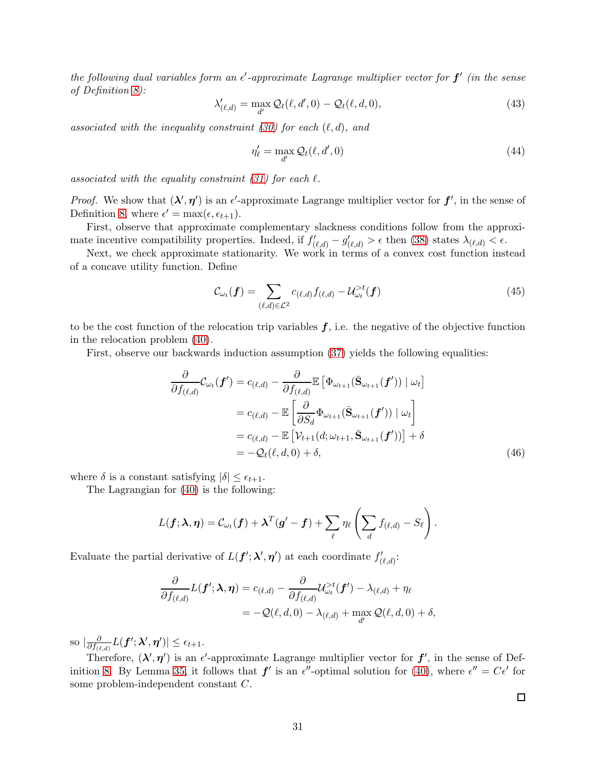the following dual variables form an  $\epsilon'$ -approximate Lagrange multiplier vector for  $f'$  (in the sense of Definition [8\)](#page-70-0):

$$
\lambda'_{(\ell,d)} = \max_{d'} \mathcal{Q}_t(\ell,d',0) - \mathcal{Q}_t(\ell,d,0),\tag{43}
$$

associated with the inequality constraint [\(30\)](#page-19-3) for each  $(\ell, d)$ , and

$$
\eta'_{\ell} = \max_{d'} \mathcal{Q}_t(\ell, d', 0) \tag{44}
$$

associated with the equality constraint  $(31)$  for each  $\ell$ .

*Proof.* We show that  $(\lambda', \eta')$  is an  $\epsilon'$ -approximate Lagrange multiplier vector for  $f'$ , in the sense of Definition [8,](#page-70-0) where  $\epsilon' = \max(\epsilon, \epsilon_{t+1}).$ 

First, observe that approximate complementary slackness conditions follow from the approximate incentive compatibility properties. Indeed, if  $f'_{(\ell,d)} - g'_{(\ell,d)} > \epsilon$  then [\(38\)](#page-29-3) states  $\lambda_{(\ell,d)} < \epsilon$ .

Next, we check approximate stationarity. We work in terms of a convex cost function instead of a concave utility function. Define

$$
\mathcal{C}_{\omega_t}(\boldsymbol{f}) = \sum_{(\ell,d)\in\mathcal{L}^2} c_{(\ell,d)} f_{(\ell,d)} - \mathcal{U}_{\omega_t}^{>t}(\boldsymbol{f})
$$
(45)

to be the cost function of the relocation trip variables  $f$ , i.e. the negative of the objective function in the relocation problem [\(40\)](#page-29-2).

First, observe our backwards induction assumption [\(37\)](#page-29-1) yields the following equalities:

$$
\frac{\partial}{\partial f_{(\ell,d)}} \mathcal{C}_{\omega_t}(\boldsymbol{f}') = c_{(\ell,d)} - \frac{\partial}{\partial f_{(\ell,d)}} \mathbb{E} \left[ \Phi_{\omega_{t+1}}(\bar{\mathbf{S}}_{\omega_{t+1}}(\boldsymbol{f}')) \mid \omega_t \right]
$$
\n
$$
= c_{(\ell,d)} - \mathbb{E} \left[ \frac{\partial}{\partial S_d} \Phi_{\omega_{t+1}}(\bar{\mathbf{S}}_{\omega_{t+1}}(\boldsymbol{f}')) \mid \omega_t \right]
$$
\n
$$
= c_{(\ell,d)} - \mathbb{E} \left[ \mathcal{V}_{t+1}(d; \omega_{t+1}, \bar{\mathbf{S}}_{\omega_{t+1}}(\boldsymbol{f}')) \right] + \delta
$$
\n
$$
= -\mathcal{Q}_t(\ell, d, 0) + \delta,
$$
\n(46)

where  $\delta$  is a constant satisfying  $|\delta| \leq \epsilon_{t+1}$ .

The Lagrangian for [\(40\)](#page-29-2) is the following:

$$
L(\boldsymbol{f}; \boldsymbol{\lambda}, \boldsymbol{\eta}) = C_{\omega_t}(\boldsymbol{f}) + \boldsymbol{\lambda}^T(\boldsymbol{g}' - \boldsymbol{f}) + \sum_{\ell} \eta_{\ell} \left( \sum_{d} f_{(\ell, d)} - S_{\ell} \right).
$$

Evaluate the partial derivative of  $L(f'; \lambda', \eta')$  at each coordinate  $f'_{(\ell,d)}$ :

$$
\frac{\partial}{\partial f_{(\ell,d)}}L(\boldsymbol{f}';\boldsymbol{\lambda},\boldsymbol{\eta})=c_{(\ell,d)}-\frac{\partial}{\partial f_{(\ell,d)}}\mathcal{U}_{\omega_t}^{>t}(\boldsymbol{f}')-\lambda_{(\ell,d)}+\eta_{\ell}
$$
\n
$$
=-\mathcal{Q}(\ell,d,0)-\lambda_{(\ell,d)}+\max_{d'}\mathcal{Q}(\ell,d,0)+\delta,
$$

so  $| \frac{\partial}{\partial f_{(\ell)}}$  $\frac{\partial}{\partial f_{(\ell,d)}} L(\boldsymbol{f}'; \boldsymbol{\lambda}', \boldsymbol{\eta}') ] \leq \epsilon_{t+1}.$ 

Therefore,  $(\lambda', \eta')$  is an  $\epsilon'$ -approximate Lagrange multiplier vector for  $f'$ , in the sense of Def-inition [8.](#page-70-0) By Lemma [35,](#page-70-1) it follows that  $f'$  is an  $\epsilon''$ -optimal solution for [\(40\)](#page-29-2), where  $\epsilon'' = C\epsilon'$  for some problem-independent constant C.

<span id="page-30-0"></span> $\Box$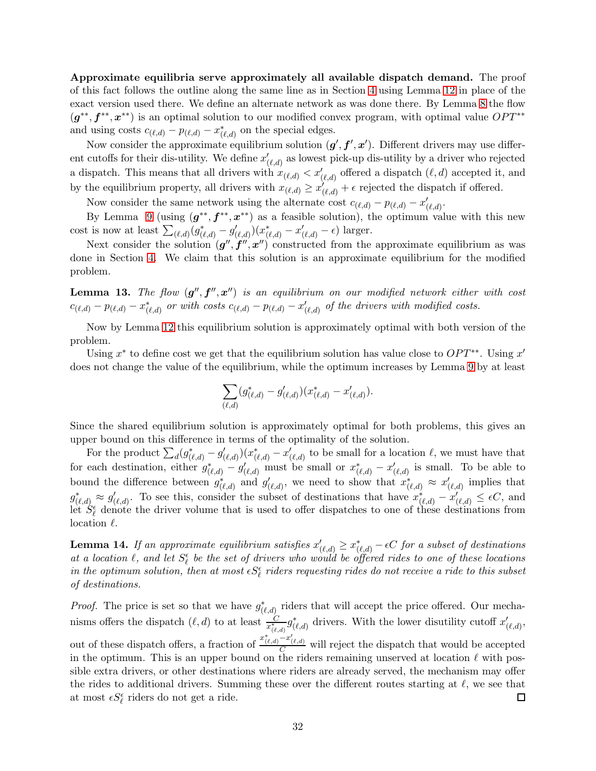Approximate equilibria serve approximately all available dispatch demand. The proof of this fact follows the outline along the same line as in Section [4](#page-14-0) using Lemma [12](#page-29-4) in place of the exact version used there. We define an alternate network as was done there. By Lemma [8](#page-21-1) the flow  $(g^{**}, f^{**}, x^{**})$  is an optimal solution to our modified convex program, with optimal value  $OPT^{**}$ and using costs  $c_{(\ell,d)} - p_{(\ell,d)} - x^*_{(\ell,d)}$  on the special edges.

Now consider the approximate equilibrium solution  $(g', f', x')$ . Different drivers may use different cutoffs for their dis-utility. We define  $x'_{(\ell,d)}$  as lowest pick-up dis-utility by a driver who rejected a dispatch. This means that all drivers with  $x_{(\ell,d)} < x'_{(\ell,d)}$  offered a dispatch  $(\ell, d)$  accepted it, and by the equilibrium property, all drivers with  $x_{(\ell,d)} \geq x'_{(\ell,d)} + \epsilon$  rejected the dispatch if offered.

Now consider the same network using the alternate cost  $c_{(\ell,d)} - p_{(\ell,d)} - x'_{(\ell,d)}$ .

By Lemma [9](#page-21-0) (using  $(g^{**}, f^{**}, x^{**})$  as a feasible solution), the optimum value with this new cost is now at least  $\sum_{(\ell,d)} (g_{(\ell,d)}^* - g_{(\ell,d)}') (x_{(\ell,d)}^* - x_{(\ell,d)}' - \epsilon)$  larger.

Next consider the solution  $(g'', f'', x'')$  constructed from the approximate equilibrium as was done in Section [4.](#page-14-0) We claim that this solution is an approximate equilibrium for the modified problem.

**Lemma 13.** The flow  $(g'', f'', x'')$  is an equilibrium on our modified network either with cost  $c_{(\ell,d)} - p_{(\ell,d)} - x^*_{(\ell,d)}$  or with costs  $c_{(\ell,d)} - p_{(\ell,d)} - x'_{(\ell,d)}$  of the drivers with modified costs.

Now by Lemma [12](#page-29-4) this equilibrium solution is approximately optimal with both version of the problem.

Using  $x^*$  to define cost we get that the equilibrium solution has value close to  $OPT^{**}$ . Using  $x'$ does not change the value of the equilibrium, while the optimum increases by Lemma [9](#page-21-0) by at least

$$
\sum_{(\ell,d)} (g_{(\ell,d)}^* - g_{(\ell,d)}')(x_{(\ell,d)}^* - x_{(\ell,d)}').
$$

Since the shared equilibrium solution is approximately optimal for both problems, this gives an upper bound on this difference in terms of the optimality of the solution.

For the product  $\sum_d (g^*_{(\ell,d)} - g'_{(\ell,d)})(x^*_{(\ell,d)} - x'_{(\ell,d)}$  to be small for a location  $\ell$ , we must have that for each destination, either  $g^*_{(\ell,d)} - g'_{(\ell,d)}$  must be small or  $x^*_{(\ell,d)} - x'_{(\ell,d)}$  is small. To be able to bound the difference between  $g^*_{(\ell,d)}$  and  $g'_{(\ell,d)}$ , we need to show that  $x^*_{(\ell,d)} \approx x'_{(\ell,d)}$  implies that  $g^*_{(\ell,d)} \approx g'_{(\ell,d)}$ . To see this, consider the subset of destinations that have  $x^*_{(\ell,d)} - x'_{(\ell,d)} \leq \epsilon C$ , and let  $S_{\ell}^{\epsilon}$  denote the driver volume that is used to offer dispatches to one of these destinations from location  $\ell$ .

**Lemma 14.** If an approximate equilibrium satisfies  $x'_{(\ell,d)} \geq x^*_{(\ell,d)} - \epsilon C$  for a subset of destinations at a location  $\ell$ , and let  $S_{\ell}^{\epsilon}$  be the set of drivers who would be offered rides to one of these locations in the optimum solution, then at most  $\epsilon S_\ell^\epsilon$  riders requesting rides do not receive a ride to this subset of destinations.

*Proof.* The price is set so that we have  $g^*_{(\ell,d)}$  riders that will accept the price offered. Our mechanisms offers the dispatch  $(\ell, d)$  to at least  $\frac{C}{x_{(\ell,d)}^*} g_{(\ell,d)}^*$  drivers. With the lower disutility cutoff  $x'_{(\ell,d)}$ , out of these dispatch offers, a fraction of  $\frac{x_{(\ell,d)}^* - x_{(\ell,d)}^*}{C}$  will reject the dispatch that would be accepted in the optimum. This is an upper bound on the riders remaining unserved at location  $\ell$  with possible extra drivers, or other destinations where riders are already served, the mechanism may offer the rides to additional drivers. Summing these over the different routes starting at  $\ell$ , we see that at most  $\epsilon S_\ell^\epsilon$ riders do not get a ride.  $\Box$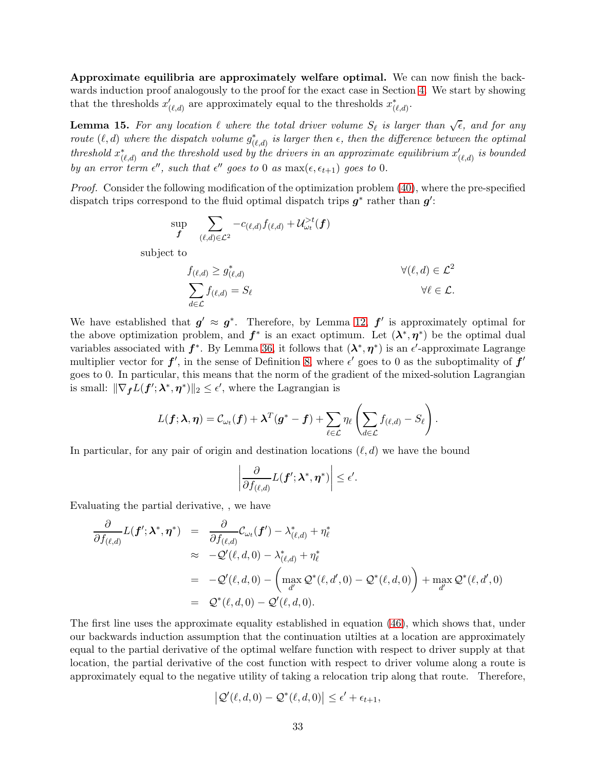Approximate equilibria are approximately welfare optimal. We can now finish the backwards induction proof analogously to the proof for the exact case in Section [4.](#page-14-0) We start by showing that the thresholds  $x'_{(\ell,d)}$  are approximately equal to the thresholds  $x^*_{(\ell,d)}$ .

<span id="page-32-0"></span>**Lemma 15.** For any location  $\ell$  where the total driver volume  $S_{\ell}$  is larger than  $\sqrt{\epsilon}$ , and for any route  $(\ell, d)$  where the dispatch volume  $g^*_{(\ell,d)}$  is larger then  $\epsilon$ , then the difference between the optimal threshold  $x^*_{(\ell,d)}$  and the threshold used by the drivers in an approximate equilibrium  $x'_{(\ell,d)}$  is bounded by an error term  $\epsilon''$ , such that  $\epsilon''$  goes to 0 as max $(\epsilon, \epsilon_{t+1})$  goes to 0.

Proof. Consider the following modification of the optimization problem [\(40\)](#page-29-2), where the pre-specified dispatch trips correspond to the fluid optimal dispatch trips  $g^*$  rather than  $g'$ :

$$
\sup_{\boldsymbol{f}} \quad \sum_{(\ell, d) \in \mathcal{L}^2} -c_{(\ell, d)} f_{(\ell, d)} + \mathcal{U}^{>t}_{\omega_t}(\boldsymbol{f})
$$

subject to

$$
f_{(\ell,d)} \geq g_{(\ell,d)}^* \n\sum_{d \in \mathcal{L}} f_{(\ell,d)} = S_{\ell} \qquad \forall (\ell,d) \in \mathcal{L}^2 \n\forall \ell \in \mathcal{L}.
$$

We have established that  $g' \approx g^*$ . Therefore, by Lemma [12,](#page-29-4)  $f'$  is approximately optimal for the above optimization problem, and  $f^*$  is an exact optimum. Let  $(\lambda^*, \eta^*)$  be the optimal dual variables associated with  $f^*$ . By Lemma [36,](#page-71-0) it follows that  $(\lambda^*, \eta^*)$  is an  $\epsilon'$ -approximate Lagrange multiplier vector for  $f'$ , in the sense of Definition [8,](#page-70-0) where  $\epsilon'$  goes to 0 as the suboptimality of  $f'$ goes to 0. In particular, this means that the norm of the gradient of the mixed-solution Lagrangian is small:  $\|\nabla_{f}L(f'; \lambda^*, \eta^*)\|_2 \leq \epsilon'$ , where the Lagrangian is

$$
L(\boldsymbol{f}; \boldsymbol{\lambda}, \boldsymbol{\eta}) = C_{\omega_t}(\boldsymbol{f}) + \boldsymbol{\lambda}^T(\boldsymbol{g}^* - \boldsymbol{f}) + \sum_{\ell \in \mathcal{L}} \eta_\ell \left( \sum_{d \in \mathcal{L}} f_{(\ell, d)} - S_\ell \right).
$$

In particular, for any pair of origin and destination locations  $(\ell, d)$  we have the bound

$$
\left|\frac{\partial}{\partial f_{(\ell,d)}}L(\boldsymbol{f}';\boldsymbol{\lambda}^*,\boldsymbol{\eta}^*)\right|\leq\epsilon'.
$$

Evaluating the partial derivative, , we have

$$
\frac{\partial}{\partial f_{(\ell,d)}} L(\boldsymbol{f}'; \boldsymbol{\lambda}^*, \boldsymbol{\eta}^*) = \frac{\partial}{\partial f_{(\ell,d)}} C_{\omega_t}(\boldsymbol{f}') - \lambda_{(\ell,d)}^* + \eta_{\ell}^* \n\approx -Q'(\ell, d, 0) - \lambda_{(\ell,d)}^* + \eta_{\ell}^* \n= -Q'(\ell, d, 0) - \left( \max_{d'} Q^*(\ell, d', 0) - Q^*(\ell, d, 0) \right) + \max_{d'} Q^*(\ell, d', 0) \n= Q^*(\ell, d, 0) - Q'(\ell, d, 0).
$$

The first line uses the approximate equality established in equation [\(46\)](#page-30-0), which shows that, under our backwards induction assumption that the continuation utilties at a location are approximately equal to the partial derivative of the optimal welfare function with respect to driver supply at that location, the partial derivative of the cost function with respect to driver volume along a route is approximately equal to the negative utility of taking a relocation trip along that route. Therefore,

$$
\left| \mathcal{Q}'(\ell, d, 0) - \mathcal{Q}^*(\ell, d, 0) \right| \le \epsilon' + \epsilon_{t+1},
$$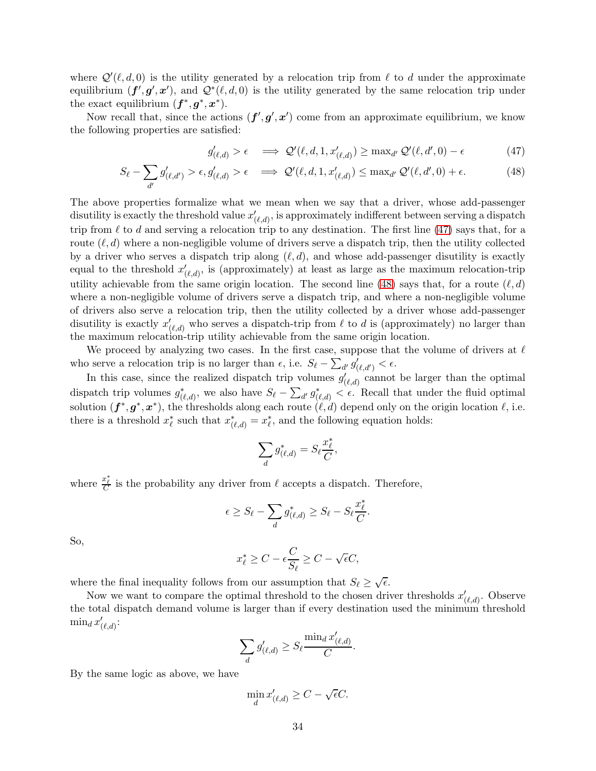where  $\mathcal{Q}'(\ell, d, 0)$  is the utility generated by a relocation trip from  $\ell$  to d under the approximate equilibrium  $(f', g', x')$ , and  $\mathcal{Q}^*(\ell, d, 0)$  is the utility generated by the same relocation trip under the exact equilibrium  $(f^*, g^*, x^*)$ .

Now recall that, since the actions  $(f', g', x')$  come from an approximate equilibrium, we know the following properties are satisfied:

<span id="page-33-0"></span>
$$
g'_{(\ell,d)} > \epsilon \implies \mathcal{Q}'(\ell,d,1,x'_{(\ell,d)}) \ge \max_{d'} \mathcal{Q}'(\ell,d',0) - \epsilon \tag{47}
$$

$$
S_{\ell} - \sum_{d'} g'_{(\ell, d')} > \epsilon, g'_{(\ell, d)} > \epsilon \implies \mathcal{Q}'(\ell, d, 1, x'_{(\ell, d)}) \le \max_{d'} \mathcal{Q}'(\ell, d', 0) + \epsilon. \tag{48}
$$

The above properties formalize what we mean when we say that a driver, whose add-passenger disutility is exactly the threshold value  $x'_{(\ell,d)}$ , is approximately indifferent between serving a dispatch trip from  $\ell$  to d and serving a relocation trip to any destination. The first line [\(47\)](#page-33-0) says that, for a route  $(\ell, d)$  where a non-negligible volume of drivers serve a dispatch trip, then the utility collected by a driver who serves a dispatch trip along  $(\ell, d)$ , and whose add-passenger disutility is exactly equal to the threshold  $x'_{(\ell,d)}$ , is (approximately) at least as large as the maximum relocation-trip utility achievable from the same origin location. The second line [\(48\)](#page-33-0) says that, for a route  $(\ell, d)$ where a non-negligible volume of drivers serve a dispatch trip, and where a non-negligible volume of drivers also serve a relocation trip, then the utility collected by a driver whose add-passenger disutility is exactly  $x'_{(\ell,d)}$  who serves a dispatch-trip from  $\ell$  to d is (approximately) no larger than the maximum relocation-trip utility achievable from the same origin location.

We proceed by analyzing two cases. In the first case, suppose that the volume of drivers at  $\ell$ who serve a relocation trip is no larger than  $\epsilon$ , i.e.  $S_{\ell} - \sum_{d'} g'_{(\ell, d')} < \epsilon$ .

In this case, since the realized dispatch trip volumes  $g'_{(\ell,d)}$  cannot be larger than the optimal dispatch trip volumes  $g^*_{(\ell,d)}$ , we also have  $S_{\ell} - \sum_{d'} g^*_{(\ell,d)} < \epsilon$ . Recall that under the fluid optimal solution  $(f^*, g^*, x^*)$ , the thresholds along each route  $(\ell, d)$  depend only on the origin location  $\ell$ , i.e. there is a threshold  $x_{\ell}^*$  such that  $x_{(\ell,d)}^* = x_{\ell}^*$ , and the following equation holds:

$$
\sum_d g^*_{(\ell,d)} = S_\ell \frac{x^*_\ell}{C},
$$

where  $\frac{x_{\ell}^{*}}{C}$  is the probability any driver from  $\ell$  accepts a dispatch. Therefore,

$$
\epsilon \geq S_{\ell} - \sum_{d} g_{(\ell,d)}^* \geq S_{\ell} - S_{\ell} \frac{x_{\ell}^*}{C}.
$$

So,

$$
x_{\ell}^* \ge C - \epsilon \frac{C}{S_{\ell}} \ge C - \sqrt{\epsilon}C,
$$

where the final inequality follows from our assumption that  $S_{\ell} \geq \sqrt{\epsilon}$ .

Now we want to compare the optimal threshold to the chosen driver thresholds  $x'_{(\ell,d)}$ . Observe the total dispatch demand volume is larger than if every destination used the minimum threshold  $\min_d x'_{(\ell,d)}$ :

$$
\sum_{d} g'_{(\ell,d)} \geq S_{\ell} \frac{\min_{d} x'_{(\ell,d)}}{C}.
$$

By the same logic as above, we have

$$
\min_{d} x'_{(\ell,d)} \ge C - \sqrt{\epsilon}C.
$$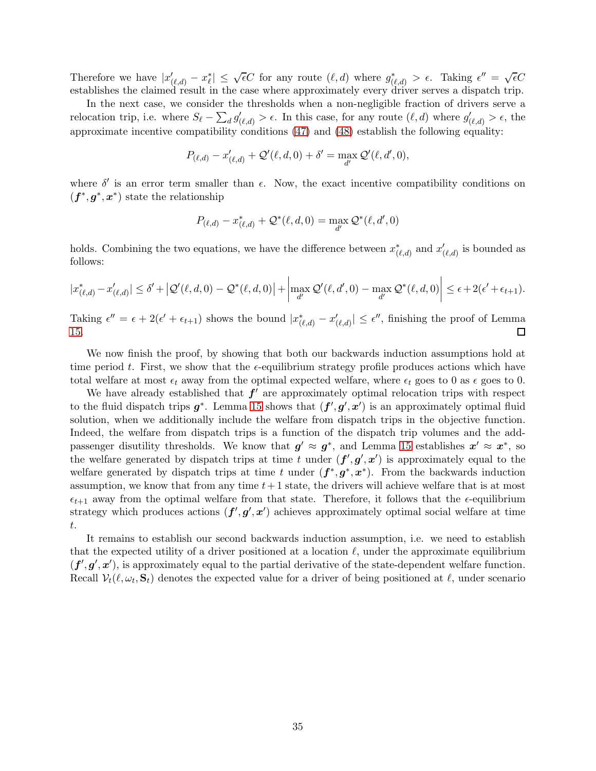Therefore we have  $|x'_{(\ell,d)} - x_{\ell}^*| \leq \sqrt{\epsilon}C$  for any route  $(\ell, d)$  where  $g^*_{(\ell,d)} > \epsilon$ . Taking  $\epsilon'' = \sqrt{\epsilon}C$ establishes the claimed result in the case where approximately every driver serves a dispatch trip.

In the next case, we consider the thresholds when a non-negligible fraction of drivers serve a relocation trip, i.e. where  $S_{\ell} - \sum_{d} g'_{(\ell,d)} > \epsilon$ . In this case, for any route  $(\ell, d)$  where  $g'_{(\ell,d)} > \epsilon$ , the approximate incentive compatibility conditions [\(47\)](#page-33-0) and [\(48\)](#page-33-0) establish the following equality:

$$
P_{(\ell,d)} - x'_{(\ell,d)} + \mathcal{Q}'(\ell,d,0) + \delta' = \max_{d'} \mathcal{Q}'(\ell,d',0),
$$

where  $\delta'$  is an error term smaller than  $\epsilon$ . Now, the exact incentive compatibility conditions on  $(f^*, g^*, x^*)$  state the relationship

$$
P_{(\ell,d)} - x_{(\ell,d)}^* + \mathcal{Q}^*(\ell,d,0) = \max_{d'} \mathcal{Q}^*(\ell,d',0)
$$

holds. Combining the two equations, we have the difference between  $x^*_{(\ell,d)}$  and  $x'_{(\ell,d)}$  is bounded as follows:

$$
|x_{(\ell,d)}^* - x_{(\ell,d)}'| \le \delta' + |\mathcal{Q}'(\ell,d,0) - \mathcal{Q}^*(\ell,d,0)| + \left| \max_{d'} \mathcal{Q}'(\ell,d',0) - \max_{d'} \mathcal{Q}^*(\ell,d,0) \right| \le \epsilon + 2(\epsilon' + \epsilon_{t+1}).
$$

Taking  $\epsilon'' = \epsilon + 2(\epsilon' + \epsilon_{t+1})$  shows the bound  $|x^*_{(\ell,d)} - x'_{(\ell,d)}| \leq \epsilon''$ , finishing the proof of Lemma [15.](#page-32-0)  $\Box$ 

We now finish the proof, by showing that both our backwards induction assumptions hold at time period t. First, we show that the  $\epsilon$ -equilibrium strategy profile produces actions which have total welfare at most  $\epsilon_t$  away from the optimal expected welfare, where  $\epsilon_t$  goes to 0 as  $\epsilon$  goes to 0.

We have already established that  $f'$  are approximately optimal relocation trips with respect to the fluid dispatch trips  $g^*$ . Lemma [15](#page-32-0) shows that  $(f', g', x')$  is an approximately optimal fluid solution, when we additionally include the welfare from dispatch trips in the objective function. Indeed, the welfare from dispatch trips is a function of the dispatch trip volumes and the addpassenger disutility thresholds. We know that  $g' \approx g^*$ , and Lemma [15](#page-32-0) establishes  $x' \approx x^*$ , so the welfare generated by dispatch trips at time t under  $(f', g', x')$  is approximately equal to the welfare generated by dispatch trips at time t under  $(f^*, g^*, x^*)$ . From the backwards induction assumption, we know that from any time  $t+1$  state, the drivers will achieve welfare that is at most  $\epsilon_{t+1}$  away from the optimal welfare from that state. Therefore, it follows that the  $\epsilon$ -equilibrium strategy which produces actions  $(f', g', x')$  achieves approximately optimal social welfare at time t.

It remains to establish our second backwards induction assumption, i.e. we need to establish that the expected utility of a driver positioned at a location  $\ell$ , under the approximate equilibrium  $(f', g', x')$ , is approximately equal to the partial derivative of the state-dependent welfare function. Recall  $\mathcal{V}_t(\ell, \omega_t, \mathbf{S}_t)$  denotes the expected value for a driver of being positioned at  $\ell$ , under scenario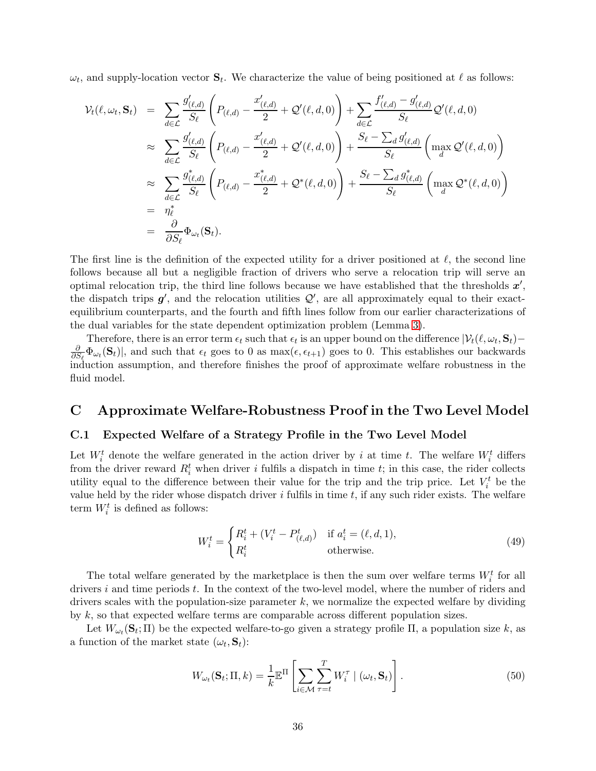$\omega_t$ , and supply-location vector  $\mathbf{S}_t$ . We characterize the value of being positioned at  $\ell$  as follows:

$$
\mathcal{V}_{t}(\ell,\omega_{t},\mathbf{S}_{t}) = \sum_{d\in\mathcal{L}} \frac{g'_{(\ell,d)}}{S_{\ell}} \left( P_{(\ell,d)} - \frac{x'_{(\ell,d)}}{2} + \mathcal{Q}'(\ell,d,0) \right) + \sum_{d\in\mathcal{L}} \frac{f'_{(\ell,d)} - g'_{(\ell,d)}}{S_{\ell}} \mathcal{Q}'(\ell,d,0)
$$
  
\n
$$
\approx \sum_{d\in\mathcal{L}} \frac{g'_{(\ell,d)}}{S_{\ell}} \left( P_{(\ell,d)} - \frac{x'_{(\ell,d)}}{2} + \mathcal{Q}'(\ell,d,0) \right) + \frac{S_{\ell} - \sum_{d} g'_{(\ell,d)}}{S_{\ell}} \left( \max_{d} \mathcal{Q}'(\ell,d,0) \right)
$$
  
\n
$$
\approx \sum_{d\in\mathcal{L}} \frac{g_{(\ell,d)}^*}{S_{\ell}} \left( P_{(\ell,d)} - \frac{x^*_{(\ell,d)}}{2} + \mathcal{Q}^*(\ell,d,0) \right) + \frac{S_{\ell} - \sum_{d} g'_{(\ell,d)}}{S_{\ell}} \left( \max_{d} \mathcal{Q}^*(\ell,d,0) \right)
$$
  
\n
$$
= \eta_{\ell}^*
$$
  
\n
$$
= \frac{\partial}{\partial S_{\ell}} \Phi_{\omega_{t}}(\mathbf{S}_{t}).
$$

The first line is the definition of the expected utility for a driver positioned at  $\ell$ , the second line follows because all but a negligible fraction of drivers who serve a relocation trip will serve an optimal relocation trip, the third line follows because we have established that the thresholds  $x'$ , the dispatch trips  $g'$ , and the relocation utilities  $\mathcal{Q}'$ , are all approximately equal to their exactequilibrium counterparts, and the fourth and fifth lines follow from our earlier characterizations of the dual variables for the state dependent optimization problem (Lemma [3\)](#page-13-0).

Therefore, there is an error term  $\epsilon_t$  such that  $\epsilon_t$  is an upper bound on the difference  $|\mathcal{V}_t(\ell,\omega_t,\mathbf{S}_t) -$ ∂  $\frac{\partial}{\partial S_{\ell}}\Phi_{\omega_t}(\mathbf{S}_t)|$ , and such that  $\epsilon_t$  goes to 0 as max( $\epsilon, \epsilon_{t+1}$ ) goes to 0. This establishes our backwards induction assumption, and therefore finishes the proof of approximate welfare robustness in the fluid model.

# <span id="page-35-1"></span>C Approximate Welfare-Robustness Proof in the Two Level Model

#### <span id="page-35-0"></span>C.1 Expected Welfare of a Strategy Profile in the Two Level Model

Let  $W_i^t$  denote the welfare generated in the action driver by i at time t. The welfare  $W_i^t$  differs from the driver reward  $R_i^t$  when driver i fulfils a dispatch in time t; in this case, the rider collects utility equal to the difference between their value for the trip and the trip price. Let  $V_i^t$  be the value held by the rider whose dispatch driver  $i$  fulfils in time  $t$ , if any such rider exists. The welfare term  $W_i^t$  is defined as follows:

$$
W_i^t = \begin{cases} R_i^t + (V_i^t - P_{(\ell,d)}^t) & \text{if } a_i^t = (\ell, d, 1), \\ R_i^t & \text{otherwise.} \end{cases}
$$
(49)

The total welfare generated by the marketplace is then the sum over welfare terms  $W_i^t$  for all drivers i and time periods t. In the context of the two-level model, where the number of riders and drivers scales with the population-size parameter  $k$ , we normalize the expected welfare by dividing by  $k$ , so that expected welfare terms are comparable across different population sizes.

Let  $W_{\omega_t}(\mathbf{S}_t; \Pi)$  be the expected welfare-to-go given a strategy profile  $\Pi$ , a population size k, as a function of the market state  $(\omega_t, \mathbf{S}_t)$ :

$$
W_{\omega_t}(\mathbf{S}_t; \Pi, k) = \frac{1}{k} \mathbb{E}^{\Pi} \left[ \sum_{i \in \mathcal{M}} \sum_{\tau=t}^T W_i^{\tau} \mid (\omega_t, \mathbf{S}_t) \right]. \tag{50}
$$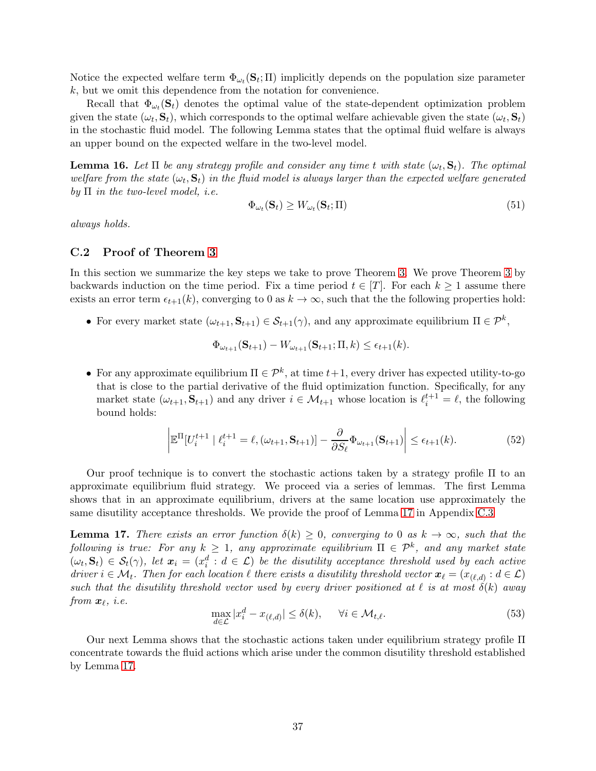Notice the expected welfare term  $\Phi_{\omega_t}(\mathbf{S}_t; \Pi)$  implicitly depends on the population size parameter k, but we omit this dependence from the notation for convenience.

Recall that  $\Phi_{\omega_t}(\mathbf{s}_t)$  denotes the optimal value of the state-dependent optimization problem given the state  $(\omega_t, \mathbf{S}_t)$ , which corresponds to the optimal welfare achievable given the state  $(\omega_t, \mathbf{S}_t)$ in the stochastic fluid model. The following Lemma states that the optimal fluid welfare is always an upper bound on the expected welfare in the two-level model.

**Lemma 16.** Let  $\Pi$  be any strategy profile and consider any time t with state  $(\omega_t, \mathbf{S}_t)$ . The optimal welfare from the state  $(\omega_t, \mathbf{S}_t)$  in the fluid model is always larger than the expected welfare generated by  $\Pi$  in the two-level model, i.e.

$$
\Phi_{\omega_t}(\mathbf{S}_t) \ge W_{\omega_t}(\mathbf{S}_t; \Pi) \tag{51}
$$

always holds.

## C.2 Proof of Theorem [3](#page-19-0)

In this section we summarize the key steps we take to prove Theorem [3.](#page-19-0) We prove Theorem [3](#page-19-0) by backwards induction on the time period. Fix a time period  $t \in [T]$ . For each  $k \geq 1$  assume there exists an error term  $\epsilon_{t+1}(k)$ , converging to 0 as  $k \to \infty$ , such that the the following properties hold:

• For every market state  $(\omega_{t+1}, \mathbf{S}_{t+1}) \in \mathcal{S}_{t+1}(\gamma)$ , and any approximate equilibrium  $\Pi \in \mathcal{P}^k$ ,

$$
\Phi_{\omega_{t+1}}(\mathbf{S}_{t+1}) - W_{\omega_{t+1}}(\mathbf{S}_{t+1}; \Pi, k) \le \epsilon_{t+1}(k).
$$

• For any approximate equilibrium  $\Pi \in \mathcal{P}^k$ , at time  $t+1$ , every driver has expected utility-to-go that is close to the partial derivative of the fluid optimization function. Specifically, for any market state  $(\omega_{t+1}, \mathbf{S}_{t+1})$  and any driver  $i \in \mathcal{M}_{t+1}$  whose location is  $\ell_i^{t+1} = \ell$ , the following bound holds:

<span id="page-36-1"></span>
$$
\left| \mathbb{E}^{\Pi}[U_i^{t+1} \mid \ell_i^{t+1} = \ell, (\omega_{t+1}, \mathbf{S}_{t+1})] - \frac{\partial}{\partial S_{\ell}} \Phi_{\omega_{t+1}}(\mathbf{S}_{t+1}) \right| \le \epsilon_{t+1}(k). \tag{52}
$$

Our proof technique is to convert the stochastic actions taken by a strategy profile Π to an approximate equilibrium fluid strategy. We proceed via a series of lemmas. The first Lemma shows that in an approximate equilibrium, drivers at the same location use approximately the same disutility acceptance thresholds. We provide the proof of Lemma [17](#page-36-0) in Appendix [C.3](#page-38-0)

<span id="page-36-0"></span>**Lemma 17.** There exists an error function  $\delta(k) \geq 0$ , converging to 0 as  $k \to \infty$ , such that the following is true: For any  $k \geq 1$ , any approximate equilibrium  $\Pi \in \mathcal{P}^k$ , and any market state  $(\omega_t, \mathbf{S}_t) \in S_t(\gamma)$ , let  $\mathbf{x}_i = (x_i^d : d \in \mathcal{L})$  be the disutility acceptance threshold used by each active driver  $i \in M_t$ . Then for each location  $\ell$  there exists a disutility threshold vector  $\bm{x}_{\ell} = (x_{(\ell,d)} : d \in \mathcal{L})$ such that the disutility threshold vector used by every driver positioned at  $\ell$  is at most  $\delta(k)$  away from  $\boldsymbol{x}_{\ell}, \ i.e.$ 

$$
\max_{d \in \mathcal{L}} |x_i^d - x_{(\ell, d)}| \le \delta(k), \qquad \forall i \in \mathcal{M}_{t, \ell}.\tag{53}
$$

Our next Lemma shows that the stochastic actions taken under equilibrium strategy profile Π concentrate towards the fluid actions which arise under the common disutility threshold established by Lemma [17.](#page-36-0)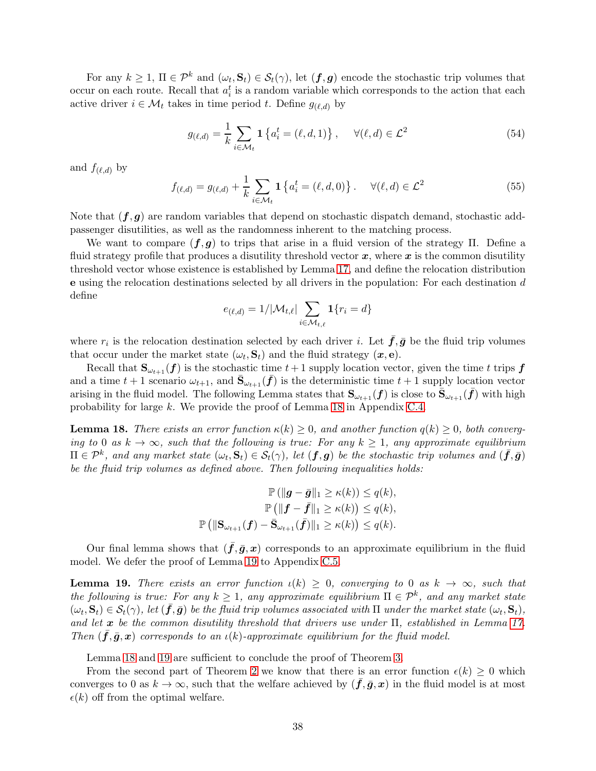For any  $k \geq 1$ ,  $\Pi \in \mathcal{P}^k$  and  $(\omega_t, \mathbf{S}_t) \in \mathcal{S}_t(\gamma)$ , let  $(\mathbf{f}, \mathbf{g})$  encode the stochastic trip volumes that occur on each route. Recall that  $a_i^t$  is a random variable which corresponds to the action that each active driver  $i \in \mathcal{M}_t$  takes in time period t. Define  $g_{(\ell,d)}$  by

$$
g_{(\ell,d)} = \frac{1}{k} \sum_{i \in \mathcal{M}_t} \mathbf{1} \left\{ a_i^t = (\ell, d, 1) \right\}, \quad \forall (\ell, d) \in \mathcal{L}^2
$$
 (54)

and  $f_{(\ell,d)}$  by

$$
f_{(\ell,d)} = g_{(\ell,d)} + \frac{1}{k} \sum_{i \in \mathcal{M}_t} \mathbf{1} \left\{ a_i^t = (\ell, d, 0) \right\} . \quad \forall (\ell, d) \in \mathcal{L}^2
$$
 (55)

Note that  $(f, g)$  are random variables that depend on stochastic dispatch demand, stochastic addpassenger disutilities, as well as the randomness inherent to the matching process.

We want to compare  $(f, g)$  to trips that arise in a fluid version of the strategy  $\Pi$ . Define a fluid strategy profile that produces a disutility threshold vector  $x$ , where  $x$  is the common disutility threshold vector whose existence is established by Lemma [17,](#page-36-0) and define the relocation distribution e using the relocation destinations selected by all drivers in the population: For each destination d define

$$
e_{(\ell,d)} = 1/|\mathcal{M}_{t,\ell}| \sum_{i \in \mathcal{M}_{t,\ell}} \mathbf{1}\{r_i = d\}
$$

where  $r_i$  is the relocation destination selected by each driver *i*. Let  $\bar{f}, \bar{g}$  be the fluid trip volumes that occur under the market state  $(\omega_t, \mathbf{S}_t)$  and the fluid strategy  $(\mathbf{x}, \mathbf{e})$ .

Recall that  $\mathbf{S}_{\omega_{t+1}}(f)$  is the stochastic time  $t+1$  supply location vector, given the time t trips f and a time  $t+1$  scenario  $\omega_{t+1}$ , and  $\bar{\mathbf{S}}_{\omega_{t+1}}(\bar{\mathbf{f}})$  is the deterministic time  $t+1$  supply location vector arising in the fluid model. The following Lemma states that  $\mathbf{S}_{\omega_{t+1}}(\bm{f})$  is close to  $\bar{\mathbf{S}}_{\omega_{t+1}}(\bar{\bm{f}})$  with high probability for large k. We provide the proof of Lemma [18](#page-37-0) in Appendix [C.4.](#page-40-0)

<span id="page-37-0"></span>**Lemma 18.** There exists an error function  $\kappa(k) \geq 0$ , and another function  $q(k) \geq 0$ , both converging to 0 as  $k \to \infty$ , such that the following is true: For any  $k \geq 1$ , any approximate equilibrium  $\Pi \in \mathcal{P}^k$ , and any market state  $(\omega_t, \mathbf{S}_t) \in \mathcal{S}_t(\gamma)$ , let  $(\boldsymbol{f}, \boldsymbol{g})$  be the stochastic trip volumes and  $(\bar{\boldsymbol{f}}, \bar{\boldsymbol{g}})$ be the fluid trip volumes as defined above. Then following inequalities holds:

$$
\mathbb{P}(\|\mathbf{g} - \bar{\mathbf{g}}\|_1 \ge \kappa(k)) \le q(k),
$$

$$
\mathbb{P}(\|\mathbf{f} - \bar{\mathbf{f}}\|_1 \ge \kappa(k)) \le q(k),
$$

$$
\mathbb{P}(\|\mathbf{S}_{\omega_{t+1}}(\mathbf{f}) - \bar{\mathbf{S}}_{\omega_{t+1}}(\bar{\mathbf{f}})\|_1 \ge \kappa(k)) \le q(k).
$$

Our final lemma shows that  $(f,\bar{g},x)$  corresponds to an approximate equilibrium in the fluid model. We defer the proof of Lemma [19](#page-37-1) to Appendix [C.5.](#page-41-0)

<span id="page-37-1"></span>**Lemma 19.** There exists an error function  $\iota(k) \geq 0$ , converging to 0 as  $k \to \infty$ , such that the following is true: For any  $k \geq 1$ , any approximate equilibrium  $\Pi \in \mathcal{P}^k$ , and any market state  $(\omega_t, \mathbf{S}_t) \in \mathcal{S}_t(\gamma)$ , let  $(\bar{\mathbf{f}}, \bar{\mathbf{g}})$  be the fluid trip volumes associated with  $\Pi$  under the market state  $(\omega_t, \mathbf{S}_t)$ , and let  $\bm{x}$  be the common disutility threshold that drivers use under  $\Pi$ , established in Lemma [17.](#page-36-0) Then  $(f,\bar{g},x)$  corresponds to an  $\iota(k)$ -approximate equilibrium for the fluid model.

Lemma [18](#page-37-0) and [19](#page-37-1) are sufficient to conclude the proof of Theorem [3.](#page-19-0)

From the second part of Theorem [2](#page-18-0) we know that there is an error function  $\epsilon(k) \geq 0$  which converges to 0 as  $k \to \infty$ , such that the welfare achieved by  $(f, \bar{g}, x)$  in the fluid model is at most  $\epsilon(k)$  off from the optimal welfare.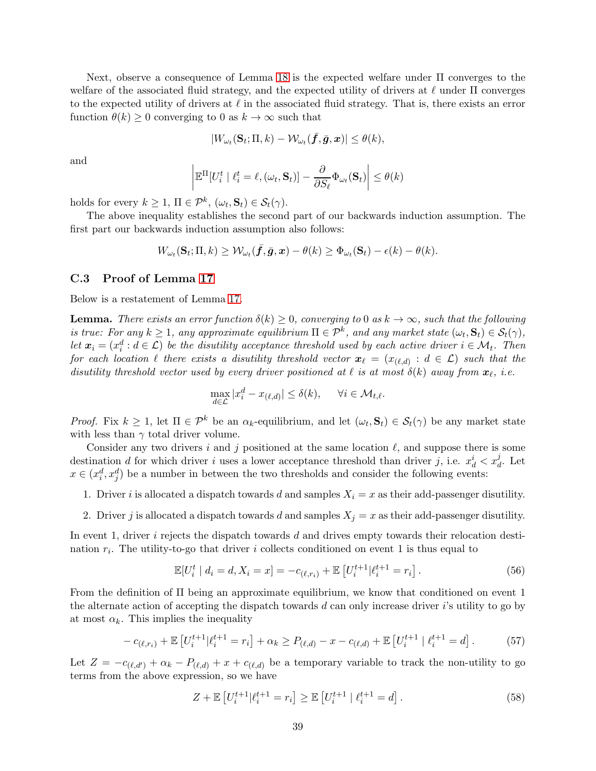Next, observe a consequence of Lemma [18](#page-37-0) is the expected welfare under Π converges to the welfare of the associated fluid strategy, and the expected utility of drivers at  $\ell$  under  $\Pi$  converges to the expected utility of drivers at  $\ell$  in the associated fluid strategy. That is, there exists an error function  $\theta(k) \geq 0$  converging to 0 as  $k \to \infty$  such that

$$
|W_{\omega_t}(\mathbf{S}_t; \Pi, k) - \mathcal{W}_{\omega_t}(\bar{f}, \bar{g}, \boldsymbol{x})| \leq \theta(k),
$$

and

$$
\left| \mathbb{E}^{\Pi}[U_i^t | \ell_i^t = \ell, (\omega_t, \mathbf{S}_t)] - \frac{\partial}{\partial S_{\ell}} \Phi_{\omega_t}(\mathbf{S}_t) \right| \leq \theta(k)
$$

holds for every  $k \geq 1$ ,  $\Pi \in \mathcal{P}^k$ ,  $(\omega_t, \mathbf{S}_t) \in \mathcal{S}_t(\gamma)$ .

The above inequality establishes the second part of our backwards induction assumption. The first part our backwards induction assumption also follows:

$$
W_{\omega_t}(\mathbf{S}_t; \Pi, k) \geq \mathcal{W}_{\omega_t}(\bar{f}, \bar{g}, x) - \theta(k) \geq \Phi_{\omega_t}(\mathbf{S}_t) - \epsilon(k) - \theta(k).
$$

#### <span id="page-38-0"></span>C.3 Proof of Lemma [17](#page-36-0)

Below is a restatement of Lemma [17.](#page-36-0)

**Lemma.** There exists an error function  $\delta(k) \geq 0$ , converging to 0 as  $k \to \infty$ , such that the following is true: For any  $k \geq 1$ , any approximate equilibrium  $\Pi \in \mathcal{P}^k$ , and any market state  $(\omega_t, \mathbf{S}_t) \in \mathcal{S}_t(\gamma)$ , let  $x_i = (x_i^d : d \in \mathcal{L})$  be the disutility acceptance threshold used by each active driver  $i \in \mathcal{M}_t$ . Then for each location  $\ell$  there exists a disutility threshold vector  $\bm{x}_\ell\,=\,(x_{(\ell,d)}\,:\,d\,\in\,\mathcal{L})$  such that the disutility threshold vector used by every driver positioned at  $\ell$  is at most  $\delta(k)$  away from  $\mathbf{x}_{\ell}$ , i.e.

$$
\max_{d \in \mathcal{L}} |x_i^d - x_{(\ell,d)}| \le \delta(k), \quad \forall i \in \mathcal{M}_{t,\ell}.
$$

*Proof.* Fix  $k \geq 1$ , let  $\Pi \in \mathcal{P}^k$  be an  $\alpha_k$ -equilibrium, and let  $(\omega_t, \mathbf{S}_t) \in \mathcal{S}_t(\gamma)$  be any market state with less than  $\gamma$  total driver volume.

Consider any two drivers i and j positioned at the same location  $\ell$ , and suppose there is some destination d for which driver i uses a lower acceptance threshold than driver j, i.e.  $x_d^i < x_d^j$ . Let  $x \in (x_i^d, x_j^d)$  be a number in between the two thresholds and consider the following events:

- 1. Driver i is allocated a dispatch towards d and samples  $X_i = x$  as their add-passenger disutility.
- 2. Driver j is allocated a dispatch towards d and samples  $X_j = x$  as their add-passenger disutility.

In event 1, driver  $i$  rejects the dispatch towards  $d$  and drives empty towards their relocation destination  $r_i$ . The utility-to-go that driver i collects conditioned on event 1 is thus equal to

$$
\mathbb{E}[U_i^t \mid d_i = d, X_i = x] = -c_{(\ell, r_i)} + \mathbb{E}[U_i^{t+1} | \ell_i^{t+1} = r_i]. \tag{56}
$$

From the definition of Π being an approximate equilibrium, we know that conditioned on event 1 the alternate action of accepting the dispatch towards  $d$  can only increase driver  $i$ 's utility to go by at most  $\alpha_k$ . This implies the inequality

$$
-c_{(\ell,r_i)} + \mathbb{E}\left[U_i^{t+1}|\ell_i^{t+1} = r_i\right] + \alpha_k \ge P_{(\ell,d)} - x - c_{(\ell,d)} + \mathbb{E}\left[U_i^{t+1}|\ell_i^{t+1} = d\right].\tag{57}
$$

Let  $Z = -c_{(\ell, d')} + \alpha_k - P_{(\ell, d)} + x + c_{(\ell, d)}$  be a temporary variable to track the non-utility to go terms from the above expression, so we have

$$
Z + \mathbb{E}\left[U_i^{t+1}|\ell_i^{t+1} = r_i\right] \ge \mathbb{E}\left[U_i^{t+1} | \ell_i^{t+1} = d\right].\tag{58}
$$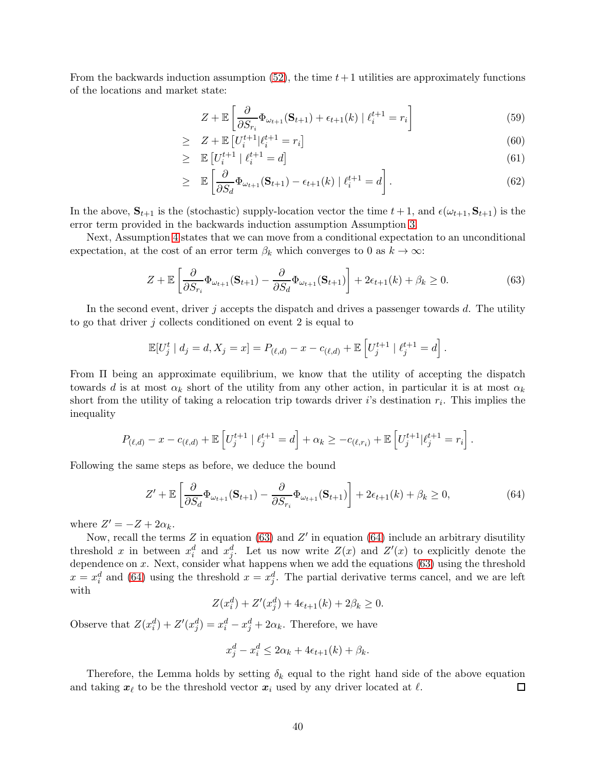From the backwards induction assumption  $(52)$ , the time  $t+1$  utilities are approximately functions of the locations and market state:

$$
Z + \mathbb{E}\left[\frac{\partial}{\partial S_{r_i}}\Phi_{\omega_{t+1}}(\mathbf{S}_{t+1}) + \epsilon_{t+1}(k) \mid \ell_i^{t+1} = r_i\right]
$$
(59)

$$
\geq Z + \mathbb{E}\left[U_i^{t+1} | \ell_i^{t+1} = r_i\right] \tag{60}
$$

$$
\geq \mathbb{E}\left[U_i^{t+1} \mid \ell_i^{t+1} = d\right] \tag{61}
$$

$$
\geq \mathbb{E}\left[\frac{\partial}{\partial S_d}\Phi_{\omega_{t+1}}(\mathbf{S}_{t+1}) - \epsilon_{t+1}(k) \mid \ell_i^{t+1} = d\right]. \tag{62}
$$

In the above,  $S_{t+1}$  is the (stochastic) supply-location vector the time  $t+1$ , and  $\epsilon(\omega_{t+1}, S_{t+1})$  is the error term provided in the backwards induction assumption Assumption [3.](#page-48-0)

Next, Assumption 4 states that we can move from a conditional expectation to an unconditional expectation, at the cost of an error term  $\beta_k$  which converges to 0 as  $k \to \infty$ :

<span id="page-39-0"></span>
$$
Z + \mathbb{E}\left[\frac{\partial}{\partial S_{r_i}}\Phi_{\omega_{t+1}}(\mathbf{S}_{t+1}) - \frac{\partial}{\partial S_d}\Phi_{\omega_{t+1}}(\mathbf{S}_{t+1})\right] + 2\epsilon_{t+1}(k) + \beta_k \ge 0.
$$
 (63)

In the second event, driver  $j$  accepts the dispatch and drives a passenger towards  $d$ . The utility to go that driver  $i$  collects conditioned on event 2 is equal to

$$
\mathbb{E}[U_j^t | d_j = d, X_j = x] = P_{(\ell,d)} - x - c_{(\ell,d)} + \mathbb{E}\left[U_j^{t+1} | \ell_j^{t+1} = d\right].
$$

From Π being an approximate equilibrium, we know that the utility of accepting the dispatch towards d is at most  $\alpha_k$  short of the utility from any other action, in particular it is at most  $\alpha_k$ short from the utility of taking a relocation trip towards driver *i*'s destination  $r_i$ . This implies the inequality

$$
P_{(\ell,d)} - x - c_{(\ell,d)} + \mathbb{E}\left[U_j^{t+1} \mid \ell_j^{t+1} = d\right] + \alpha_k \geq -c_{(\ell,r_i)} + \mathbb{E}\left[U_j^{t+1} \mid \ell_j^{t+1} = r_i\right].
$$

Following the same steps as before, we deduce the bound

<span id="page-39-1"></span>
$$
Z' + \mathbb{E}\left[\frac{\partial}{\partial S_d}\Phi_{\omega_{t+1}}(\mathbf{S}_{t+1}) - \frac{\partial}{\partial S_{r_i}}\Phi_{\omega_{t+1}}(\mathbf{S}_{t+1})\right] + 2\epsilon_{t+1}(k) + \beta_k \ge 0,
$$
\n(64)

where  $Z' = -Z + 2\alpha_k$ .

Now, recall the terms  $Z$  in equation [\(63\)](#page-39-0) and  $Z'$  in equation [\(64\)](#page-39-1) include an arbitrary disutility threshold x in between  $x_i^d$  and  $x_j^d$ . Let us now write  $Z(x)$  and  $Z'(x)$  to explicitly denote the dependence on  $x$ . Next, consider what happens when we add the equations [\(63\)](#page-39-0) using the threshold  $x = x_i^d$  and [\(64\)](#page-39-1) using the threshold  $x = x_j^d$ . The partial derivative terms cancel, and we are left with

$$
Z(x_i^d) + Z'(x_j^d) + 4\epsilon_{t+1}(k) + 2\beta_k \ge 0.
$$

Observe that  $Z(x_i^d) + Z'(x_j^d) = x_i^d - x_j^d + 2\alpha_k$ . Therefore, we have

$$
x_j^d - x_i^d \le 2\alpha_k + 4\epsilon_{t+1}(k) + \beta_k.
$$

Therefore, the Lemma holds by setting  $\delta_k$  equal to the right hand side of the above equation and taking  $x_{\ell}$  to be the threshold vector  $x_{i}$  used by any driver located at  $\ell$ .  $\Box$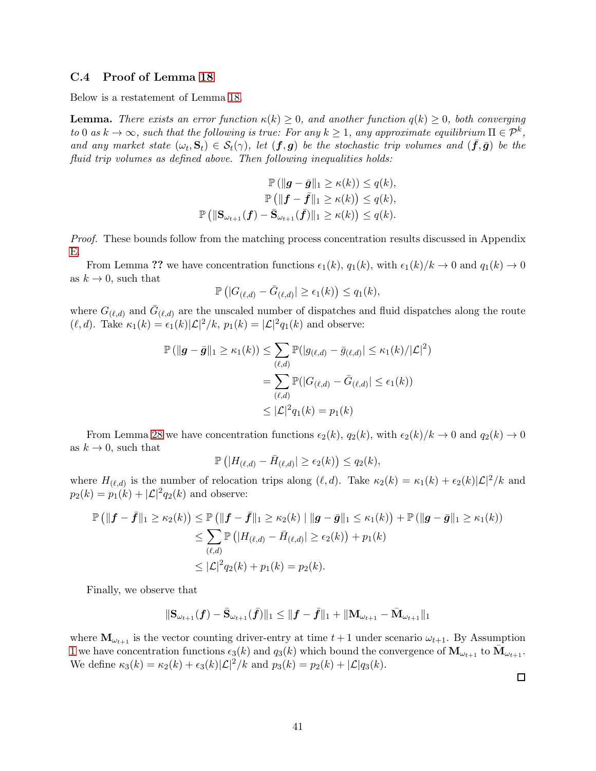#### <span id="page-40-0"></span>C.4 Proof of Lemma [18](#page-37-0)

Below is a restatement of Lemma [18.](#page-37-0)

**Lemma.** There exists an error function  $\kappa(k) \geq 0$ , and another function  $q(k) \geq 0$ , both converging to 0 as  $k \to \infty$ , such that the following is true: For any  $k \ge 1$ , any approximate equilibrium  $\Pi \in \mathcal{P}^k$ , and any market state  $(\omega_t, \mathbf{S}_t) \in S_t(\gamma)$ , let  $(\mathbf{f}, \mathbf{g})$  be the stochastic trip volumes and  $(\bar{\mathbf{f}}, \bar{\mathbf{g}})$  be the fluid trip volumes as defined above. Then following inequalities holds:

$$
\mathbb{P}\left(\|\mathbf{g} - \bar{\mathbf{g}}\|_{1} \geq \kappa(k)\right) \leq q(k),
$$

$$
\mathbb{P}\left(\|\mathbf{f} - \bar{\mathbf{f}}\|_{1} \geq \kappa(k)\right) \leq q(k),
$$

$$
\mathbb{P}\left(\|\mathbf{S}_{\omega_{t+1}}(\mathbf{f}) - \bar{\mathbf{S}}_{\omega_{t+1}}(\bar{\mathbf{f}})\|_{1} \geq \kappa(k)\right) \leq q(k).
$$

Proof. These bounds follow from the matching process concentration results discussed in Appendix [E.](#page-56-0)

From Lemma ?? we have concentration functions  $\epsilon_1(k)$ ,  $q_1(k)$ , with  $\epsilon_1(k)/k \to 0$  and  $q_1(k) \to 0$ as  $k \to 0$ , such that

$$
\mathbb{P}\left(|G_{(\ell,d)} - \bar{G}_{(\ell,d)}| \geq \epsilon_1(k)\right) \leq q_1(k),
$$

where  $G_{(\ell,d)}$  and  $\bar{G}_{(\ell,d)}$  are the unscaled number of dispatches and fluid dispatches along the route  $(\ell, d)$ . Take  $\kappa_1(k) = \epsilon_1(k)|\mathcal{L}|^2/k$ ,  $p_1(k) = |\mathcal{L}|^2 q_1(k)$  and observe:

$$
\mathbb{P} \left( \| \mathbf{g} - \bar{\mathbf{g}} \|_{1} \ge \kappa_{1}(k) \right) \le \sum_{(\ell,d)} \mathbb{P}(|g_{(\ell,d)} - \bar{g}_{(\ell,d)}| \le \kappa_{1}(k) / |\mathcal{L}|^{2})
$$

$$
= \sum_{(\ell,d)} \mathbb{P}(|G_{(\ell,d)} - \bar{G}_{(\ell,d)}| \le \epsilon_{1}(k))
$$

$$
\le |\mathcal{L}|^{2} q_{1}(k) = p_{1}(k)
$$

From Lemma [28](#page-61-0) we have concentration functions  $\epsilon_2(k)$ ,  $q_2(k)$ , with  $\epsilon_2(k)/k \to 0$  and  $q_2(k) \to 0$ as  $k \to 0$ , such that

$$
\mathbb{P}\left(|H_{(\ell,d)} - \bar{H}_{(\ell,d)}| \geq \epsilon_2(k)\right) \leq q_2(k),
$$

where  $H_{(\ell,d)}$  is the number of relocation trips along  $(\ell, d)$ . Take  $\kappa_2(k) = \kappa_1(k) + \epsilon_2(k)|\mathcal{L}|^2/k$  and  $p_2(k) = p_1(k) + |\mathcal{L}|^2 q_2(k)$  and observe:

$$
\mathbb{P}(|f - \bar{f}||_1 \ge \kappa_2(k)) \le \mathbb{P}(|f - \bar{f}||_1 \ge \kappa_2(k) | ||g - \bar{g}||_1 \le \kappa_1(k)) + \mathbb{P}(|g - \bar{g}||_1 \ge \kappa_1(k))
$$
  
\n
$$
\le \sum_{(\ell,d)} \mathbb{P}(|H_{(\ell,d)} - \bar{H}_{(\ell,d)}| \ge \epsilon_2(k)) + p_1(k)
$$
  
\n
$$
\le |\mathcal{L}|^2 q_2(k) + p_1(k) = p_2(k).
$$

Finally, we observe that

$$
\|\mathbf{S}_{\omega_{t+1}}(\bm{f}) - \bar{\mathbf{S}}_{\omega_{t+1}}(\bar{\bm{f}})\|_1 \leq \|\bm{f} - \bar{\bm{f}}\|_1 + \|\mathbf{M}_{\omega_{t+1}} - \bar{\mathbf{M}}_{\omega_{t+1}}\|_1
$$

where  $\mathbf{M}_{\omega_{t+1}}$  is the vector counting driver-entry at time  $t+1$  under scenario  $\omega_{t+1}$ . By Assumption [1](#page-4-0) we have concentration functions  $\epsilon_3(k)$  and  $q_3(k)$  which bound the convergence of  $\mathbf{M}_{\omega_{t+1}}$  to  $\bar{\mathbf{M}}_{\omega_{t+1}}$ . We define  $\kappa_3(k) = \kappa_2(k) + \epsilon_3(k)|\mathcal{L}|^2/k$  and  $p_3(k) = p_2(k) + |\mathcal{L}|q_3(k)$ .

 $\Box$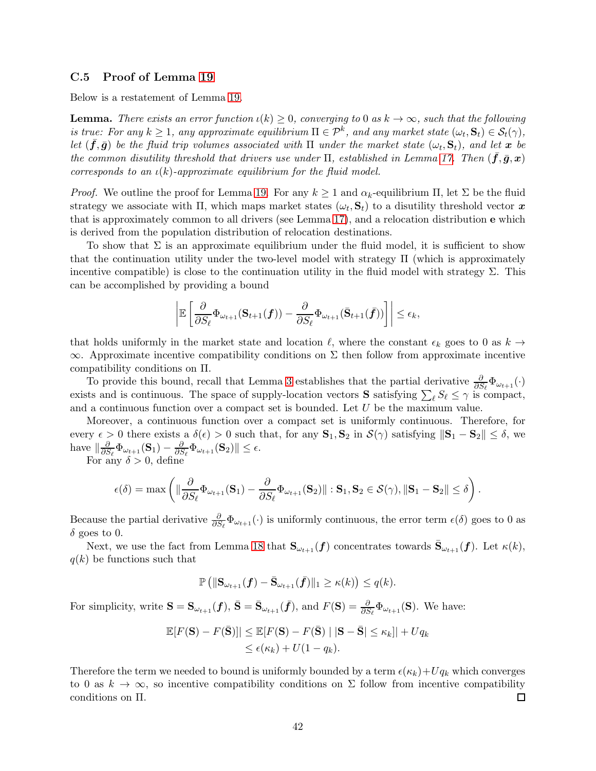#### <span id="page-41-0"></span>C.5 Proof of Lemma [19](#page-37-1)

Below is a restatement of Lemma [19.](#page-37-1)

**Lemma.** There exists an error function  $\iota(k) \geq 0$ , converging to 0 as  $k \to \infty$ , such that the following is true: For any  $k \ge 1$ , any approximate equilibrium  $\Pi \in \mathcal{P}^k$ , and any market state  $(\omega_t, \mathbf{S}_t) \in \mathcal{S}_t(\gamma)$ , let  $(\bar{f}, \bar{g})$  be the fluid trip volumes associated with  $\Pi$  under the market state  $(\omega_t, \mathbf{S}_t)$ , and let  $\bm{x}$  be the common disutility threshold that drivers use under  $\Pi$ , established in Lemma [17.](#page-36-0) Then  $(f,\bar{g},x)$ corresponds to an  $\iota(k)$ -approximate equilibrium for the fluid model.

*Proof.* We outline the proof for Lemma [19.](#page-37-1) For any  $k \geq 1$  and  $\alpha_k$ -equilibrium  $\Pi$ , let  $\Sigma$  be the fluid strategy we associate with  $\Pi$ , which maps market states  $(\omega_t, \mathbf{S}_t)$  to a disutility threshold vector  $\boldsymbol{x}$ that is approximately common to all drivers (see Lemma [17\)](#page-36-0), and a relocation distribution e which is derived from the population distribution of relocation destinations.

To show that  $\Sigma$  is an approximate equilibrium under the fluid model, it is sufficient to show that the continuation utility under the two-level model with strategy Π (which is approximately incentive compatible) is close to the continuation utility in the fluid model with strategy  $\Sigma$ . This can be accomplished by providing a bound

$$
\left| \mathbb{E}\left[ \frac{\partial}{\partial S_{\ell}} \Phi_{\omega_{t+1}}(\mathbf{S}_{t+1}(\boldsymbol{f})) - \frac{\partial}{\partial S_{\ell}} \Phi_{\omega_{t+1}}(\bar{\mathbf{S}}_{t+1}(\bar{\boldsymbol{f}})) \right] \right| \leq \epsilon_k,
$$

that holds uniformly in the market state and location  $\ell$ , where the constant  $\epsilon_k$  goes to 0 as  $k \to$  $\infty$ . Approximate incentive compatibility conditions on  $\Sigma$  then follow from approximate incentive compatibility conditions on Π.

To provide this bound, recall that Lemma [3](#page-13-0) establishes that the partial derivative  $\frac{\partial}{\partial S_{\ell}}\Phi_{\omega_{t+1}}(\cdot)$ exists and is continuous. The space of supply-location vectors **S** satisfying  $\sum_{\ell} S_{\ell} \leq \gamma$  is compact, and a continuous function over a compact set is bounded. Let  $U$  be the maximum value.

Moreover, a continuous function over a compact set is uniformly continuous. Therefore, for every  $\epsilon > 0$  there exists a  $\delta(\epsilon) > 0$  such that, for any  $\mathbf{S}_1, \mathbf{S}_2$  in  $\mathcal{S}(\gamma)$  satisfying  $\|\mathbf{S}_1 - \mathbf{S}_2\| \leq \delta$ , we have  $\|\frac{\partial}{\partial S}$  $\frac{\partial}{\partial S_\ell}\Phi_{\omega_{t+1}}(\mathbf{S}_1)-\frac{\partial}{\partial S}$  $\frac{\partial}{\partial S_{\ell}}\Phi_{\omega_{t+1}}(\mathbf{S}_2)\|\leq \epsilon.$ 

For any  $\delta > 0$ , define

$$
\epsilon(\delta) = \max \left( \|\frac{\partial}{\partial S_{\ell}} \Phi_{\omega_{t+1}}(\mathbf{S}_1) - \frac{\partial}{\partial S_{\ell}} \Phi_{\omega_{t+1}}(\mathbf{S}_2)\| : \mathbf{S}_1, \mathbf{S}_2 \in \mathcal{S}(\gamma), \|\mathbf{S}_1 - \mathbf{S}_2\| \le \delta \right).
$$

Because the partial derivative  $\frac{\partial}{\partial S_{\ell}}\Phi_{\omega_{t+1}}(\cdot)$  is uniformly continuous, the error term  $\epsilon(\delta)$  goes to 0 as  $\delta$  goes to 0.

Next, we use the fact from Lemma [18](#page-37-0) that  $\mathbf{S}_{\omega_{t+1}}(\boldsymbol{f})$  concentrates towards  $\bar{\mathbf{S}}_{\omega_{t+1}}(\boldsymbol{f})$ . Let  $\kappa(k)$ ,  $q(k)$  be functions such that

$$
\mathbb{P}\left(\|\mathbf{S}_{\omega_{t+1}}(\boldsymbol{f})-\bar{\mathbf{S}}_{\omega_{t+1}}(\bar{\boldsymbol{f}})\|_1\geq \kappa(k)\right)\leq q(k).
$$

For simplicity, write  $\mathbf{S} = \mathbf{S}_{\omega_{t+1}}(\boldsymbol{f}), \ \bar{\mathbf{S}} = \bar{\mathbf{S}}_{\omega_{t+1}}(\bar{\boldsymbol{f}}), \text{ and } F(\mathbf{S}) = \frac{\partial}{\partial S_{\ell}} \Phi_{\omega_{t+1}}(\mathbf{S}).$  We have:

$$
\mathbb{E}[F(\mathbf{S}) - F(\bar{\mathbf{S}})]| \leq \mathbb{E}[F(\mathbf{S}) - F(\bar{\mathbf{S}}) | |\mathbf{S} - \bar{\mathbf{S}}| \leq \kappa_k]| + Uq_k
$$
  

$$
\leq \epsilon(\kappa_k) + U(1 - q_k).
$$

Therefore the term we needed to bound is uniformly bounded by a term  $\epsilon(\kappa_k)+Uq_k$  which converges to 0 as  $k \to \infty$ , so incentive compatibility conditions on  $\Sigma$  follow from incentive compatibility conditions on Π. 囗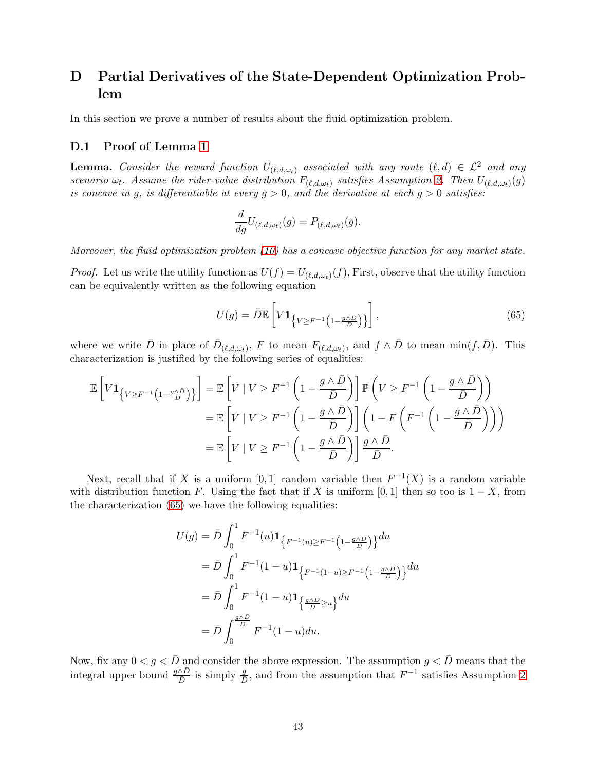# D Partial Derivatives of the State-Dependent Optimization Problem

In this section we prove a number of results about the fluid optimization problem.

#### D.1 Proof of Lemma [1](#page-12-0)

**Lemma.** Consider the reward function  $U_{(\ell,d,\omega_t)}$  associated with any route  $(\ell,d) \in \mathcal{L}^2$  and any scenario  $\omega_t$ . Assume the rider-value distribution  $F_{(\ell,d,\omega_t)}$  satisfies Assumption [2.](#page-5-0) Then  $U_{(\ell,d,\omega_t)}(g)$ is concave in g, is differentiable at every  $g > 0$ , and the derivative at each  $g > 0$  satisfies:

$$
\frac{d}{dg}U_{(\ell,d,\omega_t)}(g) = P_{(\ell,d,\omega_t)}(g).
$$

Moreover, the fluid optimization problem [\(10\)](#page-11-0) has a concave objective function for any market state.

*Proof.* Let us write the utility function as  $U(f) = U_{(\ell,d,\omega_t)}(f)$ , First, observe that the utility function can be equivalently written as the following equation

<span id="page-42-0"></span>
$$
U(g) = \bar{D}\mathbb{E}\left[V\mathbf{1}_{\left\{V \geq F^{-1}\left(1 - \frac{g\wedge \bar{D}}{D}\right)\right\}}\right],\tag{65}
$$

where we write  $\bar{D}$  in place of  $\bar{D}_{(\ell,d,\omega_t)}$ , F to mean  $F_{(\ell,d,\omega_t)}$ , and  $f \wedge \bar{D}$  to mean  $\min(f,\bar{D})$ . This characterization is justified by the following series of equalities:

$$
\mathbb{E}\left[V\mathbf{1}_{\{V\geq F^{-1}\left(1-\frac{g\wedge\bar{D}}{D}\right)\}}\right] = \mathbb{E}\left[V \mid V \geq F^{-1}\left(1-\frac{g\wedge\bar{D}}{\bar{D}}\right)\right]\mathbb{P}\left(V \geq F^{-1}\left(1-\frac{g\wedge\bar{D}}{\bar{D}}\right)\right)
$$

$$
= \mathbb{E}\left[V \mid V \geq F^{-1}\left(1-\frac{g\wedge\bar{D}}{\bar{D}}\right)\right]\left(1-F\left(F^{-1}\left(1-\frac{g\wedge\bar{D}}{\bar{D}}\right)\right)\right)
$$

$$
= \mathbb{E}\left[V \mid V \geq F^{-1}\left(1-\frac{g\wedge\bar{D}}{\bar{D}}\right)\right]\frac{g\wedge\bar{D}}{\bar{D}}.
$$

Next, recall that if X is a uniform [0, 1] random variable then  $F^{-1}(X)$  is a random variable with distribution function F. Using the fact that if X is uniform [0, 1] then so too is  $1 - X$ , from the characterization [\(65\)](#page-42-0) we have the following equalities:

$$
U(g) = \bar{D} \int_0^1 F^{-1}(u) \mathbf{1}_{\left\{F^{-1}(u) \ge F^{-1}\left(1 - \frac{g \wedge \bar{D}}{\bar{D}}\right)\right\}} du
$$
  
\n
$$
= \bar{D} \int_0^1 F^{-1}(1 - u) \mathbf{1}_{\left\{F^{-1}(1 - u) \ge F^{-1}\left(1 - \frac{g \wedge \bar{D}}{\bar{D}}\right)\right\}} du
$$
  
\n
$$
= \bar{D} \int_0^1 F^{-1}(1 - u) \mathbf{1}_{\left\{\frac{g \wedge \bar{D}}{\bar{D}} \ge u\right\}} du
$$
  
\n
$$
= \bar{D} \int_0^{\frac{g \wedge \bar{D}}{\bar{D}}} F^{-1}(1 - u) du.
$$

Now, fix any  $0 < g < \bar{D}$  and consider the above expression. The assumption  $g < \bar{D}$  means that the integral upper bound  $\frac{g \wedge \bar{D}}{\bar{D}}$  is simply  $\frac{g}{\bar{D}}$ , and from the assumption that  $F^{-1}$  satisfies Assumption [2](#page-5-0)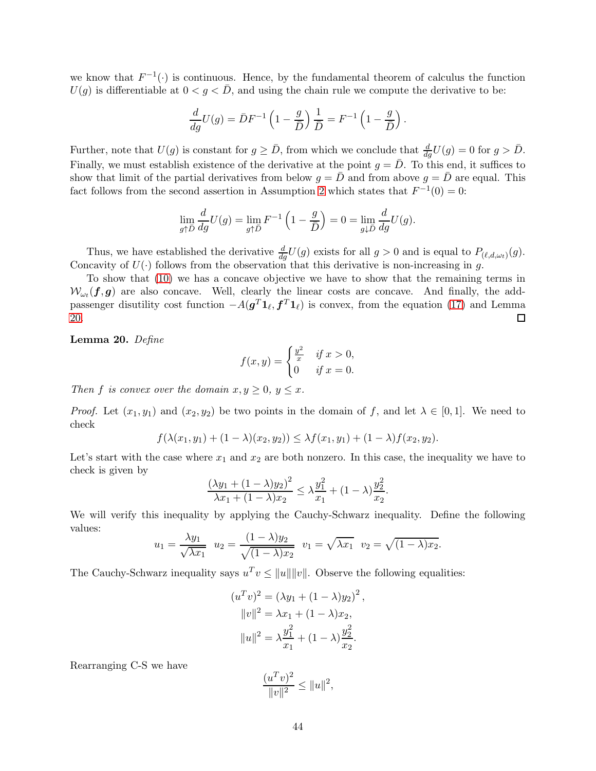we know that  $F^{-1}(\cdot)$  is continuous. Hence, by the fundamental theorem of calculus the function  $U(g)$  is differentiable at  $0 < g < \bar{D}$ , and using the chain rule we compute the derivative to be:

$$
\frac{d}{dg}U(g) = \bar{D}F^{-1}\left(1 - \frac{g}{\bar{D}}\right)\frac{1}{\bar{D}} = F^{-1}\left(1 - \frac{g}{\bar{D}}\right).
$$

Further, note that  $U(g)$  is constant for  $g \ge \bar{D}$ , from which we conclude that  $\frac{d}{dg}U(g) = 0$  for  $g > \bar{D}$ . Finally, we must establish existence of the derivative at the point  $g = \overline{D}$ . To this end, it suffices to show that limit of the partial derivatives from below  $g = \overline{D}$  and from above  $g = \overline{D}$  are equal. This fact follows from the second assertion in Assumption [2](#page-5-0) which states that  $F^{-1}(0) = 0$ :

$$
\lim_{g \uparrow \overline{D}} \frac{d}{dg} U(g) = \lim_{g \uparrow \overline{D}} F^{-1} \left( 1 - \frac{g}{\overline{D}} \right) = 0 = \lim_{g \downarrow \overline{D}} \frac{d}{dg} U(g).
$$

Thus, we have established the derivative  $\frac{d}{dg}U(g)$  exists for all  $g > 0$  and is equal to  $P_{(\ell,d,\omega_t)}(g)$ . Concavity of  $U(\cdot)$  follows from the observation that this derivative is non-increasing in g.

To show that [\(10\)](#page-11-0) we has a concave objective we have to show that the remaining terms in  $W_{\omega_t}(\bm{f}, \bm{g})$  are also concave. Well, clearly the linear costs are concave. And finally, the addpassenger disutility cost function  $-A(g^T \mathbf{1}_{\ell}, \mathbf{f}^T \mathbf{1}_{\ell})$  is convex, from the equation [\(17\)](#page-11-1) and Lemma [20.](#page-43-0) □

<span id="page-43-0"></span>Lemma 20. Define

$$
f(x,y) = \begin{cases} \frac{y^2}{x} & \text{if } x > 0, \\ 0 & \text{if } x = 0. \end{cases}
$$

Then f is convex over the domain  $x, y \geq 0, y \leq x$ .

*Proof.* Let  $(x_1, y_1)$  and  $(x_2, y_2)$  be two points in the domain of f, and let  $\lambda \in [0, 1]$ . We need to check

$$
f(\lambda(x_1, y_1) + (1 - \lambda)(x_2, y_2)) \leq \lambda f(x_1, y_1) + (1 - \lambda)f(x_2, y_2).
$$

Let's start with the case where  $x_1$  and  $x_2$  are both nonzero. In this case, the inequality we have to check is given by

$$
\frac{(\lambda y_1 + (1 - \lambda)y_2)^2}{\lambda x_1 + (1 - \lambda)x_2} \le \lambda \frac{y_1^2}{x_1} + (1 - \lambda) \frac{y_2^2}{x_2}.
$$

We will verify this inequality by applying the Cauchy-Schwarz inequality. Define the following values:

$$
u_1 = \frac{\lambda y_1}{\sqrt{\lambda x_1}} \quad u_2 = \frac{(1 - \lambda)y_2}{\sqrt{(1 - \lambda)x_2}} \quad v_1 = \sqrt{\lambda x_1} \quad v_2 = \sqrt{(1 - \lambda)x_2}.
$$

The Cauchy-Schwarz inequality says  $u^T v \le ||u|| ||v||$ . Observe the following equalities:

$$
(uTv)2 = (\lambda y1 + (1 - \lambda)y2)2,
$$
  

$$
||v||2 = \lambda x1 + (1 - \lambda)x2,
$$
  

$$
||u||2 = \lambda \frac{y12}{x1} + (1 - \lambda) \frac{y22}{x2}.
$$

Rearranging C-S we have

$$
\frac{(u^T v)^2}{\|v\|^2} \le \|u\|^2,
$$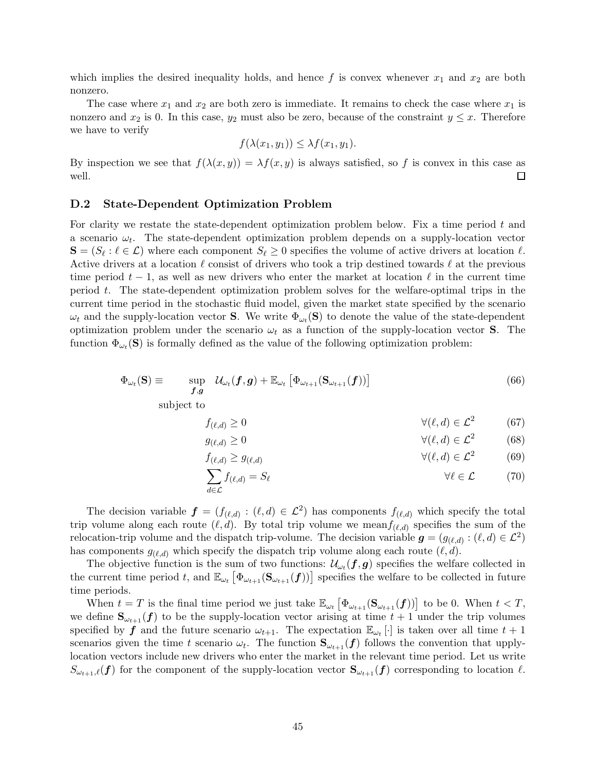which implies the desired inequality holds, and hence f is convex whenever  $x_1$  and  $x_2$  are both nonzero.

The case where  $x_1$  and  $x_2$  are both zero is immediate. It remains to check the case where  $x_1$  is nonzero and  $x_2$  is 0. In this case,  $y_2$  must also be zero, because of the constraint  $y \leq x$ . Therefore we have to verify

$$
f(\lambda(x_1,y_1)) \leq \lambda f(x_1,y_1).
$$

By inspection we see that  $f(\lambda(x, y)) = \lambda f(x, y)$  is always satisfied, so f is convex in this case as well.  $\Box$ 

#### D.2 State-Dependent Optimization Problem

For clarity we restate the state-dependent optimization problem below. Fix a time period  $t$  and a scenario  $\omega_t$ . The state-dependent optimization problem depends on a supply-location vector  $\mathbf{S} = (S_{\ell} : \ell \in \mathcal{L})$  where each component  $S_{\ell} \geq 0$  specifies the volume of active drivers at location  $\ell$ . Active drivers at a location  $\ell$  consist of drivers who took a trip destined towards  $\ell$  at the previous time period  $t-1$ , as well as new drivers who enter the market at location  $\ell$  in the current time period  $t$ . The state-dependent optimization problem solves for the welfare-optimal trips in the current time period in the stochastic fluid model, given the market state specified by the scenario  $\omega_t$  and the supply-location vector **S**. We write  $\Phi_{\omega_t}(\mathbf{S})$  to denote the value of the state-dependent optimization problem under the scenario  $\omega_t$  as a function of the supply-location vector **S**. The function  $\Phi_{\omega_t}(\mathbf{S})$  is formally defined as the value of the following optimization problem:

$$
\Phi_{\omega_t}(\mathbf{S}) \equiv \qquad \sup_{\boldsymbol{f},\boldsymbol{g}} \quad \mathcal{U}_{\omega_t}(\boldsymbol{f},\boldsymbol{g}) + \mathbb{E}_{\omega_t} \left[ \Phi_{\omega_{t+1}}(\mathbf{S}_{\omega_{t+1}}(\boldsymbol{f})) \right] \tag{66}
$$

subject to

<span id="page-44-1"></span>
$$
f_{(\ell,d)} \ge 0 \qquad \qquad \forall (\ell,d) \in \mathcal{L}^2 \qquad (67)
$$

$$
g_{(\ell,d)} \ge 0 \qquad \qquad \forall (\ell,d) \in \mathcal{L}^2 \qquad (68)
$$

<span id="page-44-0"></span>
$$
f_{(\ell,d)} \ge g_{(\ell,d)} \qquad \qquad \forall (\ell,d) \in \mathcal{L}^2 \qquad (69)
$$

$$
\sum_{d \in \mathcal{L}} f_{(\ell,d)} = S_{\ell} \qquad \forall \ell \in \mathcal{L} \qquad (70)
$$

The decision variable  $\boldsymbol{f} = (f_{(\ell,d)} : (\ell,d) \in \mathcal{L}^2)$  has components  $f_{(\ell,d)}$  which specify the total trip volume along each route  $(\ell, d)$ . By total trip volume we mean $f_{(\ell,d)}$  specifies the sum of the relocation-trip volume and the dispatch trip-volume. The decision variable  $g = (g_{(\ell,d)} : (\ell, d) \in \mathcal{L}^2)$ has components  $g_{(\ell,d)}$  which specify the dispatch trip volume along each route  $(\ell,d)$ .

The objective function is the sum of two functions:  $\mathcal{U}_{\omega_t}(f,g)$  specifies the welfare collected in the current time period t, and  $\mathbb{E}_{\omega_t} \left[ \Phi_{\omega_{t+1}}(\mathbf{S}_{\omega_{t+1}}(f)) \right]$  specifies the welfare to be collected in future time periods.

When  $t = T$  is the final time period we just take  $\mathbb{E}_{\omega_t} \left[ \Phi_{\omega_{t+1}}(\mathbf{S}_{\omega_{t+1}}(\mathbf{f})) \right]$  to be 0. When  $t < T$ , we define  $S_{\omega_{t+1}}(f)$  to be the supply-location vector arising at time  $t + 1$  under the trip volumes specified by  $f$  and the future scenario  $\omega_{t+1}$ . The expectation  $\mathbb{E}_{\omega_t}[\cdot]$  is taken over all time  $t+1$ scenarios given the time t scenario  $\omega_t$ . The function  $\mathbf{S}_{\omega_{t+1}}(f)$  follows the convention that upplylocation vectors include new drivers who enter the market in the relevant time period. Let us write  $S_{\omega_{t+1},\ell}(f)$  for the component of the supply-location vector  $S_{\omega_{t+1}}(f)$  corresponding to location  $\ell$ .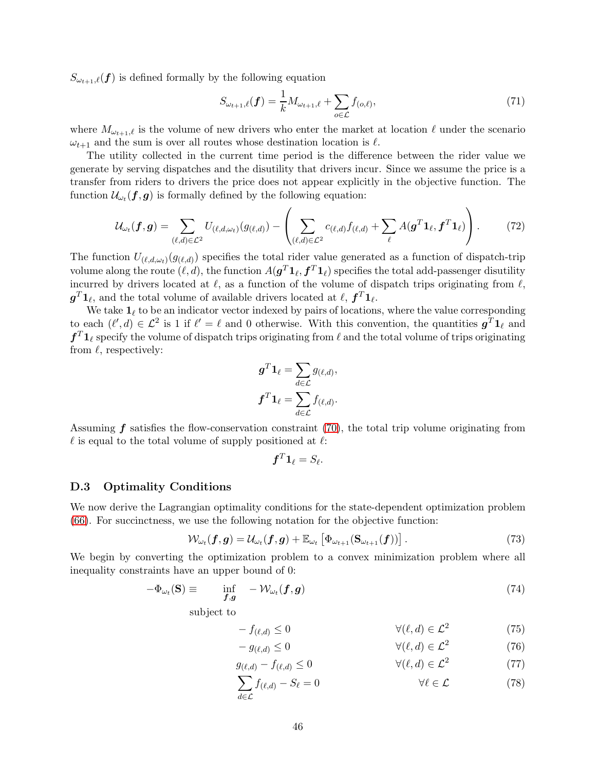$S_{\omega_{t+1},\ell}(f)$  is defined formally by the following equation

$$
S_{\omega_{t+1},\ell}(\boldsymbol{f}) = \frac{1}{k} M_{\omega_{t+1},\ell} + \sum_{o \in \mathcal{L}} f_{(o,\ell)},\tag{71}
$$

where  $M_{\omega_{t+1},\ell}$  is the volume of new drivers who enter the market at location  $\ell$  under the scenario  $\omega_{t+1}$  and the sum is over all routes whose destination location is  $\ell$ .

The utility collected in the current time period is the difference between the rider value we generate by serving dispatches and the disutility that drivers incur. Since we assume the price is a transfer from riders to drivers the price does not appear explicitly in the objective function. The function  $\mathcal{U}_{\omega_t}(\boldsymbol{f}, \boldsymbol{g})$  is formally defined by the following equation:

$$
\mathcal{U}_{\omega_t}(\boldsymbol{f}, \boldsymbol{g}) = \sum_{(\ell, d) \in \mathcal{L}^2} U_{(\ell, d, \omega_t)}(g_{(\ell, d)}) - \left( \sum_{(\ell, d) \in \mathcal{L}^2} c_{(\ell, d)} f_{(\ell, d)} + \sum_{\ell} A(\boldsymbol{g}^T \boldsymbol{1}_{\ell}, \boldsymbol{f}^T \boldsymbol{1}_{\ell}) \right).
$$
(72)

The function  $U_{(\ell,d,\omega_t)}(g_{(\ell,d)})$  specifies the total rider value generated as a function of dispatch-trip volume along the route  $(\ell, d)$ , the function  $A(\bm{g}^T\bm{1}_\ell, \bm{f}^T\bm{1}_\ell)$  specifies the total add-passenger disutility incurred by drivers located at  $\ell$ , as a function of the volume of dispatch trips originating from  $\ell$ ,  $\boldsymbol{g}^T \boldsymbol{1}_\ell$ , and the total volume of available drivers located at  $\ell$ ,  $\boldsymbol{f}^T \boldsymbol{1}_\ell$ .

We take  $\mathbf{1}_{\ell}$  to be an indicator vector indexed by pairs of locations, where the value corresponding to each  $(\ell', d) \in \mathcal{L}^2$  is 1 if  $\ell' = \ell$  and 0 otherwise. With this convention, the quantities  $g^T 1_\ell$  and  $f^T 1_\ell$  specify the volume of dispatch trips originating from  $\ell$  and the total volume of trips originating from  $\ell$ , respectively:

$$
\boldsymbol{g}^T \boldsymbol{1}_{\ell} = \sum_{d \in \mathcal{L}} g_{(\ell,d)},
$$

$$
\boldsymbol{f}^T \boldsymbol{1}_{\ell} = \sum_{d \in \mathcal{L}} f_{(\ell,d)}.
$$

Assuming  $f$  satisfies the flow-conservation constraint [\(70\)](#page-44-0), the total trip volume originating from  $\ell$  is equal to the total volume of supply positioned at  $\ell$ :

<span id="page-45-4"></span>
$$
\boldsymbol{f}^T \boldsymbol{1}_\ell = S_\ell.
$$

#### D.3 Optimality Conditions

We now derive the Lagrangian optimality conditions for the state-dependent optimization problem [\(66\)](#page-44-1). For succinctness, we use the following notation for the objective function:

$$
\mathcal{W}_{\omega_t}(\boldsymbol{f}, \boldsymbol{g}) = \mathcal{U}_{\omega_t}(\boldsymbol{f}, \boldsymbol{g}) + \mathbb{E}_{\omega_t} \left[ \Phi_{\omega_{t+1}}(\mathbf{S}_{\omega_{t+1}}(\boldsymbol{f})) \right]. \tag{73}
$$

We begin by converting the optimization problem to a convex minimization problem where all inequality constraints have an upper bound of 0:

$$
-\Phi_{\omega_t}(\mathbf{S}) \equiv \inf_{\mathbf{f},\mathbf{g}} -\mathcal{W}_{\omega_t}(\mathbf{f},\mathbf{g}) \tag{74}
$$

subject to

<span id="page-45-1"></span><span id="page-45-0"></span>
$$
-f_{(\ell,d)} \le 0 \qquad \qquad \forall (\ell,d) \in \mathcal{L}^2 \qquad (75)
$$

<span id="page-45-2"></span>
$$
-g_{(\ell,d)} \le 0 \qquad \qquad \forall (\ell,d) \in \mathcal{L}^2 \qquad (76)
$$

$$
g_{(\ell,d)} - f_{(\ell,d)} \le 0 \qquad \forall (\ell,d) \in \mathcal{L}^2 \tag{77}
$$

<span id="page-45-3"></span>
$$
\sum_{d \in \mathcal{L}} f_{(\ell,d)} - S_{\ell} = 0 \qquad \forall \ell \in \mathcal{L} \tag{78}
$$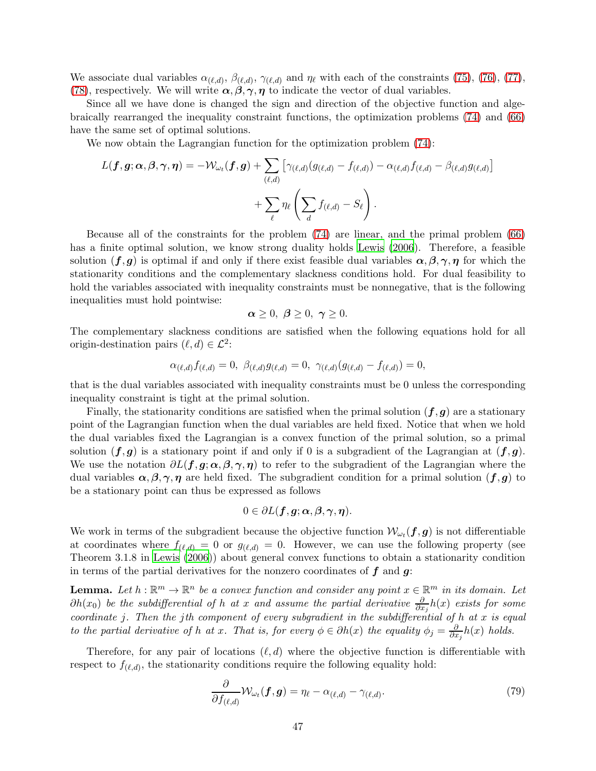We associate dual variables  $\alpha_{(\ell,d)}$ ,  $\beta_{(\ell,d)}$ ,  $\gamma_{(\ell,d)}$  and  $\eta_{\ell}$  with each of the constraints [\(75\)](#page-45-0), [\(76\)](#page-45-1), [\(77\)](#page-45-2), [\(78\)](#page-45-3), respectively. We will write  $\alpha, \beta, \gamma, \eta$  to indicate the vector of dual variables.

Since all we have done is changed the sign and direction of the objective function and algebraically rearranged the inequality constraint functions, the optimization problems [\(74\)](#page-45-4) and [\(66\)](#page-44-1) have the same set of optimal solutions.

We now obtain the Lagrangian function for the optimization problem  $(74)$ :

$$
L(\boldsymbol{f},\boldsymbol{g};\boldsymbol{\alpha},\boldsymbol{\beta},\boldsymbol{\gamma},\boldsymbol{\eta})=-\mathcal{W}_{\omega_t}(\boldsymbol{f},\boldsymbol{g})+\sum_{(\ell,d)}\big[\gamma_{(\ell,d)}(g_{(\ell,d)}-f_{(\ell,d)})-\alpha_{(\ell,d)}f_{(\ell,d)}-\beta_{(\ell,d)}g_{(\ell,d)}\big]\\+\sum_{\ell}\eta_{\ell}\left(\sum_{d}f_{(\ell,d)}-S_{\ell}\right).
$$

Because all of the constraints for the problem [\(74\)](#page-45-4) are linear, and the primal problem [\(66\)](#page-44-1) has a finite optimal solution, we know strong duality holds [Lewis \(2006](#page-25-0)). Therefore, a feasible solution  $(f, g)$  is optimal if and only if there exist feasible dual variables  $\alpha, \beta, \gamma, \eta$  for which the stationarity conditions and the complementary slackness conditions hold. For dual feasibility to hold the variables associated with inequality constraints must be nonnegative, that is the following inequalities must hold pointwise:

$$
\alpha \geq 0, \ \beta \geq 0, \ \gamma \geq 0.
$$

The complementary slackness conditions are satisfied when the following equations hold for all origin-destination pairs  $(\ell, d) \in \mathcal{L}^2$ :

$$
\alpha_{(\ell,d)} f_{(\ell,d)} = 0, \ \beta_{(\ell,d)} g_{(\ell,d)} = 0, \ \gamma_{(\ell,d)} (g_{(\ell,d)} - f_{(\ell,d)}) = 0,
$$

that is the dual variables associated with inequality constraints must be 0 unless the corresponding inequality constraint is tight at the primal solution.

Finally, the stationarity conditions are satisfied when the primal solution  $(f, g)$  are a stationary point of the Lagrangian function when the dual variables are held fixed. Notice that when we hold the dual variables fixed the Lagrangian is a convex function of the primal solution, so a primal solution  $(f, g)$  is a stationary point if and only if 0 is a subgradient of the Lagrangian at  $(f, g)$ . We use the notation  $\partial L(f, g; \alpha, \beta, \gamma, \eta)$  to refer to the subgradient of the Lagrangian where the dual variables  $\alpha, \beta, \gamma, \eta$  are held fixed. The subgradient condition for a primal solution  $(f, g)$  to be a stationary point can thus be expressed as follows

$$
0\in \partial L(\boldsymbol{f},\boldsymbol{g};\boldsymbol{\alpha},\boldsymbol{\beta},\boldsymbol{\gamma},\boldsymbol{\eta}).
$$

We work in terms of the subgradient because the objective function  $\mathcal{W}_{\omega_t}(\bm{f}, \bm{g})$  is not differentiable at coordinates where  $f_{(\ell,d)} = 0$  or  $g_{(\ell,d)} = 0$ . However, we can use the following property (see Theorem 3.1.8 in [Lewis \(2006](#page-25-0))) about general convex functions to obtain a stationarity condition in terms of the partial derivatives for the nonzero coordinates of  $f$  and  $g$ :

**Lemma.** Let  $h : \mathbb{R}^m \to \mathbb{R}^n$  be a convex function and consider any point  $x \in \mathbb{R}^m$  in its domain. Let  $\partial h(x_0)$  be the subdifferential of h at x and assume the partial derivative  $\frac{\partial}{\partial x_j}h(x)$  exists for some coordinate j. Then the jth component of every subgradient in the subdifferential of  $h$  at  $x$  is equal to the partial derivative of h at x. That is, for every  $\phi \in \partial h(x)$  the equality  $\phi_j = \frac{\partial}{\partial x_j}$  $\frac{\partial}{\partial x_j} h(x)$  holds.

Therefore, for any pair of locations  $(\ell, d)$  where the objective function is differentiable with respect to  $f_{(\ell,d)}$ , the stationarity conditions require the following equality hold:

<span id="page-46-0"></span>
$$
\frac{\partial}{\partial f_{(\ell,d)}} \mathcal{W}_{\omega_t}(\boldsymbol{f}, \boldsymbol{g}) = \eta_{\ell} - \alpha_{(\ell,d)} - \gamma_{(\ell,d)}.
$$
\n(79)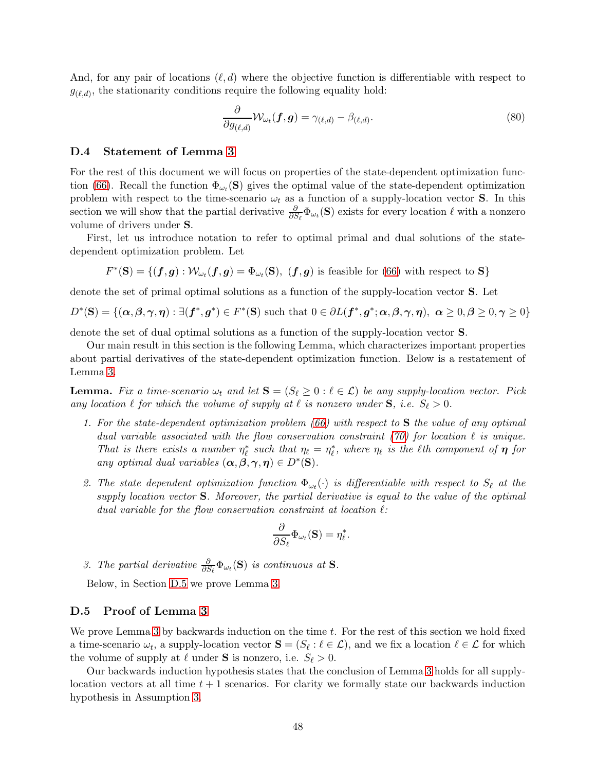And, for any pair of locations  $(\ell, d)$  where the objective function is differentiable with respect to  $g_{(\ell,d)}$ , the stationarity conditions require the following equality hold:

<span id="page-47-4"></span>
$$
\frac{\partial}{\partial g_{(\ell,d)}} \mathcal{W}_{\omega_t}(\boldsymbol{f}, \boldsymbol{g}) = \gamma_{(\ell,d)} - \beta_{(\ell,d)}.
$$
\n(80)

#### D.4 Statement of Lemma [3](#page-13-0)

For the rest of this document we will focus on properties of the state-dependent optimization func-tion [\(66\)](#page-44-1). Recall the function  $\Phi_{\omega_t}(\mathbf{S})$  gives the optimal value of the state-dependent optimization problem with respect to the time-scenario  $\omega_t$  as a function of a supply-location vector **S**. In this section we will show that the partial derivative  $\frac{\partial}{\partial S_{\ell}}\Phi_{\omega_t}(\mathbf{S})$  exists for every location  $\ell$  with a nonzero volume of drivers under S.

First, let us introduce notation to refer to optimal primal and dual solutions of the statedependent optimization problem. Let

$$
F^*(\mathbf{S}) = \{(\mathbf{f}, \mathbf{g}) : \mathcal{W}_{\omega_t}(\mathbf{f}, \mathbf{g}) = \Phi_{\omega_t}(\mathbf{S}), (\mathbf{f}, \mathbf{g}) \text{ is feasible for (66) with respect to } \mathbf{S}\}
$$

denote the set of primal optimal solutions as a function of the supply-location vector S. Let

$$
D^*(\mathbf{S}) = \{(\boldsymbol{\alpha}, \boldsymbol{\beta}, \boldsymbol{\gamma}, \boldsymbol{\eta}) : \exists (\boldsymbol{f}^*, \boldsymbol{g}^*) \in F^*(\mathbf{S}) \text{ such that } 0 \in \partial L(\boldsymbol{f}^*, \boldsymbol{g}^*; \boldsymbol{\alpha}, \boldsymbol{\beta}, \boldsymbol{\gamma}, \boldsymbol{\eta}), \ \boldsymbol{\alpha} \geq 0, \boldsymbol{\beta} \geq 0, \boldsymbol{\gamma} \geq 0\}
$$

denote the set of dual optimal solutions as a function of the supply-location vector S.

Our main result in this section is the following Lemma, which characterizes important properties about partial derivatives of the state-dependent optimization function. Below is a restatement of Lemma [3.](#page-13-0)

<span id="page-47-1"></span>**Lemma.** Fix a time-scenario  $\omega_t$  and let  $S = (S_\ell \geq 0 : \ell \in \mathcal{L})$  be any supply-location vector. Pick any location  $\ell$  for which the volume of supply at  $\ell$  is nonzero under  $S$ , i.e.  $S_{\ell} > 0$ .

- 1. For the state-dependent optimization problem [\(66\)](#page-44-1) with respect to S the value of any optimal dual variable associated with the flow conservation constraint [\(70\)](#page-44-0) for location  $\ell$  is unique. That is there exists a number  $\eta_{\ell}^*$  such that  $\eta_{\ell} = \eta_{\ell}^*$ , where  $\eta_{\ell}$  is the  $\ell$ th component of  $\eta$  for any optimal dual variables  $(\alpha, \beta, \gamma, \eta) \in D^*(\mathbf{S})$ .
- <span id="page-47-2"></span>2. The state dependent optimization function  $\Phi_{\omega_t}(\cdot)$  is differentiable with respect to  $S_{\ell}$  at the supply location vector  $S$ . Moreover, the partial derivative is equal to the value of the optimal dual variable for the flow conservation constraint at location  $\ell$ :

$$
\frac{\partial}{\partial S_{\ell}}\Phi_{\omega_t}(\mathbf{S}) = \eta_{\ell}^*.
$$

<span id="page-47-3"></span>3. The partial derivative  $\frac{\partial}{\partial S_{\ell}}\Phi_{\omega_t}(\mathbf{S})$  is continuous at **S**.

Below, in Section [D.5](#page-47-0) we prove Lemma [3.](#page-13-0)

#### <span id="page-47-0"></span>D.5 Proof of Lemma [3](#page-13-0)

We prove Lemma [3](#page-13-0) by backwards induction on the time t. For the rest of this section we hold fixed a time-scenario  $\omega_t$ , a supply-location vector  $\mathbf{S} = (S_\ell : \ell \in \mathcal{L})$ , and we fix a location  $\ell \in \mathcal{L}$  for which the volume of supply at  $\ell$  under **S** is nonzero, i.e.  $S_{\ell} > 0$ .

Our backwards induction hypothesis states that the conclusion of Lemma [3](#page-13-0) holds for all supplylocation vectors at all time  $t + 1$  scenarios. For clarity we formally state our backwards induction hypothesis in Assumption [3.](#page-48-0)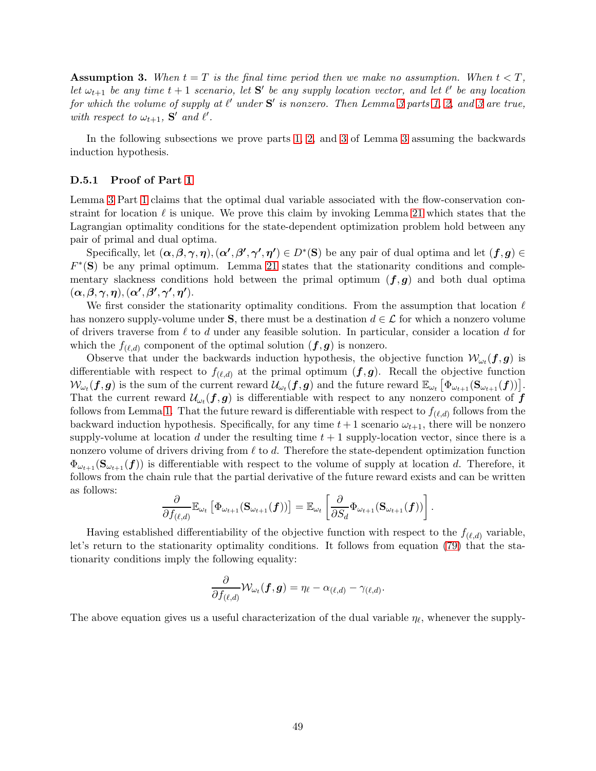<span id="page-48-0"></span>**Assumption 3.** When  $t = T$  is the final time period then we make no assumption. When  $t < T$ , let  $\omega_{t+1}$  be any time  $t+1$  scenario, let S' be any supply location vector, and let  $\ell'$  be any location for which the volume of supply at  $\ell'$  under  $S'$  is nonzero. Then Lemma [3](#page-47-3) parts [1,](#page-47-1) [2,](#page-47-2) and 3 are true, with respect to  $\omega_{t+1}$ , **S'** and  $\ell'$ .

In the following subsections we prove parts [1,](#page-47-1) [2,](#page-47-2) and [3](#page-47-3) of Lemma [3](#page-13-0) assuming the backwards induction hypothesis.

#### <span id="page-48-1"></span>D.5.1 Proof of Part [1](#page-47-1)

Lemma [3](#page-13-0) Part [1](#page-47-1) claims that the optimal dual variable associated with the flow-conservation constraint for location  $\ell$  is unique. We prove this claim by invoking Lemma [21](#page-51-0) which states that the Lagrangian optimality conditions for the state-dependent optimization problem hold between any pair of primal and dual optima.

Specifically, let  $(\alpha, \beta, \gamma, \eta)$ ,  $(\alpha', \beta', \gamma', \eta') \in D^*(\mathbf{S})$  be any pair of dual optima and let  $(\mathbf{f}, \mathbf{g}) \in$  $F^*(S)$  be any primal optimum. Lemma [21](#page-51-0) states that the stationarity conditions and complementary slackness conditions hold between the primal optimum  $(f,g)$  and both dual optima  $(\alpha, \beta, \gamma, \eta), (\alpha', \beta', \gamma', \eta').$ 

We first consider the stationarity optimality conditions. From the assumption that location  $\ell$ has nonzero supply-volume under S, there must be a destination  $d \in \mathcal{L}$  for which a nonzero volume of drivers traverse from  $\ell$  to d under any feasible solution. In particular, consider a location d for which the  $f_{(\ell,d)}$  component of the optimal solution  $(f,g)$  is nonzero.

Observe that under the backwards induction hypothesis, the objective function  $\mathcal{W}_{\omega_t}(\bm{f}, \bm{g})$  is differentiable with respect to  $f_{(\ell,d)}$  at the primal optimum  $(f,g)$ . Recall the objective function  $\mathcal{W}_{\omega_t}(\bm{f},\bm{g})$  is the sum of the current reward  $\mathcal{U}_{\omega_t}(\bm{f},\bm{g})$  and the future reward  $\mathbb{E}_{\omega_t}\left[\Phi_{\omega_{t+1}}(\mathbf{S}_{\omega_{t+1}}(\bm{f}))\right]$ . That the current reward  $\mathcal{U}_{\omega_t}(f,g)$  is differentiable with respect to any nonzero component of  $f$ follows from Lemma [1.](#page-12-0) That the future reward is differentiable with respect to  $f_{(\ell,d)}$  follows from the backward induction hypothesis. Specifically, for any time  $t + 1$  scenario  $\omega_{t+1}$ , there will be nonzero supply-volume at location d under the resulting time  $t + 1$  supply-location vector, since there is a nonzero volume of drivers driving from  $\ell$  to  $d$ . Therefore the state-dependent optimization function  $\Phi_{\omega_{t+1}}(\mathbf{S}_{\omega_{t+1}}(f))$  is differentiable with respect to the volume of supply at location d. Therefore, it follows from the chain rule that the partial derivative of the future reward exists and can be written as follows:

$$
\frac{\partial}{\partial f_{(\ell,d)}} \mathbb{E}_{\omega_t} \left[ \Phi_{\omega_{t+1}}(\mathbf{S}_{\omega_{t+1}}(\boldsymbol{f})) \right] = \mathbb{E}_{\omega_t} \left[ \frac{\partial}{\partial S_d} \Phi_{\omega_{t+1}}(\mathbf{S}_{\omega_{t+1}}(\boldsymbol{f})) \right].
$$

Having established differentiability of the objective function with respect to the  $f_{(\ell,d)}$  variable, let's return to the stationarity optimality conditions. It follows from equation [\(79\)](#page-46-0) that the stationarity conditions imply the following equality:

$$
\frac{\partial}{\partial f_{(\ell,d)}} \mathcal{W}_{\omega_t}(\boldsymbol{f},\boldsymbol{g}) = \eta_\ell - \alpha_{(\ell,d)} - \gamma_{(\ell,d)}.
$$

The above equation gives us a useful characterization of the dual variable  $\eta_{\ell}$ , whenever the supply-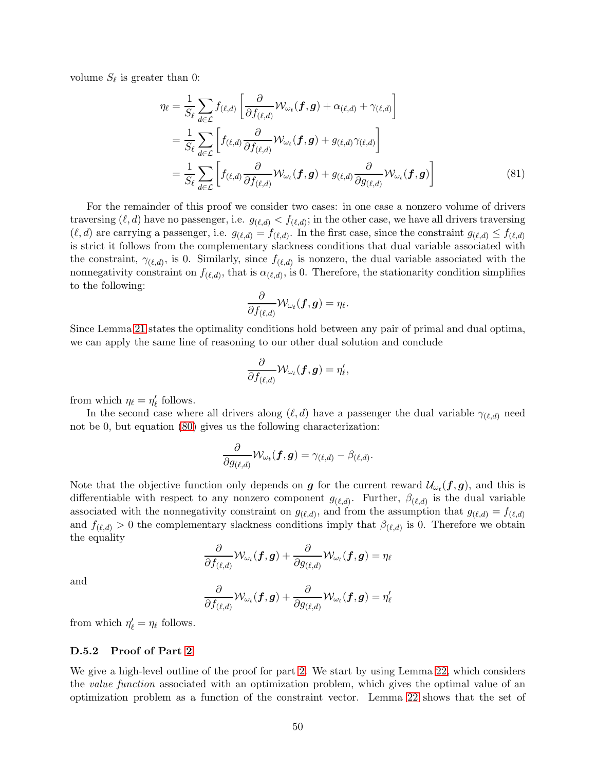volume  $S_{\ell}$  is greater than 0:

$$
\eta_{\ell} = \frac{1}{S_{\ell}} \sum_{d \in \mathcal{L}} f_{(\ell,d)} \left[ \frac{\partial}{\partial f_{(\ell,d)}} \mathcal{W}_{\omega_{t}}(\boldsymbol{f}, \boldsymbol{g}) + \alpha_{(\ell,d)} + \gamma_{(\ell,d)} \right]
$$
  
\n
$$
= \frac{1}{S_{\ell}} \sum_{d \in \mathcal{L}} \left[ f_{(\ell,d)} \frac{\partial}{\partial f_{(\ell,d)}} \mathcal{W}_{\omega_{t}}(\boldsymbol{f}, \boldsymbol{g}) + g_{(\ell,d)} \gamma_{(\ell,d)} \right]
$$
  
\n
$$
= \frac{1}{S_{\ell}} \sum_{d \in \mathcal{L}} \left[ f_{(\ell,d)} \frac{\partial}{\partial f_{(\ell,d)}} \mathcal{W}_{\omega_{t}}(\boldsymbol{f}, \boldsymbol{g}) + g_{(\ell,d)} \frac{\partial}{\partial g_{(\ell,d)}} \mathcal{W}_{\omega_{t}}(\boldsymbol{f}, \boldsymbol{g}) \right]
$$
(81)

For the remainder of this proof we consider two cases: in one case a nonzero volume of drivers traversing  $(\ell, d)$  have no passenger, i.e.  $g_{(\ell,d)} < f_{(\ell,d)}$ ; in the other case, we have all drivers traversing  $(\ell, d)$  are carrying a passenger, i.e.  $g_{(\ell,d)} = f_{(\ell,d)}$ . In the first case, since the constraint  $g_{(\ell,d)} \leq f_{(\ell,d)}$ is strict it follows from the complementary slackness conditions that dual variable associated with the constraint,  $\gamma_{(\ell,d)}$ , is 0. Similarly, since  $f_{(\ell,d)}$  is nonzero, the dual variable associated with the nonnegativity constraint on  $f_{(\ell,d)}$ , that is  $\alpha_{(\ell,d)}$ , is 0. Therefore, the stationarity condition simplifies to the following:

<span id="page-49-0"></span>
$$
\frac{\partial}{\partial f_{(\ell,d)}} \mathcal{W}_{\omega_t}(\boldsymbol{f},\boldsymbol{g}) = \eta_\ell.
$$

Since Lemma [21](#page-51-0) states the optimality conditions hold between any pair of primal and dual optima, we can apply the same line of reasoning to our other dual solution and conclude

$$
\frac{\partial}{\partial f_{(\ell,d)}} \mathcal{W}_{\omega_t}(\bm{f},\bm{g}) = \eta'_\ell,
$$

from which  $\eta_{\ell} = \eta'_{\ell}$  follows.

In the second case where all drivers along  $(\ell, d)$  have a passenger the dual variable  $\gamma_{(\ell,d)}$  need not be 0, but equation [\(80\)](#page-47-4) gives us the following characterization:

$$
\frac{\partial}{\partial g_{(\ell,d)}} \mathcal{W}_{\omega_t}(\boldsymbol{f},\boldsymbol{g}) = \gamma_{(\ell,d)} - \beta_{(\ell,d)}.
$$

Note that the objective function only depends on **g** for the current reward  $\mathcal{U}_{\omega_t}(\bm{f}, \bm{g})$ , and this is differentiable with respect to any nonzero component  $g_{(\ell,d)}$ . Further,  $\beta_{(\ell,d)}$  is the dual variable associated with the nonnegativity constraint on  $g_{(\ell,d)}$ , and from the assumption that  $g_{(\ell,d)} = f_{(\ell,d)}$ and  $f_{(\ell,d)} > 0$  the complementary slackness conditions imply that  $\beta_{(\ell,d)}$  is 0. Therefore we obtain the equality

$$
\frac{\partial}{\partial f_{(\ell,d)}} \mathcal{W}_{\omega_t}(\boldsymbol{f}, \boldsymbol{g}) + \frac{\partial}{\partial g_{(\ell,d)}} \mathcal{W}_{\omega_t}(\boldsymbol{f}, \boldsymbol{g}) = \eta_\ell
$$

and

$$
\frac{\partial}{\partial f_{(\ell,d)}} \mathcal{W}_{\omega_t}(\boldsymbol{f}, \boldsymbol{g}) + \frac{\partial}{\partial g_{(\ell,d)}} \mathcal{W}_{\omega_t}(\boldsymbol{f}, \boldsymbol{g}) = \eta'_{\ell}
$$

from which  $\eta'_{\ell} = \eta_{\ell}$  follows.

#### D.5.2 Proof of Part [2](#page-47-2)

We give a high-level outline of the proof for part [2.](#page-47-2) We start by using Lemma [22,](#page-52-0) which considers the value function associated with an optimization problem, which gives the optimal value of an optimization problem as a function of the constraint vector. Lemma [22](#page-52-0) shows that the set of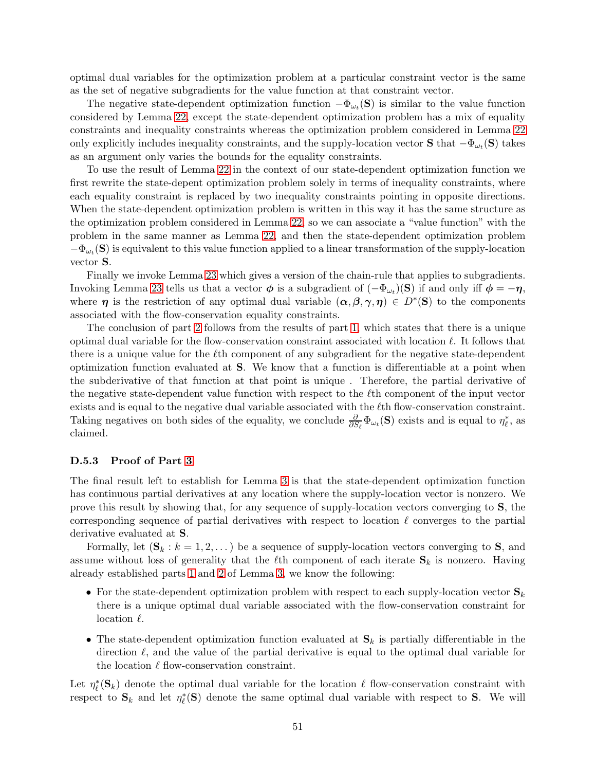optimal dual variables for the optimization problem at a particular constraint vector is the same as the set of negative subgradients for the value function at that constraint vector.

The negative state-dependent optimization function  $-\Phi_{\omega_t}(\mathbf{S})$  is similar to the value function considered by Lemma [22,](#page-52-0) except the state-dependent optimization problem has a mix of equality constraints and inequality constraints whereas the optimization problem considered in Lemma [22](#page-52-0) only explicitly includes inequality constraints, and the supply-location vector **S** that  $-\Phi_{\omega_t}(\mathbf{S})$  takes as an argument only varies the bounds for the equality constraints.

To use the result of Lemma [22](#page-52-0) in the context of our state-dependent optimization function we first rewrite the state-depent optimization problem solely in terms of inequality constraints, where each equality constraint is replaced by two inequality constraints pointing in opposite directions. When the state-dependent optimization problem is written in this way it has the same structure as the optimization problem considered in Lemma [22,](#page-52-0) so we can associate a "value function" with the problem in the same manner as Lemma [22,](#page-52-0) and then the state-dependent optimization problem  $-\Phi_{\omega_t}(\mathbf{S})$  is equivalent to this value function applied to a linear transformation of the supply-location vector S.

Finally we invoke Lemma [23](#page-52-1) which gives a version of the chain-rule that applies to subgradients. Invoking Lemma [23](#page-52-1) tells us that a vector  $\phi$  is a subgradient of  $(-\Phi_{\omega_t})(S)$  if and only iff  $\phi = -\eta$ , where  $\eta$  is the restriction of any optimal dual variable  $(\alpha, \beta, \gamma, \eta) \in D^*(\mathbf{S})$  to the components associated with the flow-conservation equality constraints.

The conclusion of part [2](#page-47-2) follows from the results of part [1,](#page-47-1) which states that there is a unique optimal dual variable for the flow-conservation constraint associated with location  $\ell$ . It follows that there is a unique value for the  $\ell$ th component of any subgradient for the negative state-dependent optimization function evaluated at S. We know that a function is differentiable at a point when the subderivative of that function at that point is unique . Therefore, the partial derivative of the negative state-dependent value function with respect to the  $\ell$ th component of the input vector exists and is equal to the negative dual variable associated with the  $\ell$ th flow-conservation constraint. Taking negatives on both sides of the equality, we conclude  $\frac{\partial}{\partial S_{\ell}}\Phi_{\omega_i}(\mathbf{S})$  exists and is equal to  $\eta_{\ell}^*$ , as claimed.

#### D.5.3 Proof of Part [3](#page-47-3)

The final result left to establish for Lemma [3](#page-13-0) is that the state-dependent optimization function has continuous partial derivatives at any location where the supply-location vector is nonzero. We prove this result by showing that, for any sequence of supply-location vectors converging to S, the corresponding sequence of partial derivatives with respect to location  $\ell$  converges to the partial derivative evaluated at S.

Formally, let  $(\mathbf{S}_k : k = 1, 2, ...)$  be a sequence of supply-location vectors converging to **S**, and assume without loss of generality that the  $\ell$ th component of each iterate  $S_k$  is nonzero. Having already established parts [1](#page-47-1) and [2](#page-47-2) of Lemma [3,](#page-13-0) we know the following:

- For the state-dependent optimization problem with respect to each supply-location vector  $S_k$ there is a unique optimal dual variable associated with the flow-conservation constraint for location  $\ell$ .
- The state-dependent optimization function evaluated at  $S_k$  is partially differentiable in the direction  $\ell$ , and the value of the partial derivative is equal to the optimal dual variable for the location  $\ell$  flow-conservation constraint.

Let  $\eta_{\ell}^*(\mathbf{S}_k)$  denote the optimal dual variable for the location  $\ell$  flow-conservation constraint with respect to  $S_k$  and let  $\eta_\ell^*(S)$  denote the same optimal dual variable with respect to S. We will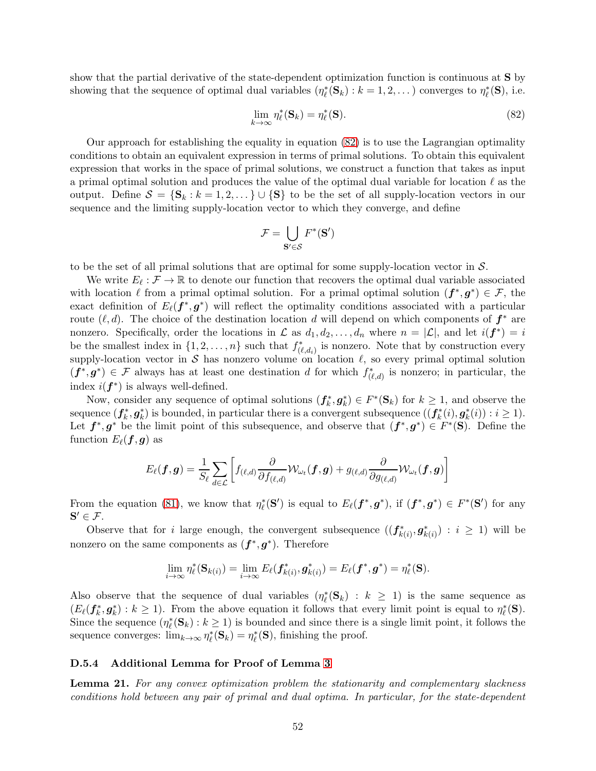show that the partial derivative of the state-dependent optimization function is continuous at S by showing that the sequence of optimal dual variables  $(\eta_{\ell}^*(\mathbf{S}_k) : k = 1, 2, ...)$  converges to  $\eta_{\ell}^*(\mathbf{S}),$  i.e.

<span id="page-51-1"></span>
$$
\lim_{k \to \infty} \eta_{\ell}^*(\mathbf{S}_k) = \eta_{\ell}^*(\mathbf{S}).\tag{82}
$$

Our approach for establishing the equality in equation [\(82\)](#page-51-1) is to use the Lagrangian optimality conditions to obtain an equivalent expression in terms of primal solutions. To obtain this equivalent expression that works in the space of primal solutions, we construct a function that takes as input a primal optimal solution and produces the value of the optimal dual variable for location  $\ell$  as the output. Define  $\mathcal{S} = \{S_k : k = 1, 2, \dots\} \cup \{S\}$  to be the set of all supply-location vectors in our sequence and the limiting supply-location vector to which they converge, and define

$$
\mathcal{F} = \bigcup_{\mathbf{S}' \in \mathcal{S}} F^*(\mathbf{S}')
$$

to be the set of all primal solutions that are optimal for some supply-location vector in  $S$ .

We write  $E_{\ell}: \mathcal{F} \to \mathbb{R}$  to denote our function that recovers the optimal dual variable associated with location  $\ell$  from a primal optimal solution. For a primal optimal solution  $(f^*, g^*) \in \mathcal{F}$ , the exact definition of  $E_{\ell}(\boldsymbol{f}^*, \boldsymbol{g}^*)$  will reflect the optimality conditions associated with a particular route  $(\ell, d)$ . The choice of the destination location d will depend on which components of  $f^*$  are nonzero. Specifically, order the locations in  $\mathcal L$  as  $d_1, d_2, \ldots, d_n$  where  $n = |\mathcal L|$ , and let  $i(\mathbf{f}^*) = i$ be the smallest index in  $\{1, 2, \ldots, n\}$  such that  $f^*_{(\ell, d_i)}$  is nonzero. Note that by construction every supply-location vector in S has nonzero volume on location  $\ell$ , so every primal optimal solution  $(f^*, g^*) \in \mathcal{F}$  always has at least one destination d for which  $f^*_{(\ell,d)}$  is nonzero; in particular, the index  $i(f^*)$  is always well-defined.

Now, consider any sequence of optimal solutions  $(f_k^*, g_k^*) \in F^*(\mathbf{S}_k)$  for  $k \geq 1$ , and observe the sequence  $(f_k^*, g_k^*)$  is bounded, in particular there is a convergent subsequence  $((f_k^*(i), g_k^*(i)) : i \geq 1)$ . Let  $f^*, g^*$  be the limit point of this subsequence, and observe that  $(f^*, g^*) \in F^*(\mathbf{S})$ . Define the function  $E_{\ell}(\boldsymbol{f}, \boldsymbol{g})$  as

$$
E_{\ell}(\bm{f},\bm{g})=\frac{1}{S_{\ell}}\sum_{d\in\mathcal{L}}\left[f_{(\ell,d)}\frac{\partial}{\partial f_{(\ell,d)}}\mathcal{W}_{\omega_{t}}(\bm{f},\bm{g})+g_{(\ell,d)}\frac{\partial}{\partial g_{(\ell,d)}}\mathcal{W}_{\omega_{t}}(\bm{f},\bm{g})\right]
$$

From the equation [\(81\)](#page-49-0), we know that  $\eta_{\ell}^*(\mathbf{S}')$  is equal to  $E_{\ell}(\boldsymbol{f}^*, \boldsymbol{g}^*)$ , if  $(\boldsymbol{f}^*, \boldsymbol{g}^*) \in F^*(\mathbf{S}')$  for any  $S' \in \mathcal{F}$ .

Observe that for i large enough, the convergent subsequence  $((f_{k(i)}^*, g_{k(i)}^*) : i \geq 1)$  will be nonzero on the same components as  $(f^*, g^*)$ . Therefore

$$
\lim_{i\to\infty}\eta_\ell^*(\mathbf{S}_{k(i)})=\lim_{i\to\infty}E_\ell(\boldsymbol{f}_{k(i)}^*,\boldsymbol{g}_{k(i)}^*)=E_\ell(\boldsymbol{f}^*,\boldsymbol{g}^*)=\eta_\ell^*(\mathbf{S}).
$$

Also observe that the sequence of dual variables  $(\eta_{\ell}^*(\mathbf{S}_k) : k \geq 1)$  is the same sequence as  $(E_{\ell}(\mathbf{f}_k^*, \mathbf{g}_k^*) : k \geq 1)$ . From the above equation it follows that every limit point is equal to  $\eta_{\ell}^*(\mathbf{S})$ . Since the sequence  $(\eta_\ell^*(\mathbf{S}_k) : k \geq 1)$  is bounded and since there is a single limit point, it follows the sequence converges:  $\lim_{k\to\infty} \eta_\ell^*(\mathbf{S}_k) = \eta_\ell^*(\mathbf{S}),$  finishing the proof.

#### D.5.4 Additional Lemma for Proof of Lemma [3](#page-13-0)

<span id="page-51-0"></span>**Lemma 21.** For any convex optimization problem the stationarity and complementary slackness conditions hold between any pair of primal and dual optima. In particular, for the state-dependent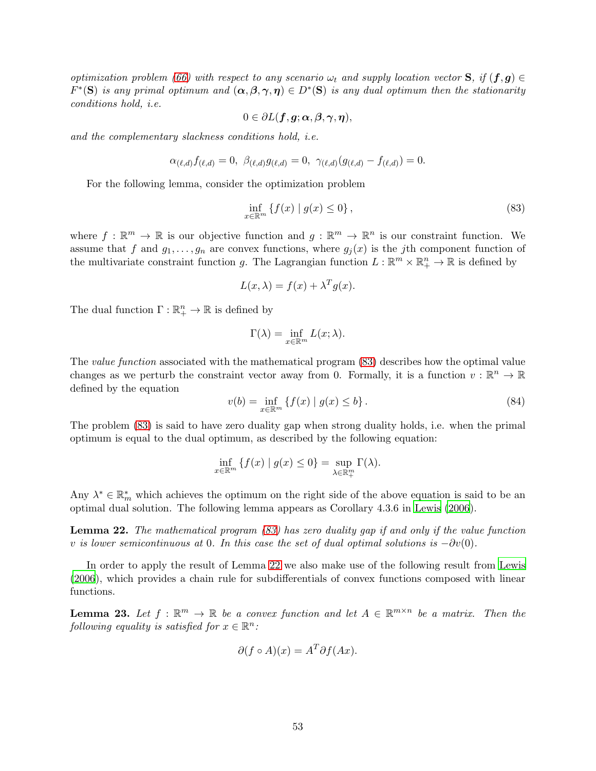optimization problem [\(66\)](#page-44-1) with respect to any scenario  $\omega_t$  and supply location vector **S**, if  $(f, g) \in$  $F^*(\mathbf{S})$  is any primal optimum and  $(\alpha, \beta, \gamma, \eta) \in D^*(\mathbf{S})$  is any dual optimum then the stationarity conditions hold, i.e.

$$
0\in \partial L(\boldsymbol{f},\boldsymbol{g};\boldsymbol{\alpha},\boldsymbol{\beta},\boldsymbol{\gamma},\boldsymbol{\eta}),
$$

and the complementary slackness conditions hold, i.e.

$$
\alpha_{(\ell,d)} f_{(\ell,d)} = 0, \ \beta_{(\ell,d)} g_{(\ell,d)} = 0, \ \gamma_{(\ell,d)} (g_{(\ell,d)} - f_{(\ell,d)}) = 0.
$$

For the following lemma, consider the optimization problem

<span id="page-52-2"></span>
$$
\inf_{x \in \mathbb{R}^m} \left\{ f(x) \mid g(x) \le 0 \right\},\tag{83}
$$

where  $f : \mathbb{R}^m \to \mathbb{R}$  is our objective function and  $g : \mathbb{R}^m \to \mathbb{R}^n$  is our constraint function. We assume that f and  $g_1, \ldots, g_n$  are convex functions, where  $g_j(x)$  is the jth component function of the multivariate constraint function g. The Lagrangian function  $L : \mathbb{R}^m \times \mathbb{R}^n_+ \to \mathbb{R}$  is defined by

$$
L(x,\lambda) = f(x) + \lambda^T g(x).
$$

The dual function  $\Gamma: \mathbb{R}^n_+ \to \mathbb{R}$  is defined by

$$
\Gamma(\lambda) = \inf_{x \in \mathbb{R}^m} L(x; \lambda).
$$

The *value function* associated with the mathematical program  $(83)$  describes how the optimal value changes as we perturb the constraint vector away from 0. Formally, it is a function  $v : \mathbb{R}^n \to \mathbb{R}$ defined by the equation

$$
v(b) = \inf_{x \in \mathbb{R}^m} \{ f(x) \mid g(x) \le b \}.
$$
 (84)

The problem [\(83\)](#page-52-2) is said to have zero duality gap when strong duality holds, i.e. when the primal optimum is equal to the dual optimum, as described by the following equation:

$$
\inf_{x \in \mathbb{R}^m} \{ f(x) \mid g(x) \le 0 \} = \sup_{\lambda \in \mathbb{R}^m_+} \Gamma(\lambda).
$$

Any  $\lambda^* \in \mathbb{R}_m^*$  which achieves the optimum on the right side of the above equation is said to be an optimal dual solution. The following lemma appears as Corollary 4.3.6 in [Lewis \(2006\)](#page-25-0).

<span id="page-52-0"></span>**Lemma 22.** The mathematical program  $(83)$  has zero duality gap if and only if the value function v is lower semicontinuous at 0. In this case the set of dual optimal solutions is  $-\partial v(0)$ .

In order to apply the result of Lemma [22](#page-52-0) we also make use of the following result from [Lewis](#page-25-0) [\(2006](#page-25-0)), which provides a chain rule for subdifferentials of convex functions composed with linear functions.

<span id="page-52-1"></span>**Lemma 23.** Let  $f : \mathbb{R}^m \to \mathbb{R}$  be a convex function and let  $A \in \mathbb{R}^{m \times n}$  be a matrix. Then the following equality is satisfied for  $x \in \mathbb{R}^n$ :

$$
\partial (f \circ A)(x) = A^T \partial f(Ax).
$$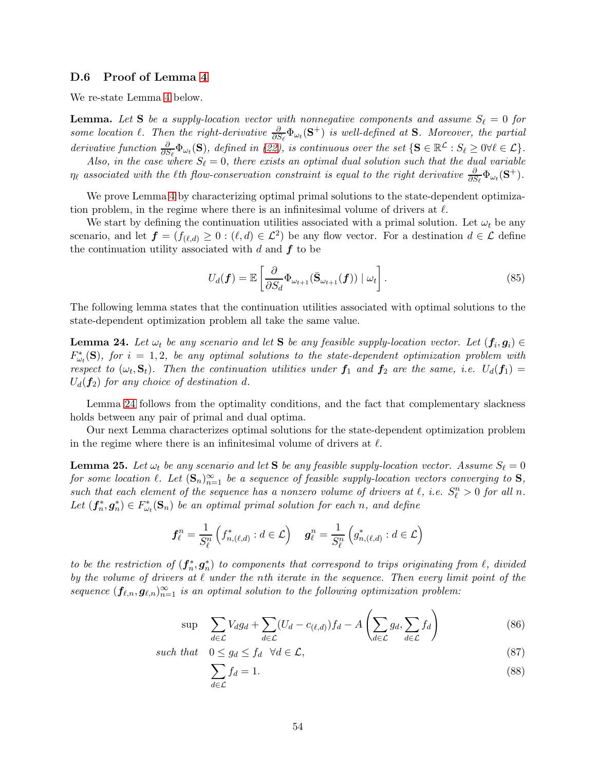#### D.6 Proof of Lemma [4](#page-13-1)

We re-state Lemma [4](#page-13-1) below.

**Lemma.** Let S be a supply-location vector with nonnegative components and assume  $S_{\ell} = 0$  for some location  $\ell$ . Then the right-derivative  $\frac{\partial}{\partial S_{\ell}}\Phi_{\omega_t}(\mathbf{S}^+)$  is well-defined at **S**. Moreover, the partial derivative function  $\frac{\partial}{\partial S_{\ell}}\Phi_{\omega_{t}}(\mathbf{S})$ , defined in [\(22\)](#page-13-2), is continuous over the set  $\{\mathbf{S} \in \mathbb{R}^{\mathcal{L}} : S_{\ell} \geq 0 \forall \ell \in \mathcal{L}\}\.$ 

Also, in the case where  $S_{\ell} = 0$ , there exists an optimal dual solution such that the dual variable  $\eta_\ell$  associated with the  $\ell$ th flow-conservation constraint is equal to the right derivative  $\frac{\partial}{\partial S_\ell} \Phi_{\omega_t}(\mathbf{S}^+).$ 

We prove Lemma [4](#page-13-1) by characterizing optimal primal solutions to the state-dependent optimization problem, in the regime where there is an infinitesimal volume of drivers at  $\ell$ .

We start by defining the continuation utilities associated with a primal solution. Let  $\omega_t$  be any scenario, and let  $f = (f_{(\ell,d)} \geq 0 : (\ell, d) \in \mathcal{L}^2)$  be any flow vector. For a destination  $d \in \mathcal{L}$  define the continuation utility associated with  $d$  and  $f$  to be

$$
U_d(\boldsymbol{f}) = \mathbb{E}\left[\frac{\partial}{\partial S_d} \Phi_{\omega_{t+1}}(\bar{\mathbf{S}}_{\omega_{t+1}}(\boldsymbol{f})) \mid \omega_t\right].
$$
\n(85)

The following lemma states that the continuation utilities associated with optimal solutions to the state-dependent optimization problem all take the same value.

<span id="page-53-0"></span>**Lemma 24.** Let  $\omega_t$  be any scenario and let **S** be any feasible supply-location vector. Let  $(f_i, g_i) \in$  $F_{\omega_t}^*(\mathbf{S})$ , for  $i = 1, 2$ , be any optimal solutions to the state-dependent optimization problem with respect to  $(\omega_t, \mathbf{S}_t)$ . Then the continuation utilities under  $f_1$  and  $f_2$  are the same, i.e.  $U_d(f_1)$  $U_d(f_2)$  for any choice of destination d.

Lemma [24](#page-53-0) follows from the optimality conditions, and the fact that complementary slackness holds between any pair of primal and dual optima.

Our next Lemma characterizes optimal solutions for the state-dependent optimization problem in the regime where there is an infinitesimal volume of drivers at  $\ell$ .

<span id="page-53-3"></span>**Lemma 25.** Let  $\omega_t$  be any scenario and let S be any feasible supply-location vector. Assume  $S_\ell = 0$ for some location  $\ell$ . Let  $(\mathbf{S}_n)_{n=1}^{\infty}$  be a sequence of feasible supply-location vectors converging to  $\mathbf{S}$ , such that each element of the sequence has a nonzero volume of drivers at  $\ell$ , i.e.  $S_{\ell}^n > 0$  for all n. Let  $(f_n^*, g_n^*) \in F_{\omega_t}^*(\mathbf{S}_n)$  be an optimal primal solution for each n, and define

$$
\boldsymbol{f}_{\ell}^n = \frac{1}{S_{\ell}^n} \left( f_{n,(\ell,d)}^* : d \in \mathcal{L} \right) \quad \boldsymbol{g}_{\ell}^n = \frac{1}{S_{\ell}^n} \left( g_{n,(\ell,d)}^* : d \in \mathcal{L} \right)
$$

to be the restriction of  $(f_n^*, g_n^*)$  to components that correspond to trips originating from  $\ell$ , divided by the volume of drivers at  $\ell$  under the nth iterate in the sequence. Then every limit point of the sequence  $(f_{\ell,n}, g_{\ell,n})_{n=1}^{\infty}$  is an optimal solution to the following optimization problem:

$$
\sup \sum_{d \in \mathcal{L}} V_d g_d + \sum_{d \in \mathcal{L}} (U_d - c_{(\ell,d)}) f_d - A \left( \sum_{d \in \mathcal{L}} g_d, \sum_{d \in \mathcal{L}} f_d \right) \tag{86}
$$

such that 
$$
0 \le g_d \le f_d \quad \forall d \in \mathcal{L},
$$
 (87)

<span id="page-53-2"></span><span id="page-53-1"></span>
$$
\sum_{d \in \mathcal{L}} f_d = 1. \tag{88}
$$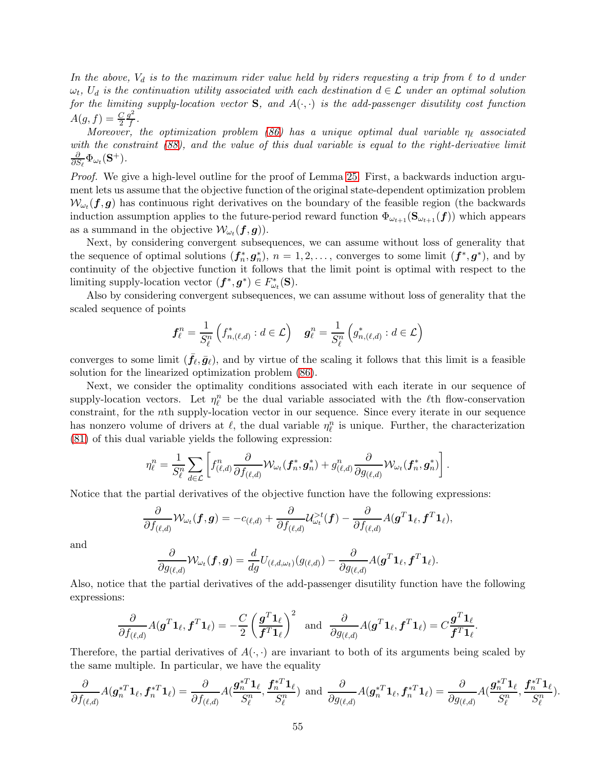In the above,  $V_d$  is to the maximum rider value held by riders requesting a trip from  $\ell$  to d under  $\omega_t$ ,  $U_d$  is the continuation utility associated with each destination  $d \in \mathcal{L}$  under an optimal solution for the limiting supply-location vector  $S$ , and  $A(\cdot, \cdot)$  is the add-passenger disutility cost function  $A(g, f) = \frac{C}{2}$  $g^2$  $\frac{J^-}{f}$  .

Moreover, the optimization problem [\(86\)](#page-53-1) has a unique optimal dual variable  $\eta_{\ell}$  associated with the constraint [\(88\)](#page-53-2), and the value of this dual variable is equal to the right-derivative limit ∂  $\frac{\partial}{\partial S_{\ell}}\Phi_{\omega_t}(\mathbf{S}^+).$ 

Proof. We give a high-level outline for the proof of Lemma [25.](#page-53-3) First, a backwards induction argument lets us assume that the objective function of the original state-dependent optimization problem  $\mathcal{W}_{\omega_t}(\bm{f}, \bm{g})$  has continuous right derivatives on the boundary of the feasible region (the backwards induction assumption applies to the future-period reward function  $\Phi_{\omega_{t+1}}(\mathbf{S}_{\omega_{t+1}}(\mathbf{f}))$  which appears as a summand in the objective  $\mathcal{W}_{\omega_t}(\bm{f}, \bm{g})$ ).

Next, by considering convergent subsequences, we can assume without loss of generality that the sequence of optimal solutions  $(f_n^*, g_n^*), n = 1, 2, \ldots$ , converges to some limit  $(f^*, g^*)$ , and by continuity of the objective function it follows that the limit point is optimal with respect to the limiting supply-location vector  $(f^*, g^*) \in F^*_{\omega_t}(\mathbf{S})$ .

Also by considering convergent subsequences, we can assume without loss of generality that the scaled sequence of points

$$
\boldsymbol{f}_{\ell}^n = \frac{1}{S_{\ell}^n} \left( f_{n,(\ell,d)}^* : d \in \mathcal{L} \right) \quad \boldsymbol{g}_{\ell}^n = \frac{1}{S_{\ell}^n} \left( g_{n,(\ell,d)}^* : d \in \mathcal{L} \right)
$$

converges to some limit  $(\bar{f}_{\ell}, \bar{g}_{\ell})$ , and by virtue of the scaling it follows that this limit is a feasible solution for the linearized optimization problem [\(86\)](#page-53-1).

Next, we consider the optimality conditions associated with each iterate in our sequence of supply-location vectors. Let  $\eta_{\ell}^{n}$  be the dual variable associated with the  $\ell$ th flow-conservation constraint, for the nth supply-location vector in our sequence. Since every iterate in our sequence has nonzero volume of drivers at  $\ell$ , the dual variable  $\eta_{\ell}^{n}$  is unique. Further, the characterization [\(81\)](#page-49-0) of this dual variable yields the following expression:

$$
\eta^n_{\ell} = \frac{1}{S^n_{\ell}} \sum_{d \in \mathcal{L}} \left[ f^n_{(\ell,d)} \frac{\partial}{\partial f_{(\ell,d)}} \mathcal{W}_{\omega_t}(\boldsymbol{f}_n^*, \boldsymbol{g}_n^*) + g^n_{(\ell,d)} \frac{\partial}{\partial g_{(\ell,d)}} \mathcal{W}_{\omega_t}(\boldsymbol{f}_n^*, \boldsymbol{g}_n^*) \right].
$$

Notice that the partial derivatives of the objective function have the following expressions:

$$
\frac{\partial}{\partial f_{(\ell,d)}} \mathcal{W}_{\omega_t}(\boldsymbol{f}, \boldsymbol{g}) = -c_{(\ell,d)} + \frac{\partial}{\partial f_{(\ell,d)}} \mathcal{U}^{>t}_{\omega_t}(\boldsymbol{f}) - \frac{\partial}{\partial f_{(\ell,d)}} A(\boldsymbol{g}^T \boldsymbol{1}_\ell, \boldsymbol{f}^T \boldsymbol{1}_\ell),
$$

and

$$
\frac{\partial}{\partial g_{(\ell,d)}} \mathcal{W}_{\omega_t}(\boldsymbol{f}, \boldsymbol{g}) = \frac{d}{dg} U_{(\ell,d,\omega_t)}(g_{(\ell,d)}) - \frac{\partial}{\partial g_{(\ell,d)}} A(\boldsymbol{g}^T \boldsymbol{1}_{\ell}, \boldsymbol{f}^T \boldsymbol{1}_{\ell}).
$$

Also, notice that the partial derivatives of the add-passenger disutility function have the following expressions:

$$
\frac{\partial}{\partial f_{(\ell,d)}}A(\boldsymbol{g}^T\boldsymbol{1}_\ell,\boldsymbol{f}^T\boldsymbol{1}_\ell)=-\frac{C}{2}\left(\frac{\boldsymbol{g}^T\boldsymbol{1}_\ell}{\boldsymbol{f}^T\boldsymbol{1}_\ell}\right)^2\ \ \text{and}\ \ \frac{\partial}{\partial g_{(\ell,d)}}A(\boldsymbol{g}^T\boldsymbol{1}_\ell,\boldsymbol{f}^T\boldsymbol{1}_\ell)=C\frac{\boldsymbol{g}^T\boldsymbol{1}_\ell}{\boldsymbol{f}^T\boldsymbol{1}_\ell}.
$$

Therefore, the partial derivatives of  $A(\cdot, \cdot)$  are invariant to both of its arguments being scaled by the same multiple. In particular, we have the equality

$$
\frac{\partial}{\partial f_{(\ell,d)}}A(\boldsymbol{g}_n^{*T}\boldsymbol{1}_{\ell},\boldsymbol{f}_n^{*T}\boldsymbol{1}_{\ell}) = \frac{\partial}{\partial f_{(\ell,d)}}A(\frac{\boldsymbol{g}_n^{*T}\boldsymbol{1}_{\ell}}{S_{\ell}^n},\frac{\boldsymbol{f}_n^{*T}\boldsymbol{1}_{\ell}}{S_{\ell}^n}) \text{ and } \frac{\partial}{\partial g_{(\ell,d)}}A(\boldsymbol{g}_n^{*T}\boldsymbol{1}_{\ell},\boldsymbol{f}_n^{*T}\boldsymbol{1}_{\ell}) = \frac{\partial}{\partial g_{(\ell,d)}}A(\frac{\boldsymbol{g}_n^{*T}\boldsymbol{1}_{\ell}}{S_{\ell}^n},\frac{\boldsymbol{f}_n^{*T}\boldsymbol{1}_{\ell}}{S_{\ell}^n}).
$$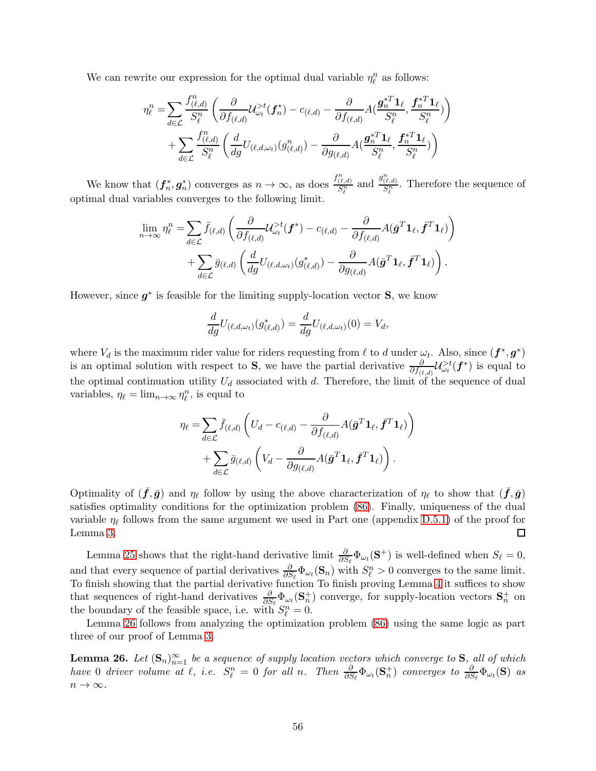We can rewrite our expression for the optimal dual variable  $\eta_{\ell}^n$  as follows:

$$
\eta_{\ell}^{n} = \sum_{d \in \mathcal{L}} \frac{f_{(\ell,d)}^{n}}{S_{\ell}^{n}} \left( \frac{\partial}{\partial f_{(\ell,d)}} \mathcal{U}_{\omega_{t}}^{>t}(\mathbf{f}_{n}^{*}) - c_{(\ell,d)} - \frac{\partial}{\partial f_{(\ell,d)}} \mathcal{A}(\frac{\mathbf{g}_{n}^{*T} \mathbf{1}_{\ell}}{S_{\ell}^{n}}, \frac{\mathbf{f}_{n}^{*T} \mathbf{1}_{\ell}}{S_{\ell}^{n}}) \right) + \sum_{d \in \mathcal{L}} \frac{f_{(\ell,d)}^{n}}{S_{\ell}^{n}} \left( \frac{d}{dg} U_{(\ell,d,\omega_{t})}(\mathbf{g}_{(\ell,d)}^{n}) - \frac{\partial}{\partial g_{(\ell,d)}} \mathcal{A}(\frac{\mathbf{g}_{n}^{*T} \mathbf{1}_{\ell}}{S_{\ell}^{n}}, \frac{\mathbf{f}_{n}^{*T} \mathbf{1}_{\ell}}{S_{\ell}^{n}}) \right)
$$

We know that  $(f_n^*, g_n^*)$  converges as  $n \to \infty$ , as does  $\frac{f_{(\ell,d)}^n}{S_{\ell}^n}$  and  $\frac{g_{(\ell,d)}^n}{S_{\ell}^n}$ . Therefore the sequence of optimal dual variables converges to the following limit.

$$
\lim_{n \to \infty} \eta_{\ell}^{n} = \sum_{d \in \mathcal{L}} \bar{f}_{(\ell,d)} \left( \frac{\partial}{\partial f_{(\ell,d)}} \mathcal{U}_{\omega_{t}}^{>t}(\boldsymbol{f}^{*}) - c_{(\ell,d)} - \frac{\partial}{\partial f_{(\ell,d)}} A(\bar{\boldsymbol{g}}^{T} \boldsymbol{1}_{\ell}, \bar{\boldsymbol{f}}^{T} \boldsymbol{1}_{\ell}) \right) + \sum_{d \in \mathcal{L}} \bar{g}_{(\ell,d)} \left( \frac{d}{dg} U_{(\ell,d,\omega_{t})} (g_{(\ell,d)}^{*}) - \frac{\partial}{\partial g_{(\ell,d)}} A(\bar{\boldsymbol{g}}^{T} \boldsymbol{1}_{\ell}, \bar{\boldsymbol{f}}^{T} \boldsymbol{1}_{\ell}) \right).
$$

However, since  $g^*$  is feasible for the limiting supply-location vector  $S$ , we know

$$
\frac{d}{dg}U_{(\ell,d,\omega_t)}(g_{(\ell,d)}^*) = \frac{d}{dg}U_{(\ell,d,\omega_t)}(0) = V_d,
$$

where  $V_d$  is the maximum rider value for riders requesting from  $\ell$  to  $d$  under  $\omega_t$ . Also, since  $(\bm{f}^*, \bm{g}^*)$ is an optimal solution with respect to S, we have the partial derivative  $\frac{\partial}{\partial f_{(\ell,d)}}\mathcal{U}_{\omega_t}^{>t}(\boldsymbol{f}^*)$  is equal to the optimal continuation utility  $U_d$  associated with d. Therefore, the limit of the sequence of dual variables,  $\eta_{\ell} = \lim_{n \to \infty} \eta_{\ell}^n$ , is equal to

$$
\eta_{\ell} = \sum_{d \in \mathcal{L}} \bar{f}_{(\ell,d)} \left( U_d - c_{(\ell,d)} - \frac{\partial}{\partial f_{(\ell,d)}} A(\bar{\mathbf{g}}^T \mathbf{1}_{\ell}, \bar{\mathbf{f}}^T \mathbf{1}_{\ell}) \right) + \sum_{d \in \mathcal{L}} \bar{g}_{(\ell,d)} \left( V_d - \frac{\partial}{\partial g_{(\ell,d)}} A(\bar{\mathbf{g}}^T \mathbf{1}_{\ell}, \bar{\mathbf{f}}^T \mathbf{1}_{\ell}) \right).
$$

Optimality of  $(\bar{f}, \bar{g})$  and  $\eta_{\ell}$  follow by using the above characterization of  $\eta_{\ell}$  to show that  $(\bar{f}, \bar{g})$ satisfies optimality conditions for the optimization problem [\(86\)](#page-53-1). Finally, uniqueness of the dual variable  $\eta_{\ell}$  follows from the same argument we used in Part one (appendix [D.5.1\)](#page-48-1) of the proof for Lemma [3.](#page-13-0) □

Lemma [25](#page-53-3) shows that the right-hand derivative limit  $\frac{\partial}{\partial S_{\ell}}\Phi_{\omega_t}(\mathbf{S}^+)$  is well-defined when  $S_{\ell} = 0$ , and that every sequence of partial derivatives  $\frac{\partial}{\partial S_{\ell}}\Phi_{\omega_{t}}(\mathbf{S}_{n})$  with  $S_{\ell}^{n} > 0$  converges to the same limit. To finish showing that the partial derivative function To finish proving Lemma [4](#page-13-1) it suffices to show that sequences of right-hand derivatives  $\frac{\partial}{\partial S_{\ell}}\Phi_{\omega_i}(\mathbf{S}_n^+)$  converge, for supply-location vectors  $\mathbf{S}_n^+$  on the boundary of the feasible space, i.e. with  $S_{\ell}^{n} = 0$ .

Lemma [26](#page-55-0) follows from analyzing the optimization problem [\(86\)](#page-53-1) using the same logic as part three of our proof of Lemma [3.](#page-13-0)

<span id="page-55-0"></span>**Lemma 26.** Let  $(\mathbf{S}_n)_{n=1}^{\infty}$  be a sequence of supply location vectors which converge to  $\mathbf{S}$ , all of which have 0 driver volume at  $\ell$ , i.e.  $S_{\ell}^{n} = 0$  for all n. Then  $\frac{\partial}{\partial S_{\ell}} \Phi_{\omega_t}(\mathbf{S}_n^+)$  converges to  $\frac{\partial}{\partial S_{\ell}} \Phi_{\omega_t}(\mathbf{S})$  as  $n\to\infty.$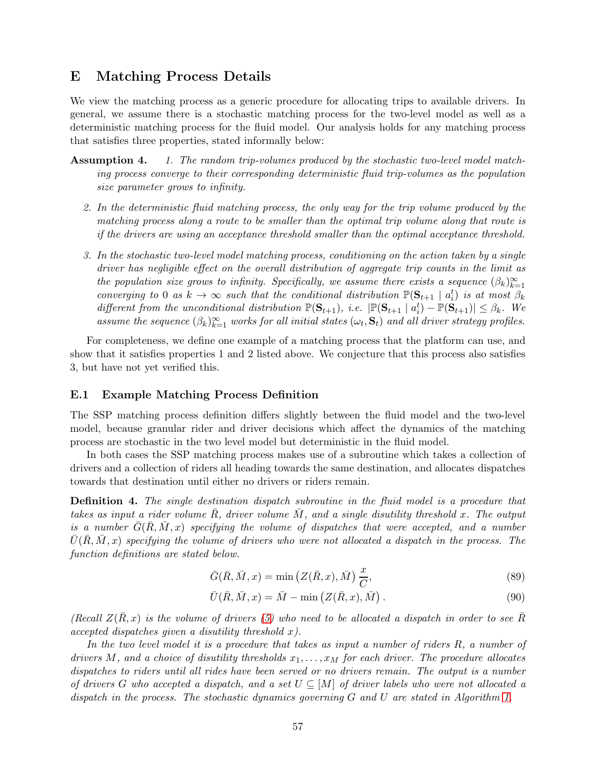# <span id="page-56-0"></span>E Matching Process Details

We view the matching process as a generic procedure for allocating trips to available drivers. In general, we assume there is a stochastic matching process for the two-level model as well as a deterministic matching process for the fluid model. Our analysis holds for any matching process that satisfies three properties, stated informally below:

- Assumption 4. 1. The random trip-volumes produced by the stochastic two-level model matching process converge to their corresponding deterministic fluid trip-volumes as the population size parameter grows to infinity.
	- 2. In the deterministic fluid matching process, the only way for the trip volume produced by the matching process along a route to be smaller than the optimal trip volume along that route is if the drivers are using an acceptance threshold smaller than the optimal acceptance threshold.
	- 3. In the stochastic two-level model matching process, conditioning on the action taken by a single driver has negligible effect on the overall distribution of aggregate trip counts in the limit as the population size grows to infinity. Specifically, we assume there exists a sequence  $(\beta_k)_{k=1}^{\infty}$ converging to 0 as  $k \to \infty$  such that the conditional distribution  $\mathbb{P}(\mathbf{S}_{t+1} | a_i^t)$  is at most  $\beta_k$ different from the unconditional distribution  $\mathbb{P}(\mathbf{S}_{t+1}),$  i.e.  $|\mathbb{P}(\mathbf{S}_{t+1} | a_i^t) - \mathbb{P}(\mathbf{S}_{t+1})| \leq \beta_k$ . We assume the sequence  $(\beta_k)_{k=1}^{\infty}$  works for all initial states  $(\omega_t, \mathbf{S}_t)$  and all driver strategy profiles.

For completeness, we define one example of a matching process that the platform can use, and show that it satisfies properties 1 and 2 listed above. We conjecture that this process also satisfies 3, but have not yet verified this.

#### E.1 Example Matching Process Definition

The SSP matching process definition differs slightly between the fluid model and the two-level model, because granular rider and driver decisions which affect the dynamics of the matching process are stochastic in the two level model but deterministic in the fluid model.

In both cases the SSP matching process makes use of a subroutine which takes a collection of drivers and a collection of riders all heading towards the same destination, and allocates dispatches towards that destination until either no drivers or riders remain.

<span id="page-56-1"></span>Definition 4. The single destination dispatch subroutine in the fluid model is a procedure that takes as input a rider volume  $\overline{R}$ , driver volume  $\overline{M}$ , and a single disutility threshold x. The output is a number  $G(R, M, x)$  specifying the volume of dispatches that were accepted, and a number  $\bar{U}(\bar{R}, \bar{M}, x)$  specifying the volume of drivers who were not allocated a dispatch in the process. The function definitions are stated below.

$$
\bar{G}(\bar{R}, \bar{M}, x) = \min\left(Z(\bar{R}, x), \bar{M}\right) \frac{x}{C},\tag{89}
$$

$$
\bar{U}(\bar{R}, \bar{M}, x) = \bar{M} - \min\left(Z(\bar{R}, x), \bar{M}\right). \tag{90}
$$

(Recall  $Z(R, x)$  is the volume of drivers [\(5\)](#page-8-0) who need to be allocated a dispatch in order to see R  $accepted$  dispatches given a disutility threshold x).

In the two level model it is a procedure that takes as input a number of riders R, a number of drivers M, and a choice of disutility thresholds  $x_1, \ldots, x_M$  for each driver. The procedure allocates dispatches to riders until all rides have been served or no drivers remain. The output is a number of drivers G who accepted a dispatch, and a set  $U \subseteq [M]$  of driver labels who were not allocated a dispatch in the process. The stochastic dynamics governing G and U are stated in Algorithm [1.](#page-57-0)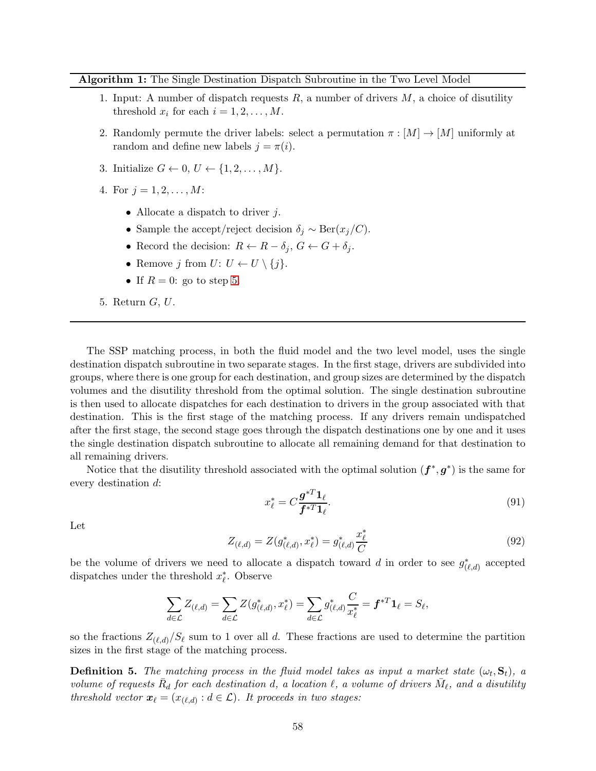<span id="page-57-0"></span>Algorithm 1: The Single Destination Dispatch Subroutine in the Two Level Model

- 1. Input: A number of dispatch requests  $R$ , a number of drivers  $M$ , a choice of disutility threshold  $x_i$  for each  $i = 1, 2, ..., M$ .
- 2. Randomly permute the driver labels: select a permutation  $\pi : [M] \to [M]$  uniformly at random and define new labels  $j = \pi(i)$ .
- 3. Initialize  $G \leftarrow 0, U \leftarrow \{1, 2, \ldots, M\}.$
- 4. For  $i = 1, 2, ..., M$ :
	- Allocate a dispatch to driver  $j$ .
	- Sample the accept/reject decision  $\delta_j \sim \text{Ber}(x_j/C)$ .
	- Record the decision:  $R \leftarrow R \delta_j$ ,  $G \leftarrow G + \delta_j$ .
	- Remove j from  $U: U \leftarrow U \setminus \{j\}.$
	- If  $R = 0$ : go to step [5.](#page-57-1)

<span id="page-57-1"></span>5. Return G, U.

The SSP matching process, in both the fluid model and the two level model, uses the single destination dispatch subroutine in two separate stages. In the first stage, drivers are subdivided into groups, where there is one group for each destination, and group sizes are determined by the dispatch volumes and the disutility threshold from the optimal solution. The single destination subroutine is then used to allocate dispatches for each destination to drivers in the group associated with that destination. This is the first stage of the matching process. If any drivers remain undispatched after the first stage, the second stage goes through the dispatch destinations one by one and it uses the single destination dispatch subroutine to allocate all remaining demand for that destination to all remaining drivers.

Notice that the disutility threshold associated with the optimal solution  $(f^*, g^*)$  is the same for every destination d:

$$
x_{\ell}^* = C \frac{\mathbf{g}^{*T} \mathbf{1}_{\ell}}{\mathbf{f}^{*T} \mathbf{1}_{\ell}}.\tag{91}
$$

Let

<span id="page-57-2"></span>
$$
Z_{(\ell,d)} = Z(g_{(\ell,d)}^*, x_{\ell}^*) = g_{(\ell,d)}^* \frac{x_{\ell}^*}{C}
$$
\n(92)

be the volume of drivers we need to allocate a dispatch toward d in order to see  $g^*_{(\ell,d)}$  accepted dispatches under the threshold  $x_{\ell}^*$ . Observe

$$
\sum_{d\in\mathcal{L}}Z_{(\ell,d)}=\sum_{d\in\mathcal{L}}Z(g_{(\ell,d)}^*,x_\ell^*)=\sum_{d\in\mathcal{L}}g_{(\ell,d)}^*\frac{C}{x_\ell^*}=\boldsymbol{f}^{*T}\boldsymbol{1}_\ell=S_\ell,
$$

so the fractions  $Z_{(\ell,d)}/S_{\ell}$  sum to 1 over all d. These fractions are used to determine the partition sizes in the first stage of the matching process.

<span id="page-57-3"></span>**Definition 5.** The matching process in the fluid model takes as input a market state  $(\omega_t, \mathbf{S}_t)$ , a volume of requests  $\bar{R}_d$  for each destination d, a location  $\ell$ , a volume of drivers  $\bar{M}_{\ell}$ , and a disutility threshold vector  $\boldsymbol{x}_{\ell} = (x_{(\ell,d)} : d \in \mathcal{L})$ . It proceeds in two stages: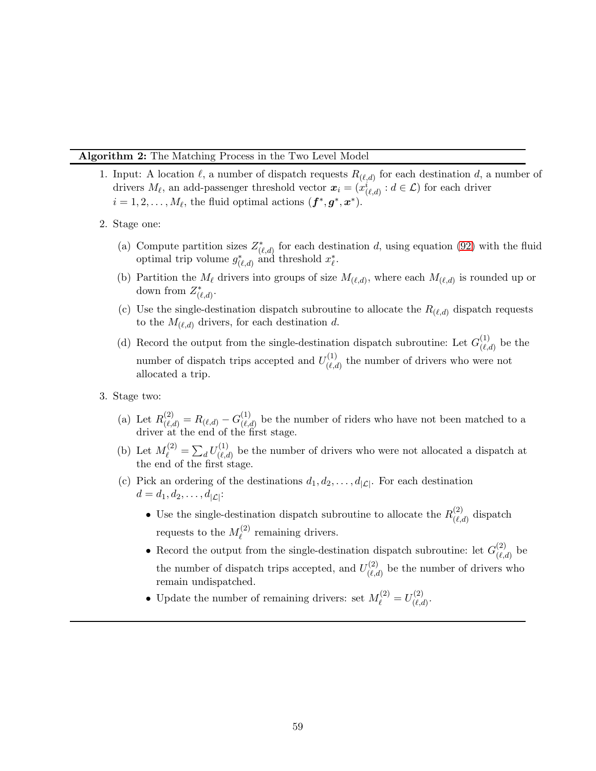#### <span id="page-58-0"></span>Algorithm 2: The Matching Process in the Two Level Model

- 1. Input: A location  $\ell$ , a number of dispatch requests  $R_{(\ell,d)}$  for each destination d, a number of drivers  $M_{\ell}$ , an add-passenger threshold vector  $x_i = (x_{(\ell,d)}^i : d \in \mathcal{L})$  for each driver  $i = 1, 2, \dots, M_{\ell}$ , the fluid optimal actions  $(f^*, g^*, x^*)$ .
- 2. Stage one:
	- (a) Compute partition sizes  $Z^*_{(\ell,d)}$  for each destination d, using equation [\(92\)](#page-57-2) with the fluid optimal trip volume  $g^*_{(\ell,d)}$  and threshold  $x^*_{\ell}$ .
	- (b) Partition the  $M_{\ell}$  drivers into groups of size  $M_{(\ell,d)}$ , where each  $M_{(\ell,d)}$  is rounded up or down from  $Z^*_{(\ell,d)}$ .
	- (c) Use the single-destination dispatch subroutine to allocate the  $R_{(\ell,d)}$  dispatch requests to the  $M_{(\ell,d)}$  drivers, for each destination d.
	- (d) Record the output from the single-destination dispatch subroutine: Let  $G_{(\ell)}^{(1)}$  $\binom{1}{(\ell,d)}$  be the number of dispatch trips accepted and  $U^{(1)}_{\ell \ell}$  $\binom{[1]}{(\ell,d)}$  the number of drivers who were not allocated a trip.
- 3. Stage two:
	- (a) Let  $R_{(\ell,d)}^{(2)} = R_{(\ell,d)} G_{(\ell,d)}^{(1)}$  $\binom{1}{(\ell,d)}$  be the number of riders who have not been matched to a driver at the end of the first stage.
	- (b) Let  $M_{\ell}^{(2)} = \sum_{d} U_{(\ell, c)}^{(1)}$  $\binom{1}{(\ell,d)}$  be the number of drivers who were not allocated a dispatch at the end of the first stage.
	- (c) Pick an ordering of the destinations  $d_1, d_2, \ldots, d_{|\mathcal{L}|}$ . For each destination  $d = d_1, d_2, \ldots, d_{|\mathcal{L}|}$ :
		- Use the single-destination dispatch subroutine to allocate the  $R_{(\ell)}^{(2)}$  $\binom{2}{\ell,d}$  dispatch requests to the  $M_{\ell}^{(2)}$  $\ell^{(2)}$  remaining drivers.
		- Record the output from the single-destination dispatch subroutine: let  $G^{(2)}_{\ell\ell}$  $\binom{2}{\ell,d}$  be the number of dispatch trips accepted, and  $U^{(2)}_{\ell, \ell}$  $\binom{(\mathcal{L})}{(\ell,d)}$  be the number of drivers who remain undispatched.
		- Update the number of remaining drivers: set  $M_{\ell}^{(2)} = U_{(\ell,\alpha)}^{(2)}$  $\overset{(\mathcal{L})}{(\ell,d)}$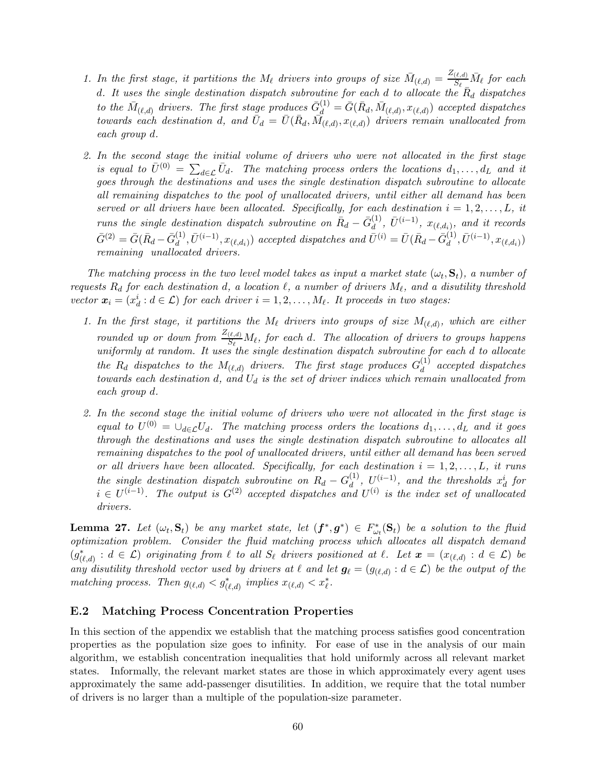- 1. In the first stage, it partitions the  $M_{\ell}$  drivers into groups of size  $\bar{M}_{(\ell,d)} = \frac{Z_{(\ell,d)}}{S_{\ell}} \bar{M}_{\ell}$  for each d. It uses the single destination dispatch subroutine for each d to allocate the  $\overline{R}_d$  dispatches to the  $\bar{M}_{(\ell,d)}$  drivers. The first stage produces  $\bar{G}_{d}^{(1)}=\bar{G}(\bar{R}_d,\bar{M}_{(\ell,d)},x_{(\ell,d)})$  accepted dispatches towards each destination d, and  $\bar{U}_d = \bar{U}(\bar{R}_d, \bar{M}_{(\ell,d)}, x_{(\ell,d)})$  drivers remain unallocated from each group d.
- 2. In the second stage the initial volume of drivers who were not allocated in the first stage is equal to  $\bar{U}^{(0)} = \sum_{d \in \mathcal{L}} \bar{U}_d$ . The matching process orders the locations  $d_1, \ldots, d_L$  and it goes through the destinations and uses the single destination dispatch subroutine to allocate all remaining dispatches to the pool of unallocated drivers, until either all demand has been served or all drivers have been allocated. Specifically, for each destination  $i = 1, 2, \ldots, L$ , it runs the single destination dispatch subroutine on  $\bar{R}_d - \bar{G}_d^{(1)}$  $\stackrel{(1)}{d}, \; \bar{U}^{(i-1)}, \; x_{(\ell,d_i)}, \; \textit{and it records}$  $\bar{G}^{(2)} = \bar{G}(\bar{R}_d - \bar{G}_d^{(1)})$  $\bar{U}^{(1)}_{d}, \bar{U}^{(i-1)}, x_{(\ell,d_i)})$  accepted dispatches and  $\bar{U}^{(i)} = \bar{U}(\bar{R}_d - \bar{G}_d^{(1)})$  $\bar{U}^{(1)}, \bar{U}^{(i-1)}, x_{(\ell,d_i)})$ remaining unallocated drivers.

The matching process in the two level model takes as input a market state  $(\omega_t, \mathbf{S}_t)$ , a number of requests  $R_d$  for each destination d, a location  $\ell$ , a number of drivers  $M_{\ell}$ , and a disutility threshold vector  $\mathbf{x}_i = (x_d^i : d \in \mathcal{L})$  for each driver  $i = 1, 2, ..., M_\ell$ . It proceeds in two stages:

- 1. In the first stage, it partitions the  $M_{\ell}$  drivers into groups of size  $M_{(\ell,d)}$ , which are either rounded up or down from  $\frac{Z_{(\ell,d)}}{S_{\ell}} M_{\ell}$ , for each d. The allocation of drivers to groups happens uniformly at random. It uses the single destination dispatch subroutine for each d to allocate the  $R_d$  dispatches to the  $M_{(\ell,d)}$  drivers. The first stage produces  $G_d^{(1)}$  $\frac{d}{d}$  accepted dispatches towards each destination d, and  $U_d$  is the set of driver indices which remain unallocated from each group d.
- 2. In the second stage the initial volume of drivers who were not allocated in the first stage is equal to  $U^{(0)} = \cup_{d \in \mathcal{L}} U_d$ . The matching process orders the locations  $d_1, \ldots, d_L$  and it goes through the destinations and uses the single destination dispatch subroutine to allocates all remaining dispatches to the pool of unallocated drivers, until either all demand has been served or all drivers have been allocated. Specifically, for each destination  $i = 1, 2, \ldots, L$ , it runs the single destination dispatch subroutine on  $R_d - G_d^{(1)}$  $\frac{d^{(1)}}{d}$ ,  $U^{(i-1)}$ , and the thresholds  $x_d^i$  for  $i \in U^{(i-1)}$ . The output is  $G^{(2)}$  accepted dispatches and  $U^{(i)}$  is the index set of unallocated drivers.

**Lemma 27.** Let  $(\omega_t, \mathbf{S}_t)$  be any market state, let  $(\mathbf{f}^*, \mathbf{g}^*) \in F_{\omega_t}^*(\mathbf{S}_t)$  be a solution to the fluid optimization problem. Consider the fluid matching process which allocates all dispatch demand  $(g^*_{(\ell,d)}: d \in \mathcal{L})$  originating from  $\ell$  to all  $S_{\ell}$  drivers positioned at  $\ell$ . Let  $\mathbf{x} = (x_{(\ell,d)}: d \in \mathcal{L})$  be any disutility threshold vector used by drivers at  $\ell$  and let  $g_{\ell} = (g_{(\ell,d)} : d \in \mathcal{L})$  be the output of the matching process. Then  $g_{(\ell,d)} < g^*_{(\ell,d)}$  implies  $x_{(\ell,d)} < x^*_{\ell}$ .

#### E.2 Matching Process Concentration Properties

In this section of the appendix we establish that the matching process satisfies good concentration properties as the population size goes to infinity. For ease of use in the analysis of our main algorithm, we establish concentration inequalities that hold uniformly across all relevant market states. Informally, the relevant market states are those in which approximately every agent uses approximately the same add-passenger disutilities. In addition, we require that the total number of drivers is no larger than a multiple of the population-size parameter.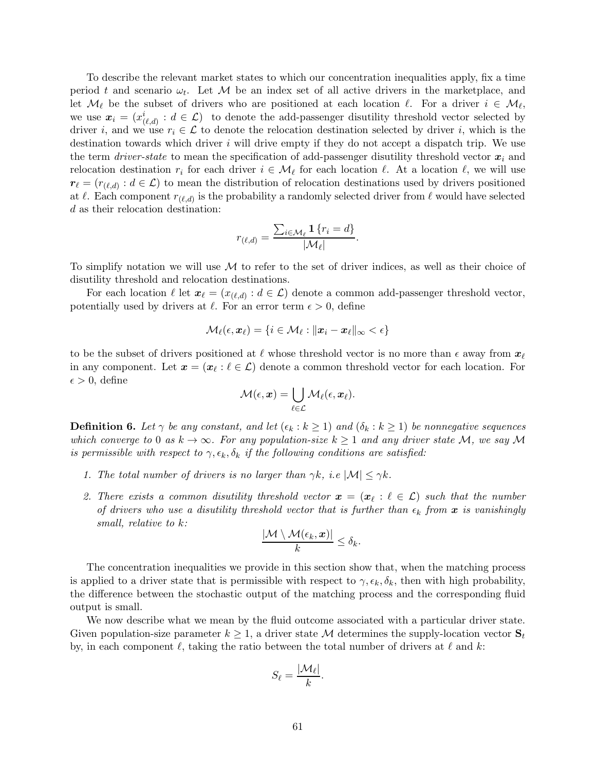To describe the relevant market states to which our concentration inequalities apply, fix a time period t and scenario  $\omega_t$ . Let M be an index set of all active drivers in the marketplace, and let  $\mathcal{M}_{\ell}$  be the subset of drivers who are positioned at each location  $\ell$ . For a driver  $i \in \mathcal{M}_{\ell}$ , we use  $x_i = (x_{(\ell,d)}^i : d \in \mathcal{L})$  to denote the add-passenger disutility threshold vector selected by driver i, and we use  $r_i \in \mathcal{L}$  to denote the relocation destination selected by driver i, which is the destination towards which driver  $i$  will drive empty if they do not accept a dispatch trip. We use the term *driver-state* to mean the specification of add-passenger disutility threshold vector  $x_i$  and relocation destination  $r_i$  for each driver  $i \in \mathcal{M}_\ell$  for each location  $\ell$ . At a location  $\ell$ , we will use  $r_{\ell} = (r_{(\ell,d)} : d \in \mathcal{L})$  to mean the distribution of relocation destinations used by drivers positioned at  $\ell$ . Each component  $r_{(\ell,d)}$  is the probability a randomly selected driver from  $\ell$  would have selected d as their relocation destination:

$$
r_{(\ell,d)} = \frac{\sum_{i \in \mathcal{M}_{\ell}} \mathbf{1} \{r_i = d\}}{|\mathcal{M}_{\ell}|}
$$

.

To simplify notation we will use  $M$  to refer to the set of driver indices, as well as their choice of disutility threshold and relocation destinations.

For each location  $\ell$  let  $\boldsymbol{x}_{\ell} = (x_{(\ell,d)} : d \in \mathcal{L})$  denote a common add-passenger threshold vector, potentially used by drivers at  $\ell$ . For an error term  $\epsilon > 0$ , define

$$
\mathcal{M}_\ell(\epsilon,\bm{x}_\ell) = \{i \in \mathcal{M}_\ell: \|\bm{x}_i - \bm{x}_\ell\|_\infty < \epsilon\}
$$

to be the subset of drivers positioned at  $\ell$  whose threshold vector is no more than  $\epsilon$  away from  $x_{\ell}$ in any component. Let  $x = (x_\ell : \ell \in \mathcal{L})$  denote a common threshold vector for each location. For  $\epsilon > 0$ , define

$$
\mathcal{M}(\epsilon, \boldsymbol{x}) = \bigcup_{\ell \in \mathcal{L}} \mathcal{M}_{\ell}(\epsilon, \boldsymbol{x}_{\ell}).
$$

<span id="page-60-0"></span>**Definition 6.** Let  $\gamma$  be any constant, and let  $(\epsilon_k : k \ge 1)$  and  $(\delta_k : k \ge 1)$  be nonnegative sequences which converge to 0 as  $k \to \infty$ . For any population-size  $k \geq 1$  and any driver state M, we say M is permissible with respect to  $\gamma$ ,  $\epsilon_k$ ,  $\delta_k$  if the following conditions are satisfied:

- 1. The total number of drivers is no larger than  $\gamma k$ , i.e  $|\mathcal{M}| \leq \gamma k$ .
- 2. There exists a common disutility threshold vector  $\boldsymbol{x} = (\boldsymbol{x}_\ell : \ell \in \mathcal{L})$  such that the number of drivers who use a disutility threshold vector that is further than  $\epsilon_k$  from  $\bm{x}$  is vanishingly small, relative to k:

$$
\frac{|\mathcal{M}\setminus \mathcal{M}(\epsilon_k,\boldsymbol{x})|}{k}\leq \delta_k.
$$

The concentration inequalities we provide in this section show that, when the matching process is applied to a driver state that is permissible with respect to  $\gamma$ ,  $\epsilon_k$ ,  $\delta_k$ , then with high probability, the difference between the stochastic output of the matching process and the corresponding fluid output is small.

We now describe what we mean by the fluid outcome associated with a particular driver state. Given population-size parameter  $k \geq 1$ , a driver state M determines the supply-location vector  $S_t$ by, in each component  $\ell$ , taking the ratio between the total number of drivers at  $\ell$  and k:

$$
S_{\ell} = \frac{|\mathcal{M}_{\ell}|}{k}.
$$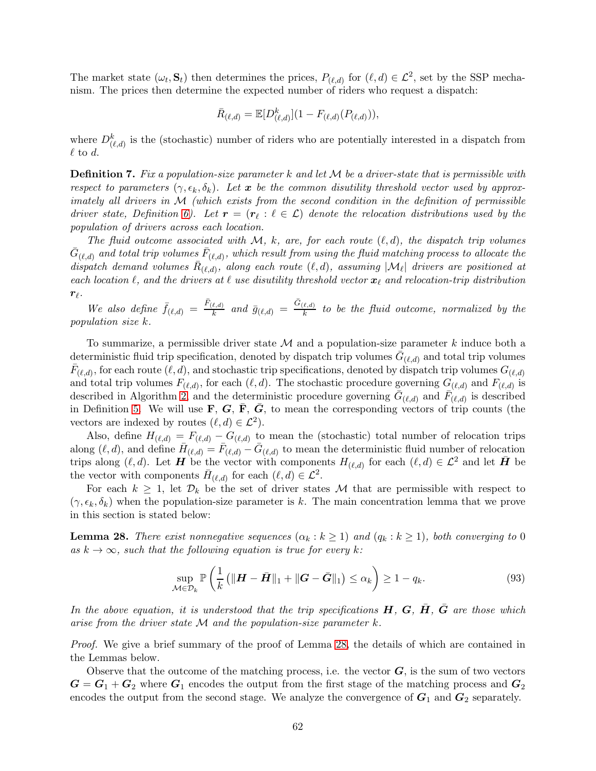The market state  $(\omega_t, \mathbf{S}_t)$  then determines the prices,  $P_{(\ell,d)}$  for  $(\ell, d) \in \mathcal{L}^2$ , set by the SSP mechanism. The prices then determine the expected number of riders who request a dispatch:

$$
\bar{R}_{(\ell,d)} = \mathbb{E}[D^k_{(\ell,d)}](1 - F_{(\ell,d)}(P_{(\ell,d)})),
$$

where  $D_{(\ell,d)}^k$  is the (stochastic) number of riders who are potentially interested in a dispatch from  $\ell$  to d.

**Definition 7.** Fix a population-size parameter k and let  $M$  be a driver-state that is permissible with respect to parameters  $(\gamma, \epsilon_k, \delta_k)$ . Let x be the common disutility threshold vector used by approximately all drivers in M (which exists from the second condition in the definition of permissible driver state, Definition [6\)](#page-60-0). Let  $\mathbf{r} = (\mathbf{r}_{\ell} : \ell \in \mathcal{L})$  denote the relocation distributions used by the population of drivers across each location.

The fluid outcome associated with M, k, are, for each route  $(\ell, d)$ , the dispatch trip volumes  $\bar{G}_{(\ell,d)}$  and total trip volumes  $\bar{F}_{(\ell,d)},$  which result from using the fluid matching process to allocate the dispatch demand volumes  $\bar{R}_{(\ell,d)}$ , along each route  $(\ell,d)$ , assuming  $|\mathcal{M}_{\ell}|$  drivers are positioned at each location  $\ell$ , and the drivers at  $\ell$  use disutility threshold vector  $x_{\ell}$  and relocation-trip distribution  $r_\ell$  .

We also define  $\bar{f}_{(\ell,d)} = \frac{\bar{F}_{(\ell,d)}}{k}$  and  $\bar{g}_{(\ell,d)} = \frac{\bar{G}_{(\ell,d)}}{k}$  to be the fluid outcome, normalized by the population size k.

To summarize, a permissible driver state  $\mathcal M$  and a population-size parameter k induce both a deterministic fluid trip specification, denoted by dispatch trip volumes  $\bar{G}_{(\ell,d)}$  and total trip volumes  $\bar{F}_{(\ell,d)}$ , for each route  $(\ell, d)$ , and stochastic trip specifications, denoted by dispatch trip volumes  $G_{(\ell,d)}$ and total trip volumes  $F_{(\ell,d)}$ , for each  $(\ell,d)$ . The stochastic procedure governing  $G_{(\ell,d)}$  and  $F_{(\ell,d)}$  is described in Algorithm [2,](#page-58-0) and the deterministic procedure governing  $\bar{G}_{(\ell,d)}$  and  $\bar{F}_{(\ell,d)}$  is described in Definition [5.](#page-57-3) We will use  $\mathbf{F}, \mathbf{G}, \overline{\mathbf{F}}, \overline{\mathbf{G}}$ , to mean the corresponding vectors of trip counts (the vectors are indexed by routes  $(\ell, d) \in \mathcal{L}^2$ .

Also, define  $H_{(\ell,d)} = F_{(\ell,d)} - G_{(\ell,d)}$  to mean the (stochastic) total number of relocation trips along  $(\ell, d)$ , and define  $\bar{H}_{(\ell,d)} = \bar{F}_{(\ell,d)} - \bar{G}_{(\ell,d)}$  to mean the deterministic fluid number of relocation trips along  $(\ell, d)$ . Let **H** be the vector with components  $H_{(\ell,d)}$  for each  $(\ell, d) \in \mathcal{L}^2$  and let **H** be the vector with components  $\bar{H}_{(\ell,d)}$  for each  $(\ell, d) \in \mathcal{L}^2$ .

For each  $k \geq 1$ , let  $\mathcal{D}_k$  be the set of driver states M that are permissible with respect to  $(\gamma, \epsilon_k, \delta_k)$  when the population-size parameter is k. The main concentration lemma that we prove in this section is stated below:

<span id="page-61-0"></span>**Lemma 28.** There exist nonnegative sequences  $(\alpha_k : k \geq 1)$  and  $(q_k : k \geq 1)$ , both converging to 0 as  $k \to \infty$ , such that the following equation is true for every k:

$$
\sup_{\mathcal{M}\in\mathcal{D}_k} \mathbb{P}\left(\frac{1}{k}\left(\|\boldsymbol{H}-\bar{\boldsymbol{H}}\|_1 + \|\boldsymbol{G}-\bar{\boldsymbol{G}}\|_1\right) \leq \alpha_k\right) \geq 1 - q_k.
$$
\n(93)

In the above equation, it is understood that the trip specifications  $H, G, \overline{H}, \overline{G}$  are those which arise from the driver state  $\mathcal M$  and the population-size parameter k.

*Proof.* We give a brief summary of the proof of Lemma [28,](#page-61-0) the details of which are contained in the Lemmas below.

Observe that the outcome of the matching process, i.e. the vector  $G$ , is the sum of two vectors  $G = G_1 + G_2$  where  $G_1$  encodes the output from the first stage of the matching process and  $G_2$ encodes the output from the second stage. We analyze the convergence of  $G_1$  and  $G_2$  separately.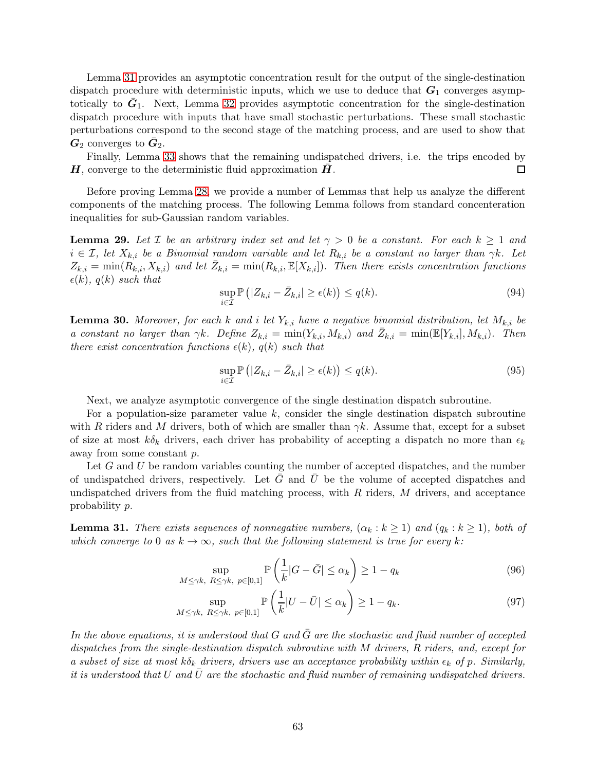Lemma [31](#page-62-0) provides an asymptotic concentration result for the output of the single-destination dispatch procedure with deterministic inputs, which we use to deduce that  $G_1$  converges asymptotically to  $\bar{G}_1$ . Next, Lemma [32](#page-63-0) provides asymptotic concentration for the single-destination dispatch procedure with inputs that have small stochastic perturbations. These small stochastic perturbations correspond to the second stage of the matching process, and are used to show that  $\bm{G}_2$  converges to  $\bar{\bm{G}}_2$ .

Finally, Lemma [33](#page-64-0) shows that the remaining undispatched drivers, i.e. the trips encoded by  $H$ , converge to the deterministic fluid approximation  $H$ .  $\Box$ 

Before proving Lemma [28,](#page-61-0) we provide a number of Lemmas that help us analyze the different components of the matching process. The following Lemma follows from standard concenteration inequalities for sub-Gaussian random variables.

<span id="page-62-1"></span>**Lemma 29.** Let  $\mathcal{I}$  be an arbitrary index set and let  $\gamma > 0$  be a constant. For each  $k \geq 1$  and  $i \in \mathcal{I}$ , let  $X_{k,i}$  be a Binomial random variable and let  $R_{k,i}$  be a constant no larger than  $\gamma k$ . Let  $Z_{k,i} = \min(R_{k,i}, X_{k,i})$  and let  $\bar{Z}_{k,i} = \min(R_{k,i}, \mathbb{E}[X_{k,i}]).$  Then there exists concentration functions  $\epsilon(k)$ ,  $q(k)$  such that

$$
\sup_{i \in \mathcal{I}} \mathbb{P}\left(|Z_{k,i} - \bar{Z}_{k,i}| \ge \epsilon(k)\right) \le q(k). \tag{94}
$$

<span id="page-62-2"></span>**Lemma 30.** Moreover, for each k and i let  $Y_{k,i}$  have a negative binomial distribution, let  $M_{k,i}$  be a constant no larger than  $\gamma k$ . Define  $Z_{k,i} = \min(Y_{k,i}, M_{k,i})$  and  $\bar{Z}_{k,i} = \min(\mathbb{E}[Y_{k,i}], M_{k,i})$ . Then there exist concentration functions  $\epsilon(k)$ ,  $q(k)$  such that

$$
\sup_{i\in\mathcal{I}} \mathbb{P}\left(|Z_{k,i} - \bar{Z}_{k,i}| \ge \epsilon(k)\right) \le q(k). \tag{95}
$$

Next, we analyze asymptotic convergence of the single destination dispatch subroutine.

For a population-size parameter value  $k$ , consider the single destination dispatch subroutine with R riders and M drivers, both of which are smaller than  $\gamma k$ . Assume that, except for a subset of size at most  $k\delta_k$  drivers, each driver has probability of accepting a dispatch no more than  $\epsilon_k$ away from some constant p.

Let  $G$  and  $U$  be random variables counting the number of accepted dispatches, and the number of undispatched drivers, respectively. Let  $G$  and  $U$  be the volume of accepted dispatches and undispatched drivers from the fluid matching process, with  $R$  riders,  $M$  drivers, and acceptance probability p.

<span id="page-62-0"></span>**Lemma 31.** There exists sequences of nonnegative numbers,  $(\alpha_k : k \ge 1)$  and  $(q_k : k \ge 1)$ , both of which converge to 0 as  $k \to \infty$ , such that the following statement is true for every k:

$$
\sup_{M \le \gamma k, R \le \gamma k, p \in [0,1]} \mathbb{P}\left(\frac{1}{k} |G - \bar{G}| \le \alpha_k\right) \ge 1 - q_k \tag{96}
$$

$$
\sup_{M \le \gamma k, R \le \gamma k, p \in [0,1]} \mathbb{P}\left(\frac{1}{k}|U - \bar{U}| \le \alpha_k\right) \ge 1 - q_k. \tag{97}
$$

In the above equations, it is understood that  $G$  and  $\bar{G}$  are the stochastic and fluid number of accepted dispatches from the single-destination dispatch subroutine with M drivers, R riders, and, except for a subset of size at most  $k\delta_k$  drivers, drivers use an acceptance probability within  $\epsilon_k$  of p. Similarly, it is understood that U and  $\bar{U}$  are the stochastic and fluid number of remaining undispatched drivers.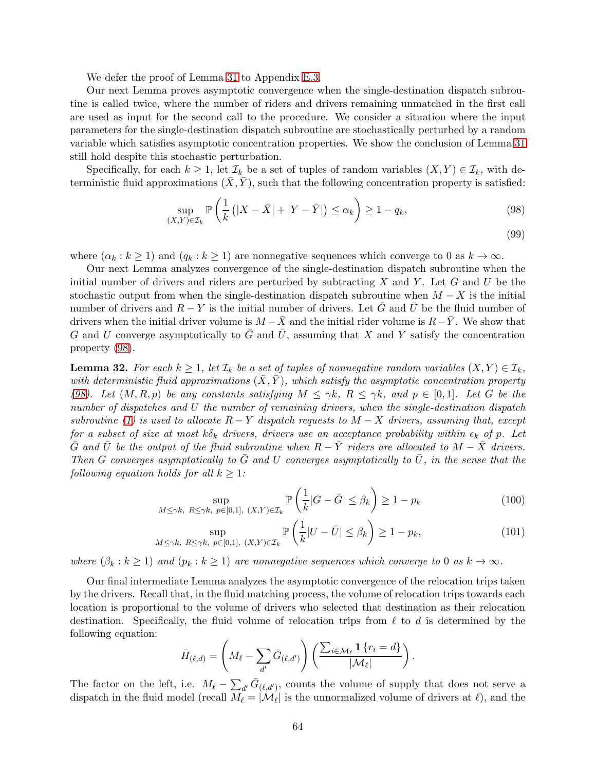We defer the proof of Lemma [31](#page-62-0) to Appendix [E.3.](#page-64-1)

Our next Lemma proves asymptotic convergence when the single-destination dispatch subroutine is called twice, where the number of riders and drivers remaining unmatched in the first call are used as input for the second call to the procedure. We consider a situation where the input parameters for the single-destination dispatch subroutine are stochastically perturbed by a random variable which satisfies asymptotic concentration properties. We show the conclusion of Lemma [31](#page-62-0) still hold despite this stochastic perturbation.

Specifically, for each  $k \geq 1$ , let  $\mathcal{I}_k$  be a set of tuples of random variables  $(X, Y) \in \mathcal{I}_k$ , with deterministic fluid approximations  $(\overline{X}, \overline{Y})$ , such that the following concentration property is satisfied:

<span id="page-63-1"></span>
$$
\sup_{(X,Y)\in\mathcal{I}_k} \mathbb{P}\left(\frac{1}{k}\left(|X-\bar{X}|+|Y-\bar{Y}|\right)\leq\alpha_k\right) \geq 1-q_k,\tag{98}
$$

(99)

where  $(\alpha_k : k \ge 1)$  and  $(q_k : k \ge 1)$  are nonnegative sequences which converge to 0 as  $k \to \infty$ .

Our next Lemma analyzes convergence of the single-destination dispatch subroutine when the initial number of drivers and riders are perturbed by subtracting  $X$  and  $Y$ . Let  $G$  and  $U$  be the stochastic output from when the single-destination dispatch subroutine when  $M - X$  is the initial number of drivers and  $R - Y$  is the initial number of drivers. Let G and U be the fluid number of drivers when the initial driver volume is  $M - \overline{X}$  and the initial rider volume is  $R - \overline{Y}$ . We show that G and U converge asymptotically to  $\bar{G}$  and  $\bar{U}$ , assuming that X and Y satisfy the concentration property [\(98\)](#page-63-1).

<span id="page-63-0"></span>**Lemma 32.** For each  $k \geq 1$ , let  $\mathcal{I}_k$  be a set of tuples of nonnegative random variables  $(X, Y) \in \mathcal{I}_k$ , with deterministic fluid approximations  $(X, Y)$ , which satisfy the asymptotic concentration property [\(98\)](#page-63-1). Let  $(M, R, p)$  be any constants satisfying  $M \leq \gamma k$ ,  $R \leq \gamma k$ , and  $p \in [0, 1]$ . Let G be the number of dispatches and U the number of remaining drivers, when the single-destination dispatch subroutine [\(1\)](#page-57-0) is used to allocate  $R - Y$  dispatch requests to  $M - X$  drivers, assuming that, except for a subset of size at most  $k\delta_k$  drivers, drivers use an acceptance probability within  $\epsilon_k$  of p. Let  $\bar{G}$  and  $\bar{U}$  be the output of the fluid subroutine when  $R-\bar{Y}$  riders are allocated to  $M-\bar{X}$  drivers. Then G converges asymptotically to  $\bar{G}$  and U converges asymptotically to  $\bar{U}$ , in the sense that the following equation holds for all  $k \geq 1$ :

$$
\sup_{M \le \gamma k, R \le \gamma k, p \in [0,1], (X,Y) \in \mathcal{I}_k} \mathbb{P}\left(\frac{1}{k} |G - \bar{G}| \le \beta_k\right) \ge 1 - p_k \tag{100}
$$

$$
\sup_{M \le \gamma k, R \le \gamma k, p \in [0,1], (X,Y) \in \mathcal{I}_k} \mathbb{P}\left(\frac{1}{k}|U - \bar{U}| \le \beta_k\right) \ge 1 - p_k,\tag{101}
$$

where  $(\beta_k : k \ge 1)$  and  $(p_k : k \ge 1)$  are nonnegative sequences which converge to 0 as  $k \to \infty$ .

Our final intermediate Lemma analyzes the asymptotic convergence of the relocation trips taken by the drivers. Recall that, in the fluid matching process, the volume of relocation trips towards each location is proportional to the volume of drivers who selected that destination as their relocation destination. Specifically, the fluid volume of relocation trips from  $\ell$  to d is determined by the following equation:

$$
\bar{H}_{(\ell,d)} = \left(M_{\ell} - \sum_{d'} \bar{G}_{(\ell,d')}\right) \left(\frac{\sum_{i \in \mathcal{M}_{\ell}} \mathbf{1} \{r_i = d\}}{|\mathcal{M}_{\ell}|}\right).
$$

The factor on the left, i.e.  $M_{\ell} - \sum_{d'} \bar{G}_{(\ell, d')}$ , counts the volume of supply that does not serve a dispatch in the fluid model (recall  $M_{\ell} = |\mathcal{M}_{\ell}|$  is the unnormalized volume of drivers at  $\ell$ ), and the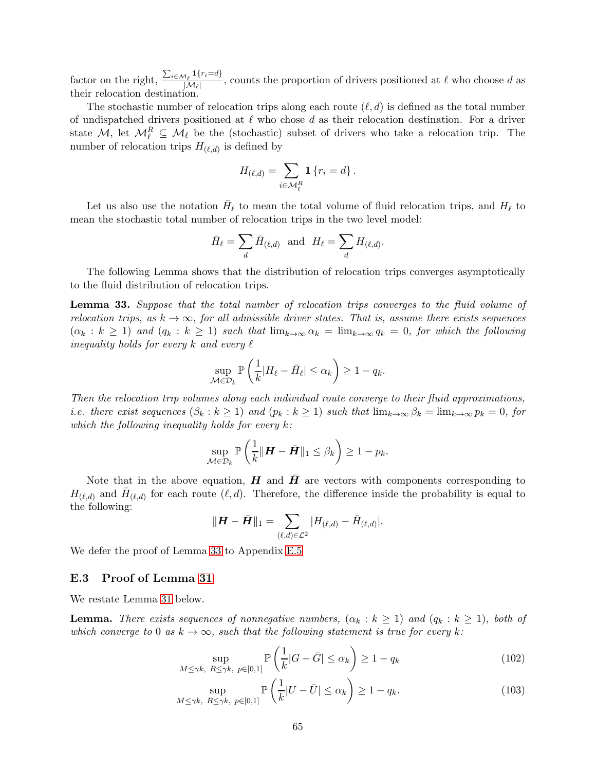factor on the right,  $\frac{\sum_{i \in \mathcal{M}_{\ell}} \mathbf{1}\{r_i = d\}}{\left|\mathcal{M}_e\right|}$  $\frac{N_{\ell} - N_{\ell}}{|M_{\ell}|}$ , counts the proportion of drivers positioned at  $\ell$  who choose d as their relocation destination.

The stochastic number of relocation trips along each route  $(\ell, d)$  is defined as the total number of undispatched drivers positioned at  $\ell$  who chose d as their relocation destination. For a driver state M, let  $M_{\ell}^R \subseteq M_{\ell}$  be the (stochastic) subset of drivers who take a relocation trip. The number of relocation trips  $H_{(\ell,d)}$  is defined by

$$
H_{(\ell,d)} = \sum_{i \in \mathcal{M}_{\ell}^R} \mathbf{1} \{r_i = d\}.
$$

Let us also use the notation  $\bar{H}_{\ell}$  to mean the total volume of fluid relocation trips, and  $H_{\ell}$  to mean the stochastic total number of relocation trips in the two level model:

$$
\bar{H}_{\ell} = \sum_{d} \bar{H}_{(\ell,d)} \text{ and } H_{\ell} = \sum_{d} H_{(\ell,d)}.
$$

The following Lemma shows that the distribution of relocation trips converges asymptotically to the fluid distribution of relocation trips.

<span id="page-64-0"></span>Lemma 33. Suppose that the total number of relocation trips converges to the fluid volume of relocation trips, as  $k \to \infty$ , for all admissible driver states. That is, assume there exists sequences  $(\alpha_k : k \ge 1)$  and  $(q_k : k \ge 1)$  such that  $\lim_{k\to\infty} \alpha_k = \lim_{k\to\infty} q_k = 0$ , for which the following inequality holds for every k and every  $\ell$ 

$$
\sup_{\mathcal{M}\in\mathcal{D}_k}\mathbb{P}\left(\frac{1}{k}|H_{\ell}-\bar{H}_{\ell}|\leq\alpha_k\right)\geq 1-q_k.
$$

Then the relocation trip volumes along each individual route converge to their fluid approximations, *i.e. there exist sequences*  $(\beta_k : k \ge 1)$  and  $(p_k : k \ge 1)$  such that  $\lim_{k \to \infty} \beta_k = \lim_{k \to \infty} p_k = 0$ , for which the following inequality holds for every  $k$ :

$$
\sup_{\mathcal{M}\in\mathcal{D}_k}\mathbb{P}\left(\frac{1}{k}\|\boldsymbol{H}-\bar{\boldsymbol{H}}\|_1\leq\beta_k\right)\geq 1-p_k.
$$

Note that in the above equation,  $H$  and  $H$  are vectors with components corresponding to  $H_{(\ell,d)}$  and  $\bar{H}_{(\ell,d)}$  for each route  $(\ell,d)$ . Therefore, the difference inside the probability is equal to the following:

$$
\|\bm{H}-\bar{\bm{H}}\|_1 = \sum_{(\ell,d)\in\mathcal{L}^2} |H_{(\ell,d)}-\bar{H}_{(\ell,d)}|.
$$

We defer the proof of Lemma [33](#page-64-0) to Appendix [E.5](#page-68-0)

#### <span id="page-64-1"></span>E.3 Proof of Lemma [31](#page-62-0)

We restate Lemma [31](#page-62-0) below.

**Lemma.** There exists sequences of nonnegative numbers,  $(\alpha_k : k \ge 1)$  and  $(q_k : k \ge 1)$ , both of which converge to 0 as  $k \to \infty$ , such that the following statement is true for every k:

<span id="page-64-2"></span>
$$
\sup_{M \le \gamma k, R \le \gamma k, p \in [0,1]} \mathbb{P}\left(\frac{1}{k} |G - \bar{G}| \le \alpha_k\right) \ge 1 - q_k \tag{102}
$$

$$
\sup_{M \le \gamma k, \ R \le \gamma k, \ p \in [0,1]} \mathbb{P}\left(\frac{1}{k}|U - \bar{U}| \le \alpha_k\right) \ge 1 - q_k. \tag{103}
$$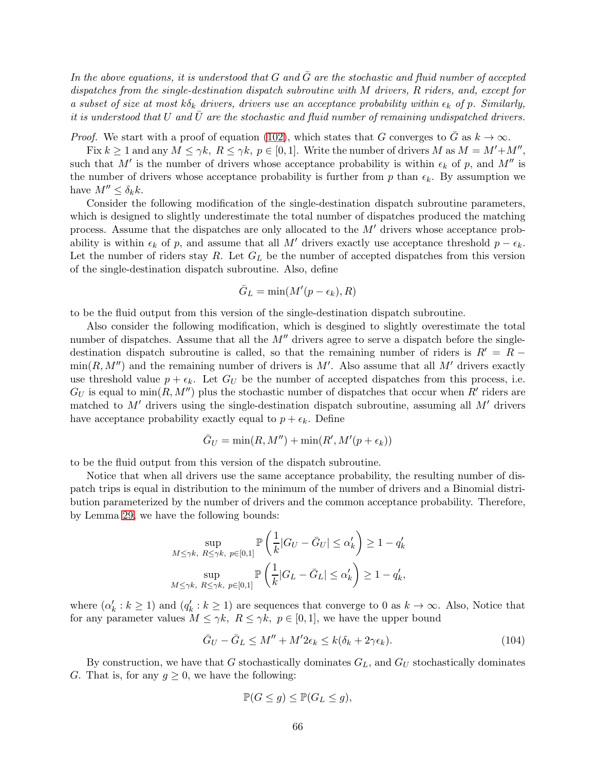In the above equations, it is understood that  $G$  and  $\overline{G}$  are the stochastic and fluid number of accepted dispatches from the single-destination dispatch subroutine with M drivers, R riders, and, except for a subset of size at most  $k\delta_k$  drivers, drivers use an acceptance probability within  $\epsilon_k$  of p. Similarly, it is understood that  $U$  and  $U$  are the stochastic and fluid number of remaining undispatched drivers.

*Proof.* We start with a proof of equation [\(102\)](#page-64-2), which states that G converges to  $\overline{G}$  as  $k \to \infty$ .

Fix  $k \ge 1$  and any  $M \le \gamma k$ ,  $R \le \gamma k$ ,  $p \in [0, 1]$ . Write the number of drivers M as  $M = M' + M''$ , such that M' is the number of drivers whose acceptance probability is within  $\epsilon_k$  of p, and M'' is the number of drivers whose acceptance probability is further from p than  $\epsilon_k$ . By assumption we have  $M'' \leq \delta_k k$ .

Consider the following modification of the single-destination dispatch subroutine parameters, which is designed to slightly underestimate the total number of dispatches produced the matching process. Assume that the dispatches are only allocated to the  $M'$  drivers whose acceptance probability is within  $\epsilon_k$  of p, and assume that all M' drivers exactly use acceptance threshold  $p - \epsilon_k$ . Let the number of riders stay  $R$ . Let  $G_L$  be the number of accepted dispatches from this version of the single-destination dispatch subroutine. Also, define

$$
\bar{G}_L = \min(M'(p - \epsilon_k), R)
$$

to be the fluid output from this version of the single-destination dispatch subroutine.

Also consider the following modification, which is desgined to slightly overestimate the total number of dispatches. Assume that all the  $M''$  drivers agree to serve a dispatch before the singledestination dispatch subroutine is called, so that the remaining number of riders is  $R' = R \min(R, M'')$  and the remaining number of drivers is M'. Also assume that all M' drivers exactly use threshold value  $p + \epsilon_k$ . Let  $G_U$  be the number of accepted dispatches from this process, i.e.  $G_U$  is equal to  $\min(R, M'')$  plus the stochastic number of dispatches that occur when R' riders are matched to  $M'$  drivers using the single-destination dispatch subroutine, assuming all  $M'$  drivers have acceptance probability exactly equal to  $p + \epsilon_k$ . Define

$$
\bar{G}_U = \min(R, M'') + \min(R', M'(p + \epsilon_k))
$$

to be the fluid output from this version of the dispatch subroutine.

Notice that when all drivers use the same acceptance probability, the resulting number of dispatch trips is equal in distribution to the minimum of the number of drivers and a Binomial distribution parameterized by the number of drivers and the common acceptance probability. Therefore, by Lemma [29,](#page-62-1) we have the following bounds:

$$
\sup_{M \le \gamma k, R \le \gamma k, p \in [0,1]} \mathbb{P}\left(\frac{1}{k}|G_U - \bar{G}_U| \le \alpha'_k\right) \ge 1 - q'_k
$$
  

$$
\sup_{M \le \gamma k, R \le \gamma k, p \in [0,1]} \mathbb{P}\left(\frac{1}{k}|G_L - \bar{G}_L| \le \alpha'_k\right) \ge 1 - q'_k,
$$

where  $(\alpha'_k : k \ge 1)$  and  $(q'_k : k \ge 1)$  are sequences that converge to 0 as  $k \to \infty$ . Also, Notice that for any parameter values  $M \leq \gamma k$ ,  $R \leq \gamma k$ ,  $p \in [0, 1]$ , we have the upper bound

<span id="page-65-0"></span>
$$
\bar{G}_U - \bar{G}_L \le M'' + M' 2\epsilon_k \le k(\delta_k + 2\gamma \epsilon_k). \tag{104}
$$

By construction, we have that G stochastically dominates  $G_L$ , and  $G_U$  stochastically dominates G. That is, for any  $g \geq 0$ , we have the following:

$$
\mathbb{P}(G \le g) \le \mathbb{P}(G_L \le g),
$$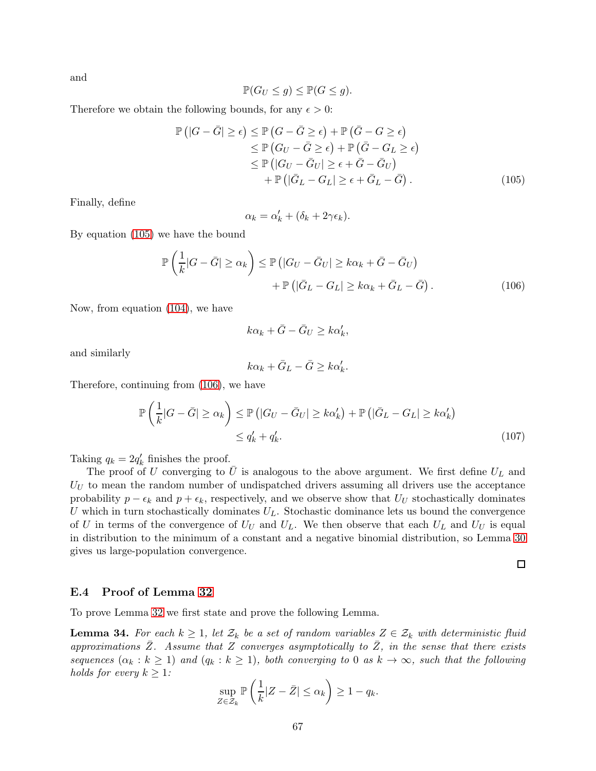and

$$
\mathbb{P}(G_U \le g) \le \mathbb{P}(G \le g).
$$

Therefore we obtain the following bounds, for any  $\epsilon > 0$ :

$$
\mathbb{P}\left(|G-\bar{G}| \geq \epsilon\right) \leq \mathbb{P}\left(G-\bar{G} \geq \epsilon\right) + \mathbb{P}\left(\bar{G}-G \geq \epsilon\right) \leq \mathbb{P}\left(G_{U}-\bar{G} \geq \epsilon\right) + \mathbb{P}\left(\bar{G}-G_{L} \geq \epsilon\right) \leq \mathbb{P}\left(|G_{U}-\bar{G}_{U}| \geq \epsilon+\bar{G}-\bar{G}_{U}\right) \quad + \mathbb{P}\left(|\bar{G}_{L}-G_{L}| \geq \epsilon+\bar{G}_{L}-\bar{G}\right).
$$
\n(105)

Finally, define

<span id="page-66-0"></span>
$$
\alpha_k = \alpha'_k + (\delta_k + 2\gamma \epsilon_k).
$$

By equation [\(105\)](#page-66-0) we have the bound

$$
\mathbb{P}\left(\frac{1}{k}|G-\bar{G}| \geq \alpha_k\right) \leq \mathbb{P}\left(|G_U-\bar{G}_U| \geq k\alpha_k+\bar{G}-\bar{G}_U\right) \n+ \mathbb{P}\left(|\bar{G}_L-G_L| \geq k\alpha_k+\bar{G}_L-\bar{G}\right).
$$
\n(106)

Now, from equation [\(104\)](#page-65-0), we have

<span id="page-66-1"></span>
$$
k\alpha_k + \bar{G} - \bar{G}_U \ge k\alpha'_k,
$$

and similarly

$$
k\alpha_k + \bar{G}_L - \bar{G} \ge k\alpha'_k.
$$

Therefore, continuing from [\(106\)](#page-66-1), we have

$$
\mathbb{P}\left(\frac{1}{k}|G-\bar{G}| \geq \alpha_k\right) \leq \mathbb{P}\left(|G_U-\bar{G}_U| \geq k\alpha'_k\right) + \mathbb{P}\left(|\bar{G}_L-G_L| \geq k\alpha'_k\right) \leq q'_k + q'_k.
$$
\n(107)

Taking  $q_k = 2q'_k$  finishes the proof.

The proof of U converging to U is analogous to the above argument. We first define  $U_L$  and  $U_U$  to mean the random number of undispatched drivers assuming all drivers use the acceptance probability  $p - \epsilon_k$  and  $p + \epsilon_k$ , respectively, and we observe show that  $U_U$  stochastically dominates U which in turn stochastically dominates  $U_L$ . Stochastic dominance lets us bound the convergence of U in terms of the convergence of  $U_U$  and  $U_L$ . We then observe that each  $U_L$  and  $U_U$  is equal in distribution to the minimum of a constant and a negative binomial distribution, so Lemma [30](#page-62-2) gives us large-population convergence.

 $\Box$ 

#### E.4 Proof of Lemma [32](#page-63-0)

To prove Lemma [32](#page-63-0) we first state and prove the following Lemma.

<span id="page-66-2"></span>**Lemma 34.** For each  $k \geq 1$ , let  $\mathcal{Z}_k$  be a set of random variables  $Z \in \mathcal{Z}_k$  with deterministic fluid approximations  $\overline{Z}$ . Assume that Z converges asymptotically to  $\overline{Z}$ , in the sense that there exists sequences  $(\alpha_k : k \ge 1)$  and  $(q_k : k \ge 1)$ , both converging to 0 as  $k \to \infty$ , such that the following holds for every  $k \geq 1$ :

$$
\sup_{Z \in \mathcal{Z}_k} \mathbb{P}\left(\frac{1}{k}|Z - \bar{Z}| \le \alpha_k\right) \ge 1 - q_k.
$$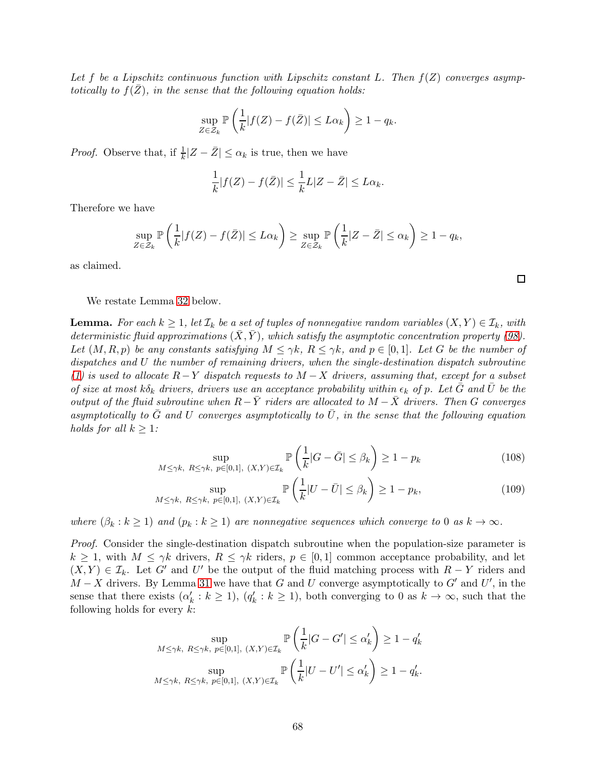Let f be a Lipschitz continuous function with Lipschitz constant L. Then  $f(Z)$  converges asymptotically to  $f(Z)$ , in the sense that the following equation holds:

$$
\sup_{Z \in \mathcal{Z}_k} \mathbb{P}\left(\frac{1}{k}|f(Z) - f(\bar{Z})| \le L\alpha_k\right) \ge 1 - q_k.
$$

*Proof.* Observe that, if  $\frac{1}{k} |Z - \bar{Z}| \leq \alpha_k$  is true, then we have

$$
\frac{1}{k}|f(Z) - f(\bar{Z})| \le \frac{1}{k}L|Z - \bar{Z}| \le L\alpha_k.
$$

Therefore we have

$$
\sup_{Z \in \mathcal{Z}_k} \mathbb{P}\left(\frac{1}{k}|f(Z) - f(\bar{Z})| \le L\alpha_k\right) \ge \sup_{Z \in \mathcal{Z}_k} \mathbb{P}\left(\frac{1}{k}|Z - \bar{Z}| \le \alpha_k\right) \ge 1 - q_k,
$$

as claimed.

We restate Lemma [32](#page-63-0) below.

**Lemma.** For each  $k \geq 1$ , let  $\mathcal{I}_k$  be a set of tuples of nonnegative random variables  $(X, Y) \in \mathcal{I}_k$ , with deterministic fluid approximations  $(\bar{X}, \bar{Y})$ , which satisfy the asymptotic concentration property [\(98\)](#page-63-1). Let  $(M, R, p)$  be any constants satisfying  $M \leq \gamma k$ ,  $R \leq \gamma k$ , and  $p \in [0, 1]$ . Let G be the number of dispatches and U the number of remaining drivers, when the single-destination dispatch subroutine [\(1\)](#page-57-0) is used to allocate  $R-Y$  dispatch requests to  $M-X$  drivers, assuming that, except for a subset of size at most k $\delta_k$  drivers, drivers use an acceptance probability within  $\epsilon_k$  of p. Let G and U be the output of the fluid subroutine when  $R-\bar{Y}$  riders are allocated to  $M-\bar{X}$  drivers. Then G converges asymptotically to  $\bar{G}$  and U converges asymptotically to  $\bar{U}$ , in the sense that the following equation holds for all  $k \geq 1$ :

$$
\sup_{M \le \gamma k, R \le \gamma k, p \in [0,1], (X,Y) \in \mathcal{I}_k} \mathbb{P}\left(\frac{1}{k} |G - \bar{G}| \le \beta_k\right) \ge 1 - p_k \tag{108}
$$

$$
\sup_{M \le \gamma k, R \le \gamma k, p \in [0,1], (X,Y) \in \mathcal{I}_k} \mathbb{P}\left(\frac{1}{k}|U - \bar{U}| \le \beta_k\right) \ge 1 - p_k,\tag{109}
$$

where  $(\beta_k : k \ge 1)$  and  $(p_k : k \ge 1)$  are nonnegative sequences which converge to 0 as  $k \to \infty$ .

Proof. Consider the single-destination dispatch subroutine when the population-size parameter is  $k \geq 1$ , with  $M \leq \gamma k$  drivers,  $R \leq \gamma k$  riders,  $p \in [0,1]$  common acceptance probability, and let  $(X, Y) \in \mathcal{I}_k$ . Let G' and U' be the output of the fluid matching process with  $R - Y$  riders and  $M - X$  drivers. By Lemma [31](#page-62-0) we have that G and U converge asymptotically to G' and U', in the sense that there exists  $(\alpha'_k : k \ge 1)$ ,  $(q'_k : k \ge 1)$ , both converging to 0 as  $k \to \infty$ , such that the following holds for every  $k$ :

$$
\sup_{M \le \gamma k, R \le \gamma k, p \in [0,1], (X,Y) \in \mathcal{I}_k} \mathbb{P}\left(\frac{1}{k}|G - G'| \le \alpha'_k\right) \ge 1 - q'_k
$$
  

$$
\sup_{M \le \gamma k, R \le \gamma k, p \in [0,1], (X,Y) \in \mathcal{I}_k} \mathbb{P}\left(\frac{1}{k}|U - U'| \le \alpha'_k\right) \ge 1 - q'_k.
$$

 $\Box$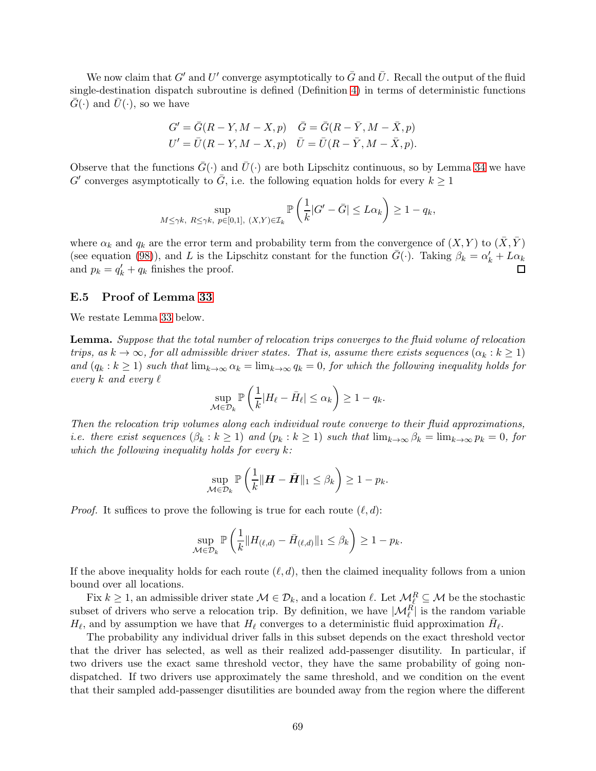We now claim that  $G'$  and  $U'$  converge asymptotically to  $\bar{G}$  and  $\bar{U}$ . Recall the output of the fluid single-destination dispatch subroutine is defined (Definition [4\)](#page-56-1) in terms of deterministic functions  $G(\cdot)$  and  $U(\cdot)$ , so we have

$$
G' = \overline{G}(R - Y, M - X, p) \quad \overline{G} = \overline{G}(R - \overline{Y}, M - \overline{X}, p)
$$
  

$$
U' = \overline{U}(R - Y, M - X, p) \quad \overline{U} = \overline{U}(R - \overline{Y}, M - \overline{X}, p).
$$

Observe that the functions  $\bar{G}(\cdot)$  and  $\bar{U}(\cdot)$  are both Lipschitz continuous, so by Lemma [34](#page-66-2) we have  $G'$  converges asymptotically to  $\overline{G}$ , i.e. the following equation holds for every  $k \geq 1$ 

$$
\sup_{M \leq \gamma k, R \leq \gamma k, p \in [0,1], (X,Y) \in \mathcal{I}_k} \mathbb{P}\left(\frac{1}{k} |G' - \bar{G}| \leq L\alpha_k\right) \geq 1 - q_k,
$$

where  $\alpha_k$  and  $q_k$  are the error term and probability term from the convergence of  $(X, Y)$  to  $(\overline{X}, \overline{Y})$ (see equation [\(98\)](#page-63-1)), and L is the Lipschitz constant for the function  $\bar{G}(\cdot)$ . Taking  $\beta_k = \alpha'_k + L\alpha_k$ and  $p_k = q'_k + q_k$  finishes the proof.

#### <span id="page-68-0"></span>E.5 Proof of Lemma [33](#page-64-0)

We restate Lemma [33](#page-64-0) below.

Lemma. Suppose that the total number of relocation trips converges to the fluid volume of relocation trips, as  $k \to \infty$ , for all admissible driver states. That is, assume there exists sequences  $(\alpha_k : k \ge 1)$ and  $(q_k : k \ge 1)$  such that  $\lim_{k\to\infty} \alpha_k = \lim_{k\to\infty} q_k = 0$ , for which the following inequality holds for every k and every  $\ell$ 

$$
\sup_{\mathcal{M}\in\mathcal{D}_k}\mathbb{P}\left(\frac{1}{k}|H_{\ell}-\bar{H}_{\ell}|\leq\alpha_k\right)\geq 1-q_k.
$$

Then the relocation trip volumes along each individual route converge to their fluid approximations, *i.e. there exist sequences*  $(\beta_k : k \ge 1)$  and  $(p_k : k \ge 1)$  such that  $\lim_{k\to\infty} \beta_k = \lim_{k\to\infty} p_k = 0$ , for which the following inequality holds for every  $k$ :

$$
\sup_{\mathcal{M}\in\mathcal{D}_k}\mathbb{P}\left(\frac{1}{k}\|\boldsymbol{H}-\bar{\boldsymbol{H}}\|_1\leq\beta_k\right)\geq 1-p_k.
$$

*Proof.* It suffices to prove the following is true for each route  $(\ell, d)$ :

$$
\sup_{\mathcal{M}\in\mathcal{D}_k}\mathbb{P}\left(\frac{1}{k}\|H_{(\ell,d)}-\bar{H}_{(\ell,d)}\|_1\leq\beta_k\right)\geq 1-p_k.
$$

If the above inequality holds for each route  $(\ell, d)$ , then the claimed inequality follows from a union bound over all locations.

Fix  $k \geq 1$ , an admissible driver state  $\mathcal{M} \in \mathcal{D}_k$ , and a location  $\ell$ . Let  $\mathcal{M}_k^R \subseteq \mathcal{M}$  be the stochastic subset of drivers who serve a relocation trip. By definition, we have  $|\mathcal{M}_{\ell}^R|$  is the random variable  $H_{\ell}$ , and by assumption we have that  $H_{\ell}$  converges to a deterministic fluid approximation  $\bar{H}_{\ell}$ .

The probability any individual driver falls in this subset depends on the exact threshold vector that the driver has selected, as well as their realized add-passenger disutility. In particular, if two drivers use the exact same threshold vector, they have the same probability of going nondispatched. If two drivers use approximately the same threshold, and we condition on the event that their sampled add-passenger disutilities are bounded away from the region where the different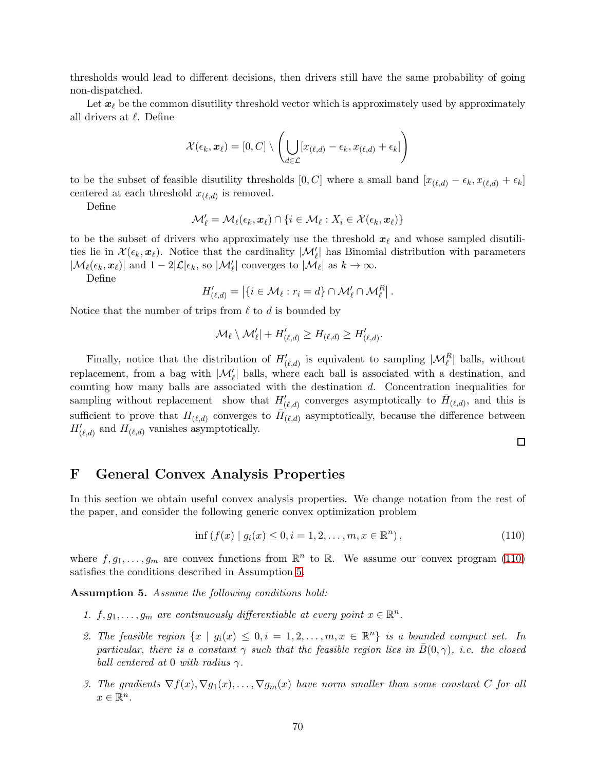thresholds would lead to different decisions, then drivers still have the same probability of going non-dispatched.

Let  $x_{\ell}$  be the common disutility threshold vector which is approximately used by approximately all drivers at  $\ell$ . Define

$$
\mathcal{X}(\epsilon_k, \boldsymbol{x}_{\ell}) = [0, C] \setminus \left( \bigcup_{d \in \mathcal{L}} [x_{(\ell,d)} - \epsilon_k, x_{(\ell,d)} + \epsilon_k] \right)
$$

to be the subset of feasible disutility thresholds [0, C] where a small band  $[x_{(\ell,d)} - \epsilon_k, x_{(\ell,d)} + \epsilon_k]$ centered at each threshold  $x_{(\ell,d)}$  is removed.

Define

$$
\mathcal{M}'_{\ell} = \mathcal{M}_{\ell}(\epsilon_k, \boldsymbol{x}_{\ell}) \cap \{i \in \mathcal{M}_{\ell} : X_i \in \mathcal{X}(\epsilon_k, \boldsymbol{x}_{\ell})\}
$$

to be the subset of drivers who approximately use the threshold  $x_{\ell}$  and whose sampled disutilities lie in  $\mathcal{X}(\epsilon_k, x_{\ell})$ . Notice that the cardinality  $|\mathcal{M}'_{\ell}|$  has Binomial distribution with parameters  $|\mathcal{M}_{\ell}(\epsilon_k, \boldsymbol{x}_{\ell})|$  and  $1 - 2|\mathcal{L}|\epsilon_k$ , so  $|\mathcal{M}'_{\ell}|$  converges to  $|\mathcal{M}_{\ell}|$  as  $k \to \infty$ .

Define

$$
H'_{(\ell,d)} = |\{i \in \mathcal{M}_\ell : r_i = d\} \cap \mathcal{M}'_\ell \cap \mathcal{M}^R_\ell|.
$$

Notice that the number of trips from  $\ell$  to  $d$  is bounded by

$$
|\mathcal{M}_{\ell} \setminus \mathcal{M}'_{\ell}| + H'_{(\ell,d)} \geq H_{(\ell,d)} \geq H'_{(\ell,d)}.
$$

Finally, notice that the distribution of  $H'_{(\ell,d)}$  is equivalent to sampling  $|\mathcal{M}_{\ell}^R|$  balls, without replacement, from a bag with  $|\mathcal{M}'_{\ell}|$  balls, where each ball is associated with a destination, and counting how many balls are associated with the destination  $d$ . Concentration inequalities for sampling without replacement show that  $H'_{(\ell,d)}$  converges asymptotically to  $\bar{H}_{(\ell,d)}$ , and this is sufficient to prove that  $H_{(\ell,d)}$  converges to  $\tilde{H}_{(\ell,d)}$  asymptotically, because the difference between  $H'_{(\ell,d)}$  and  $H_{(\ell,d)}$  vanishes asymptotically.

 $\Box$ 

### F General Convex Analysis Properties

In this section we obtain useful convex analysis properties. We change notation from the rest of the paper, and consider the following generic convex optimization problem

<span id="page-69-0"></span>
$$
\inf (f(x) | g_i(x) \le 0, i = 1, 2, ..., m, x \in \mathbb{R}^n), \tag{110}
$$

where  $f, g_1, \ldots, g_m$  are convex functions from  $\mathbb{R}^n$  to  $\mathbb{R}$ . We assume our convex program [\(110\)](#page-69-0) satisfies the conditions described in Assumption [5.](#page-69-1)

<span id="page-69-1"></span>Assumption 5. Assume the following conditions hold:

- 1.  $f, g_1, \ldots, g_m$  are continuously differentiable at every point  $x \in \mathbb{R}^n$ .
- 2. The feasible region  $\{x \mid g_i(x) \leq 0, i = 1, 2, \ldots, m, x \in \mathbb{R}^n\}$  is a bounded compact set. In particular, there is a constant  $\gamma$  such that the feasible region lies in  $\bar{B}(0,\gamma)$ , i.e. the closed ball centered at 0 with radius  $\gamma$ .
- 3. The gradients  $\nabla f(x), \nabla g_1(x), \ldots, \nabla g_m(x)$  have norm smaller than some constant C for all  $x \in \mathbb{R}^n$ .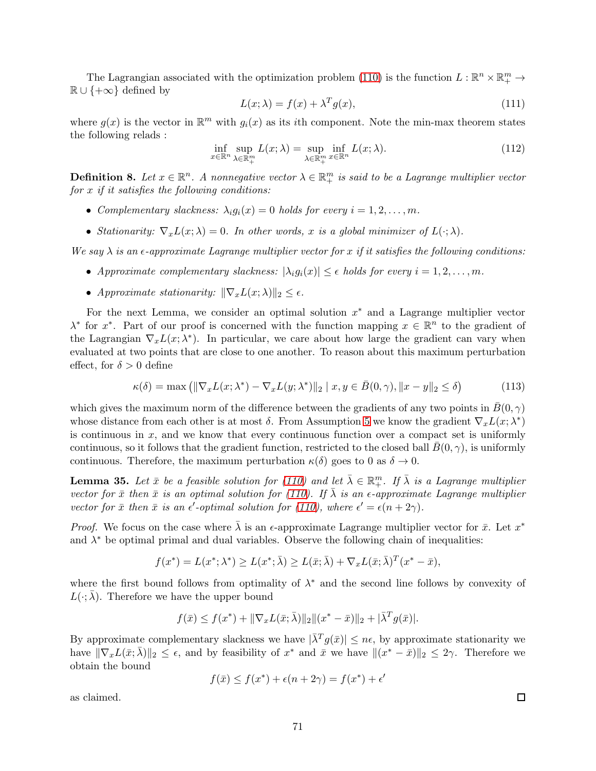The Lagrangian associated with the optimization problem [\(110\)](#page-69-0) is the function  $L : \mathbb{R}^n \times \mathbb{R}^m_+ \to$  $\mathbb{R} \cup \{+\infty\}$  defined by

$$
L(x; \lambda) = f(x) + \lambda^T g(x), \qquad (111)
$$

where  $g(x)$  is the vector in  $\mathbb{R}^m$  with  $g_i(x)$  as its *i*th component. Note the min-max theorem states the following relads :

$$
\inf_{x \in \mathbb{R}^n} \sup_{\lambda \in \mathbb{R}^m_+} L(x; \lambda) = \sup_{\lambda \in \mathbb{R}^m_+} \inf_{x \in \mathbb{R}^n} L(x; \lambda).
$$
\n(112)

**Definition 8.** Let  $x \in \mathbb{R}^n$ . A nonnegative vector  $\lambda \in \mathbb{R}^m_+$  is said to be a Lagrange multiplier vector for  $x$  if it satisfies the following conditions:

- Complementary slackness:  $\lambda_i g_i(x) = 0$  holds for every  $i = 1, 2, ..., m$ .
- Stationarity:  $\nabla_x L(x; \lambda) = 0$ . In other words, x is a global minimizer of  $L(\cdot; \lambda)$ .

We say  $\lambda$  is an  $\epsilon$ -approximate Lagrange multiplier vector for x if it satisfies the following conditions:

- Approximate complementary slackness:  $|\lambda_i g_i(x)| \leq \epsilon$  holds for every  $i = 1, 2, ..., m$ .
- Approximate stationarity:  $\|\nabla_x L(x; \lambda)\|_2 \leq \epsilon$ .

For the next Lemma, we consider an optimal solution  $x^*$  and a Lagrange multiplier vector  $\lambda^*$  for  $x^*$ . Part of our proof is concerned with the function mapping  $x \in \mathbb{R}^n$  to the gradient of the Lagrangian  $\nabla_x L(x; \lambda^*)$ . In particular, we care about how large the gradient can vary when evaluated at two points that are close to one another. To reason about this maximum perturbation effect, for  $\delta > 0$  define

$$
\kappa(\delta) = \max\left( \|\nabla_x L(x; \lambda^*) - \nabla_x L(y; \lambda^*)\|_2 \mid x, y \in \bar{B}(0, \gamma), \|x - y\|_2 \le \delta \right) \tag{113}
$$

which gives the maximum norm of the difference between the gradients of any two points in  $B(0, \gamma)$ whose distance from each other is at most  $\delta$ . From Assumption [5](#page-69-1) we know the gradient  $\nabla_x L(x; \lambda^*)$ is continuous in  $x$ , and we know that every continuous function over a compact set is uniformly continuous, so it follows that the gradient function, restricted to the closed ball  $B(0, \gamma)$ , is uniformly continuous. Therefore, the maximum perturbation  $\kappa(\delta)$  goes to 0 as  $\delta \to 0$ .

**Lemma 35.** Let  $\bar{x}$  be a feasible solution for [\(110\)](#page-69-0) and let  $\bar{\lambda} \in \mathbb{R}^m_+$ . If  $\bar{\lambda}$  is a Lagrange multiplier vector for  $\bar{x}$  then  $\bar{x}$  is an optimal solution for [\(110\)](#page-69-0). If  $\bar{\lambda}$  is an  $\epsilon$ -approximate Lagrange multiplier vector for  $\bar{x}$  then  $\bar{x}$  is an  $\epsilon'$ -optimal solution for [\(110\)](#page-69-0), where  $\epsilon' = \epsilon (n + 2\gamma)$ .

*Proof.* We focus on the case where  $\bar{\lambda}$  is an  $\epsilon$ -approximate Lagrange multiplier vector for  $\bar{x}$ . Let  $x^*$ and  $\lambda^*$  be optimal primal and dual variables. Observe the following chain of inequalities:

$$
f(x^*) = L(x^*; \lambda^*) \ge L(x^*; \bar{\lambda}) \ge L(\bar{x}; \bar{\lambda}) + \nabla_x L(\bar{x}; \bar{\lambda})^T (x^* - \bar{x}),
$$

where the first bound follows from optimality of  $\lambda^*$  and the second line follows by convexity of  $L(\cdot; \lambda)$ . Therefore we have the upper bound

$$
f(\bar{x}) \le f(x^*) + \|\nabla_x L(\bar{x}; \bar{\lambda})\|_2 \|(x^* - \bar{x})\|_2 + |\bar{\lambda}^T g(\bar{x})|.
$$

By approximate complementary slackness we have  $|\bar{\lambda}^T g(\bar{x})| \leq n\epsilon$ , by approximate stationarity we have  $\|\nabla_x L(\bar{x}; \bar{\lambda})\|_2 \leq \epsilon$ , and by feasibility of  $x^*$  and  $\bar{x}$  we have  $\|(x^* - \bar{x})\|_2 \leq 2\gamma$ . Therefore we obtain the bound

$$
f(\bar{x}) \le f(x^*) + \epsilon(n + 2\gamma) = f(x^*) + \epsilon'
$$

as claimed.

 $\Box$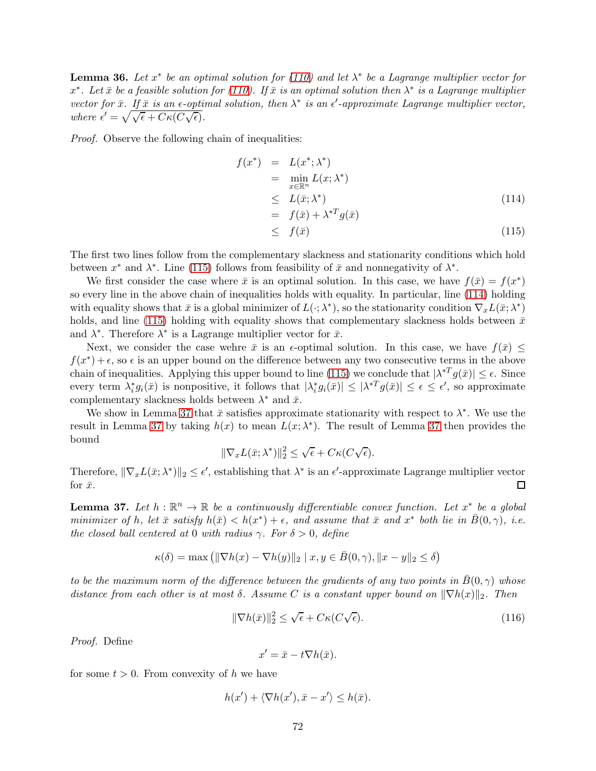**Lemma 36.** Let  $x^*$  be an optimal solution for [\(110\)](#page-69-0) and let  $\lambda^*$  be a Lagrange multiplier vector for  $x^*$ . Let  $\bar{x}$  be a feasible solution for [\(110\)](#page-69-0). If  $\bar{x}$  is an optimal solution then  $\lambda^*$  is a Lagrange multiplier vector for  $\bar{x}$ . If  $\bar{x}$  is an  $\epsilon$ -optimal solution, then  $\lambda^*$  is an  $\epsilon'$ -approximate Lagrange multiplier vector, where  $\epsilon' = \sqrt{\sqrt{\epsilon} + C\kappa(C\sqrt{\epsilon})}.$ 

Proof. Observe the following chain of inequalities:

<span id="page-71-0"></span>
$$
f(x^*) = L(x^*; \lambda^*)
$$
  
\n
$$
= \min_{x \in \mathbb{R}^n} L(x; \lambda^*)
$$
  
\n
$$
\leq L(\bar{x}; \lambda^*)
$$
  
\n
$$
= f(\bar{x}) + \lambda^{*T} g(\bar{x})
$$
  
\n
$$
\leq f(\bar{x})
$$
\n(115)

The first two lines follow from the complementary slackness and stationarity conditions which hold between  $x^*$  and  $\lambda^*$ . Line [\(115\)](#page-71-0) follows from feasibility of  $\bar{x}$  and nonnegativity of  $\lambda^*$ .

We first consider the case where  $\bar{x}$  is an optimal solution. In this case, we have  $f(\bar{x}) = f(x^*)$ so every line in the above chain of inequalities holds with equality. In particular, line [\(114\)](#page-71-0) holding with equality shows that  $\bar{x}$  is a global minimizer of  $L(\cdot; \lambda^*)$ , so the stationarity condition  $\nabla_x L(\bar{x}; \lambda^*)$ holds, and line [\(115\)](#page-71-0) holding with equality shows that complementary slackness holds between  $\bar{x}$ and  $\lambda^*$ . Therefore  $\lambda^*$  is a Lagrange multiplier vector for  $\bar{x}$ .

Next, we consider the case wehre  $\bar{x}$  is an  $\epsilon$ -optimal solution. In this case, we have  $f(\bar{x}) \leq$  $f(x^*) + \epsilon$ , so  $\epsilon$  is an upper bound on the difference between any two consecutive terms in the above chain of inequalities. Applying this upper bound to line [\(115\)](#page-71-0) we conclude that  $|\lambda^*^T g(\bar{x})| \leq \epsilon$ . Since every term  $\lambda_i^* g_i(\bar{x})$  is nonpositive, it follows that  $|\lambda_i^* g_i(\bar{x})| \leq |\lambda^{*T} g(\bar{x})| \leq \epsilon \leq \epsilon'$ , so approximate complementary slackness holds between  $\lambda^*$  and  $\bar{x}$ .

We show in Lemma [37](#page-71-1) that  $\bar{x}$  satisfies approximate stationarity with respect to  $\lambda^*$ . We use the result in Lemma [37](#page-71-1) by taking  $h(x)$  to mean  $L(x; \lambda^*)$ . The result of Lemma 37 then provides the bound

$$
\|\nabla_x L(\bar{x}; \lambda^*)\|_2^2 \leq \sqrt{\epsilon} + C\kappa(C\sqrt{\epsilon}).
$$

Therefore,  $\|\nabla_x L(\bar{x}; \lambda^*)\|_2 \leq \epsilon'$ , establishing that  $\lambda^*$  is an  $\epsilon'$ -approximate Lagrange multiplier vector for  $\bar{x}$ . □

<span id="page-71-1"></span>**Lemma 37.** Let  $h : \mathbb{R}^n \to \mathbb{R}$  be a continuously differentiable convex function. Let  $x^*$  be a global minimizer of h, let  $\bar{x}$  satisfy  $h(\bar{x}) < h(x^*) + \epsilon$ , and assume that  $\bar{x}$  and  $x^*$  both lie in  $\bar{B}(0, \gamma)$ , i.e. the closed ball centered at 0 with radius  $\gamma$ . For  $\delta > 0$ , define

$$
\kappa(\delta) = \max\left( \|\nabla h(x) - \nabla h(y)\|_2 \mid x, y \in \bar{B}(0, \gamma), \|x - y\|_2 \le \delta \right)
$$

to be the maximum norm of the difference between the gradients of any two points in  $\bar{B}(0, \gamma)$  whose distance from each other is at most  $\delta$ . Assume C is a constant upper bound on  $\|\nabla h(x)\|_2$ . Then

$$
\|\nabla h(\bar{x})\|_2^2 \le \sqrt{\epsilon} + C\kappa (C\sqrt{\epsilon}).\tag{116}
$$

Proof. Define

$$
x' = \bar{x} - t\nabla h(\bar{x}).
$$

for some  $t > 0$ . From convexity of h we have

$$
h(x') + \langle \nabla h(x'), \bar{x} - x' \rangle \leq h(\bar{x}).
$$